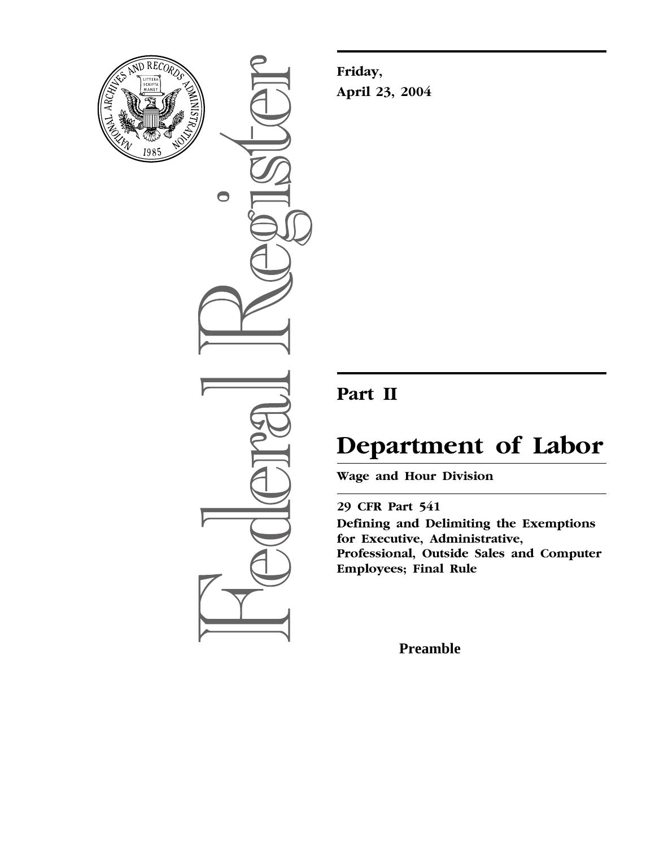

 $\bigcirc$ 

**Friday, April 23, 2004** 

## **Part II**

# **Department of Labor**

**Wage and Hour Division** 

**29 CFR Part 541 Defining and Delimiting the Exemptions for Executive, Administrative, Professional, Outside Sales and Computer Employees; Final Rule** 

**Preamble**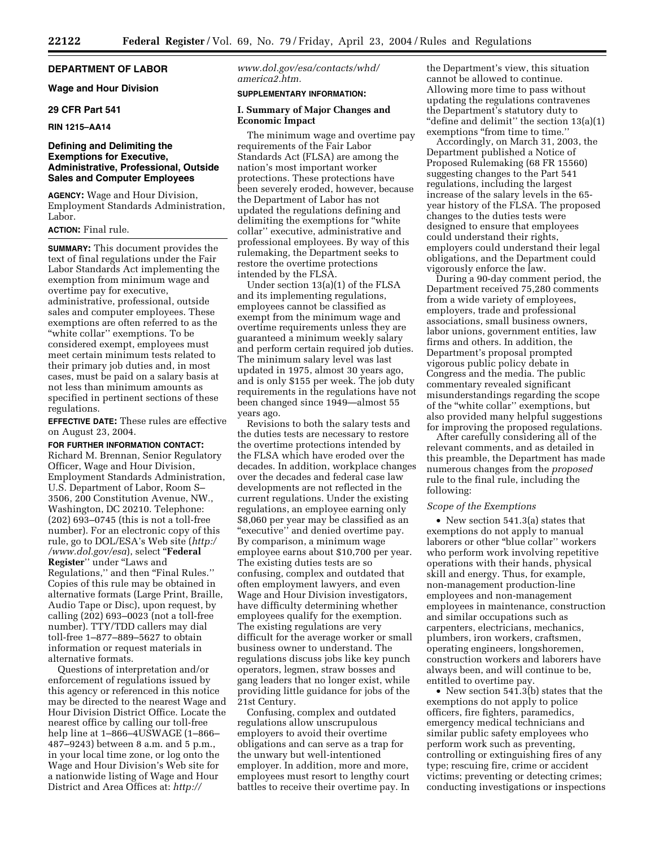#### **DEPARTMENT OF LABOR**

#### **Wage and Hour Division**

#### **29 CFR Part 541**

#### **RIN 1215–AA14**

#### **Defining and Delimiting the Exemptions for Executive, Administrative, Professional, Outside Sales and Computer Employees**

**AGENCY:** Wage and Hour Division, Employment Standards Administration, Labor.

#### **ACTION:** Final rule.

**SUMMARY:** This document provides the text of final regulations under the Fair Labor Standards Act implementing the exemption from minimum wage and overtime pay for executive, administrative, professional, outside sales and computer employees. These exemptions are often referred to as the "white collar" exemptions. To be considered exempt, employees must meet certain minimum tests related to their primary job duties and, in most cases, must be paid on a salary basis at not less than minimum amounts as specified in pertinent sections of these regulations.

**EFFECTIVE DATE:** These rules are effective on August 23, 2004.

**FOR FURTHER INFORMATION CONTACT:**  Richard M. Brennan, Senior Regulatory Officer, Wage and Hour Division, Employment Standards Administration, U.S. Department of Labor, Room S– 3506, 200 Constitution Avenue, NW., Washington, DC 20210. Telephone: (202) 693–0745 (this is not a toll-free number). For an electronic copy of this [rule, go to DOL/ESA's Web site \(](http://www.dol.gov/esa)*http:/ /www.dol.gov/esa*), select ''**Federal Register**'' under ''Laws and Regulations," and then "Final Rules." Copies of this rule may be obtained in alternative formats (Large Print, Braille, Audio Tape or Disc), upon request, by calling (202) 693–0023 (not a toll-free number). TTY/TDD callers may dial toll-free 1–877–889–5627 to obtain information or request materials in alternative formats.

Questions of interpretation and/or enforcement of regulations issued by this agency or referenced in this notice may be directed to the nearest Wage and Hour Division District Office. Locate the nearest office by calling our toll-free help line at 1–866–4USWAGE (1–866– 487–9243) between 8 a.m. and 5 p.m., in your local time zone, or log onto the Wage and Hour Division's Web site for a nationwide listing of Wage and Hour District and Area Offices at: *[http://](http://www.dol.gov/esa/contacts/whd/america2.htm)* 

*[www.dol.gov/esa/contacts/whd/](http://www.dol.gov/esa/contacts/whd/america2.htm)  america2.htm.* 

#### **SUPPLEMENTARY INFORMATION:**

#### **I. Summary of Major Changes and Economic Impact**

The minimum wage and overtime pay requirements of the Fair Labor Standards Act (FLSA) are among the nation's most important worker protections. These protections have been severely eroded, however, because the Department of Labor has not updated the regulations defining and delimiting the exemptions for ''white collar'' executive, administrative and professional employees. By way of this rulemaking, the Department seeks to restore the overtime protections intended by the FLSA.

Under section 13(a)(1) of the FLSA and its implementing regulations, employees cannot be classified as exempt from the minimum wage and overtime requirements unless they are guaranteed a minimum weekly salary and perform certain required job duties. The minimum salary level was last updated in 1975, almost 30 years ago, and is only \$155 per week. The job duty requirements in the regulations have not been changed since 1949—almost 55 years ago.

Revisions to both the salary tests and the duties tests are necessary to restore the overtime protections intended by the FLSA which have eroded over the decades. In addition, workplace changes over the decades and federal case law developments are not reflected in the current regulations. Under the existing regulations, an employee earning only \$8,060 per year may be classified as an "executive" and denied overtime pay. By comparison, a minimum wage employee earns about \$10,700 per year. The existing duties tests are so confusing, complex and outdated that often employment lawyers, and even Wage and Hour Division investigators, have difficulty determining whether employees qualify for the exemption. The existing regulations are very difficult for the average worker or small business owner to understand. The regulations discuss jobs like key punch operators, legmen, straw bosses and gang leaders that no longer exist, while providing little guidance for jobs of the 21st Century.

Confusing, complex and outdated regulations allow unscrupulous employers to avoid their overtime obligations and can serve as a trap for the unwary but well-intentioned employer. In addition, more and more, employees must resort to lengthy court battles to receive their overtime pay. In

the Department's view, this situation cannot be allowed to continue. Allowing more time to pass without updating the regulations contravenes the Department's statutory duty to "define and delimit" the section  $13(a)(1)$ exemptions "from time to time."

Accordingly, on March 31, 2003, the Department published a Notice of Proposed Rulemaking (68 FR 15560) suggesting changes to the Part 541 regulations, including the largest increase of the salary levels in the 65 year history of the FLSA. The proposed changes to the duties tests were designed to ensure that employees could understand their rights, employers could understand their legal obligations, and the Department could vigorously enforce the law.

During a 90-day comment period, the Department received 75,280 comments from a wide variety of employees, employers, trade and professional associations, small business owners, labor unions, government entities, law firms and others. In addition, the Department's proposal prompted vigorous public policy debate in Congress and the media. The public commentary revealed significant misunderstandings regarding the scope of the "white collar" exemptions, but also provided many helpful suggestions for improving the proposed regulations.

After carefully considering all of the relevant comments, and as detailed in this preamble, the Department has made numerous changes from the *proposed*  rule to the final rule, including the following:

#### *Scope of the Exemptions*

• New section 541.3(a) states that exemptions do not apply to manual laborers or other "blue collar" workers who perform work involving repetitive operations with their hands, physical skill and energy. Thus, for example, non-management production-line employees and non-management employees in maintenance, construction and similar occupations such as carpenters, electricians, mechanics, plumbers, iron workers, craftsmen, operating engineers, longshoremen, construction workers and laborers have always been, and will continue to be, entitled to overtime pay.

• New section 541.3(b) states that the exemptions do not apply to police officers, fire fighters, paramedics, emergency medical technicians and similar public safety employees who perform work such as preventing, controlling or extinguishing fires of any type; rescuing fire, crime or accident victims; preventing or detecting crimes; conducting investigations or inspections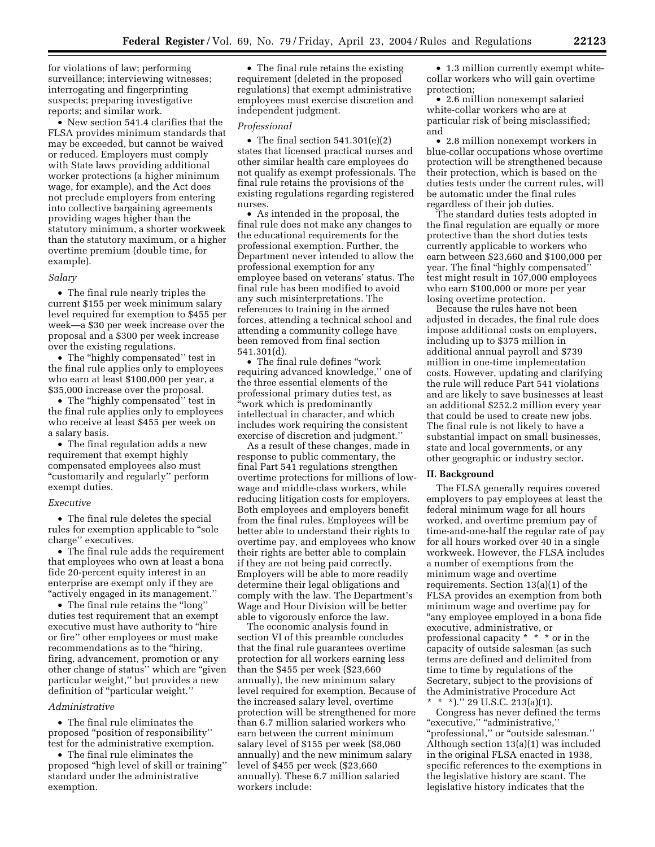for violations of law; performing surveillance; interviewing witnesses; interrogating and fingerprinting suspects; preparing investigative reports; and similar work.

• New section 541.4 clarifies that the FLSA provides minimum standards that may be exceeded, but cannot be waived or reduced. Employers must comply with State laws providing additional worker protections (a higher minimum wage, for example), and the Act does not preclude employers from entering into collective bargaining agreements providing wages higher than the statutory minimum, a shorter workweek than the statutory maximum, or a higher overtime premium (double time, for example).

#### *Salary*

• The final rule nearly triples the current \$155 per week minimum salary level required for exemption to \$455 per week—a \$30 per week increase over the proposal and a \$300 per week increase over the existing regulations.

• The "highly compensated" test in the final rule applies only to employees who earn at least \$100,000 per year, a \$35,000 increase over the proposal.

• The "highly compensated" test in the final rule applies only to employees who receive at least \$455 per week on a salary basis.

• The final regulation adds a new requirement that exempt highly compensated employees also must ''customarily and regularly'' perform exempt duties.

#### *Executive*

• The final rule deletes the special rules for exemption applicable to ''sole charge'' executives.

• The final rule adds the requirement that employees who own at least a bona fide 20-percent equity interest in an enterprise are exempt only if they are ''actively engaged in its management.''

• The final rule retains the ''long'' duties test requirement that an exempt executive must have authority to ''hire or fire'' other employees or must make recommendations as to the ''hiring, firing, advancement, promotion or any other change of status" which are "given particular weight,'' but provides a new definition of ''particular weight.''

#### *Administrative*

• The final rule eliminates the proposed ''position of responsibility'' test for the administrative exemption.

• The final rule eliminates the proposed ''high level of skill or training'' standard under the administrative exemption.

• The final rule retains the existing requirement (deleted in the proposed regulations) that exempt administrative employees must exercise discretion and independent judgment.

#### *Professional*

• The final section 541.301(e)(2) states that licensed practical nurses and other similar health care employees do not qualify as exempt professionals. The final rule retains the provisions of the existing regulations regarding registered nurses.

• As intended in the proposal, the final rule does not make any changes to the educational requirements for the professional exemption. Further, the Department never intended to allow the professional exemption for any employee based on veterans' status. The final rule has been modified to avoid any such misinterpretations. The references to training in the armed forces, attending a technical school and attending a community college have been removed from final section 541.301(d).

• The final rule defines "work" requiring advanced knowledge,'' one of the three essential elements of the professional primary duties test, as ''work which is predominantly intellectual in character, and which includes work requiring the consistent exercise of discretion and judgment.''

As a result of these changes, made in response to public commentary, the final Part 541 regulations strengthen overtime protections for millions of lowwage and middle-class workers, while reducing litigation costs for employers. Both employees and employers benefit from the final rules. Employees will be better able to understand their rights to overtime pay, and employees who know their rights are better able to complain if they are not being paid correctly. Employers will be able to more readily determine their legal obligations and comply with the law. The Department's Wage and Hour Division will be better able to vigorously enforce the law.

The economic analysis found in section VI of this preamble concludes that the final rule guarantees overtime protection for all workers earning less than the \$455 per week (\$23,660 annually), the new minimum salary level required for exemption. Because of the increased salary level, overtime protection will be strengthened for more than 6.7 million salaried workers who earn between the current minimum salary level of \$155 per week (\$8,060 annually) and the new minimum salary level of \$455 per week (\$23,660 annually). These 6.7 million salaried workers include:

• 1.3 million currently exempt whitecollar workers who will gain overtime protection;

• 2.6 million nonexempt salaried white-collar workers who are at particular risk of being misclassified; and

• 2.8 million nonexempt workers in blue-collar occupations whose overtime protection will be strengthened because their protection, which is based on the duties tests under the current rules, will be automatic under the final rules regardless of their job duties.

The standard duties tests adopted in the final regulation are equally or more protective than the short duties tests currently applicable to workers who earn between \$23,660 and \$100,000 per year. The final "highly compensated" test might result in 107,000 employees who earn \$100,000 or more per year losing overtime protection.

Because the rules have not been adjusted in decades, the final rule does impose additional costs on employers, including up to \$375 million in additional annual payroll and \$739 million in one-time implementation costs. However, updating and clarifying the rule will reduce Part 541 violations and are likely to save businesses at least an additional \$252.2 million every year that could be used to create new jobs. The final rule is not likely to have a substantial impact on small businesses, state and local governments, or any other geographic or industry sector.

#### **II. Background**

The FLSA generally requires covered employers to pay employees at least the federal minimum wage for all hours worked, and overtime premium pay of time-and-one-half the regular rate of pay for all hours worked over 40 in a single workweek. However, the FLSA includes a number of exemptions from the minimum wage and overtime requirements. Section 13(a)(1) of the FLSA provides an exemption from both minimum wage and overtime pay for ''any employee employed in a bona fide executive, administrative, or professional capacity \* \* \* or in the capacity of outside salesman (as such terms are defined and delimited from time to time by regulations of the Secretary, subject to the provisions of the Administrative Procedure Act \* \* \*).'' 29 U.S.C. 213(a)(1).

Congress has never defined the terms ''executive,'' ''administrative,'' ''professional,'' or ''outside salesman.'' Although section 13(a)(1) was included in the original FLSA enacted in 1938, specific references to the exemptions in the legislative history are scant. The legislative history indicates that the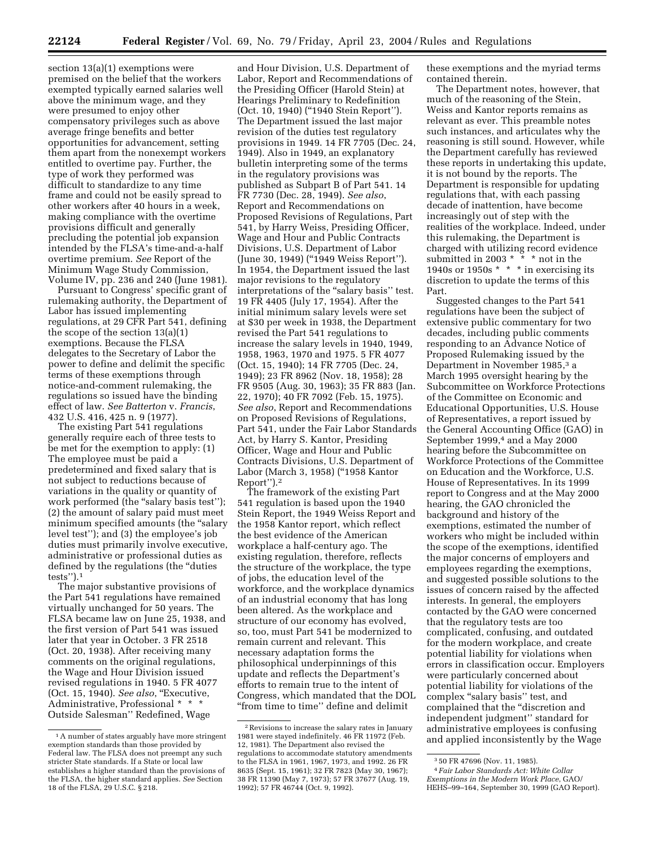section 13(a)(1) exemptions were premised on the belief that the workers exempted typically earned salaries well above the minimum wage, and they were presumed to enjoy other compensatory privileges such as above average fringe benefits and better opportunities for advancement, setting them apart from the nonexempt workers entitled to overtime pay. Further, the type of work they performed was difficult to standardize to any time frame and could not be easily spread to other workers after 40 hours in a week, making compliance with the overtime provisions difficult and generally precluding the potential job expansion intended by the FLSA's time-and-a-half overtime premium. *See* Report of the Minimum Wage Study Commission, Volume IV, pp. 236 and 240 (June 1981).

Pursuant to Congress' specific grant of rulemaking authority, the Department of Labor has issued implementing regulations, at 29 CFR Part 541, defining the scope of the section 13(a)(1) exemptions. Because the FLSA delegates to the Secretary of Labor the power to define and delimit the specific terms of these exemptions through notice-and-comment rulemaking, the regulations so issued have the binding effect of law. *See Batterton* v. *Francis*, 432 U.S. 416, 425 n. 9 (1977).

The existing Part 541 regulations generally require each of three tests to be met for the exemption to apply: (1) The employee must be paid a predetermined and fixed salary that is not subject to reductions because of variations in the quality or quantity of work performed (the "salary basis test"); (2) the amount of salary paid must meet minimum specified amounts (the ''salary level test''); and (3) the employee's job duties must primarily involve executive, administrative or professional duties as defined by the regulations (the ''duties tests'').1

The major substantive provisions of the Part 541 regulations have remained virtually unchanged for 50 years. The FLSA became law on June 25, 1938, and the first version of Part 541 was issued later that year in October. 3 FR 2518 (Oct. 20, 1938). After receiving many comments on the original regulations, the Wage and Hour Division issued revised regulations in 1940. 5 FR 4077 (Oct. 15, 1940). *See also*, ''Executive, Administrative, Professional \* \* \* Outside Salesman'' Redefined, Wage

and Hour Division, U.S. Department of Labor, Report and Recommendations of the Presiding Officer (Harold Stein) at Hearings Preliminary to Redefinition (Oct. 10, 1940) (''1940 Stein Report''). The Department issued the last major revision of the duties test regulatory provisions in 1949. 14 FR 7705 (Dec. 24, 1949). Also in 1949, an explanatory bulletin interpreting some of the terms in the regulatory provisions was published as Subpart B of Part 541. 14 FR 7730 (Dec. 28, 1949). *See also*, Report and Recommendations on Proposed Revisions of Regulations, Part 541, by Harry Weiss, Presiding Officer, Wage and Hour and Public Contracts Divisions, U.S. Department of Labor (June 30, 1949) (''1949 Weiss Report''). In 1954, the Department issued the last major revisions to the regulatory interpretations of the "salary basis" test. 19 FR 4405 (July 17, 1954). After the initial minimum salary levels were set at \$30 per week in 1938, the Department revised the Part 541 regulations to increase the salary levels in 1940, 1949, 1958, 1963, 1970 and 1975. 5 FR 4077 (Oct. 15, 1940); 14 FR 7705 (Dec. 24, 1949); 23 FR 8962 (Nov. 18, 1958); 28 FR 9505 (Aug. 30, 1963); 35 FR 883 (Jan. 22, 1970); 40 FR 7092 (Feb. 15, 1975). *See also*, Report and Recommendations on Proposed Revisions of Regulations, Part 541, under the Fair Labor Standards Act, by Harry S. Kantor, Presiding Officer, Wage and Hour and Public Contracts Divisions, U.S. Department of Labor (March 3, 1958) ("1958 Kantor Report'').2

The framework of the existing Part 541 regulation is based upon the 1940 Stein Report, the 1949 Weiss Report and the 1958 Kantor report, which reflect the best evidence of the American workplace a half-century ago. The existing regulation, therefore, reflects the structure of the workplace, the type of jobs, the education level of the workforce, and the workplace dynamics of an industrial economy that has long been altered. As the workplace and structure of our economy has evolved, so, too, must Part 541 be modernized to remain current and relevant. This necessary adaptation forms the philosophical underpinnings of this update and reflects the Department's efforts to remain true to the intent of Congress, which mandated that the DOL "from time to time" define and delimit

these exemptions and the myriad terms contained therein.

The Department notes, however, that much of the reasoning of the Stein, Weiss and Kantor reports remains as relevant as ever. This preamble notes such instances, and articulates why the reasoning is still sound. However, while the Department carefully has reviewed these reports in undertaking this update, it is not bound by the reports. The Department is responsible for updating regulations that, with each passing decade of inattention, have become increasingly out of step with the realities of the workplace. Indeed, under this rulemaking, the Department is charged with utilizing record evidence submitted in 2003  $*$   $*$   $*$  not in the 1940s or 1950s  $*$   $*$   $*$  in exercising its discretion to update the terms of this Part.

Suggested changes to the Part 541 regulations have been the subject of extensive public commentary for two decades, including public comments responding to an Advance Notice of Proposed Rulemaking issued by the Department in November 1985,<sup>3</sup> a March 1995 oversight hearing by the Subcommittee on Workforce Protections of the Committee on Economic and Educational Opportunities, U.S. House of Representatives, a report issued by the General Accounting Office (GAO) in September 1999,<sup>4</sup> and a May 2000 hearing before the Subcommittee on Workforce Protections of the Committee on Education and the Workforce, U.S. House of Representatives. In its 1999 report to Congress and at the May 2000 hearing, the GAO chronicled the background and history of the exemptions, estimated the number of workers who might be included within the scope of the exemptions, identified the major concerns of employers and employees regarding the exemptions, and suggested possible solutions to the issues of concern raised by the affected interests. In general, the employers contacted by the GAO were concerned that the regulatory tests are too complicated, confusing, and outdated for the modern workplace, and create potential liability for violations when errors in classification occur. Employers were particularly concerned about potential liability for violations of the complex "salary basis" test, and complained that the ''discretion and independent judgment'' standard for administrative employees is confusing and applied inconsistently by the Wage

<sup>1</sup> A number of states arguably have more stringent exemption standards than those provided by Federal law. The FLSA does not preempt any such stricter State standards. If a State or local law establishes a higher standard than the provisions of the FLSA, the higher standard applies. *See* Section 18 of the FLSA, 29 U.S.C. § 218.

<sup>2</sup> Revisions to increase the salary rates in January 1981 were stayed indefinitely. 46 FR 11972 (Feb. 12, 1981). The Department also revised the regulations to accommodate statutory amendments to the FLSA in 1961, 1967, 1973, and 1992. 26 FR 8635 (Sept. 15, 1961); 32 FR 7823 (May 30, 1967); 38 FR 11390 (May 7, 1973); 57 FR 37677 (Aug. 19, 1992); 57 FR 46744 (Oct. 9, 1992).

<sup>3 50</sup> FR 47696 (Nov. 11, 1985).

<sup>4</sup> *Fair Labor Standards Act: White Collar Exemptions in the Modern Work Place*, GAO/ HEHS–99–164, September 30, 1999 (GAO Report).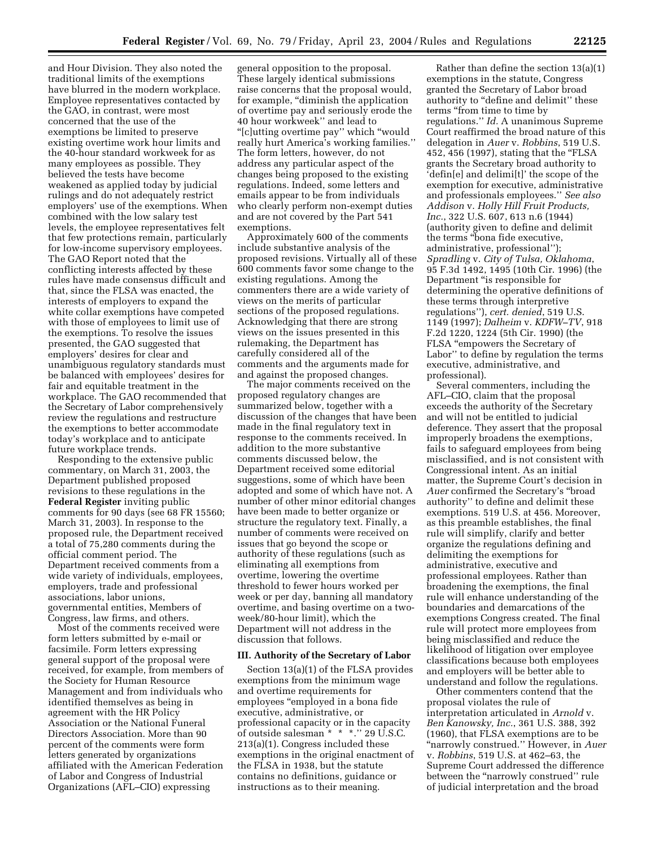and Hour Division. They also noted the traditional limits of the exemptions have blurred in the modern workplace. Employee representatives contacted by the GAO, in contrast, were most concerned that the use of the exemptions be limited to preserve existing overtime work hour limits and the 40-hour standard workweek for as many employees as possible. They believed the tests have become weakened as applied today by judicial rulings and do not adequately restrict employers' use of the exemptions. When combined with the low salary test levels, the employee representatives felt that few protections remain, particularly for low-income supervisory employees. The GAO Report noted that the conflicting interests affected by these rules have made consensus difficult and that, since the FLSA was enacted, the interests of employers to expand the white collar exemptions have competed with those of employees to limit use of the exemptions. To resolve the issues presented, the GAO suggested that employers' desires for clear and unambiguous regulatory standards must be balanced with employees' desires for fair and equitable treatment in the workplace. The GAO recommended that the Secretary of Labor comprehensively review the regulations and restructure the exemptions to better accommodate today's workplace and to anticipate future workplace trends.

Responding to the extensive public commentary, on March 31, 2003, the Department published proposed revisions to these regulations in the **Federal Register** inviting public comments for 90 days (see 68 FR 15560; March 31, 2003). In response to the proposed rule, the Department received a total of 75,280 comments during the official comment period. The Department received comments from a wide variety of individuals, employees, employers, trade and professional associations, labor unions, governmental entities, Members of Congress, law firms, and others.

Most of the comments received were form letters submitted by e-mail or facsimile. Form letters expressing general support of the proposal were received, for example, from members of the Society for Human Resource Management and from individuals who identified themselves as being in agreement with the HR Policy Association or the National Funeral Directors Association. More than 90 percent of the comments were form letters generated by organizations affiliated with the American Federation of Labor and Congress of Industrial Organizations (AFL–CIO) expressing

general opposition to the proposal. These largely identical submissions raise concerns that the proposal would, for example, "diminish the application of overtime pay and seriously erode the 40 hour workweek'' and lead to ''[c]utting overtime pay'' which ''would really hurt America's working families.'' The form letters, however, do not address any particular aspect of the changes being proposed to the existing regulations. Indeed, some letters and emails appear to be from individuals who clearly perform non-exempt duties and are not covered by the Part 541 exemptions.

Approximately 600 of the comments include substantive analysis of the proposed revisions. Virtually all of these 600 comments favor some change to the existing regulations. Among the commenters there are a wide variety of views on the merits of particular sections of the proposed regulations. Acknowledging that there are strong views on the issues presented in this rulemaking, the Department has carefully considered all of the comments and the arguments made for and against the proposed changes.

The major comments received on the proposed regulatory changes are summarized below, together with a discussion of the changes that have been made in the final regulatory text in response to the comments received. In addition to the more substantive comments discussed below, the Department received some editorial suggestions, some of which have been adopted and some of which have not. A number of other minor editorial changes have been made to better organize or structure the regulatory text. Finally, a number of comments were received on issues that go beyond the scope or authority of these regulations (such as eliminating all exemptions from overtime, lowering the overtime threshold to fewer hours worked per week or per day, banning all mandatory overtime, and basing overtime on a twoweek/80-hour limit), which the Department will not address in the discussion that follows.

#### **III. Authority of the Secretary of Labor**

Section 13(a)(1) of the FLSA provides exemptions from the minimum wage and overtime requirements for employees ''employed in a bona fide executive, administrative, or professional capacity or in the capacity of outside salesman \* \* \*.'' 29 U.S.C. 213(a)(1). Congress included these exemptions in the original enactment of the FLSA in 1938, but the statute contains no definitions, guidance or instructions as to their meaning.

Rather than define the section 13(a)(1) exemptions in the statute, Congress granted the Secretary of Labor broad authority to "define and delimit" these terms ''from time to time by regulations.'' *Id.* A unanimous Supreme Court reaffirmed the broad nature of this delegation in *Auer* v. *Robbins*, 519 U.S. 452, 456 (1997), stating that the "FLSA grants the Secretary broad authority to 'defin[e] and delimi[t]' the scope of the exemption for executive, administrative and professionals employees.'' *See also Addison* v. *Holly Hill Fruit Products, Inc.*, 322 U.S. 607, 613 n.6 (1944) (authority given to define and delimit the terms ''bona fide executive, administrative, professional''); *Spradling* v. *City of Tulsa, Oklahoma*, 95 F.3d 1492, 1495 (10th Cir. 1996) (the Department ''is responsible for determining the operative definitions of these terms through interpretive regulations''), *cert. denied*, 519 U.S. 1149 (1997); *Dalheim* v. *KDFW–TV*, 918 F.2d 1220, 1224 (5th Cir. 1990) (the FLSA ''empowers the Secretary of Labor'' to define by regulation the terms executive, administrative, and professional).

Several commenters, including the AFL–CIO, claim that the proposal exceeds the authority of the Secretary and will not be entitled to judicial deference. They assert that the proposal improperly broadens the exemptions, fails to safeguard employees from being misclassified, and is not consistent with Congressional intent. As an initial matter, the Supreme Court's decision in *Auer* confirmed the Secretary's ''broad authority'' to define and delimit these exemptions. 519 U.S. at 456. Moreover, as this preamble establishes, the final rule will simplify, clarify and better organize the regulations defining and delimiting the exemptions for administrative, executive and professional employees. Rather than broadening the exemptions, the final rule will enhance understanding of the boundaries and demarcations of the exemptions Congress created. The final rule will protect more employees from being misclassified and reduce the likelihood of litigation over employee classifications because both employees and employers will be better able to understand and follow the regulations.

Other commenters contend that the proposal violates the rule of interpretation articulated in *Arnold* v. *Ben Kanowsky, Inc.*, 361 U.S. 388, 392 (1960), that FLSA exemptions are to be ''narrowly construed.'' However, in *Auer*  v. *Robbins*, 519 U.S. at 462–63, the Supreme Court addressed the difference between the "narrowly construed" rule of judicial interpretation and the broad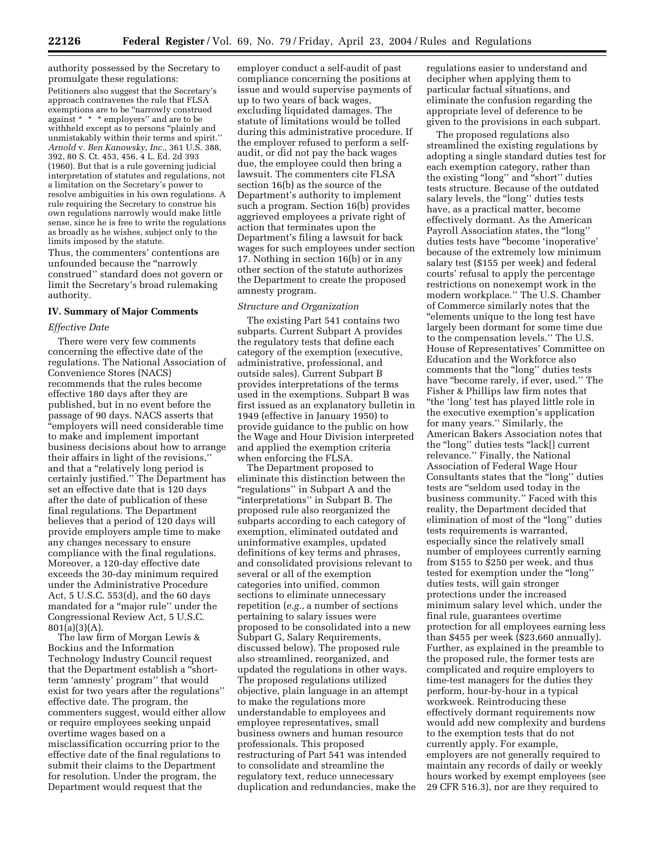authority possessed by the Secretary to promulgate these regulations: Petitioners also suggest that the Secretary's approach contravenes the rule that FLSA exemptions are to be "narrowly construed against \* \* \* employers'' and are to be withheld except as to persons ''plainly and unmistakably within their terms and spirit.'' *Arnold* v. *Ben Kanowsky, Inc.*, 361 U.S. 388, 392, 80 S. Ct. 453, 456, 4 L. Ed. 2d 393 (1960). But that is a rule governing judicial interpretation of statutes and regulations, not a limitation on the Secretary's power to resolve ambiguities in his own regulations. A rule requiring the Secretary to construe his own regulations narrowly would make little sense, since he is free to write the regulations as broadly as he wishes, subject only to the limits imposed by the statute.

Thus, the commenters' contentions are unfounded because the "narrowly construed'' standard does not govern or limit the Secretary's broad rulemaking authority.

#### **IV. Summary of Major Comments**

#### *Effective Date*

There were very few comments concerning the effective date of the regulations. The National Association of Convenience Stores (NACS) recommends that the rules become effective 180 days after they are published, but in no event before the passage of 90 days. NACS asserts that ''employers will need considerable time to make and implement important business decisions about how to arrange their affairs in light of the revisions,'' and that a "relatively long period is certainly justified.'' The Department has set an effective date that is 120 days after the date of publication of these final regulations. The Department believes that a period of 120 days will provide employers ample time to make any changes necessary to ensure compliance with the final regulations. Moreover, a 120-day effective date exceeds the 30-day minimum required under the Administrative Procedure Act, 5 U.S.C. 553(d), and the 60 days mandated for a ''major rule'' under the Congressional Review Act, 5 U.S.C. 801(a)(3)(A).

The law firm of Morgan Lewis & Bockius and the Information Technology Industry Council request that the Department establish a ''shortterm 'amnesty' program'' that would exist for two years after the regulations'' effective date. The program, the commenters suggest, would either allow or require employees seeking unpaid overtime wages based on a misclassification occurring prior to the effective date of the final regulations to submit their claims to the Department for resolution. Under the program, the Department would request that the

employer conduct a self-audit of past compliance concerning the positions at issue and would supervise payments of up to two years of back wages, excluding liquidated damages. The statute of limitations would be tolled during this administrative procedure. If the employer refused to perform a selfaudit, or did not pay the back wages due, the employee could then bring a lawsuit. The commenters cite FLSA section 16(b) as the source of the Department's authority to implement such a program. Section 16(b) provides aggrieved employees a private right of action that terminates upon the Department's filing a lawsuit for back wages for such employees under section 17. Nothing in section 16(b) or in any other section of the statute authorizes the Department to create the proposed amnesty program.

#### *Structure and Organization*

The existing Part 541 contains two subparts. Current Subpart A provides the regulatory tests that define each category of the exemption (executive, administrative, professional, and outside sales). Current Subpart B provides interpretations of the terms used in the exemptions. Subpart B was first issued as an explanatory bulletin in 1949 (effective in January 1950) to provide guidance to the public on how the Wage and Hour Division interpreted and applied the exemption criteria when enforcing the FLSA.

The Department proposed to eliminate this distinction between the "regulations" in Subpart A and the "interpretations" in Subpart B. The proposed rule also reorganized the subparts according to each category of exemption, eliminated outdated and uninformative examples, updated definitions of key terms and phrases, and consolidated provisions relevant to several or all of the exemption categories into unified, common sections to eliminate unnecessary repetition (*e.g.*, a number of sections pertaining to salary issues were proposed to be consolidated into a new Subpart G, Salary Requirements, discussed below). The proposed rule also streamlined, reorganized, and updated the regulations in other ways. The proposed regulations utilized objective, plain language in an attempt to make the regulations more understandable to employees and employee representatives, small business owners and human resource professionals. This proposed restructuring of Part 541 was intended to consolidate and streamline the regulatory text, reduce unnecessary duplication and redundancies, make the regulations easier to understand and decipher when applying them to particular factual situations, and eliminate the confusion regarding the appropriate level of deference to be given to the provisions in each subpart.

The proposed regulations also streamlined the existing regulations by adopting a single standard duties test for each exemption category, rather than the existing "long" and "short" duties tests structure. Because of the outdated salary levels, the "long" duties tests have, as a practical matter, become effectively dormant. As the American Payroll Association states, the "long" duties tests have "become 'inoperative' because of the extremely low minimum salary test (\$155 per week) and federal courts' refusal to apply the percentage restrictions on nonexempt work in the modern workplace.'' The U.S. Chamber of Commerce similarly notes that the ''elements unique to the long test have largely been dormant for some time due to the compensation levels.'' The U.S. House of Representatives' Committee on Education and the Workforce also comments that the "long" duties tests have "become rarely, if ever, used." The Fisher & Phillips law firm notes that ''the 'long' test has played little role in the executive exemption's application for many years.'' Similarly, the American Bakers Association notes that the ''long'' duties tests ''lack[] current relevance.'' Finally, the National Association of Federal Wage Hour Consultants states that the ''long'' duties tests are ''seldom used today in the business community.'' Faced with this reality, the Department decided that elimination of most of the "long" duties tests requirements is warranted, especially since the relatively small number of employees currently earning from \$155 to \$250 per week, and thus tested for exemption under the ''long'' duties tests, will gain stronger protections under the increased minimum salary level which, under the final rule, guarantees overtime protection for all employees earning less than \$455 per week (\$23,660 annually). Further, as explained in the preamble to the proposed rule, the former tests are complicated and require employers to time-test managers for the duties they perform, hour-by-hour in a typical workweek. Reintroducing these effectively dormant requirements now would add new complexity and burdens to the exemption tests that do not currently apply. For example, employers are not generally required to maintain any records of daily or weekly hours worked by exempt employees (see 29 CFR 516.3), nor are they required to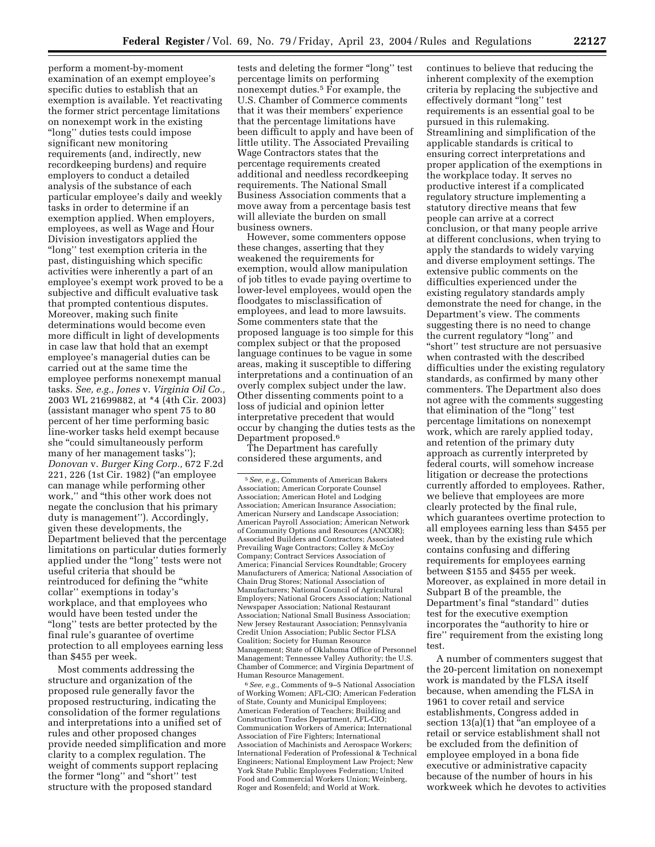perform a moment-by-moment examination of an exempt employee's specific duties to establish that an exemption is available. Yet reactivating the former strict percentage limitations on nonexempt work in the existing ''long'' duties tests could impose significant new monitoring requirements (and, indirectly, new recordkeeping burdens) and require employers to conduct a detailed analysis of the substance of each particular employee's daily and weekly tasks in order to determine if an exemption applied. When employers, employees, as well as Wage and Hour Division investigators applied the ''long'' test exemption criteria in the past, distinguishing which specific activities were inherently a part of an employee's exempt work proved to be a subjective and difficult evaluative task that prompted contentious disputes. Moreover, making such finite determinations would become even more difficult in light of developments in case law that hold that an exempt employee's managerial duties can be carried out at the same time the employee performs nonexempt manual tasks. *See, e.g., Jones* v. *Virginia Oil Co.,*  2003 WL 21699882, at \*4 (4th Cir. 2003) (assistant manager who spent 75 to 80 percent of her time performing basic line-worker tasks held exempt because she ''could simultaneously perform many of her management tasks''); *Donovan* v. *Burger King Corp.,* 672 F.2d 221, 226 (1st Cir. 1982) (''an employee can manage while performing other work,'' and ''this other work does not negate the conclusion that his primary duty is management''). Accordingly, given these developments, the Department believed that the percentage limitations on particular duties formerly applied under the ''long'' tests were not useful criteria that should be reintroduced for defining the ''white collar'' exemptions in today's workplace, and that employees who would have been tested under the ''long'' tests are better protected by the final rule's guarantee of overtime protection to all employees earning less than \$455 per week.

Most comments addressing the structure and organization of the proposed rule generally favor the proposed restructuring, indicating the consolidation of the former regulations and interpretations into a unified set of rules and other proposed changes provide needed simplification and more clarity to a complex regulation. The weight of comments support replacing the former "long" and "short" test structure with the proposed standard

tests and deleting the former ''long'' test percentage limits on performing nonexempt duties.5 For example, the U.S. Chamber of Commerce comments that it was their members' experience that the percentage limitations have been difficult to apply and have been of little utility. The Associated Prevailing Wage Contractors states that the percentage requirements created additional and needless recordkeeping requirements. The National Small Business Association comments that a move away from a percentage basis test will alleviate the burden on small business owners.

However, some commenters oppose these changes, asserting that they weakened the requirements for exemption, would allow manipulation of job titles to evade paying overtime to lower-level employees, would open the floodgates to misclassification of employees, and lead to more lawsuits. Some commenters state that the proposed language is too simple for this complex subject or that the proposed language continues to be vague in some areas, making it susceptible to differing interpretations and a continuation of an overly complex subject under the law. Other dissenting comments point to a loss of judicial and opinion letter interpretative precedent that would occur by changing the duties tests as the Department proposed.6

The Department has carefully considered these arguments, and

5 *See, e.g.*, Comments of American Bakers Association; American Corporate Counsel Association; American Hotel and Lodging Association; American Insurance Association; American Nursery and Landscape Association; American Payroll Association; American Network of Community Options and Resources (ANCOR); Associated Builders and Contractors; Associated Prevailing Wage Contractors; Colley & McCoy Company; Contract Services Association of America; Financial Services Roundtable; Grocery Manufacturers of America; National Association of Chain Drug Stores; National Association of Manufacturers; National Council of Agricultural Employers; National Grocers Association; National Newspaper Association; National Restaurant Association; National Small Business Association; New Jersey Restaurant Association; Pennsylvania Credit Union Association; Public Sector FLSA Coalition; Society for Human Resource Management; State of Oklahoma Office of Personnel Management; Tennessee Valley Authority; the U.S. Chamber of Commerce; and Virginia Department of Human Resource Management.

6 *See, e.g.*, Comments of 9–5 National Association of Working Women; AFL-CIO; American Federation of State, County and Municipal Employees; American Federation of Teachers; Building and Construction Trades Department, AFL-CIO; Communication Workers of America; International Association of Fire Fighters; International Association of Machinists and Aerospace Workers; International Federation of Professional & Technical Engineers; National Employment Law Project; New York State Public Employees Federation; United Food and Commercial Workers Union; Weinberg, Roger and Rosenfeld; and World at Work.

continues to believe that reducing the inherent complexity of the exemption criteria by replacing the subjective and effectively dormant "long" test requirements is an essential goal to be pursued in this rulemaking. Streamlining and simplification of the applicable standards is critical to ensuring correct interpretations and proper application of the exemptions in the workplace today. It serves no productive interest if a complicated regulatory structure implementing a statutory directive means that few people can arrive at a correct conclusion, or that many people arrive at different conclusions, when trying to apply the standards to widely varying and diverse employment settings. The extensive public comments on the difficulties experienced under the existing regulatory standards amply demonstrate the need for change, in the Department's view. The comments suggesting there is no need to change the current regulatory "long" and "short" test structure are not persuasive when contrasted with the described difficulties under the existing regulatory standards, as confirmed by many other commenters. The Department also does not agree with the comments suggesting that elimination of the "long" test percentage limitations on nonexempt work, which are rarely applied today, and retention of the primary duty approach as currently interpreted by federal courts, will somehow increase litigation or decrease the protections currently afforded to employees. Rather, we believe that employees are more clearly protected by the final rule, which guarantees overtime protection to all employees earning less than \$455 per week, than by the existing rule which contains confusing and differing requirements for employees earning between \$155 and \$455 per week. Moreover, as explained in more detail in Subpart B of the preamble, the Department's final "standard" duties test for the executive exemption incorporates the "authority to hire or fire'' requirement from the existing long test.

A number of commenters suggest that the 20-percent limitation on nonexempt work is mandated by the FLSA itself because, when amending the FLSA in 1961 to cover retail and service establishments, Congress added in section 13(a)(1) that "an employee of a retail or service establishment shall not be excluded from the definition of employee employed in a bona fide executive or administrative capacity because of the number of hours in his workweek which he devotes to activities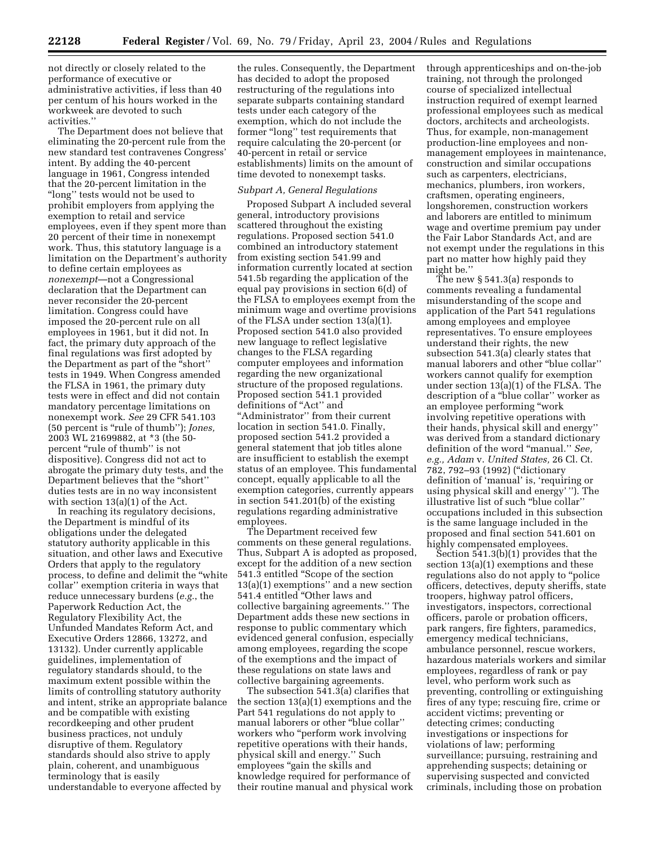not directly or closely related to the performance of executive or administrative activities, if less than 40 per centum of his hours worked in the workweek are devoted to such activities.''

The Department does not believe that eliminating the 20-percent rule from the new standard test contravenes Congress' intent. By adding the 40-percent language in 1961, Congress intended that the 20-percent limitation in the ''long'' tests would not be used to prohibit employers from applying the exemption to retail and service employees, even if they spent more than 20 percent of their time in nonexempt work. Thus, this statutory language is a limitation on the Department's authority to define certain employees as *nonexempt*—not a Congressional declaration that the Department can never reconsider the 20-percent limitation. Congress could have imposed the 20-percent rule on all employees in 1961, but it did not. In fact, the primary duty approach of the final regulations was first adopted by the Department as part of the ''short'' tests in 1949. When Congress amended the FLSA in 1961, the primary duty tests were in effect and did not contain mandatory percentage limitations on nonexempt work. *See* 29 CFR 541.103 (50 percent is ''rule of thumb''); *Jones,*  2003 WL 21699882, at \*3 (the 50 percent "rule of thumb" is not dispositive). Congress did not act to abrogate the primary duty tests, and the Department believes that the ''short'' duties tests are in no way inconsistent with section 13(a)(1) of the Act.

In reaching its regulatory decisions, the Department is mindful of its obligations under the delegated statutory authority applicable in this situation, and other laws and Executive Orders that apply to the regulatory process, to define and delimit the ''white collar'' exemption criteria in ways that reduce unnecessary burdens (*e.g.*, the Paperwork Reduction Act, the Regulatory Flexibility Act, the Unfunded Mandates Reform Act, and Executive Orders 12866, 13272, and 13132). Under currently applicable guidelines, implementation of regulatory standards should, to the maximum extent possible within the limits of controlling statutory authority and intent, strike an appropriate balance and be compatible with existing recordkeeping and other prudent business practices, not unduly disruptive of them. Regulatory standards should also strive to apply plain, coherent, and unambiguous terminology that is easily understandable to everyone affected by

the rules. Consequently, the Department has decided to adopt the proposed restructuring of the regulations into separate subparts containing standard tests under each category of the exemption, which do not include the former "long" test requirements that require calculating the 20-percent (or 40-percent in retail or service establishments) limits on the amount of time devoted to nonexempt tasks.

#### *Subpart A, General Regulations*

Proposed Subpart A included several general, introductory provisions scattered throughout the existing regulations. Proposed section 541.0 combined an introductory statement from existing section 541.99 and information currently located at section 541.5b regarding the application of the equal pay provisions in section 6(d) of the FLSA to employees exempt from the minimum wage and overtime provisions of the FLSA under section 13(a)(1). Proposed section 541.0 also provided new language to reflect legislative changes to the FLSA regarding computer employees and information regarding the new organizational structure of the proposed regulations. Proposed section 541.1 provided definitions of "Act" and "Administrator" from their current location in section 541.0. Finally, proposed section 541.2 provided a general statement that job titles alone are insufficient to establish the exempt status of an employee. This fundamental concept, equally applicable to all the exemption categories, currently appears in section 541.201(b) of the existing regulations regarding administrative employees.

The Department received few comments on these general regulations. Thus, Subpart A is adopted as proposed, except for the addition of a new section 541.3 entitled ''Scope of the section 13(a)(1) exemptions'' and a new section 541.4 entitled ''Other laws and collective bargaining agreements.'' The Department adds these new sections in response to public commentary which evidenced general confusion, especially among employees, regarding the scope of the exemptions and the impact of these regulations on state laws and collective bargaining agreements.

The subsection 541.3(a) clarifies that the section 13(a)(1) exemptions and the Part 541 regulations do not apply to manual laborers or other ''blue collar'' workers who "perform work involving" repetitive operations with their hands, physical skill and energy.'' Such employees ''gain the skills and knowledge required for performance of their routine manual and physical work through apprenticeships and on-the-job training, not through the prolonged course of specialized intellectual instruction required of exempt learned professional employees such as medical doctors, architects and archeologists. Thus, for example, non-management production-line employees and nonmanagement employees in maintenance, construction and similar occupations such as carpenters, electricians, mechanics, plumbers, iron workers, craftsmen, operating engineers, longshoremen, construction workers and laborers are entitled to minimum wage and overtime premium pay under the Fair Labor Standards Act, and are not exempt under the regulations in this part no matter how highly paid they might be.''

The new § 541.3(a) responds to comments revealing a fundamental misunderstanding of the scope and application of the Part 541 regulations among employees and employee representatives. To ensure employees understand their rights, the new subsection 541.3(a) clearly states that manual laborers and other "blue collar" workers cannot qualify for exemption under section 13(a)(1) of the FLSA. The description of a "blue collar" worker as an employee performing ''work involving repetitive operations with their hands, physical skill and energy'' was derived from a standard dictionary definition of the word "manual." *See*, *e.g., Adam* v. *United States,* 26 Cl. Ct. 782, 792–93 (1992) (''dictionary definition of 'manual' is, 'requiring or using physical skill and energy' ''). The illustrative list of such ''blue collar'' occupations included in this subsection is the same language included in the proposed and final section 541.601 on highly compensated employees.

Section 541.3(b)(1) provides that the section 13(a)(1) exemptions and these regulations also do not apply to "police" officers, detectives, deputy sheriffs, state troopers, highway patrol officers, investigators, inspectors, correctional officers, parole or probation officers, park rangers, fire fighters, paramedics, emergency medical technicians, ambulance personnel, rescue workers, hazardous materials workers and similar employees, regardless of rank or pay level, who perform work such as preventing, controlling or extinguishing fires of any type; rescuing fire, crime or accident victims; preventing or detecting crimes; conducting investigations or inspections for violations of law; performing surveillance; pursuing, restraining and apprehending suspects; detaining or supervising suspected and convicted criminals, including those on probation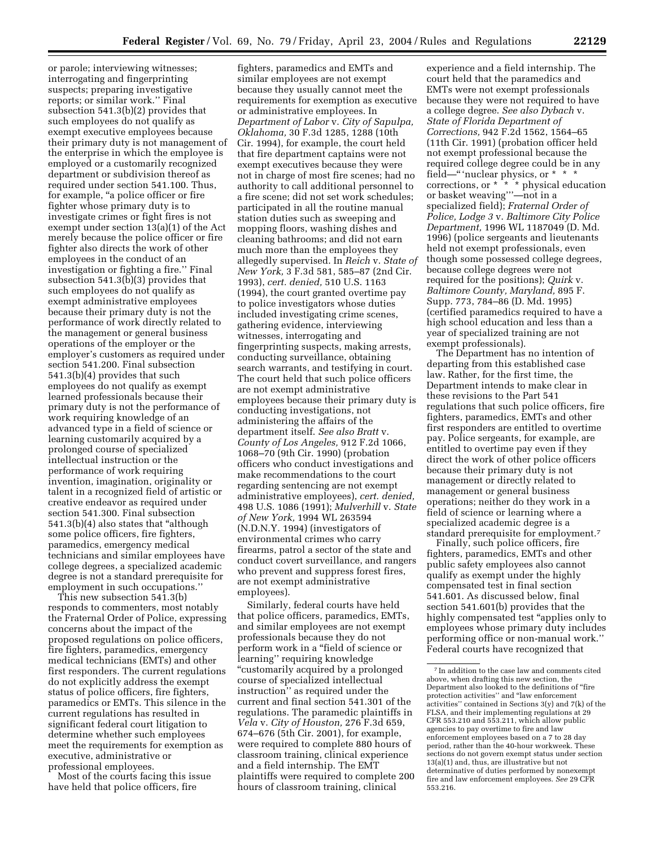or parole; interviewing witnesses; interrogating and fingerprinting suspects; preparing investigative reports; or similar work.'' Final subsection 541.3(b)(2) provides that such employees do not qualify as exempt executive employees because their primary duty is not management of the enterprise in which the employee is employed or a customarily recognized department or subdivision thereof as required under section 541.100. Thus, for example, ''a police officer or fire fighter whose primary duty is to investigate crimes or fight fires is not exempt under section 13(a)(1) of the Act merely because the police officer or fire fighter also directs the work of other employees in the conduct of an investigation or fighting a fire.'' Final subsection 541.3(b)(3) provides that such employees do not qualify as exempt administrative employees because their primary duty is not the performance of work directly related to the management or general business operations of the employer or the employer's customers as required under section 541.200. Final subsection 541.3(b)(4) provides that such employees do not qualify as exempt learned professionals because their primary duty is not the performance of work requiring knowledge of an advanced type in a field of science or learning customarily acquired by a prolonged course of specialized intellectual instruction or the performance of work requiring invention, imagination, originality or talent in a recognized field of artistic or creative endeavor as required under section 541.300. Final subsection 541.3(b)(4) also states that ''although some police officers, fire fighters, paramedics, emergency medical technicians and similar employees have college degrees, a specialized academic degree is not a standard prerequisite for employment in such occupations.''

This new subsection 541.3(b) responds to commenters, most notably the Fraternal Order of Police, expressing concerns about the impact of the proposed regulations on police officers, fire fighters, paramedics, emergency medical technicians (EMTs) and other first responders. The current regulations do not explicitly address the exempt status of police officers, fire fighters, paramedics or EMTs. This silence in the current regulations has resulted in significant federal court litigation to determine whether such employees meet the requirements for exemption as executive, administrative or professional employees.

Most of the courts facing this issue have held that police officers, fire

fighters, paramedics and EMTs and similar employees are not exempt because they usually cannot meet the requirements for exemption as executive or administrative employees. In *Department of Labor* v. *City of Sapulpa, Oklahoma,* 30 F.3d 1285, 1288 (10th Cir. 1994), for example, the court held that fire department captains were not exempt executives because they were not in charge of most fire scenes; had no authority to call additional personnel to a fire scene; did not set work schedules; participated in all the routine manual station duties such as sweeping and mopping floors, washing dishes and cleaning bathrooms; and did not earn much more than the employees they allegedly supervised. In *Reich* v. *State of New York,* 3 F.3d 581, 585–87 (2nd Cir. 1993), *cert. denied,* 510 U.S. 1163 (1994), the court granted overtime pay to police investigators whose duties included investigating crime scenes, gathering evidence, interviewing witnesses, interrogating and fingerprinting suspects, making arrests, conducting surveillance, obtaining search warrants, and testifying in court. The court held that such police officers are not exempt administrative employees because their primary duty is conducting investigations, not administering the affairs of the department itself. *See also Bratt* v. *County of Los Angeles,* 912 F.2d 1066, 1068–70 (9th Cir. 1990) (probation officers who conduct investigations and make recommendations to the court regarding sentencing are not exempt administrative employees), *cert. denied,*  498 U.S. 1086 (1991); *Mulverhill* v. *State of New York,* 1994 WL 263594 (N.D.N.Y. 1994) (investigators of environmental crimes who carry firearms, patrol a sector of the state and conduct covert surveillance, and rangers who prevent and suppress forest fires, are not exempt administrative employees).

Similarly, federal courts have held that police officers, paramedics, EMTs, and similar employees are not exempt professionals because they do not perform work in a ''field of science or learning'' requiring knowledge ''customarily acquired by a prolonged course of specialized intellectual instruction'' as required under the current and final section 541.301 of the regulations. The paramedic plaintiffs in *Vela* v. *City of Houston,* 276 F.3d 659, 674–676 (5th Cir. 2001), for example, were required to complete 880 hours of classroom training, clinical experience and a field internship. The EMT plaintiffs were required to complete 200 hours of classroom training, clinical

experience and a field internship. The court held that the paramedics and EMTs were not exempt professionals because they were not required to have a college degree. *See also Dybach* v. *State of Florida Department of Corrections,* 942 F.2d 1562, 1564–65 (11th Cir. 1991) (probation officer held not exempt professional because the required college degree could be in any field—"'nuclear physics, or \* \* \* corrections, or \* \* \* physical education or basket weaving'''—not in a specialized field); *Fraternal Order of Police, Lodge 3* v. *Baltimore City Police Department,* 1996 WL 1187049 (D. Md. 1996) (police sergeants and lieutenants held not exempt professionals, even though some possessed college degrees, because college degrees were not required for the positions); *Quirk* v. *Baltimore County, Maryland,* 895 F. Supp. 773, 784–86 (D. Md. 1995) (certified paramedics required to have a high school education and less than a year of specialized training are not exempt professionals).

The Department has no intention of departing from this established case law. Rather, for the first time, the Department intends to make clear in these revisions to the Part 541 regulations that such police officers, fire fighters, paramedics, EMTs and other first responders are entitled to overtime pay. Police sergeants, for example, are entitled to overtime pay even if they direct the work of other police officers because their primary duty is not management or directly related to management or general business operations; neither do they work in a field of science or learning where a specialized academic degree is a standard prerequisite for employment.7

Finally, such police officers, fire fighters, paramedics, EMTs and other public safety employees also cannot qualify as exempt under the highly compensated test in final section 541.601. As discussed below, final section 541.601(b) provides that the highly compensated test "applies only to employees whose primary duty includes performing office or non-manual work.'' Federal courts have recognized that

<sup>7</sup> In addition to the case law and comments cited above, when drafting this new section, the Department also looked to the definitions of ''fire protection activities'' and ''law enforcement activities'' contained in Sections 3(y) and 7(k) of the FLSA, and their implementing regulations at 29 CFR 553.210 and 553.211, which allow public agencies to pay overtime to fire and law enforcement employees based on a 7 to 28 day period, rather than the 40-hour workweek. These sections do not govern exempt status under section 13(a)(1) and, thus, are illustrative but not determinative of duties performed by nonexempt fire and law enforcement employees. *See* 29 CFR 553.216.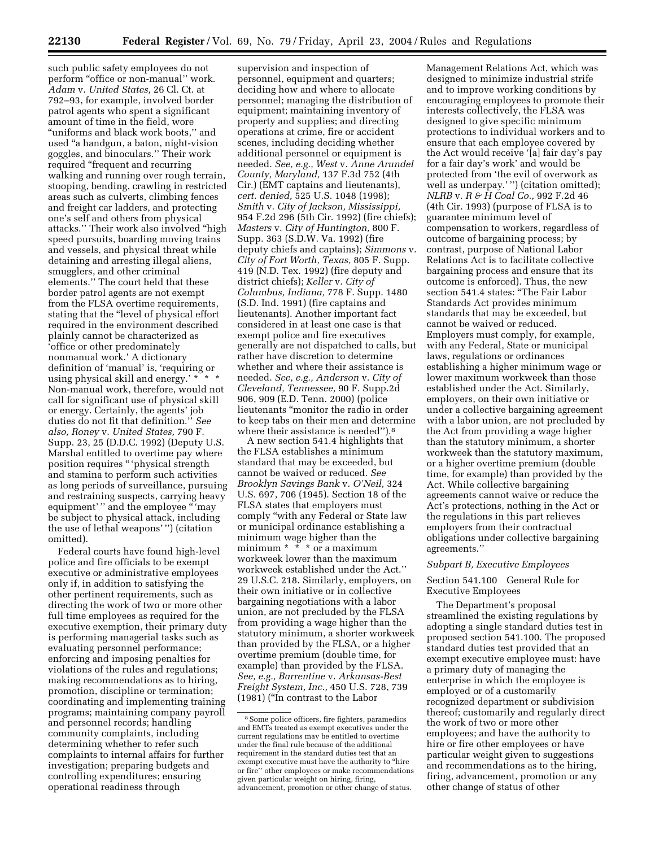such public safety employees do not perform ''office or non-manual'' work. *Adam* v. *United States,* 26 Cl. Ct. at 792–93, for example, involved border patrol agents who spent a significant amount of time in the field, wore ''uniforms and black work boots,'' and used ''a handgun, a baton, night-vision goggles, and binoculars.'' Their work required ''frequent and recurring walking and running over rough terrain, stooping, bending, crawling in restricted areas such as culverts, climbing fences and freight car ladders, and protecting one's self and others from physical attacks.'' Their work also involved ''high speed pursuits, boarding moving trains and vessels, and physical threat while detaining and arresting illegal aliens, smugglers, and other criminal elements.'' The court held that these border patrol agents are not exempt from the FLSA overtime requirements, stating that the ''level of physical effort required in the environment described plainly cannot be characterized as 'office or other predominately nonmanual work.' A dictionary definition of 'manual' is, 'requiring or using physical skill and energy.' \* Non-manual work, therefore, would not call for significant use of physical skill or energy. Certainly, the agents' job duties do not fit that definition.'' *See also, Roney* v. *United States,* 790 F. Supp. 23, 25 (D.D.C. 1992) (Deputy U.S. Marshal entitled to overtime pay where position requires "'physical strength and stamina to perform such activities as long periods of surveillance, pursuing and restraining suspects, carrying heavy equipment' " and the employee "'may be subject to physical attack, including the use of lethal weapons' '') (citation omitted).

Federal courts have found high-level police and fire officials to be exempt executive or administrative employees only if, in addition to satisfying the other pertinent requirements, such as directing the work of two or more other full time employees as required for the executive exemption, their primary duty is performing managerial tasks such as evaluating personnel performance; enforcing and imposing penalties for violations of the rules and regulations; making recommendations as to hiring, promotion, discipline or termination; coordinating and implementing training programs; maintaining company payroll and personnel records; handling community complaints, including determining whether to refer such complaints to internal affairs for further investigation; preparing budgets and controlling expenditures; ensuring operational readiness through

supervision and inspection of personnel, equipment and quarters; deciding how and where to allocate personnel; managing the distribution of equipment; maintaining inventory of property and supplies; and directing operations at crime, fire or accident scenes, including deciding whether additional personnel or equipment is needed. *See, e.g., West* v. *Anne Arundel County, Maryland,* 137 F.3d 752 (4th Cir.) (EMT captains and lieutenants), *cert. denied,* 525 U.S. 1048 (1998); *Smith* v. *City of Jackson, Mississippi,*  954 F.2d 296 (5th Cir. 1992) (fire chiefs); *Masters* v. *City of Huntington,* 800 F. Supp. 363 (S.D.W. Va. 1992) (fire deputy chiefs and captains); *Simmons* v. *City of Fort Worth, Texas,* 805 F. Supp. 419 (N.D. Tex. 1992) (fire deputy and district chiefs); *Keller* v. *City of Columbus, Indiana,* 778 F. Supp. 1480 (S.D. Ind. 1991) (fire captains and lieutenants). Another important fact considered in at least one case is that exempt police and fire executives generally are not dispatched to calls, but rather have discretion to determine whether and where their assistance is needed. *See, e.g., Anderson* v. *City of Cleveland, Tennessee,* 90 F. Supp.2d 906, 909 (E.D. Tenn. 2000) (police lieutenants ''monitor the radio in order to keep tabs on their men and determine where their assistance is needed").<sup>8</sup>

A new section 541.4 highlights that the FLSA establishes a minimum standard that may be exceeded, but cannot be waived or reduced. *See Brooklyn Savings Bank* v. *O'Neil,* 324 U.S. 697, 706 (1945). Section 18 of the FLSA states that employers must comply ''with any Federal or State law or municipal ordinance establishing a minimum wage higher than the minimum \* \* \* or a maximum workweek lower than the maximum workweek established under the Act.'' 29 U.S.C. 218. Similarly, employers, on their own initiative or in collective bargaining negotiations with a labor union, are not precluded by the FLSA from providing a wage higher than the statutory minimum, a shorter workweek than provided by the FLSA, or a higher overtime premium (double time, for example) than provided by the FLSA. *See, e.g., Barrentine* v. *Arkansas-Best Freight System, Inc.,* 450 U.S. 728, 739 (1981) (''In contrast to the Labor

Management Relations Act, which was designed to minimize industrial strife and to improve working conditions by encouraging employees to promote their interests collectively, the FLSA was designed to give specific minimum protections to individual workers and to ensure that each employee covered by the Act would receive '[a] fair day's pay for a fair day's work' and would be protected from 'the evil of overwork as well as underpay.' '') (citation omitted); *NLRB* v. *R & H Coal Co.,* 992 F.2d 46 (4th Cir. 1993) (purpose of FLSA is to guarantee minimum level of compensation to workers, regardless of outcome of bargaining process; by contrast, purpose of National Labor Relations Act is to facilitate collective bargaining process and ensure that its outcome is enforced). Thus, the new section 541.4 states: ''The Fair Labor Standards Act provides minimum standards that may be exceeded, but cannot be waived or reduced. Employers must comply, for example, with any Federal, State or municipal laws, regulations or ordinances establishing a higher minimum wage or lower maximum workweek than those established under the Act. Similarly, employers, on their own initiative or under a collective bargaining agreement with a labor union, are not precluded by the Act from providing a wage higher than the statutory minimum, a shorter workweek than the statutory maximum, or a higher overtime premium (double time, for example) than provided by the Act. While collective bargaining agreements cannot waive or reduce the Act's protections, nothing in the Act or the regulations in this part relieves employers from their contractual obligations under collective bargaining agreements.''

#### *Subpart B, Executive Employees*

Section 541.100 General Rule for Executive Employees

The Department's proposal streamlined the existing regulations by adopting a single standard duties test in proposed section 541.100. The proposed standard duties test provided that an exempt executive employee must: have a primary duty of managing the enterprise in which the employee is employed or of a customarily recognized department or subdivision thereof; customarily and regularly direct the work of two or more other employees; and have the authority to hire or fire other employees or have particular weight given to suggestions and recommendations as to the hiring, firing, advancement, promotion or any other change of status of other

<sup>8</sup> Some police officers, fire fighters, paramedics and EMTs treated as exempt executives under the current regulations may be entitled to overtime under the final rule because of the additional requirement in the standard duties test that an exempt executive must have the authority to "hire or fire'' other employees or make recommendations given particular weight on hiring, firing, advancement, promotion or other change of status.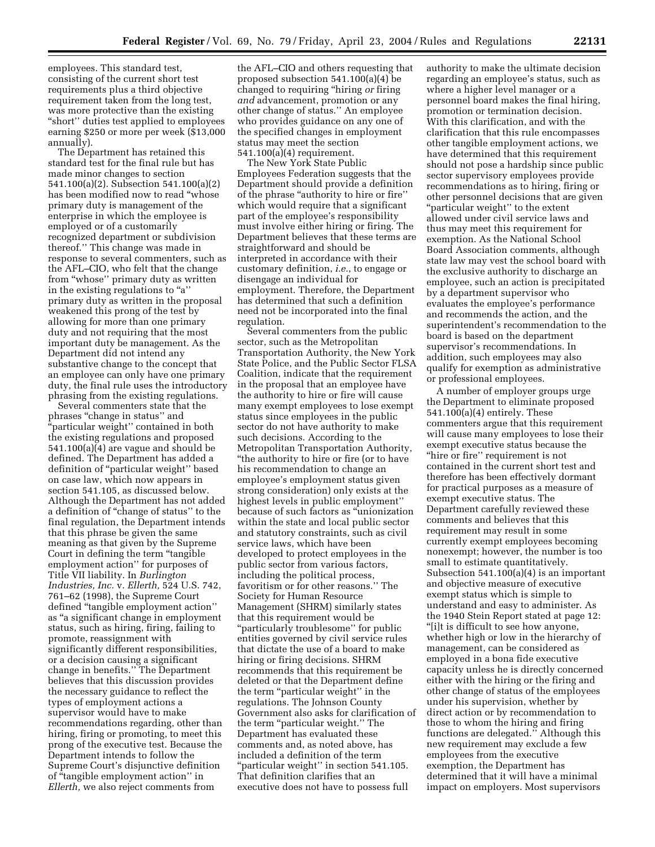employees. This standard test, consisting of the current short test requirements plus a third objective requirement taken from the long test, was more protective than the existing "short" duties test applied to employees earning \$250 or more per week (\$13,000 annually).

The Department has retained this standard test for the final rule but has made minor changes to section 541.100(a)(2). Subsection 541.100(a)(2) has been modified now to read ''whose primary duty is management of the enterprise in which the employee is employed or of a customarily recognized department or subdivision thereof.'' This change was made in response to several commenters, such as the AFL–CIO, who felt that the change from "whose" primary duty as written in the existing regulations to "a" primary duty as written in the proposal weakened this prong of the test by allowing for more than one primary duty and not requiring that the most important duty be management. As the Department did not intend any substantive change to the concept that an employee can only have one primary duty, the final rule uses the introductory phrasing from the existing regulations.

Several commenters state that the phrases ''change in status'' and 'particular weight'' contained in both the existing regulations and proposed 541.100(a)(4) are vague and should be defined. The Department has added a definition of ''particular weight'' based on case law, which now appears in section 541.105, as discussed below. Although the Department has not added a definition of ''change of status'' to the final regulation, the Department intends that this phrase be given the same meaning as that given by the Supreme Court in defining the term ''tangible employment action'' for purposes of Title VII liability. In *Burlington Industries, Inc.* v. *Ellerth,* 524 U.S. 742, 761–62 (1998), the Supreme Court defined ''tangible employment action'' as ''a significant change in employment status, such as hiring, firing, failing to promote, reassignment with significantly different responsibilities, or a decision causing a significant change in benefits.'' The Department believes that this discussion provides the necessary guidance to reflect the types of employment actions a supervisor would have to make recommendations regarding, other than hiring, firing or promoting, to meet this prong of the executive test. Because the Department intends to follow the Supreme Court's disjunctive definition of ''tangible employment action'' in *Ellerth,* we also reject comments from

the AFL–CIO and others requesting that proposed subsection 541.100(a)(4) be changed to requiring ''hiring *or* firing *and* advancement, promotion or any other change of status.'' An employee who provides guidance on any one of the specified changes in employment status may meet the section 541.100(a)(4) requirement.

The New York State Public Employees Federation suggests that the Department should provide a definition of the phrase ''authority to hire or fire'' which would require that a significant part of the employee's responsibility must involve either hiring or firing. The Department believes that these terms are straightforward and should be interpreted in accordance with their customary definition, *i.e.*, to engage or disengage an individual for employment. Therefore, the Department has determined that such a definition need not be incorporated into the final regulation.

Several commenters from the public sector, such as the Metropolitan Transportation Authority, the New York State Police, and the Public Sector FLSA Coalition, indicate that the requirement in the proposal that an employee have the authority to hire or fire will cause many exempt employees to lose exempt status since employees in the public sector do not have authority to make such decisions. According to the Metropolitan Transportation Authority, ''the authority to hire or fire (or to have his recommendation to change an employee's employment status given strong consideration) only exists at the highest levels in public employment'' because of such factors as ''unionization within the state and local public sector and statutory constraints, such as civil service laws, which have been developed to protect employees in the public sector from various factors, including the political process, favoritism or for other reasons.'' The Society for Human Resource Management (SHRM) similarly states that this requirement would be "particularly troublesome" for public entities governed by civil service rules that dictate the use of a board to make hiring or firing decisions. SHRM recommends that this requirement be deleted or that the Department define the term ''particular weight'' in the regulations. The Johnson County Government also asks for clarification of the term "particular weight." The Department has evaluated these comments and, as noted above, has included a definition of the term "particular weight" in section 541.105. That definition clarifies that an executive does not have to possess full

authority to make the ultimate decision regarding an employee's status, such as where a higher level manager or a personnel board makes the final hiring, promotion or termination decision. With this clarification, and with the clarification that this rule encompasses other tangible employment actions, we have determined that this requirement should not pose a hardship since public sector supervisory employees provide recommendations as to hiring, firing or other personnel decisions that are given ''particular weight'' to the extent allowed under civil service laws and thus may meet this requirement for exemption. As the National School Board Association comments, although state law may vest the school board with the exclusive authority to discharge an employee, such an action is precipitated by a department supervisor who evaluates the employee's performance and recommends the action, and the superintendent's recommendation to the board is based on the department supervisor's recommendations. In addition, such employees may also qualify for exemption as administrative or professional employees.

A number of employer groups urge the Department to eliminate proposed 541.100(a)(4) entirely. These commenters argue that this requirement will cause many employees to lose their exempt executive status because the "hire or fire" requirement is not contained in the current short test and therefore has been effectively dormant for practical purposes as a measure of exempt executive status. The Department carefully reviewed these comments and believes that this requirement may result in some currently exempt employees becoming nonexempt; however, the number is too small to estimate quantitatively. Subsection 541.100(a)(4) is an important and objective measure of executive exempt status which is simple to understand and easy to administer. As the 1940 Stein Report stated at page 12: ''[i]t is difficult to see how anyone, whether high or low in the hierarchy of management, can be considered as employed in a bona fide executive capacity unless he is directly concerned either with the hiring or the firing and other change of status of the employees under his supervision, whether by direct action or by recommendation to those to whom the hiring and firing functions are delegated.'' Although this new requirement may exclude a few employees from the executive exemption, the Department has determined that it will have a minimal impact on employers. Most supervisors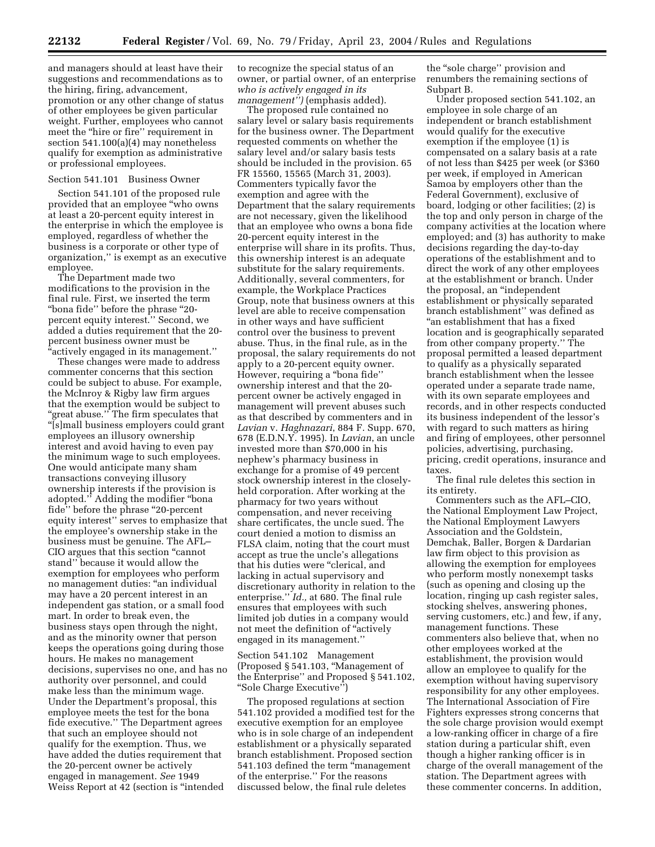and managers should at least have their suggestions and recommendations as to the hiring, firing, advancement, promotion or any other change of status of other employees be given particular weight. Further, employees who cannot meet the "hire or fire" requirement in section 541.100(a)(4) may nonetheless qualify for exemption as administrative or professional employees.

#### Section 541.101 Business Owner

Section 541.101 of the proposed rule provided that an employee ''who owns at least a 20-percent equity interest in the enterprise in which the employee is employed, regardless of whether the business is a corporate or other type of organization,'' is exempt as an executive employee.

The Department made two modifications to the provision in the final rule. First, we inserted the term ''bona fide'' before the phrase ''20 percent equity interest.'' Second, we added a duties requirement that the 20 percent business owner must be ''actively engaged in its management.''

These changes were made to address commenter concerns that this section could be subject to abuse. For example, the McInroy & Rigby law firm argues that the exemption would be subject to "great abuse." The firm speculates that ''[s]mall business employers could grant employees an illusory ownership interest and avoid having to even pay the minimum wage to such employees. One would anticipate many sham transactions conveying illusory ownership interests if the provision is adopted.'' Adding the modifier ''bona fide" before the phrase "20-percent" equity interest'' serves to emphasize that the employee's ownership stake in the business must be genuine. The AFL– CIO argues that this section ''cannot stand'' because it would allow the exemption for employees who perform no management duties: ''an individual may have a 20 percent interest in an independent gas station, or a small food mart. In order to break even, the business stays open through the night, and as the minority owner that person keeps the operations going during those hours. He makes no management decisions, supervises no one, and has no authority over personnel, and could make less than the minimum wage. Under the Department's proposal, this employee meets the test for the bona fide executive.'' The Department agrees that such an employee should not qualify for the exemption. Thus, we have added the duties requirement that the 20-percent owner be actively engaged in management. *See* 1949 Weiss Report at 42 (section is ''intended

to recognize the special status of an owner, or partial owner, of an enterprise *who is actively engaged in its management'')* (emphasis added).

The proposed rule contained no salary level or salary basis requirements for the business owner. The Department requested comments on whether the salary level and/or salary basis tests should be included in the provision. 65 FR 15560, 15565 (March 31, 2003). Commenters typically favor the exemption and agree with the Department that the salary requirements are not necessary, given the likelihood that an employee who owns a bona fide 20-percent equity interest in the enterprise will share in its profits. Thus, this ownership interest is an adequate substitute for the salary requirements. Additionally, several commenters, for example, the Workplace Practices Group, note that business owners at this level are able to receive compensation in other ways and have sufficient control over the business to prevent abuse. Thus, in the final rule, as in the proposal, the salary requirements do not apply to a 20-percent equity owner. However, requiring a "bona fide" ownership interest and that the 20 percent owner be actively engaged in management will prevent abuses such as that described by commenters and in *Lavian* v. *Haghnazari*, 884 F. Supp. 670, 678 (E.D.N.Y. 1995). In *Lavian*, an uncle invested more than \$70,000 in his nephew's pharmacy business in exchange for a promise of 49 percent stock ownership interest in the closelyheld corporation. After working at the pharmacy for two years without compensation, and never receiving share certificates, the uncle sued. The court denied a motion to dismiss an FLSA claim, noting that the court must accept as true the uncle's allegations that his duties were "clerical, and lacking in actual supervisory and discretionary authority in relation to the enterprise.'' *Id.,* at 680. The final rule ensures that employees with such limited job duties in a company would not meet the definition of ''actively engaged in its management.''

Section 541.102 Management (Proposed § 541.103, ''Management of the Enterprise'' and Proposed § 541.102, ''Sole Charge Executive'')

The proposed regulations at section 541.102 provided a modified test for the executive exemption for an employee who is in sole charge of an independent establishment or a physically separated branch establishment. Proposed section 541.103 defined the term "management" of the enterprise.'' For the reasons discussed below, the final rule deletes

the ''sole charge'' provision and renumbers the remaining sections of Subpart B.

Under proposed section 541.102, an employee in sole charge of an independent or branch establishment would qualify for the executive exemption if the employee (1) is compensated on a salary basis at a rate of not less than \$425 per week (or \$360 per week, if employed in American Samoa by employers other than the Federal Government), exclusive of board, lodging or other facilities; (2) is the top and only person in charge of the company activities at the location where employed; and (3) has authority to make decisions regarding the day-to-day operations of the establishment and to direct the work of any other employees at the establishment or branch. Under the proposal, an ''independent establishment or physically separated branch establishment'' was defined as ''an establishment that has a fixed location and is geographically separated from other company property.'' The proposal permitted a leased department to qualify as a physically separated branch establishment when the lessee operated under a separate trade name, with its own separate employees and records, and in other respects conducted its business independent of the lessor's with regard to such matters as hiring and firing of employees, other personnel policies, advertising, purchasing, pricing, credit operations, insurance and taxes.

The final rule deletes this section in its entirety.

Commenters such as the AFL–CIO, the National Employment Law Project, the National Employment Lawyers Association and the Goldstein, Demchak, Baller, Borgen & Dardarian law firm object to this provision as allowing the exemption for employees who perform mostly nonexempt tasks (such as opening and closing up the location, ringing up cash register sales, stocking shelves, answering phones, serving customers, etc.) and few, if any, management functions. These commenters also believe that, when no other employees worked at the establishment, the provision would allow an employee to qualify for the exemption without having supervisory responsibility for any other employees. The International Association of Fire Fighters expresses strong concerns that the sole charge provision would exempt a low-ranking officer in charge of a fire station during a particular shift, even though a higher ranking officer is in charge of the overall management of the station. The Department agrees with these commenter concerns. In addition,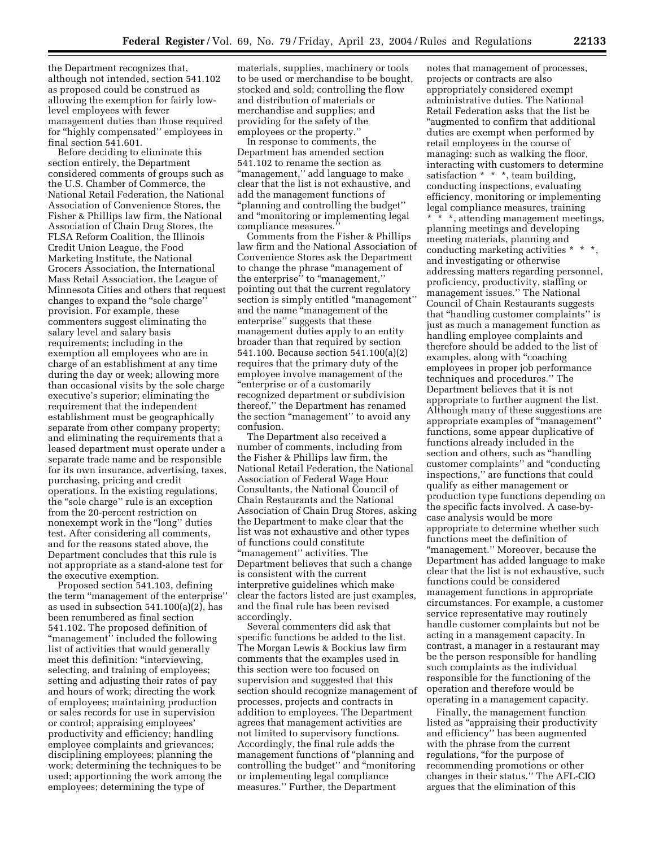the Department recognizes that, although not intended, section 541.102 as proposed could be construed as allowing the exemption for fairly lowlevel employees with fewer management duties than those required for "highly compensated" employees in final section 541.601.

Before deciding to eliminate this section entirely, the Department considered comments of groups such as the U.S. Chamber of Commerce, the National Retail Federation, the National Association of Convenience Stores, the Fisher & Phillips law firm, the National Association of Chain Drug Stores, the FLSA Reform Coalition, the Illinois Credit Union League, the Food Marketing Institute, the National Grocers Association, the International Mass Retail Association, the League of Minnesota Cities and others that request changes to expand the ''sole charge'' provision. For example, these commenters suggest eliminating the salary level and salary basis requirements; including in the exemption all employees who are in charge of an establishment at any time during the day or week; allowing more than occasional visits by the sole charge executive's superior; eliminating the requirement that the independent establishment must be geographically separate from other company property; and eliminating the requirements that a leased department must operate under a separate trade name and be responsible for its own insurance, advertising, taxes, purchasing, pricing and credit operations. In the existing regulations, the ''sole charge'' rule is an exception from the 20-percent restriction on nonexempt work in the "long" duties test. After considering all comments, and for the reasons stated above, the Department concludes that this rule is not appropriate as a stand-alone test for the executive exemption.

Proposed section 541.103, defining the term ''management of the enterprise'' as used in subsection 541.100(a)(2), has been renumbered as final section 541.102. The proposed definition of "management" included the following list of activities that would generally meet this definition: "interviewing, selecting, and training of employees; setting and adjusting their rates of pay and hours of work; directing the work of employees; maintaining production or sales records for use in supervision or control; appraising employees' productivity and efficiency; handling employee complaints and grievances; disciplining employees; planning the work; determining the techniques to be used; apportioning the work among the employees; determining the type of

materials, supplies, machinery or tools to be used or merchandise to be bought, stocked and sold; controlling the flow and distribution of materials or merchandise and supplies; and providing for the safety of the employees or the property.''

In response to comments, the Department has amended section 541.102 to rename the section as "management," add language to make clear that the list is not exhaustive, and add the management functions of ''planning and controlling the budget'' and ''monitoring or implementing legal compliance measures.''

Comments from the Fisher & Phillips law firm and the National Association of Convenience Stores ask the Department to change the phrase ''management of the enterprise" to "management," pointing out that the current regulatory section is simply entitled "management" and the name ''management of the enterprise'' suggests that these management duties apply to an entity broader than that required by section 541.100. Because section 541.100(a)(2) requires that the primary duty of the employee involve management of the ''enterprise or of a customarily recognized department or subdivision thereof,'' the Department has renamed the section "management" to avoid any confusion.

The Department also received a number of comments, including from the Fisher & Phillips law firm, the National Retail Federation, the National Association of Federal Wage Hour Consultants, the National Council of Chain Restaurants and the National Association of Chain Drug Stores, asking the Department to make clear that the list was not exhaustive and other types of functions could constitute ''management'' activities. The Department believes that such a change is consistent with the current interpretive guidelines which make clear the factors listed are just examples, and the final rule has been revised accordingly.

Several commenters did ask that specific functions be added to the list. The Morgan Lewis & Bockius law firm comments that the examples used in this section were too focused on supervision and suggested that this section should recognize management of processes, projects and contracts in addition to employees. The Department agrees that management activities are not limited to supervisory functions. Accordingly, the final rule adds the management functions of ''planning and controlling the budget'' and ''monitoring or implementing legal compliance measures.'' Further, the Department

notes that management of processes, projects or contracts are also appropriately considered exempt administrative duties. The National Retail Federation asks that the list be ''augmented to confirm that additional duties are exempt when performed by retail employees in the course of managing: such as walking the floor, interacting with customers to determine satisfaction \* \* \*, team building, conducting inspections, evaluating efficiency, monitoring or implementing legal compliance measures, training \* \* \*, attending management meetings, planning meetings and developing meeting materials, planning and conducting marketing activities \* \* \*, and investigating or otherwise addressing matters regarding personnel, proficiency, productivity, staffing or management issues.'' The National Council of Chain Restaurants suggests that ''handling customer complaints'' is just as much a management function as handling employee complaints and therefore should be added to the list of examples, along with "coaching" employees in proper job performance techniques and procedures.'' The Department believes that it is not appropriate to further augment the list. Although many of these suggestions are appropriate examples of ''management'' functions, some appear duplicative of functions already included in the section and others, such as "handling" customer complaints'' and ''conducting inspections,'' are functions that could qualify as either management or production type functions depending on the specific facts involved. A case-bycase analysis would be more appropriate to determine whether such functions meet the definition of ''management.'' Moreover, because the Department has added language to make clear that the list is not exhaustive, such functions could be considered management functions in appropriate circumstances. For example, a customer service representative may routinely handle customer complaints but not be acting in a management capacity. In contrast, a manager in a restaurant may be the person responsible for handling such complaints as the individual responsible for the functioning of the operation and therefore would be operating in a management capacity.

Finally, the management function listed as ''appraising their productivity and efficiency'' has been augmented with the phrase from the current regulations, ''for the purpose of recommending promotions or other changes in their status.'' The AFL-CIO argues that the elimination of this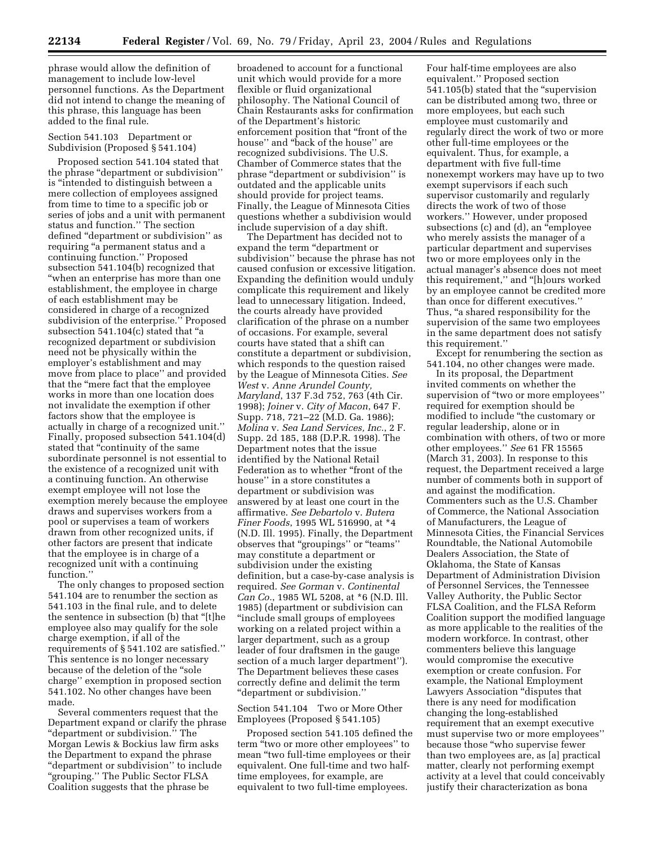phrase would allow the definition of management to include low-level personnel functions. As the Department did not intend to change the meaning of this phrase, this language has been added to the final rule.

#### Section 541.103 Department or Subdivision (Proposed § 541.104)

Proposed section 541.104 stated that the phrase ''department or subdivision'' is ''intended to distinguish between a mere collection of employees assigned from time to time to a specific job or series of jobs and a unit with permanent status and function.'' The section defined ''department or subdivision'' as requiring ''a permanent status and a continuing function.'' Proposed subsection 541.104(b) recognized that ''when an enterprise has more than one establishment, the employee in charge of each establishment may be considered in charge of a recognized subdivision of the enterprise.'' Proposed subsection 541.104(c) stated that ''a recognized department or subdivision need not be physically within the employer's establishment and may move from place to place'' and provided that the ''mere fact that the employee works in more than one location does not invalidate the exemption if other factors show that the employee is actually in charge of a recognized unit.'' Finally, proposed subsection 541.104(d) stated that ''continuity of the same subordinate personnel is not essential to the existence of a recognized unit with a continuing function. An otherwise exempt employee will not lose the exemption merely because the employee draws and supervises workers from a pool or supervises a team of workers drawn from other recognized units, if other factors are present that indicate that the employee is in charge of a recognized unit with a continuing function.''

The only changes to proposed section 541.104 are to renumber the section as 541.103 in the final rule, and to delete the sentence in subsection (b) that ''[t]he employee also may qualify for the sole charge exemption, if all of the requirements of § 541.102 are satisfied.'' This sentence is no longer necessary because of the deletion of the ''sole charge'' exemption in proposed section 541.102. No other changes have been made.

Several commenters request that the Department expand or clarify the phrase ''department or subdivision.'' The Morgan Lewis & Bockius law firm asks the Department to expand the phrase "department or subdivision" to include "grouping." The Public Sector FLSA Coalition suggests that the phrase be

broadened to account for a functional unit which would provide for a more flexible or fluid organizational philosophy. The National Council of Chain Restaurants asks for confirmation of the Department's historic enforcement position that ''front of the house'' and ''back of the house'' are recognized subdivisions. The U.S. Chamber of Commerce states that the phrase ''department or subdivision'' is outdated and the applicable units should provide for project teams. Finally, the League of Minnesota Cities questions whether a subdivision would include supervision of a day shift.

The Department has decided not to expand the term ''department or subdivision'' because the phrase has not caused confusion or excessive litigation. Expanding the definition would unduly complicate this requirement and likely lead to unnecessary litigation. Indeed, the courts already have provided clarification of the phrase on a number of occasions. For example, several courts have stated that a shift can constitute a department or subdivision, which responds to the question raised by the League of Minnesota Cities. *See West* v. *Anne Arundel County, Maryland*, 137 F.3d 752, 763 (4th Cir. 1998); *Joiner* v. *City of Macon*, 647 F. Supp. 718, 721–22 (M.D. Ga. 1986); *Molina* v. *Sea Land Services, Inc.*, 2 F. Supp. 2d 185, 188 (D.P.R. 1998). The Department notes that the issue identified by the National Retail Federation as to whether "front of the house'' in a store constitutes a department or subdivision was answered by at least one court in the affirmative. *See Debartolo* v. *Butera Finer Foods*, 1995 WL 516990, at \*4 (N.D. Ill. 1995). Finally, the Department observes that ''groupings'' or ''teams'' may constitute a department or subdivision under the existing definition, but a case-by-case analysis is required. *See Gorman* v. *Continental Can Co.*, 1985 WL 5208, at \*6 (N.D. Ill. 1985) (department or subdivision can ''include small groups of employees working on a related project within a larger department, such as a group leader of four draftsmen in the gauge section of a much larger department''). The Department believes these cases correctly define and delimit the term ''department or subdivision.''

Section 541.104 Two or More Other Employees (Proposed § 541.105)

Proposed section 541.105 defined the term ''two or more other employees'' to mean "two full-time employees or their equivalent. One full-time and two halftime employees, for example, are equivalent to two full-time employees.

Four half-time employees are also equivalent.'' Proposed section 541.105(b) stated that the ''supervision can be distributed among two, three or more employees, but each such employee must customarily and regularly direct the work of two or more other full-time employees or the equivalent. Thus, for example, a department with five full-time nonexempt workers may have up to two exempt supervisors if each such supervisor customarily and regularly directs the work of two of those workers.'' However, under proposed subsections (c) and (d), an "employee" who merely assists the manager of a particular department and supervises two or more employees only in the actual manager's absence does not meet this requirement,'' and ''[h]ours worked by an employee cannot be credited more than once for different executives.'' Thus, "a shared responsibility for the supervision of the same two employees in the same department does not satisfy this requirement.''

Except for renumbering the section as 541.104, no other changes were made.

In its proposal, the Department invited comments on whether the supervision of "two or more employees" required for exemption should be modified to include ''the customary or regular leadership, alone or in combination with others, of two or more other employees.'' *See* 61 FR 15565 (March 31, 2003). In response to this request, the Department received a large number of comments both in support of and against the modification. Commenters such as the U.S. Chamber of Commerce, the National Association of Manufacturers, the League of Minnesota Cities, the Financial Services Roundtable, the National Automobile Dealers Association, the State of Oklahoma, the State of Kansas Department of Administration Division of Personnel Services, the Tennessee Valley Authority, the Public Sector FLSA Coalition, and the FLSA Reform Coalition support the modified language as more applicable to the realities of the modern workforce. In contrast, other commenters believe this language would compromise the executive exemption or create confusion. For example, the National Employment Lawyers Association ''disputes that there is any need for modification changing the long-established requirement that an exempt executive must supervise two or more employees'' because those ''who supervise fewer than two employees are, as [a] practical matter, clearly not performing exempt activity at a level that could conceivably justify their characterization as bona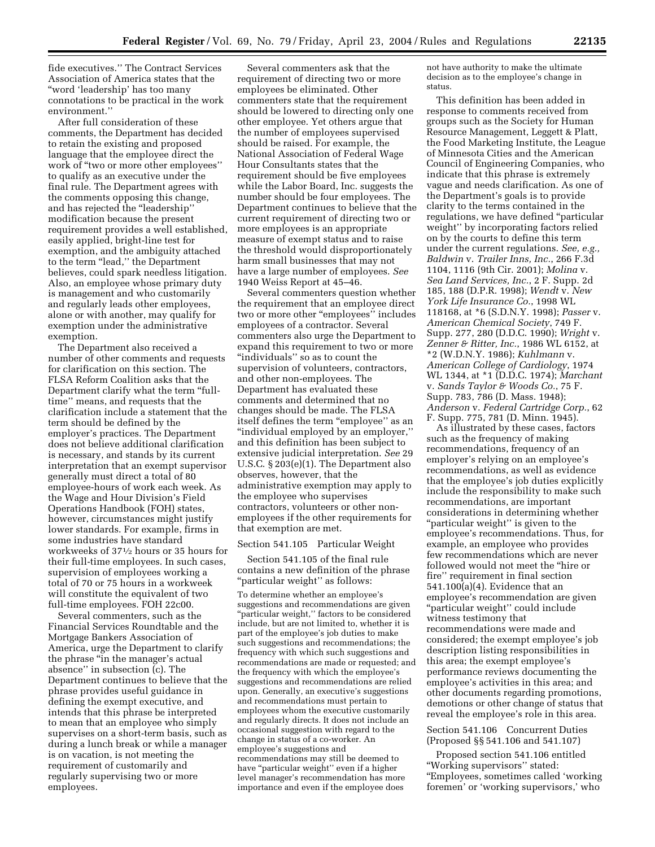fide executives.'' The Contract Services Association of America states that the ''word 'leadership' has too many connotations to be practical in the work environment.''

After full consideration of these comments, the Department has decided to retain the existing and proposed language that the employee direct the work of ''two or more other employees'' to qualify as an executive under the final rule. The Department agrees with the comments opposing this change, and has rejected the ''leadership'' modification because the present requirement provides a well established, easily applied, bright-line test for exemption, and the ambiguity attached to the term "lead," the Department believes, could spark needless litigation. Also, an employee whose primary duty is management and who customarily and regularly leads other employees, alone or with another, may qualify for exemption under the administrative exemption.

The Department also received a number of other comments and requests for clarification on this section. The FLSA Reform Coalition asks that the Department clarify what the term "fulltime'' means, and requests that the clarification include a statement that the term should be defined by the employer's practices. The Department does not believe additional clarification is necessary, and stands by its current interpretation that an exempt supervisor generally must direct a total of 80 employee-hours of work each week. As the Wage and Hour Division's Field Operations Handbook (FOH) states, however, circumstances might justify lower standards. For example, firms in some industries have standard workweeks of 371⁄2 hours or 35 hours for their full-time employees. In such cases, supervision of employees working a total of 70 or 75 hours in a workweek will constitute the equivalent of two full-time employees. FOH 22c00.

Several commenters, such as the Financial Services Roundtable and the Mortgage Bankers Association of America, urge the Department to clarify the phrase "in the manager's actual absence'' in subsection (c). The Department continues to believe that the phrase provides useful guidance in defining the exempt executive, and intends that this phrase be interpreted to mean that an employee who simply supervises on a short-term basis, such as during a lunch break or while a manager is on vacation, is not meeting the requirement of customarily and regularly supervising two or more employees.

Several commenters ask that the requirement of directing two or more employees be eliminated. Other commenters state that the requirement should be lowered to directing only one other employee. Yet others argue that the number of employees supervised should be raised. For example, the National Association of Federal Wage Hour Consultants states that the requirement should be five employees while the Labor Board, Inc. suggests the number should be four employees. The Department continues to believe that the current requirement of directing two or more employees is an appropriate measure of exempt status and to raise the threshold would disproportionately harm small businesses that may not have a large number of employees. *See*  1940 Weiss Report at 45–46.

Several commenters question whether the requirement that an employee direct two or more other "employees" includes employees of a contractor. Several commenters also urge the Department to expand this requirement to two or more "individuals" so as to count the supervision of volunteers, contractors, and other non-employees. The Department has evaluated these comments and determined that no changes should be made. The FLSA itself defines the term "employee" as an ''individual employed by an employer,'' and this definition has been subject to extensive judicial interpretation. *See* 29 U.S.C. § 203(e)(1). The Department also observes, however, that the administrative exemption may apply to the employee who supervises contractors, volunteers or other nonemployees if the other requirements for that exemption are met.

#### Section 541.105 Particular Weight

Section 541.105 of the final rule contains a new definition of the phrase "particular weight" as follows:

To determine whether an employee's suggestions and recommendations are given ''particular weight,'' factors to be considered include, but are not limited to, whether it is part of the employee's job duties to make such suggestions and recommendations; the frequency with which such suggestions and recommendations are made or requested; and the frequency with which the employee's suggestions and recommendations are relied upon. Generally, an executive's suggestions and recommendations must pertain to employees whom the executive customarily and regularly directs. It does not include an occasional suggestion with regard to the change in status of a co-worker. An employee's suggestions and recommendations may still be deemed to have "particular weight" even if a higher level manager's recommendation has more importance and even if the employee does

not have authority to make the ultimate decision as to the employee's change in status.

This definition has been added in response to comments received from groups such as the Society for Human Resource Management, Leggett & Platt, the Food Marketing Institute, the League of Minnesota Cities and the American Council of Engineering Companies, who indicate that this phrase is extremely vague and needs clarification. As one of the Department's goals is to provide clarity to the terms contained in the regulations, we have defined ''particular weight'' by incorporating factors relied on by the courts to define this term under the current regulations. *See, e.g., Baldwin* v. *Trailer Inns, Inc.*, 266 F.3d 1104, 1116 (9th Cir. 2001); *Molina* v. *Sea Land Services, Inc.*, 2 F. Supp. 2d 185, 188 (D.P.R. 1998); *Wendt* v. *New York Life Insurance Co.*, 1998 WL 118168, at \*6 (S.D.N.Y. 1998); *Passer* v. *American Chemical Society*, 749 F. Supp. 277, 280 (D.D.C. 1990); *Wright* v. *Zenner & Ritter, Inc.*, 1986 WL 6152, at \*2 (W.D.N.Y. 1986); *Kuhlmann* v. *American College of Cardiology*, 1974 WL 1344, at \*1 (D.D.C. 1974); *Marchant*  v. *Sands Taylor & Woods Co.*, 75 F. Supp. 783, 786 (D. Mass. 1948); *Anderson* v. *Federal Cartridge Corp.*, 62 F. Supp. 775, 781 (D. Minn. 1945).

As illustrated by these cases, factors such as the frequency of making recommendations, frequency of an employer's relying on an employee's recommendations, as well as evidence that the employee's job duties explicitly include the responsibility to make such recommendations, are important considerations in determining whether "particular weight" is given to the employee's recommendations. Thus, for example, an employee who provides few recommendations which are never followed would not meet the ''hire or fire'' requirement in final section 541.100(a)(4). Evidence that an employee's recommendation are given "particular weight" could include witness testimony that recommendations were made and considered; the exempt employee's job description listing responsibilities in this area; the exempt employee's performance reviews documenting the employee's activities in this area; and other documents regarding promotions, demotions or other change of status that reveal the employee's role in this area.

Section 541.106 Concurrent Duties (Proposed §§ 541.106 and 541.107)

Proposed section 541.106 entitled ''Working supervisors'' stated: ''Employees, sometimes called 'working foremen' or 'working supervisors,' who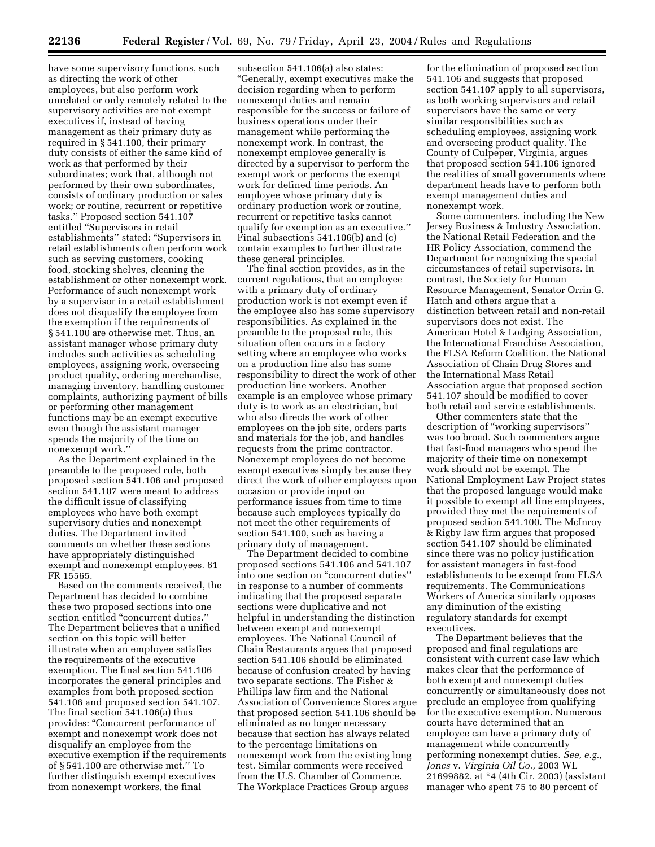have some supervisory functions, such as directing the work of other employees, but also perform work unrelated or only remotely related to the supervisory activities are not exempt executives if, instead of having management as their primary duty as required in § 541.100, their primary duty consists of either the same kind of work as that performed by their subordinates; work that, although not performed by their own subordinates, consists of ordinary production or sales work; or routine, recurrent or repetitive tasks.'' Proposed section 541.107 entitled ''Supervisors in retail establishments'' stated: ''Supervisors in retail establishments often perform work such as serving customers, cooking food, stocking shelves, cleaning the establishment or other nonexempt work. Performance of such nonexempt work by a supervisor in a retail establishment does not disqualify the employee from the exemption if the requirements of § 541.100 are otherwise met. Thus, an assistant manager whose primary duty includes such activities as scheduling employees, assigning work, overseeing product quality, ordering merchandise, managing inventory, handling customer complaints, authorizing payment of bills or performing other management functions may be an exempt executive even though the assistant manager spends the majority of the time on nonexempt work.''

As the Department explained in the preamble to the proposed rule, both proposed section 541.106 and proposed section 541.107 were meant to address the difficult issue of classifying employees who have both exempt supervisory duties and nonexempt duties. The Department invited comments on whether these sections have appropriately distinguished exempt and nonexempt employees. 61 FR 15565.

Based on the comments received, the Department has decided to combine these two proposed sections into one section entitled "concurrent duties." The Department believes that a unified section on this topic will better illustrate when an employee satisfies the requirements of the executive exemption. The final section 541.106 incorporates the general principles and examples from both proposed section 541.106 and proposed section 541.107. The final section 541.106(a) thus provides: ''Concurrent performance of exempt and nonexempt work does not disqualify an employee from the executive exemption if the requirements of § 541.100 are otherwise met.'' To further distinguish exempt executives from nonexempt workers, the final

subsection 541.106(a) also states: ''Generally, exempt executives make the decision regarding when to perform nonexempt duties and remain responsible for the success or failure of business operations under their management while performing the nonexempt work. In contrast, the nonexempt employee generally is directed by a supervisor to perform the exempt work or performs the exempt work for defined time periods. An employee whose primary duty is ordinary production work or routine, recurrent or repetitive tasks cannot qualify for exemption as an executive.'' Final subsections 541.106(b) and (c) contain examples to further illustrate these general principles.

The final section provides, as in the current regulations, that an employee with a primary duty of ordinary production work is not exempt even if the employee also has some supervisory responsibilities. As explained in the preamble to the proposed rule, this situation often occurs in a factory setting where an employee who works on a production line also has some responsibility to direct the work of other production line workers. Another example is an employee whose primary duty is to work as an electrician, but who also directs the work of other employees on the job site, orders parts and materials for the job, and handles requests from the prime contractor. Nonexempt employees do not become exempt executives simply because they direct the work of other employees upon occasion or provide input on performance issues from time to time because such employees typically do not meet the other requirements of section 541.100, such as having a primary duty of management.

The Department decided to combine proposed sections 541.106 and 541.107 into one section on ''concurrent duties'' in response to a number of comments indicating that the proposed separate sections were duplicative and not helpful in understanding the distinction between exempt and nonexempt employees. The National Council of Chain Restaurants argues that proposed section 541.106 should be eliminated because of confusion created by having two separate sections. The Fisher & Phillips law firm and the National Association of Convenience Stores argue that proposed section 541.106 should be eliminated as no longer necessary because that section has always related to the percentage limitations on nonexempt work from the existing long test. Similar comments were received from the U.S. Chamber of Commerce. The Workplace Practices Group argues

for the elimination of proposed section 541.106 and suggests that proposed section 541.107 apply to all supervisors, as both working supervisors and retail supervisors have the same or very similar responsibilities such as scheduling employees, assigning work and overseeing product quality. The County of Culpeper, Virginia, argues that proposed section 541.106 ignored the realities of small governments where department heads have to perform both exempt management duties and nonexempt work.

Some commenters, including the New Jersey Business & Industry Association, the National Retail Federation and the HR Policy Association, commend the Department for recognizing the special circumstances of retail supervisors. In contrast, the Society for Human Resource Management, Senator Orrin G. Hatch and others argue that a distinction between retail and non-retail supervisors does not exist. The American Hotel & Lodging Association, the International Franchise Association, the FLSA Reform Coalition, the National Association of Chain Drug Stores and the International Mass Retail Association argue that proposed section 541.107 should be modified to cover both retail and service establishments.

Other commenters state that the description of ''working supervisors'' was too broad. Such commenters argue that fast-food managers who spend the majority of their time on nonexempt work should not be exempt. The National Employment Law Project states that the proposed language would make it possible to exempt all line employees, provided they met the requirements of proposed section 541.100. The McInroy & Rigby law firm argues that proposed section 541.107 should be eliminated since there was no policy justification for assistant managers in fast-food establishments to be exempt from FLSA requirements. The Communications Workers of America similarly opposes any diminution of the existing regulatory standards for exempt executives.

The Department believes that the proposed and final regulations are consistent with current case law which makes clear that the performance of both exempt and nonexempt duties concurrently or simultaneously does not preclude an employee from qualifying for the executive exemption. Numerous courts have determined that an employee can have a primary duty of management while concurrently performing nonexempt duties. *See, e.g., Jones* v. *Virginia Oil Co.,* 2003 WL 21699882, at \*4 (4th Cir. 2003) (assistant manager who spent 75 to 80 percent of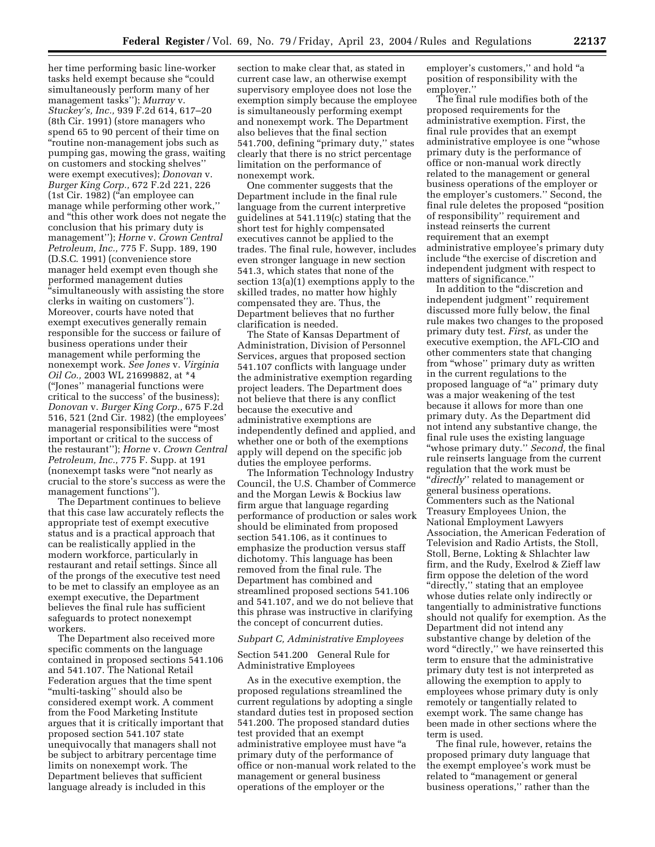her time performing basic line-worker tasks held exempt because she ''could simultaneously perform many of her management tasks''); *Murray* v. *Stuckey's, Inc.,* 939 F.2d 614, 617–20 (8th Cir. 1991) (store managers who spend 65 to 90 percent of their time on ''routine non-management jobs such as pumping gas, mowing the grass, waiting on customers and stocking shelves'' were exempt executives); *Donovan* v. *Burger King Corp.,* 672 F.2d 221, 226 (1st Cir. 1982) (''an employee can manage while performing other work,'' and ''this other work does not negate the conclusion that his primary duty is management''); *Horne* v. *Crown Central Petroleum, Inc.,* 775 F. Supp. 189, 190 (D.S.C. 1991) (convenience store manager held exempt even though she performed management duties ''simultaneously with assisting the store clerks in waiting on customers''). Moreover, courts have noted that exempt executives generally remain responsible for the success or failure of business operations under their management while performing the nonexempt work. *See Jones* v. *Virginia Oil Co.,* 2003 WL 21699882, at \*4 (''Jones'' managerial functions were critical to the success' of the business); *Donovan* v. *Burger King Corp.,* 675 F.2d 516, 521 (2nd Cir. 1982) (the employees' managerial responsibilities were ''most important or critical to the success of the restaurant''); *Horne* v. *Crown Central Petroleum, Inc.,* 775 F. Supp. at 191 (nonexempt tasks were ''not nearly as crucial to the store's success as were the management functions'').

The Department continues to believe that this case law accurately reflects the appropriate test of exempt executive status and is a practical approach that can be realistically applied in the modern workforce, particularly in restaurant and retail settings. Since all of the prongs of the executive test need to be met to classify an employee as an exempt executive, the Department believes the final rule has sufficient safeguards to protect nonexempt workers.

The Department also received more specific comments on the language contained in proposed sections 541.106 and 541.107. The National Retail Federation argues that the time spent ''multi-tasking'' should also be considered exempt work. A comment from the Food Marketing Institute argues that it is critically important that proposed section 541.107 state unequivocally that managers shall not be subject to arbitrary percentage time limits on nonexempt work. The Department believes that sufficient language already is included in this

section to make clear that, as stated in current case law, an otherwise exempt supervisory employee does not lose the exemption simply because the employee is simultaneously performing exempt and nonexempt work. The Department also believes that the final section 541.700, defining ''primary duty,'' states clearly that there is no strict percentage limitation on the performance of nonexempt work.

One commenter suggests that the Department include in the final rule language from the current interpretive guidelines at 541.119(c) stating that the short test for highly compensated executives cannot be applied to the trades. The final rule, however, includes even stronger language in new section 541.3, which states that none of the section 13(a)(1) exemptions apply to the skilled trades, no matter how highly compensated they are. Thus, the Department believes that no further clarification is needed.

The State of Kansas Department of Administration, Division of Personnel Services, argues that proposed section 541.107 conflicts with language under the administrative exemption regarding project leaders. The Department does not believe that there is any conflict because the executive and administrative exemptions are independently defined and applied, and whether one or both of the exemptions apply will depend on the specific job duties the employee performs.

The Information Technology Industry Council, the U.S. Chamber of Commerce and the Morgan Lewis & Bockius law firm argue that language regarding performance of production or sales work should be eliminated from proposed section 541.106, as it continues to emphasize the production versus staff dichotomy. This language has been removed from the final rule. The Department has combined and streamlined proposed sections 541.106 and 541.107, and we do not believe that this phrase was instructive in clarifying the concept of concurrent duties.

#### *Subpart C, Administrative Employees*

#### Section 541.200 General Rule for Administrative Employees

As in the executive exemption, the proposed regulations streamlined the current regulations by adopting a single standard duties test in proposed section 541.200. The proposed standard duties test provided that an exempt administrative employee must have ''a primary duty of the performance of office or non-manual work related to the management or general business operations of the employer or the

employer's customers,'' and hold ''a position of responsibility with the employer.''

The final rule modifies both of the proposed requirements for the administrative exemption. First, the final rule provides that an exempt administrative employee is one ''whose primary duty is the performance of office or non-manual work directly related to the management or general business operations of the employer or the employer's customers.'' Second, the final rule deletes the proposed ''position of responsibility'' requirement and instead reinserts the current requirement that an exempt administrative employee's primary duty include ''the exercise of discretion and independent judgment with respect to matters of significance.''

In addition to the ''discretion and independent judgment'' requirement discussed more fully below, the final rule makes two changes to the proposed primary duty test. *First,* as under the executive exemption, the AFL-CIO and other commenters state that changing from "whose" primary duty as written in the current regulations to the proposed language of "a" primary duty was a major weakening of the test because it allows for more than one primary duty. As the Department did not intend any substantive change, the final rule uses the existing language ''whose primary duty.'' *Second,* the final rule reinserts language from the current regulation that the work must be "*directly*" related to management or general business operations. Commenters such as the National Treasury Employees Union, the National Employment Lawyers Association, the American Federation of Television and Radio Artists, the Stoll, Stoll, Berne, Lokting & Shlachter law firm, and the Rudy, Exelrod & Zieff law firm oppose the deletion of the word "directly," stating that an employee whose duties relate only indirectly or tangentially to administrative functions should not qualify for exemption. As the Department did not intend any substantive change by deletion of the word "directly," we have reinserted this term to ensure that the administrative primary duty test is not interpreted as allowing the exemption to apply to employees whose primary duty is only remotely or tangentially related to exempt work. The same change has been made in other sections where the term is used.

The final rule, however, retains the proposed primary duty language that the exempt employee's work must be related to ''management or general business operations,'' rather than the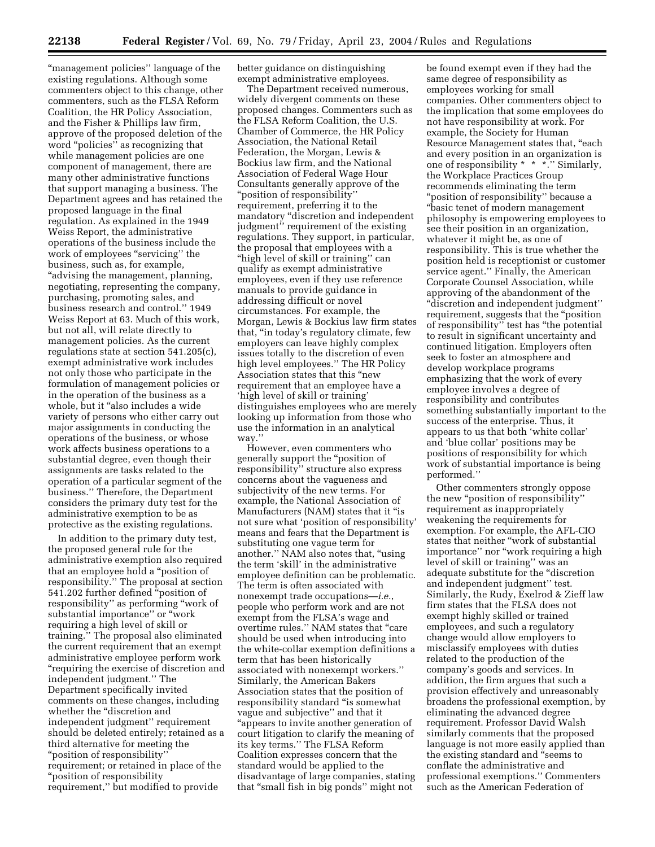"management policies" language of the existing regulations. Although some commenters object to this change, other commenters, such as the FLSA Reform Coalition, the HR Policy Association, and the Fisher & Phillips law firm, approve of the proposed deletion of the word "policies" as recognizing that while management policies are one component of management, there are many other administrative functions that support managing a business. The Department agrees and has retained the proposed language in the final regulation. As explained in the 1949 Weiss Report, the administrative operations of the business include the work of employees "servicing" the business, such as, for example, ''advising the management, planning, negotiating, representing the company, purchasing, promoting sales, and business research and control.'' 1949 Weiss Report at 63. Much of this work, but not all, will relate directly to management policies. As the current regulations state at section 541.205(c), exempt administrative work includes not only those who participate in the formulation of management policies or in the operation of the business as a whole, but it "also includes a wide variety of persons who either carry out major assignments in conducting the operations of the business, or whose work affects business operations to a substantial degree, even though their assignments are tasks related to the operation of a particular segment of the business.'' Therefore, the Department considers the primary duty test for the administrative exemption to be as protective as the existing regulations.

In addition to the primary duty test, the proposed general rule for the administrative exemption also required that an employee hold a ''position of responsibility.'' The proposal at section 541.202 further defined ''position of responsibility'' as performing ''work of substantial importance'' or ''work requiring a high level of skill or training.'' The proposal also eliminated the current requirement that an exempt administrative employee perform work ''requiring the exercise of discretion and independent judgment.'' The Department specifically invited comments on these changes, including whether the "discretion and independent judgment'' requirement should be deleted entirely; retained as a third alternative for meeting the ''position of responsibility'' requirement; or retained in place of the ''position of responsibility requirement,'' but modified to provide

better guidance on distinguishing exempt administrative employees.

The Department received numerous, widely divergent comments on these proposed changes. Commenters such as the FLSA Reform Coalition, the U.S. Chamber of Commerce, the HR Policy Association, the National Retail Federation, the Morgan, Lewis & Bockius law firm, and the National Association of Federal Wage Hour Consultants generally approve of the ''position of responsibility'' requirement, preferring it to the mandatory ''discretion and independent judgment'' requirement of the existing regulations. They support, in particular, the proposal that employees with a "high level of skill or training" can qualify as exempt administrative employees, even if they use reference manuals to provide guidance in addressing difficult or novel circumstances. For example, the Morgan, Lewis & Bockius law firm states that, ''in today's regulatory climate, few employers can leave highly complex issues totally to the discretion of even high level employees.'' The HR Policy Association states that this ''new requirement that an employee have a 'high level of skill or training' distinguishes employees who are merely looking up information from those who use the information in an analytical way.''

However, even commenters who generally support the ''position of responsibility'' structure also express concerns about the vagueness and subjectivity of the new terms. For example, the National Association of Manufacturers (NAM) states that it "is not sure what 'position of responsibility' means and fears that the Department is substituting one vague term for another." NAM also notes that, "using the term 'skill' in the administrative employee definition can be problematic. The term is often associated with nonexempt trade occupations—*i.e.*, people who perform work and are not exempt from the FLSA's wage and overtime rules.'' NAM states that ''care should be used when introducing into the white-collar exemption definitions a term that has been historically associated with nonexempt workers.'' Similarly, the American Bakers Association states that the position of responsibility standard ''is somewhat vague and subjective'' and that it ''appears to invite another generation of court litigation to clarify the meaning of its key terms.'' The FLSA Reform Coalition expresses concern that the standard would be applied to the disadvantage of large companies, stating that ''small fish in big ponds'' might not

be found exempt even if they had the same degree of responsibility as employees working for small companies. Other commenters object to the implication that some employees do not have responsibility at work. For example, the Society for Human Resource Management states that, ''each and every position in an organization is one of responsibility \* \* \*.'' Similarly, the Workplace Practices Group recommends eliminating the term ''position of responsibility'' because a ''basic tenet of modern management philosophy is empowering employees to see their position in an organization, whatever it might be, as one of responsibility. This is true whether the position held is receptionist or customer service agent.'' Finally, the American Corporate Counsel Association, while approving of the abandonment of the ''discretion and independent judgment'' requirement, suggests that the ''position of responsibility'' test has ''the potential to result in significant uncertainty and continued litigation. Employers often seek to foster an atmosphere and develop workplace programs emphasizing that the work of every employee involves a degree of responsibility and contributes something substantially important to the success of the enterprise. Thus, it appears to us that both 'white collar' and 'blue collar' positions may be positions of responsibility for which work of substantial importance is being performed.''

Other commenters strongly oppose the new ''position of responsibility'' requirement as inappropriately weakening the requirements for exemption. For example, the AFL-CIO states that neither ''work of substantial importance'' nor ''work requiring a high level of skill or training'' was an adequate substitute for the ''discretion and independent judgment'' test. Similarly, the Rudy, Exelrod & Zieff law firm states that the FLSA does not exempt highly skilled or trained employees, and such a regulatory change would allow employers to misclassify employees with duties related to the production of the company's goods and services. In addition, the firm argues that such a provision effectively and unreasonably broadens the professional exemption, by eliminating the advanced degree requirement. Professor David Walsh similarly comments that the proposed language is not more easily applied than the existing standard and ''seems to conflate the administrative and professional exemptions.'' Commenters such as the American Federation of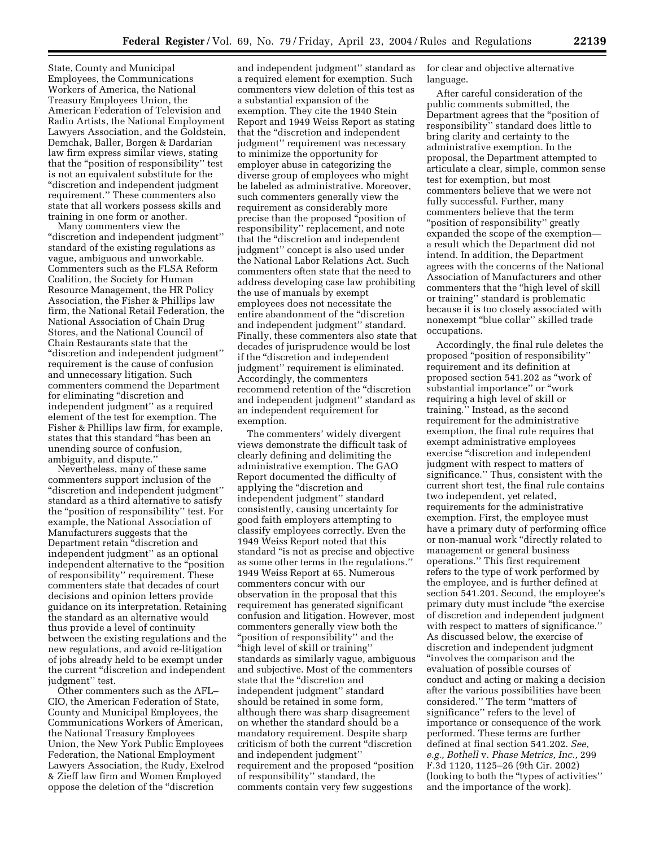State, County and Municipal Employees, the Communications Workers of America, the National Treasury Employees Union, the American Federation of Television and Radio Artists, the National Employment Lawyers Association, and the Goldstein, Demchak, Baller, Borgen & Dardarian law firm express similar views, stating that the "position of responsibility" test is not an equivalent substitute for the ''discretion and independent judgment requirement.'' These commenters also state that all workers possess skills and training in one form or another.

Many commenters view the ''discretion and independent judgment'' standard of the existing regulations as vague, ambiguous and unworkable. Commenters such as the FLSA Reform Coalition, the Society for Human Resource Management, the HR Policy Association, the Fisher & Phillips law firm, the National Retail Federation, the National Association of Chain Drug Stores, and the National Council of Chain Restaurants state that the ''discretion and independent judgment'' requirement is the cause of confusion and unnecessary litigation. Such commenters commend the Department for eliminating "discretion and independent judgment'' as a required element of the test for exemption. The Fisher & Phillips law firm, for example, states that this standard ''has been an unending source of confusion, ambiguity, and dispute.''

Nevertheless, many of these same commenters support inclusion of the ''discretion and independent judgment'' standard as a third alternative to satisfy the ''position of responsibility'' test. For example, the National Association of Manufacturers suggests that the Department retain ''discretion and independent judgment'' as an optional independent alternative to the ''position of responsibility'' requirement. These commenters state that decades of court decisions and opinion letters provide guidance on its interpretation. Retaining the standard as an alternative would thus provide a level of continuity between the existing regulations and the new regulations, and avoid re-litigation of jobs already held to be exempt under the current ''discretion and independent judgment'' test.

Other commenters such as the AFL– CIO, the American Federation of State, County and Municipal Employees, the Communications Workers of American, the National Treasury Employees Union, the New York Public Employees Federation, the National Employment Lawyers Association, the Rudy, Exelrod & Zieff law firm and Women Employed oppose the deletion of the ''discretion

and independent judgment'' standard as a required element for exemption. Such commenters view deletion of this test as a substantial expansion of the exemption. They cite the 1940 Stein Report and 1949 Weiss Report as stating that the ''discretion and independent judgment'' requirement was necessary to minimize the opportunity for employer abuse in categorizing the diverse group of employees who might be labeled as administrative. Moreover, such commenters generally view the requirement as considerably more precise than the proposed ''position of responsibility'' replacement, and note that the ''discretion and independent judgment'' concept is also used under the National Labor Relations Act. Such commenters often state that the need to address developing case law prohibiting the use of manuals by exempt employees does not necessitate the entire abandonment of the ''discretion and independent judgment'' standard. Finally, these commenters also state that decades of jurisprudence would be lost if the ''discretion and independent judgment'' requirement is eliminated. Accordingly, the commenters recommend retention of the ''discretion and independent judgment'' standard as an independent requirement for exemption.

The commenters' widely divergent views demonstrate the difficult task of clearly defining and delimiting the administrative exemption. The GAO Report documented the difficulty of applying the ''discretion and independent judgment'' standard consistently, causing uncertainty for good faith employers attempting to classify employees correctly. Even the 1949 Weiss Report noted that this standard ''is not as precise and objective as some other terms in the regulations.'' 1949 Weiss Report at 65. Numerous commenters concur with our observation in the proposal that this requirement has generated significant confusion and litigation. However, most commenters generally view both the ''position of responsibility'' and the ''high level of skill or training'' standards as similarly vague, ambiguous and subjective. Most of the commenters state that the "discretion and independent judgment'' standard should be retained in some form, although there was sharp disagreement on whether the standard should be a mandatory requirement. Despite sharp criticism of both the current ''discretion and independent judgment'' requirement and the proposed ''position of responsibility'' standard, the comments contain very few suggestions

for clear and objective alternative language.

After careful consideration of the public comments submitted, the Department agrees that the ''position of responsibility'' standard does little to bring clarity and certainty to the administrative exemption. In the proposal, the Department attempted to articulate a clear, simple, common sense test for exemption, but most commenters believe that we were not fully successful. Further, many commenters believe that the term ''position of responsibility'' greatly expanded the scope of the exemption a result which the Department did not intend. In addition, the Department agrees with the concerns of the National Association of Manufacturers and other commenters that the ''high level of skill or training'' standard is problematic because it is too closely associated with nonexempt ''blue collar'' skilled trade occupations.

Accordingly, the final rule deletes the proposed ''position of responsibility'' requirement and its definition at proposed section 541.202 as ''work of substantial importance'' or ''work requiring a high level of skill or training.'' Instead, as the second requirement for the administrative exemption, the final rule requires that exempt administrative employees exercise "discretion and independent" judgment with respect to matters of significance.'' Thus, consistent with the current short test, the final rule contains two independent, yet related, requirements for the administrative exemption. First, the employee must have a primary duty of performing office or non-manual work ''directly related to management or general business operations.'' This first requirement refers to the type of work performed by the employee, and is further defined at section 541.201. Second, the employee's primary duty must include ''the exercise of discretion and independent judgment with respect to matters of significance." As discussed below, the exercise of discretion and independent judgment ''involves the comparison and the evaluation of possible courses of conduct and acting or making a decision after the various possibilities have been considered." The term "matters of significance'' refers to the level of importance or consequence of the work performed. These terms are further defined at final section 541.202. *See, e.g., Bothell* v. *Phase Metrics, Inc.,* 299 F.3d 1120, 1125–26 (9th Cir. 2002) (looking to both the ''types of activities'' and the importance of the work).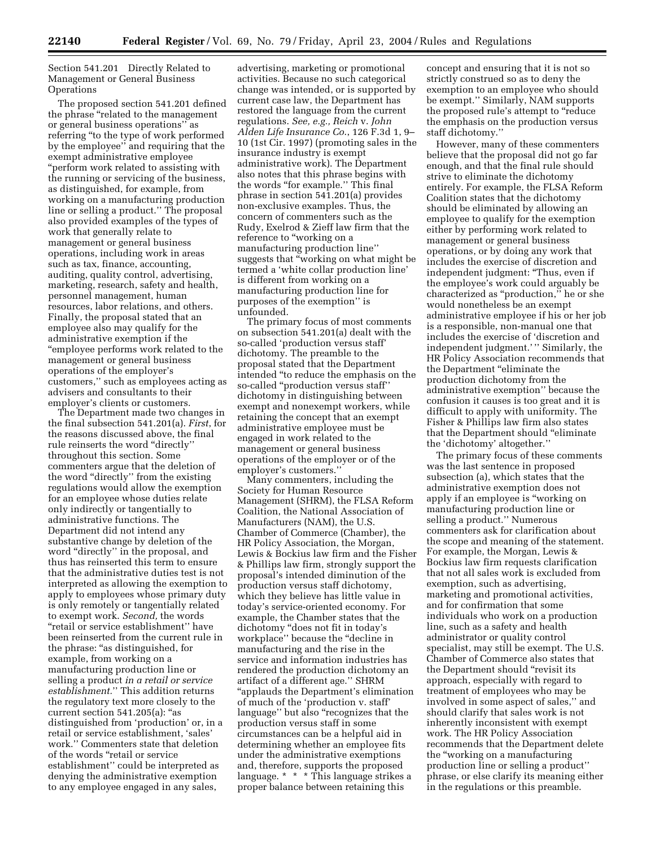Section 541.201 Directly Related to Management or General Business **Operations** 

The proposed section 541.201 defined the phrase ''related to the management or general business operations'' as referring ''to the type of work performed by the employee'' and requiring that the exempt administrative employee ''perform work related to assisting with the running or servicing of the business, as distinguished, for example, from working on a manufacturing production line or selling a product.'' The proposal also provided examples of the types of work that generally relate to management or general business operations, including work in areas such as tax, finance, accounting, auditing, quality control, advertising, marketing, research, safety and health, personnel management, human resources, labor relations, and others. Finally, the proposal stated that an employee also may qualify for the administrative exemption if the ''employee performs work related to the management or general business operations of the employer's customers,'' such as employees acting as advisers and consultants to their employer's clients or customers.

The Department made two changes in the final subsection 541.201(a). *First*, for the reasons discussed above, the final rule reinserts the word ''directly'' throughout this section. Some commenters argue that the deletion of the word "directly" from the existing regulations would allow the exemption for an employee whose duties relate only indirectly or tangentially to administrative functions. The Department did not intend any substantive change by deletion of the word "directly" in the proposal, and thus has reinserted this term to ensure that the administrative duties test is not interpreted as allowing the exemption to apply to employees whose primary duty is only remotely or tangentially related to exempt work. *Second,* the words ''retail or service establishment'' have been reinserted from the current rule in the phrase: ''as distinguished, for example, from working on a manufacturing production line or selling a product *in a retail or service establishment.*'' This addition returns the regulatory text more closely to the current section  $541.205(a)$ : "as distinguished from 'production' or, in a retail or service establishment, 'sales' work.'' Commenters state that deletion of the words ''retail or service establishment'' could be interpreted as denying the administrative exemption to any employee engaged in any sales,

advertising, marketing or promotional activities. Because no such categorical change was intended, or is supported by current case law, the Department has restored the language from the current regulations. *See, e.g., Reich* v. *John Alden Life Insurance Co*., 126 F.3d 1, 9– 10 (1st Cir. 1997) (promoting sales in the insurance industry is exempt administrative work). The Department also notes that this phrase begins with the words "for example." This final phrase in section 541.201(a) provides non-exclusive examples. Thus, the concern of commenters such as the Rudy, Exelrod & Zieff law firm that the reference to "working on a manufacturing production line'' suggests that ''working on what might be termed a 'white collar production line' is different from working on a manufacturing production line for purposes of the exemption'' is unfounded.

The primary focus of most comments on subsection 541.201(a) dealt with the so-called 'production versus staff' dichotomy. The preamble to the proposal stated that the Department intended ''to reduce the emphasis on the so-called ''production versus staff'' dichotomy in distinguishing between exempt and nonexempt workers, while retaining the concept that an exempt administrative employee must be engaged in work related to the management or general business operations of the employer or of the employer's customers.''

Many commenters, including the Society for Human Resource Management (SHRM), the FLSA Reform Coalition, the National Association of Manufacturers (NAM), the U.S. Chamber of Commerce (Chamber), the HR Policy Association, the Morgan, Lewis & Bockius law firm and the Fisher & Phillips law firm, strongly support the proposal's intended diminution of the production versus staff dichotomy, which they believe has little value in today's service-oriented economy. For example, the Chamber states that the dichotomy ''does not fit in today's workplace'' because the ''decline in manufacturing and the rise in the service and information industries has rendered the production dichotomy an artifact of a different age.'' SHRM ''applauds the Department's elimination of much of the 'production v. staff' language" but also "recognizes that the production versus staff in some circumstances can be a helpful aid in determining whether an employee fits under the administrative exemptions and, therefore, supports the proposed language. \* \* \* This language strikes a proper balance between retaining this

concept and ensuring that it is not so strictly construed so as to deny the exemption to an employee who should be exempt.'' Similarly, NAM supports the proposed rule's attempt to "reduce" the emphasis on the production versus staff dichotomy.''

However, many of these commenters believe that the proposal did not go far enough, and that the final rule should strive to eliminate the dichotomy entirely. For example, the FLSA Reform Coalition states that the dichotomy should be eliminated by allowing an employee to qualify for the exemption either by performing work related to management or general business operations, or by doing any work that includes the exercise of discretion and independent judgment: ''Thus, even if the employee's work could arguably be characterized as "production," he or she would nonetheless be an exempt administrative employee if his or her job is a responsible, non-manual one that includes the exercise of 'discretion and independent judgment.'" Similarly, the HR Policy Association recommends that the Department ''eliminate the production dichotomy from the administrative exemption'' because the confusion it causes is too great and it is difficult to apply with uniformity. The Fisher & Phillips law firm also states that the Department should ''eliminate the 'dichotomy' altogether.''

The primary focus of these comments was the last sentence in proposed subsection (a), which states that the administrative exemption does not apply if an employee is ''working on manufacturing production line or selling a product.'' Numerous commenters ask for clarification about the scope and meaning of the statement. For example, the Morgan, Lewis & Bockius law firm requests clarification that not all sales work is excluded from exemption, such as advertising, marketing and promotional activities, and for confirmation that some individuals who work on a production line, such as a safety and health administrator or quality control specialist, may still be exempt. The U.S. Chamber of Commerce also states that the Department should "revisit its approach, especially with regard to treatment of employees who may be involved in some aspect of sales,'' and should clarify that sales work is not inherently inconsistent with exempt work. The HR Policy Association recommends that the Department delete the ''working on a manufacturing production line or selling a product'' phrase, or else clarify its meaning either in the regulations or this preamble.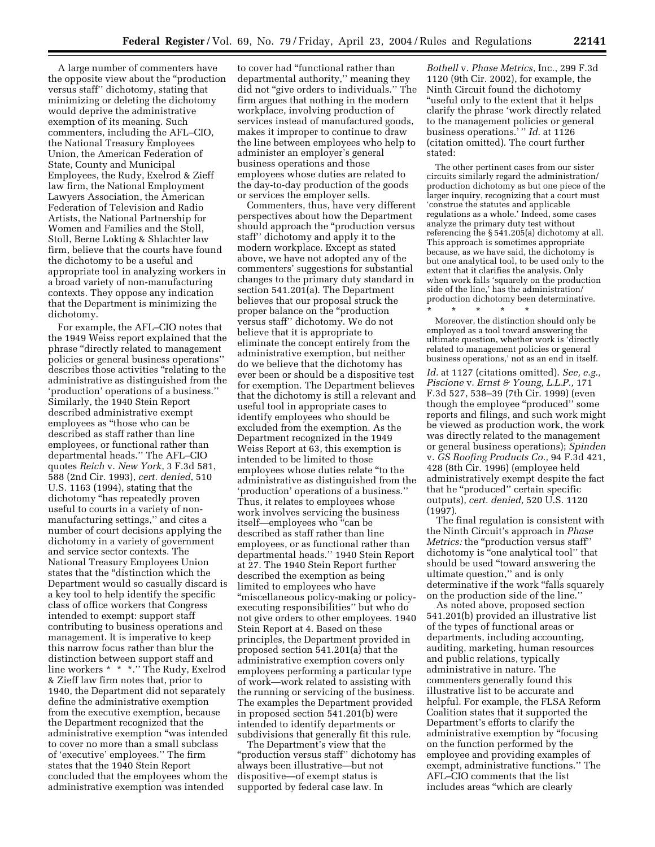A large number of commenters have the opposite view about the ''production versus staff'' dichotomy, stating that minimizing or deleting the dichotomy would deprive the administrative exemption of its meaning. Such commenters, including the AFL–CIO, the National Treasury Employees Union, the American Federation of State, County and Municipal Employees, the Rudy, Exelrod & Zieff law firm, the National Employment Lawyers Association, the American Federation of Television and Radio Artists, the National Partnership for Women and Families and the Stoll, Stoll, Berne Lokting & Shlachter law firm, believe that the courts have found the dichotomy to be a useful and appropriate tool in analyzing workers in a broad variety of non-manufacturing contexts. They oppose any indication that the Department is minimizing the dichotomy.

For example, the AFL–CIO notes that the 1949 Weiss report explained that the phrase ''directly related to management policies or general business operations'' describes those activities ''relating to the administrative as distinguished from the 'production' operations of a business.'' Similarly, the 1940 Stein Report described administrative exempt employees as ''those who can be described as staff rather than line employees, or functional rather than departmental heads.'' The AFL–CIO quotes *Reich* v. *New York*, 3 F.3d 581, 588 (2nd Cir. 1993), *cert. denied*, 510 U.S. 1163 (1994), stating that the dichotomy ''has repeatedly proven useful to courts in a variety of nonmanufacturing settings,'' and cites a number of court decisions applying the dichotomy in a variety of government and service sector contexts. The National Treasury Employees Union states that the ''distinction which the Department would so casually discard is a key tool to help identify the specific class of office workers that Congress intended to exempt: support staff contributing to business operations and management. It is imperative to keep this narrow focus rather than blur the distinction between support staff and line workers \* \* \*.'' The Rudy, Exelrod & Zieff law firm notes that, prior to 1940, the Department did not separately define the administrative exemption from the executive exemption, because the Department recognized that the administrative exemption ''was intended to cover no more than a small subclass of 'executive' employees.'' The firm states that the 1940 Stein Report concluded that the employees whom the administrative exemption was intended

to cover had ''functional rather than departmental authority,'' meaning they did not ''give orders to individuals.'' The firm argues that nothing in the modern workplace, involving production of services instead of manufactured goods, makes it improper to continue to draw the line between employees who help to administer an employer's general business operations and those employees whose duties are related to the day-to-day production of the goods or services the employer sells.

Commenters, thus, have very different perspectives about how the Department should approach the "production versus staff'' dichotomy and apply it to the modern workplace. Except as stated above, we have not adopted any of the commenters' suggestions for substantial changes to the primary duty standard in section 541.201(a). The Department believes that our proposal struck the proper balance on the ''production versus staff'' dichotomy. We do not believe that it is appropriate to eliminate the concept entirely from the administrative exemption, but neither do we believe that the dichotomy has ever been or should be a dispositive test for exemption. The Department believes that the dichotomy is still a relevant and useful tool in appropriate cases to identify employees who should be excluded from the exemption. As the Department recognized in the 1949 Weiss Report at 63, this exemption is intended to be limited to those employees whose duties relate ''to the administrative as distinguished from the 'production' operations of a business.'' Thus, it relates to employees whose work involves servicing the business itself—employees who "can be described as staff rather than line employees, or as functional rather than departmental heads.'' 1940 Stein Report at 27. The 1940 Stein Report further described the exemption as being limited to employees who have "miscellaneous policy-making or policyexecuting responsibilities'' but who do not give orders to other employees. 1940 Stein Report at 4. Based on these principles, the Department provided in proposed section 541.201(a) that the administrative exemption covers only employees performing a particular type of work—work related to assisting with the running or servicing of the business. The examples the Department provided in proposed section 541.201(b) were intended to identify departments or subdivisions that generally fit this rule.

The Department's view that the "production versus staff" dichotomy has always been illustrative—but not dispositive—of exempt status is supported by federal case law. In

*Bothell* v. *Phase Metrics*, Inc., 299 F.3d 1120 (9th Cir. 2002), for example, the Ninth Circuit found the dichotomy ''useful only to the extent that it helps clarify the phrase 'work directly related to the management policies or general business operations.' '' *Id.* at 1126 (citation omitted). The court further stated:

The other pertinent cases from our sister circuits similarly regard the administration/ production dichotomy as but one piece of the larger inquiry, recognizing that a court must 'construe the statutes and applicable regulations as a whole.' Indeed, some cases analyze the primary duty test without referencing the § 541.205(a) dichotomy at all. This approach is sometimes appropriate because, as we have said, the dichotomy is but one analytical tool, to be used only to the extent that it clarifies the analysis. Only when work falls 'squarely on the production side of the line,' has the administration/ production dichotomy been determinative.

\* \* \* \* \* Moreover, the distinction should only be employed as a tool toward answering the ultimate question, whether work is 'directly related to management policies or general business operations,' not as an end in itself.

*Id.* at 1127 (citations omitted). *See, e.g., Piscione* v. *Ernst & Young, L.L.P.,* 171 F.3d 527, 538–39 (7th Cir. 1999) (even though the employee "produced" some reports and filings, and such work might be viewed as production work, the work was directly related to the management or general business operations); *Spinden*  v. *GS Roofing Products Co.,* 94 F.3d 421, 428 (8th Cir. 1996) (employee held administratively exempt despite the fact that he "produced" certain specific outputs), *cert. denied,* 520 U.S. 1120 (1997).

The final regulation is consistent with the Ninth Circuit's approach in *Phase Metrics:* the "production versus staff" dichotomy is ''one analytical tool'' that should be used ''toward answering the ultimate question,'' and is only determinative if the work "falls squarely on the production side of the line.''

As noted above, proposed section 541.201(b) provided an illustrative list of the types of functional areas or departments, including accounting, auditing, marketing, human resources and public relations, typically administrative in nature. The commenters generally found this illustrative list to be accurate and helpful. For example, the FLSA Reform Coalition states that it supported the Department's efforts to clarify the administrative exemption by ''focusing on the function performed by the employee and providing examples of exempt, administrative functions.'' The AFL–CIO comments that the list includes areas ''which are clearly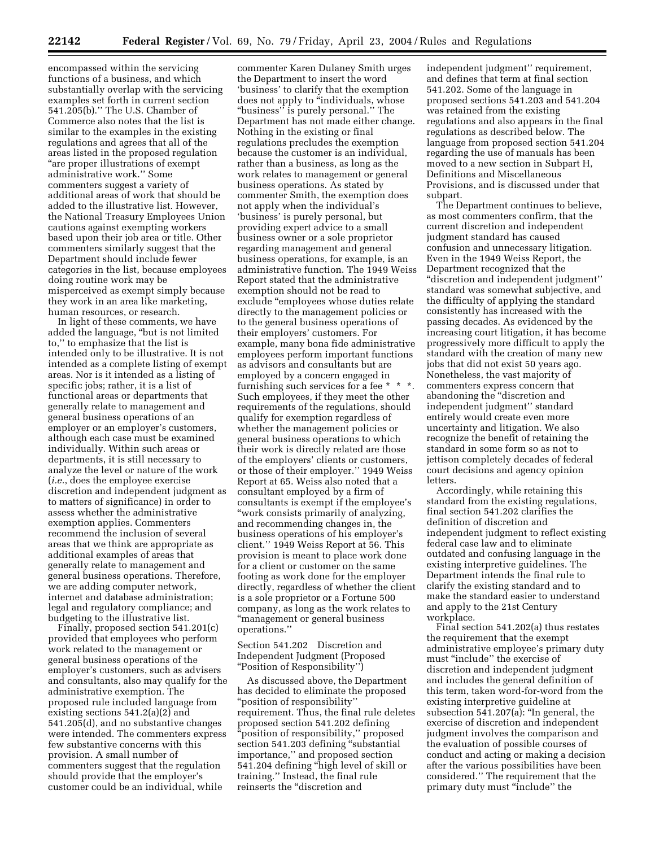encompassed within the servicing functions of a business, and which substantially overlap with the servicing examples set forth in current section 541.205(b).'' The U.S. Chamber of Commerce also notes that the list is similar to the examples in the existing regulations and agrees that all of the areas listed in the proposed regulation ''are proper illustrations of exempt administrative work.'' Some commenters suggest a variety of additional areas of work that should be added to the illustrative list. However, the National Treasury Employees Union cautions against exempting workers based upon their job area or title. Other commenters similarly suggest that the Department should include fewer categories in the list, because employees doing routine work may be misperceived as exempt simply because they work in an area like marketing, human resources, or research.

In light of these comments, we have added the language, ''but is not limited to,'' to emphasize that the list is intended only to be illustrative. It is not intended as a complete listing of exempt areas. Nor is it intended as a listing of specific jobs; rather, it is a list of functional areas or departments that generally relate to management and general business operations of an employer or an employer's customers, although each case must be examined individually. Within such areas or departments, it is still necessary to analyze the level or nature of the work (*i.e.*, does the employee exercise discretion and independent judgment as to matters of significance) in order to assess whether the administrative exemption applies. Commenters recommend the inclusion of several areas that we think are appropriate as additional examples of areas that generally relate to management and general business operations. Therefore, we are adding computer network, internet and database administration; legal and regulatory compliance; and budgeting to the illustrative list.

Finally, proposed section 541.201(c) provided that employees who perform work related to the management or general business operations of the employer's customers, such as advisers and consultants, also may qualify for the administrative exemption. The proposed rule included language from existing sections 541.2(a)(2) and 541.205(d), and no substantive changes were intended. The commenters express few substantive concerns with this provision. A small number of commenters suggest that the regulation should provide that the employer's customer could be an individual, while

commenter Karen Dulaney Smith urges the Department to insert the word 'business' to clarify that the exemption does not apply to "individuals, whose "business" is purely personal." The Department has not made either change. Nothing in the existing or final regulations precludes the exemption because the customer is an individual, rather than a business, as long as the work relates to management or general business operations. As stated by commenter Smith, the exemption does not apply when the individual's 'business' is purely personal, but providing expert advice to a small business owner or a sole proprietor regarding management and general business operations, for example, is an administrative function. The 1949 Weiss Report stated that the administrative exemption should not be read to exclude ''employees whose duties relate directly to the management policies or to the general business operations of their employers' customers. For example, many bona fide administrative employees perform important functions as advisors and consultants but are employed by a concern engaged in furnishing such services for a fee \* \* \*. Such employees, if they meet the other requirements of the regulations, should qualify for exemption regardless of whether the management policies or general business operations to which their work is directly related are those of the employers' clients or customers, or those of their employer.'' 1949 Weiss Report at 65. Weiss also noted that a consultant employed by a firm of consultants is exempt if the employee's ''work consists primarily of analyzing, and recommending changes in, the business operations of his employer's client.'' 1949 Weiss Report at 56. This provision is meant to place work done for a client or customer on the same footing as work done for the employer directly, regardless of whether the client is a sole proprietor or a Fortune 500 company, as long as the work relates to ''management or general business operations.''

Section 541.202 Discretion and Independent Judgment (Proposed ''Position of Responsibility'')

As discussed above, the Department has decided to eliminate the proposed ''position of responsibility'' requirement. Thus, the final rule deletes proposed section 541.202 defining "position of responsibility," proposed section 541.203 defining "substantial importance,'' and proposed section 541.204 defining ''high level of skill or training.'' Instead, the final rule reinserts the "discretion and

independent judgment'' requirement, and defines that term at final section 541.202. Some of the language in proposed sections 541.203 and 541.204 was retained from the existing regulations and also appears in the final regulations as described below. The language from proposed section 541.204 regarding the use of manuals has been moved to a new section in Subpart H, Definitions and Miscellaneous Provisions, and is discussed under that subpart.

The Department continues to believe, as most commenters confirm, that the current discretion and independent judgment standard has caused confusion and unnecessary litigation. Even in the 1949 Weiss Report, the Department recognized that the ''discretion and independent judgment'' standard was somewhat subjective, and the difficulty of applying the standard consistently has increased with the passing decades. As evidenced by the increasing court litigation, it has become progressively more difficult to apply the standard with the creation of many new jobs that did not exist 50 years ago. Nonetheless, the vast majority of commenters express concern that abandoning the ''discretion and independent judgment'' standard entirely would create even more uncertainty and litigation. We also recognize the benefit of retaining the standard in some form so as not to jettison completely decades of federal court decisions and agency opinion letters.

Accordingly, while retaining this standard from the existing regulations, final section 541.202 clarifies the definition of discretion and independent judgment to reflect existing federal case law and to eliminate outdated and confusing language in the existing interpretive guidelines. The Department intends the final rule to clarify the existing standard and to make the standard easier to understand and apply to the 21st Century workplace.

Final section 541.202(a) thus restates the requirement that the exempt administrative employee's primary duty must ''include'' the exercise of discretion and independent judgment and includes the general definition of this term, taken word-for-word from the existing interpretive guideline at subsection 541.207(a): "In general, the exercise of discretion and independent judgment involves the comparison and the evaluation of possible courses of conduct and acting or making a decision after the various possibilities have been considered.'' The requirement that the primary duty must "include" the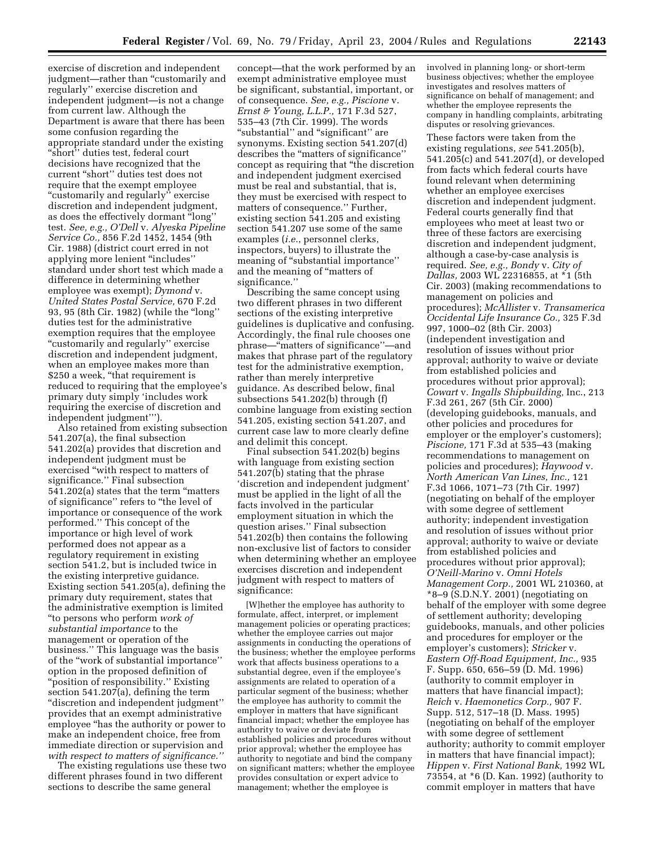exercise of discretion and independent judgment—rather than ''customarily and regularly'' exercise discretion and independent judgment—is not a change from current law. Although the Department is aware that there has been some confusion regarding the appropriate standard under the existing "short" duties test, federal court decisions have recognized that the current ''short'' duties test does not require that the exempt employee "customarily and regularly" exercise discretion and independent judgment, as does the effectively dormant ''long'' test. *See, e.g., O'Dell* v. *Alyeska Pipeline Service Co.,* 856 F.2d 1452, 1454 (9th Cir. 1988) (district court erred in not applying more lenient ''includes'' standard under short test which made a difference in determining whether employee was exempt); *Dymond* v. *United States Postal Service,* 670 F.2d 93, 95 (8th Cir. 1982) (while the ''long'' duties test for the administrative exemption requires that the employee ''customarily and regularly'' exercise discretion and independent judgment, when an employee makes more than \$250 a week, "that requirement is reduced to requiring that the employee's primary duty simply 'includes work requiring the exercise of discretion and independent judgment''').

Also retained from existing subsection 541.207(a), the final subsection 541.202(a) provides that discretion and independent judgment must be exercised ''with respect to matters of significance.'' Final subsection 541.202(a) states that the term ''matters of significance'' refers to ''the level of importance or consequence of the work performed.'' This concept of the importance or high level of work performed does not appear as a regulatory requirement in existing section 541.2, but is included twice in the existing interpretive guidance. Existing section 541.205(a), defining the primary duty requirement, states that the administrative exemption is limited ''to persons who perform *work of substantial importance* to the management or operation of the business.'' This language was the basis of the ''work of substantial importance'' option in the proposed definition of ''position of responsibility.'' Existing section 541.207(a), defining the term ''discretion and independent judgment'' provides that an exempt administrative employee ''has the authority or power to make an independent choice, free from immediate direction or supervision and *with respect to matters of significance.''* 

The existing regulations use these two different phrases found in two different sections to describe the same general

concept—that the work performed by an exempt administrative employee must be significant, substantial, important, or of consequence. *See, e.g., Piscione* v. *Ernst & Young, L.L.P.,* 171 F.3d 527, 535–43 (7th Cir. 1999). The words "substantial" and "significant" are synonyms. Existing section 541.207(d) describes the ''matters of significance'' concept as requiring that ''the discretion and independent judgment exercised must be real and substantial, that is, they must be exercised with respect to matters of consequence.'' Further, existing section 541.205 and existing section 541.207 use some of the same examples (*i.e.*, personnel clerks, inspectors, buyers) to illustrate the meaning of "substantial importance" and the meaning of ''matters of significance.''

Describing the same concept using two different phrases in two different sections of the existing interpretive guidelines is duplicative and confusing. Accordingly, the final rule chooses one phrase—''matters of significance''—and makes that phrase part of the regulatory test for the administrative exemption, rather than merely interpretive guidance. As described below, final subsections 541.202(b) through (f) combine language from existing section 541.205, existing section 541.207, and current case law to more clearly define and delimit this concept.

Final subsection 541.202(b) begins with language from existing section 541.207(b) stating that the phrase 'discretion and independent judgment' must be applied in the light of all the facts involved in the particular employment situation in which the question arises.'' Final subsection 541.202(b) then contains the following non-exclusive list of factors to consider when determining whether an employee exercises discretion and independent judgment with respect to matters of significance:

[W]hether the employee has authority to formulate, affect, interpret, or implement management policies or operating practices; whether the employee carries out major assignments in conducting the operations of the business; whether the employee performs work that affects business operations to a substantial degree, even if the employee's assignments are related to operation of a particular segment of the business; whether the employee has authority to commit the employer in matters that have significant financial impact; whether the employee has authority to waive or deviate from established policies and procedures without prior approval; whether the employee has authority to negotiate and bind the company on significant matters; whether the employee provides consultation or expert advice to management; whether the employee is

involved in planning long- or short-term business objectives; whether the employee investigates and resolves matters of significance on behalf of management; and whether the employee represents the company in handling complaints, arbitrating disputes or resolving grievances.

These factors were taken from the existing regulations, *see* 541.205(b), 541.205(c) and 541.207(d), or developed from facts which federal courts have found relevant when determining whether an employee exercises discretion and independent judgment. Federal courts generally find that employees who meet at least two or three of these factors are exercising discretion and independent judgment, although a case-by-case analysis is required. *See, e.g., Bondy* v. *City of Dallas,* 2003 WL 22316855, at \*1 (5th Cir. 2003) (making recommendations to management on policies and procedures); *McAllister* v. *Transamerica Occidental Life Insurance Co.,* 325 F.3d 997, 1000–02 (8th Cir. 2003) (independent investigation and resolution of issues without prior approval; authority to waive or deviate from established policies and procedures without prior approval); *Cowart* v. *Ingalls Shipbuilding,* Inc., 213 F.3d 261, 267 (5th Cir. 2000) (developing guidebooks, manuals, and other policies and procedures for employer or the employer's customers); *Piscione,* 171 F.3d at 535–43 (making recommendations to management on policies and procedures); *Haywood* v. *North American Van Lines, Inc.,* 121 F.3d 1066, 1071–73 (7th Cir. 1997) (negotiating on behalf of the employer with some degree of settlement authority; independent investigation and resolution of issues without prior approval; authority to waive or deviate from established policies and procedures without prior approval); *O'Neill-Marino* v. *Omni Hotels Management Corp.,* 2001 WL 210360, at \*8–9 (S.D.N.Y. 2001) (negotiating on behalf of the employer with some degree of settlement authority; developing guidebooks, manuals, and other policies and procedures for employer or the employer's customers); *Stricker* v. *Eastern Off-Road Equipment, Inc.,* 935 F. Supp. 650, 656–59 (D. Md. 1996) (authority to commit employer in matters that have financial impact); *Reich* v. *Haemonetics Corp.,* 907 F. Supp. 512, 517–18 (D. Mass. 1995) (negotiating on behalf of the employer with some degree of settlement authority; authority to commit employer in matters that have financial impact); *Hippen* v. *First National Bank,* 1992 WL 73554, at \*6 (D. Kan. 1992) (authority to commit employer in matters that have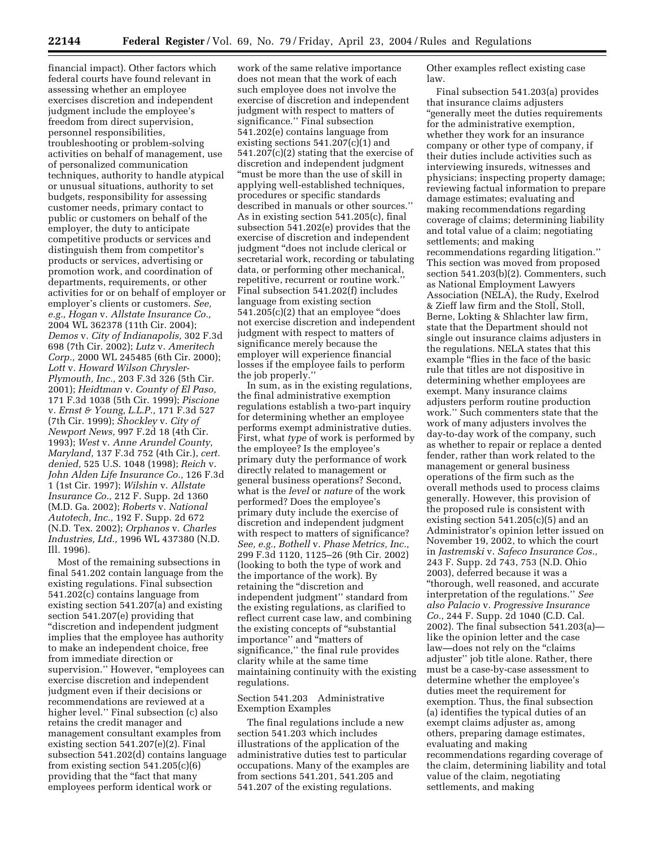financial impact). Other factors which federal courts have found relevant in assessing whether an employee exercises discretion and independent judgment include the employee's freedom from direct supervision, personnel responsibilities, troubleshooting or problem-solving activities on behalf of management, use of personalized communication techniques, authority to handle atypical or unusual situations, authority to set budgets, responsibility for assessing customer needs, primary contact to public or customers on behalf of the employer, the duty to anticipate competitive products or services and distinguish them from competitor's products or services, advertising or promotion work, and coordination of departments, requirements, or other activities for or on behalf of employer or employer's clients or customers. *See, e.g., Hogan* v. *Allstate Insurance Co.,*  2004 WL 362378 (11th Cir. 2004); *Demos* v. *City of Indianapolis,* 302 F.3d 698 (7th Cir. 2002); *Lutz* v. *Ameritech Corp.,* 2000 WL 245485 (6th Cir. 2000); *Lott* v. *Howard Wilson Chrysler-Plymouth, Inc.,* 203 F.3d 326 (5th Cir. 2001); *Heidtman* v. *County of El Paso,*  171 F.3d 1038 (5th Cir. 1999); *Piscione*  v. *Ernst & Young, L.L.P.,* 171 F.3d 527 (7th Cir. 1999); *Shockley* v. *City of Newport News,* 997 F.2d 18 (4th Cir. 1993); *West* v. *Anne Arundel County, Maryland,* 137 F.3d 752 (4th Cir.), *cert. denied,* 525 U.S. 1048 (1998); *Reich* v. *John Alden Life Insurance Co.,* 126 F.3d 1 (1st Cir. 1997); *Wilshin* v. *Allstate Insurance Co.,* 212 F. Supp. 2d 1360 (M.D. Ga. 2002); *Roberts* v. *National Autotech, Inc.,* 192 F. Supp. 2d 672 (N.D. Tex. 2002); *Orphanos* v. *Charles Industries, Ltd.,* 1996 WL 437380 (N.D. Ill. 1996).

Most of the remaining subsections in final 541.202 contain language from the existing regulations. Final subsection 541.202(c) contains language from existing section 541.207(a) and existing section 541.207(e) providing that ''discretion and independent judgment implies that the employee has authority to make an independent choice, free from immediate direction or supervision." However, "employees can exercise discretion and independent judgment even if their decisions or recommendations are reviewed at a higher level.'' Final subsection (c) also retains the credit manager and management consultant examples from existing section 541.207(e)(2). Final subsection 541.202(d) contains language from existing section  $541.205(c)(6)$ providing that the "fact that many employees perform identical work or

work of the same relative importance does not mean that the work of each such employee does not involve the exercise of discretion and independent judgment with respect to matters of significance.'' Final subsection 541.202(e) contains language from existing sections 541.207(c)(1) and 541.207(c)(2) stating that the exercise of discretion and independent judgment ''must be more than the use of skill in applying well-established techniques, procedures or specific standards described in manuals or other sources.'' As in existing section 541.205(c), final subsection 541.202(e) provides that the exercise of discretion and independent judgment ''does not include clerical or secretarial work, recording or tabulating data, or performing other mechanical, repetitive, recurrent or routine work.'' Final subsection 541.202(f) includes language from existing section  $541.205(c)(2)$  that an employee "does" not exercise discretion and independent judgment with respect to matters of significance merely because the employer will experience financial losses if the employee fails to perform the job properly.''

In sum, as in the existing regulations, the final administrative exemption regulations establish a two-part inquiry for determining whether an employee performs exempt administrative duties. First, what *type* of work is performed by the employee? Is the employee's primary duty the performance of work directly related to management or general business operations? Second, what is the *level* or *nature* of the work performed? Does the employee's primary duty include the exercise of discretion and independent judgment with respect to matters of significance? *See, e.g., Bothell* v. *Phase Metrics, Inc.,*  299 F.3d 1120, 1125–26 (9th Cir. 2002) (looking to both the type of work and the importance of the work). By retaining the "discretion and independent judgment'' standard from the existing regulations, as clarified to reflect current case law, and combining the existing concepts of ''substantial importance'' and ''matters of significance,'' the final rule provides clarity while at the same time maintaining continuity with the existing regulations.

#### Section 541.203 Administrative Exemption Examples

The final regulations include a new section 541.203 which includes illustrations of the application of the administrative duties test to particular occupations. Many of the examples are from sections 541.201, 541.205 and 541.207 of the existing regulations.

Other examples reflect existing case law.

Final subsection 541.203(a) provides that insurance claims adjusters ''generally meet the duties requirements for the administrative exemption, whether they work for an insurance company or other type of company, if their duties include activities such as interviewing insureds, witnesses and physicians; inspecting property damage; reviewing factual information to prepare damage estimates; evaluating and making recommendations regarding coverage of claims; determining liability and total value of a claim; negotiating settlements; and making recommendations regarding litigation.'' This section was moved from proposed section 541.203(b)(2). Commenters, such as National Employment Lawyers Association (NELA), the Rudy, Exelrod & Zieff law firm and the Stoll, Stoll, Berne, Lokting & Shlachter law firm, state that the Department should not single out insurance claims adjusters in the regulations. NELA states that this example "flies in the face of the basic rule that titles are not dispositive in determining whether employees are exempt. Many insurance claims adjusters perform routine production work.'' Such commenters state that the work of many adjusters involves the day-to-day work of the company, such as whether to repair or replace a dented fender, rather than work related to the management or general business operations of the firm such as the overall methods used to process claims generally. However, this provision of the proposed rule is consistent with existing section  $541.205(c)(5)$  and an Administrator's opinion letter issued on November 19, 2002, to which the court in *Jastremski* v. *Safeco Insurance Cos.,*  243 F. Supp. 2d 743, 753 (N.D. Ohio 2003), deferred because it was a ''thorough, well reasoned, and accurate interpretation of the regulations.'' *See also Palacio* v. *Progressive Insurance Co.,* 244 F. Supp. 2d 1040 (C.D. Cal. 2002). The final subsection 541.203(a) like the opinion letter and the case law—does not rely on the "claims" adjuster'' job title alone. Rather, there must be a case-by-case assessment to determine whether the employee's duties meet the requirement for exemption. Thus, the final subsection (a) identifies the typical duties of an exempt claims adjuster as, among others, preparing damage estimates, evaluating and making recommendations regarding coverage of the claim, determining liability and total value of the claim, negotiating settlements, and making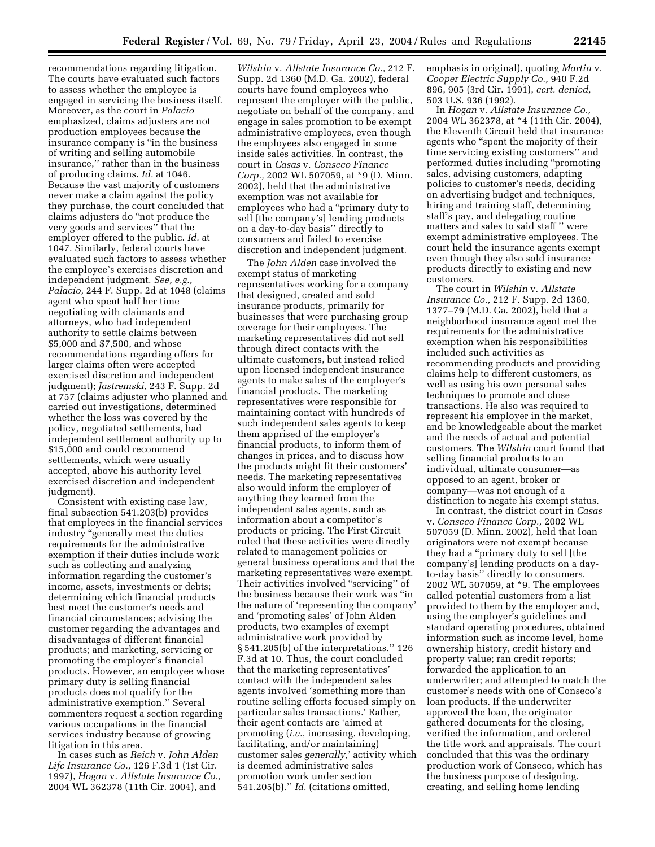recommendations regarding litigation. The courts have evaluated such factors to assess whether the employee is engaged in servicing the business itself. Moreover, as the court in *Palacio*  emphasized, claims adjusters are not production employees because the insurance company is ''in the business of writing and selling automobile insurance,'' rather than in the business of producing claims. *Id.* at 1046. Because the vast majority of customers never make a claim against the policy they purchase, the court concluded that claims adjusters do ''not produce the very goods and services'' that the employer offered to the public. *Id.* at 1047. Similarly, federal courts have evaluated such factors to assess whether the employee's exercises discretion and independent judgment. *See, e.g., Palacio,* 244 F. Supp. 2d at 1048 (claims agent who spent half her time negotiating with claimants and attorneys, who had independent authority to settle claims between \$5,000 and \$7,500, and whose recommendations regarding offers for larger claims often were accepted exercised discretion and independent judgment); *Jastremski,* 243 F. Supp. 2d at 757 (claims adjuster who planned and carried out investigations, determined whether the loss was covered by the policy, negotiated settlements, had independent settlement authority up to \$15,000 and could recommend settlements, which were usually accepted, above his authority level exercised discretion and independent judgment).

Consistent with existing case law, final subsection 541.203(b) provides that employees in the financial services industry ''generally meet the duties requirements for the administrative exemption if their duties include work such as collecting and analyzing information regarding the customer's income, assets, investments or debts; determining which financial products best meet the customer's needs and financial circumstances; advising the customer regarding the advantages and disadvantages of different financial products; and marketing, servicing or promoting the employer's financial products. However, an employee whose primary duty is selling financial products does not qualify for the administrative exemption.'' Several commenters request a section regarding various occupations in the financial services industry because of growing litigation in this area.

In cases such as *Reich* v. *John Alden Life Insurance Co.,* 126 F.3d 1 (1st Cir. 1997), *Hogan* v. *Allstate Insurance Co.,*  2004 WL 362378 (11th Cir. 2004), and

*Wilshin* v. *Allstate Insurance Co.,* 212 F. Supp. 2d 1360 (M.D. Ga. 2002), federal courts have found employees who represent the employer with the public, negotiate on behalf of the company, and engage in sales promotion to be exempt administrative employees, even though the employees also engaged in some inside sales activities. In contrast, the court in *Casas* v. *Conseco Finance Corp.,* 2002 WL 507059, at \*9 (D. Minn. 2002), held that the administrative exemption was not available for employees who had a ''primary duty to sell [the company's] lending products on a day-to-day basis'' directly to consumers and failed to exercise discretion and independent judgment.

The *John Alden* case involved the exempt status of marketing representatives working for a company that designed, created and sold insurance products, primarily for businesses that were purchasing group coverage for their employees. The marketing representatives did not sell through direct contacts with the ultimate customers, but instead relied upon licensed independent insurance agents to make sales of the employer's financial products. The marketing representatives were responsible for maintaining contact with hundreds of such independent sales agents to keep them apprised of the employer's financial products, to inform them of changes in prices, and to discuss how the products might fit their customers' needs. The marketing representatives also would inform the employer of anything they learned from the independent sales agents, such as information about a competitor's products or pricing. The First Circuit ruled that these activities were directly related to management policies or general business operations and that the marketing representatives were exempt. Their activities involved "servicing" of the business because their work was ''in the nature of 'representing the company' and 'promoting sales' of John Alden products, two examples of exempt administrative work provided by § 541.205(b) of the interpretations.'' 126 F.3d at 10. Thus, the court concluded that the marketing representatives' contact with the independent sales agents involved 'something more than routine selling efforts focused simply on particular sales transactions.' Rather, their agent contacts are 'aimed at promoting (*i.e.*, increasing, developing, facilitating, and/or maintaining) customer sales *generally,*' activity which is deemed administrative sales promotion work under section 541.205(b).'' *Id.* (citations omitted,

emphasis in original), quoting *Martin* v. *Cooper Electric Supply Co.,* 940 F.2d 896, 905 (3rd Cir. 1991), *cert. denied,*  503 U.S. 936 (1992).

In *Hogan* v. *Allstate Insurance Co.,*  2004 WL 362378, at \*4 (11th Cir. 2004), the Eleventh Circuit held that insurance agents who ''spent the majority of their time servicing existing customers'' and performed duties including ''promoting sales, advising customers, adapting policies to customer's needs, deciding on advertising budget and techniques, hiring and training staff, determining staff's pay, and delegating routine matters and sales to said staff '' were exempt administrative employees. The court held the insurance agents exempt even though they also sold insurance products directly to existing and new customers.

The court in *Wilshin* v. *Allstate Insurance Co.,* 212 F. Supp. 2d 1360, 1377–79 (M.D. Ga. 2002), held that a neighborhood insurance agent met the requirements for the administrative exemption when his responsibilities included such activities as recommending products and providing claims help to different customers, as well as using his own personal sales techniques to promote and close transactions. He also was required to represent his employer in the market, and be knowledgeable about the market and the needs of actual and potential customers. The *Wilshin* court found that selling financial products to an individual, ultimate consumer—as opposed to an agent, broker or company—was not enough of a distinction to negate his exempt status.

In contrast, the district court in *Casas*  v. *Conseco Finance Corp.,* 2002 WL 507059 (D. Minn. 2002), held that loan originators were not exempt because they had a ''primary duty to sell [the company's] lending products on a dayto-day basis'' directly to consumers. 2002 WL 507059, at \*9. The employees called potential customers from a list provided to them by the employer and, using the employer's guidelines and standard operating procedures, obtained information such as income level, home ownership history, credit history and property value; ran credit reports; forwarded the application to an underwriter; and attempted to match the customer's needs with one of Conseco's loan products. If the underwriter approved the loan, the originator gathered documents for the closing, verified the information, and ordered the title work and appraisals. The court concluded that this was the ordinary production work of Conseco, which has the business purpose of designing, creating, and selling home lending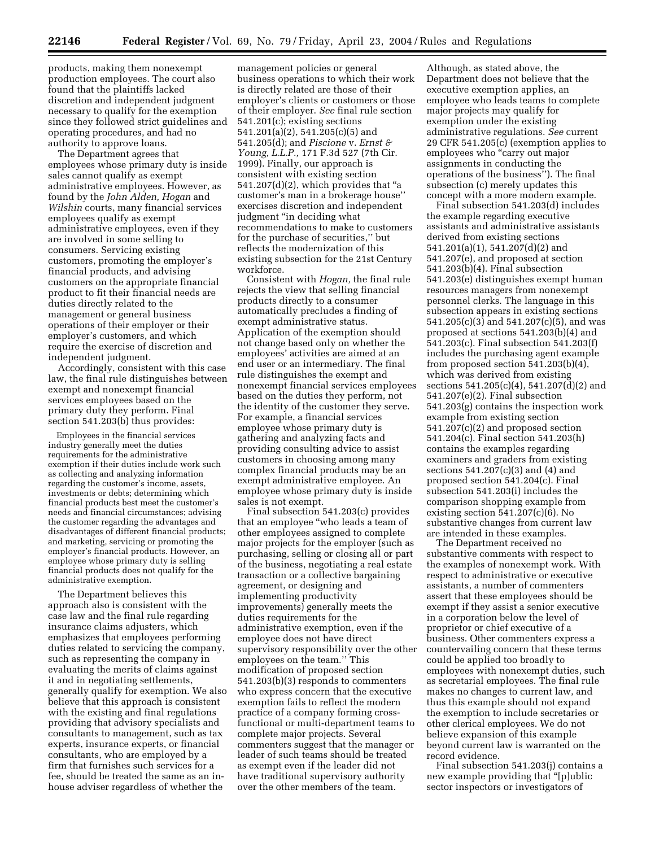products, making them nonexempt production employees. The court also found that the plaintiffs lacked discretion and independent judgment necessary to qualify for the exemption since they followed strict guidelines and operating procedures, and had no authority to approve loans.

The Department agrees that employees whose primary duty is inside sales cannot qualify as exempt administrative employees. However, as found by the *John Alden, Hogan* and *Wilshin* courts, many financial services employees qualify as exempt administrative employees, even if they are involved in some selling to consumers. Servicing existing customers, promoting the employer's financial products, and advising customers on the appropriate financial product to fit their financial needs are duties directly related to the management or general business operations of their employer or their employer's customers, and which require the exercise of discretion and independent judgment.

Accordingly, consistent with this case law, the final rule distinguishes between exempt and nonexempt financial services employees based on the primary duty they perform. Final section 541.203(b) thus provides:

Employees in the financial services industry generally meet the duties requirements for the administrative exemption if their duties include work such as collecting and analyzing information regarding the customer's income, assets, investments or debts; determining which financial products best meet the customer's needs and financial circumstances; advising the customer regarding the advantages and disadvantages of different financial products; and marketing, servicing or promoting the employer's financial products. However, an employee whose primary duty is selling financial products does not qualify for the administrative exemption.

The Department believes this approach also is consistent with the case law and the final rule regarding insurance claims adjusters, which emphasizes that employees performing duties related to servicing the company, such as representing the company in evaluating the merits of claims against it and in negotiating settlements, generally qualify for exemption. We also believe that this approach is consistent with the existing and final regulations providing that advisory specialists and consultants to management, such as tax experts, insurance experts, or financial consultants, who are employed by a firm that furnishes such services for a fee, should be treated the same as an inhouse adviser regardless of whether the

management policies or general business operations to which their work is directly related are those of their employer's clients or customers or those of their employer. *See* final rule section 541.201(c); existing sections 541.201(a)(2), 541.205(c)(5) and 541.205(d); and *Piscione* v. *Ernst & Young, L.L.P.,* 171 F.3d 527 (7th Cir. 1999). Finally, our approach is consistent with existing section  $541.207(d)(2)$ , which provides that "a customer's man in a brokerage house'' exercises discretion and independent judgment ''in deciding what recommendations to make to customers for the purchase of securities,'' but reflects the modernization of this existing subsection for the 21st Century workforce.

Consistent with *Hogan,* the final rule rejects the view that selling financial products directly to a consumer automatically precludes a finding of exempt administrative status. Application of the exemption should not change based only on whether the employees' activities are aimed at an end user or an intermediary. The final rule distinguishes the exempt and nonexempt financial services employees based on the duties they perform, not the identity of the customer they serve. For example, a financial services employee whose primary duty is gathering and analyzing facts and providing consulting advice to assist customers in choosing among many complex financial products may be an exempt administrative employee. An employee whose primary duty is inside sales is not exempt.

Final subsection 541.203(c) provides that an employee ''who leads a team of other employees assigned to complete major projects for the employer (such as purchasing, selling or closing all or part of the business, negotiating a real estate transaction or a collective bargaining agreement, or designing and implementing productivity improvements) generally meets the duties requirements for the administrative exemption, even if the employee does not have direct supervisory responsibility over the other employees on the team.'' This modification of proposed section 541.203(b)(3) responds to commenters who express concern that the executive exemption fails to reflect the modern practice of a company forming crossfunctional or multi-department teams to complete major projects. Several commenters suggest that the manager or leader of such teams should be treated as exempt even if the leader did not have traditional supervisory authority over the other members of the team.

Although, as stated above, the Department does not believe that the executive exemption applies, an employee who leads teams to complete major projects may qualify for exemption under the existing administrative regulations. *See* current 29 CFR 541.205(c) (exemption applies to employees who "carry out major assignments in conducting the operations of the business''). The final subsection (c) merely updates this concept with a more modern example.

Final subsection 541.203(d) includes the example regarding executive assistants and administrative assistants derived from existing sections 541.201(a)(1), 541.207(d)(2) and 541.207(e), and proposed at section 541.203(b)(4). Final subsection 541.203(e) distinguishes exempt human resources managers from nonexempt personnel clerks. The language in this subsection appears in existing sections 541.205(c)(3) and 541.207(c)(5), and was proposed at sections 541.203(b)(4) and 541.203(c). Final subsection 541.203(f) includes the purchasing agent example from proposed section 541.203(b)(4), which was derived from existing sections 541.205(c)(4), 541.207(d)(2) and 541.207(e)(2). Final subsection 541.203(g) contains the inspection work example from existing section 541.207(c)(2) and proposed section 541.204(c). Final section 541.203(h) contains the examples regarding examiners and graders from existing sections 541.207(c)(3) and (4) and proposed section 541.204(c). Final subsection 541.203(i) includes the comparison shopping example from existing section  $541.207(c)(6)$ . No substantive changes from current law are intended in these examples.

The Department received no substantive comments with respect to the examples of nonexempt work. With respect to administrative or executive assistants, a number of commenters assert that these employees should be exempt if they assist a senior executive in a corporation below the level of proprietor or chief executive of a business. Other commenters express a countervailing concern that these terms could be applied too broadly to employees with nonexempt duties, such as secretarial employees. The final rule makes no changes to current law, and thus this example should not expand the exemption to include secretaries or other clerical employees. We do not believe expansion of this example beyond current law is warranted on the record evidence.

Final subsection 541.203(j) contains a new example providing that "[p]ublic sector inspectors or investigators of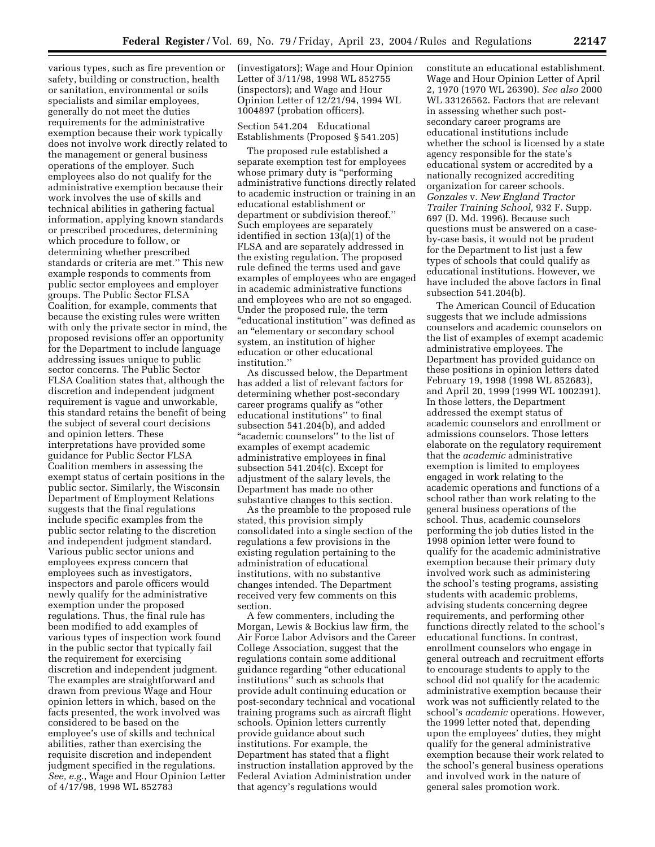various types, such as fire prevention or safety, building or construction, health or sanitation, environmental or soils specialists and similar employees, generally do not meet the duties requirements for the administrative exemption because their work typically does not involve work directly related to the management or general business operations of the employer. Such employees also do not qualify for the administrative exemption because their work involves the use of skills and technical abilities in gathering factual information, applying known standards or prescribed procedures, determining which procedure to follow, or determining whether prescribed standards or criteria are met.'' This new example responds to comments from public sector employees and employer groups. The Public Sector FLSA Coalition, for example, comments that because the existing rules were written with only the private sector in mind, the proposed revisions offer an opportunity for the Department to include language addressing issues unique to public sector concerns. The Public Sector FLSA Coalition states that, although the discretion and independent judgment requirement is vague and unworkable, this standard retains the benefit of being the subject of several court decisions and opinion letters. These interpretations have provided some guidance for Public Sector FLSA Coalition members in assessing the exempt status of certain positions in the public sector. Similarly, the Wisconsin Department of Employment Relations suggests that the final regulations include specific examples from the public sector relating to the discretion and independent judgment standard. Various public sector unions and employees express concern that employees such as investigators, inspectors and parole officers would newly qualify for the administrative exemption under the proposed regulations. Thus, the final rule has been modified to add examples of various types of inspection work found in the public sector that typically fail the requirement for exercising discretion and independent judgment. The examples are straightforward and drawn from previous Wage and Hour opinion letters in which, based on the facts presented, the work involved was considered to be based on the employee's use of skills and technical abilities, rather than exercising the requisite discretion and independent judgment specified in the regulations. *See, e.g.*, Wage and Hour Opinion Letter of 4/17/98, 1998 WL 852783

(investigators); Wage and Hour Opinion Letter of 3/11/98, 1998 WL 852755 (inspectors); and Wage and Hour Opinion Letter of 12/21/94, 1994 WL 1004897 (probation officers).

Section 541.204 Educational Establishments (Proposed § 541.205)

The proposed rule established a separate exemption test for employees whose primary duty is "performing" administrative functions directly related to academic instruction or training in an educational establishment or department or subdivision thereof.'' Such employees are separately identified in section 13(a)(1) of the FLSA and are separately addressed in the existing regulation. The proposed rule defined the terms used and gave examples of employees who are engaged in academic administrative functions and employees who are not so engaged. Under the proposed rule, the term ''educational institution'' was defined as an ''elementary or secondary school system, an institution of higher education or other educational institution.''

As discussed below, the Department has added a list of relevant factors for determining whether post-secondary career programs qualify as ''other educational institutions'' to final subsection 541.204(b), and added ''academic counselors'' to the list of examples of exempt academic administrative employees in final subsection 541.204(c). Except for adjustment of the salary levels, the Department has made no other substantive changes to this section.

As the preamble to the proposed rule stated, this provision simply consolidated into a single section of the regulations a few provisions in the existing regulation pertaining to the administration of educational institutions, with no substantive changes intended. The Department received very few comments on this section.

A few commenters, including the Morgan, Lewis & Bockius law firm, the Air Force Labor Advisors and the Career College Association, suggest that the regulations contain some additional guidance regarding ''other educational institutions'' such as schools that provide adult continuing education or post-secondary technical and vocational training programs such as aircraft flight schools. Opinion letters currently provide guidance about such institutions. For example, the Department has stated that a flight instruction installation approved by the Federal Aviation Administration under that agency's regulations would

constitute an educational establishment. Wage and Hour Opinion Letter of April 2, 1970 (1970 WL 26390). *See also* 2000 WL 33126562. Factors that are relevant in assessing whether such postsecondary career programs are educational institutions include whether the school is licensed by a state agency responsible for the state's educational system or accredited by a nationally recognized accrediting organization for career schools. *Gonzales* v. *New England Tractor Trailer Training School,* 932 F. Supp. 697 (D. Md. 1996). Because such questions must be answered on a caseby-case basis, it would not be prudent for the Department to list just a few types of schools that could qualify as educational institutions. However, we have included the above factors in final subsection 541.204(b).

The American Council of Education suggests that we include admissions counselors and academic counselors on the list of examples of exempt academic administrative employees. The Department has provided guidance on these positions in opinion letters dated February 19, 1998 (1998 WL 852683), and April 20, 1999 (1999 WL 1002391). In those letters, the Department addressed the exempt status of academic counselors and enrollment or admissions counselors. Those letters elaborate on the regulatory requirement that the *academic* administrative exemption is limited to employees engaged in work relating to the academic operations and functions of a school rather than work relating to the general business operations of the school. Thus, academic counselors performing the job duties listed in the 1998 opinion letter were found to qualify for the academic administrative exemption because their primary duty involved work such as administering the school's testing programs, assisting students with academic problems, advising students concerning degree requirements, and performing other functions directly related to the school's educational functions. In contrast, enrollment counselors who engage in general outreach and recruitment efforts to encourage students to apply to the school did not qualify for the academic administrative exemption because their work was not sufficiently related to the school's *academic* operations. However, the 1999 letter noted that, depending upon the employees' duties, they might qualify for the general administrative exemption because their work related to the school's general business operations and involved work in the nature of general sales promotion work.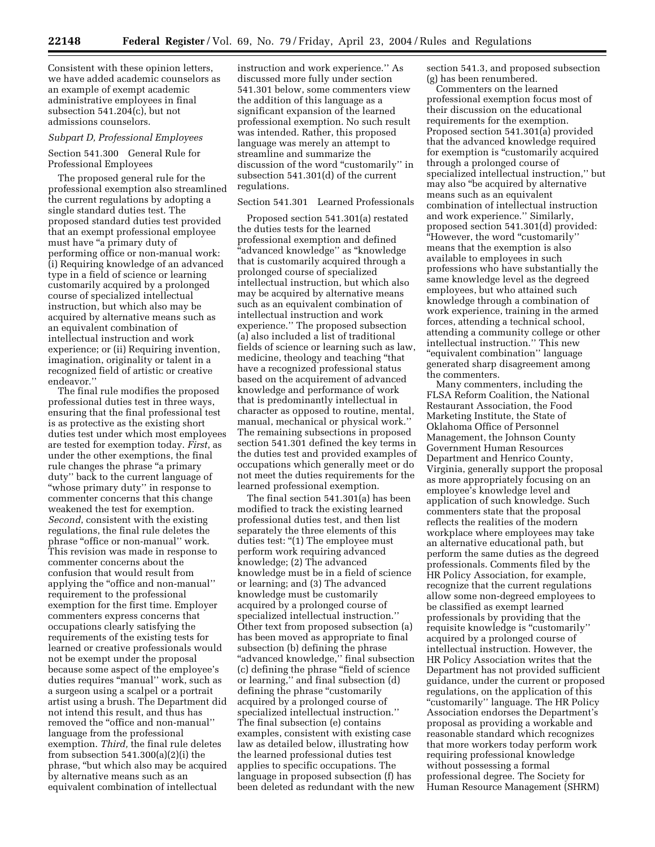Consistent with these opinion letters, we have added academic counselors as an example of exempt academic administrative employees in final subsection 541.204(c), but not admissions counselors.

#### *Subpart D, Professional Employees*

Section 541.300 General Rule for Professional Employees

The proposed general rule for the professional exemption also streamlined the current regulations by adopting a single standard duties test. The proposed standard duties test provided that an exempt professional employee must have ''a primary duty of performing office or non-manual work: (i) Requiring knowledge of an advanced type in a field of science or learning customarily acquired by a prolonged course of specialized intellectual instruction, but which also may be acquired by alternative means such as an equivalent combination of intellectual instruction and work experience; or (ii) Requiring invention, imagination, originality or talent in a recognized field of artistic or creative endeavor.''

The final rule modifies the proposed professional duties test in three ways, ensuring that the final professional test is as protective as the existing short duties test under which most employees are tested for exemption today. *First*, as under the other exemptions, the final rule changes the phrase "a primary duty'' back to the current language of "whose primary duty" in response to commenter concerns that this change weakened the test for exemption. *Second*, consistent with the existing regulations, the final rule deletes the phrase ''office or non-manual'' work. This revision was made in response to commenter concerns about the confusion that would result from applying the ''office and non-manual'' requirement to the professional exemption for the first time. Employer commenters express concerns that occupations clearly satisfying the requirements of the existing tests for learned or creative professionals would not be exempt under the proposal because some aspect of the employee's duties requires "manual" work, such as a surgeon using a scalpel or a portrait artist using a brush. The Department did not intend this result, and thus has removed the ''office and non-manual'' language from the professional exemption. *Third,* the final rule deletes from subsection  $541.300(a)(2)(i)$  the phrase, ''but which also may be acquired by alternative means such as an equivalent combination of intellectual

instruction and work experience.'' As discussed more fully under section 541.301 below, some commenters view the addition of this language as a significant expansion of the learned professional exemption. No such result was intended. Rather, this proposed language was merely an attempt to streamline and summarize the discussion of the word "customarily" in subsection 541.301(d) of the current regulations.

#### Section 541.301 Learned Professionals

Proposed section 541.301(a) restated the duties tests for the learned professional exemption and defined ''advanced knowledge'' as ''knowledge that is customarily acquired through a prolonged course of specialized intellectual instruction, but which also may be acquired by alternative means such as an equivalent combination of intellectual instruction and work experience.'' The proposed subsection (a) also included a list of traditional fields of science or learning such as law, medicine, theology and teaching ''that have a recognized professional status based on the acquirement of advanced knowledge and performance of work that is predominantly intellectual in character as opposed to routine, mental, manual, mechanical or physical work.'' The remaining subsections in proposed section 541.301 defined the key terms in the duties test and provided examples of occupations which generally meet or do not meet the duties requirements for the learned professional exemption.

The final section 541.301(a) has been modified to track the existing learned professional duties test, and then list separately the three elements of this duties test: "(1) The employee must perform work requiring advanced knowledge; (2) The advanced knowledge must be in a field of science or learning; and (3) The advanced knowledge must be customarily acquired by a prolonged course of specialized intellectual instruction.'' Other text from proposed subsection (a) has been moved as appropriate to final subsection (b) defining the phrase "advanced knowledge," final subsection (c) defining the phrase ''field of science or learning,'' and final subsection (d) defining the phrase "customarily" acquired by a prolonged course of specialized intellectual instruction.'' The final subsection (e) contains examples, consistent with existing case law as detailed below, illustrating how the learned professional duties test applies to specific occupations. The language in proposed subsection (f) has been deleted as redundant with the new

section 541.3, and proposed subsection (g) has been renumbered.

Commenters on the learned professional exemption focus most of their discussion on the educational requirements for the exemption. Proposed section 541.301(a) provided that the advanced knowledge required for exemption is "customarily acquired through a prolonged course of specialized intellectual instruction,'' but may also ''be acquired by alternative means such as an equivalent combination of intellectual instruction and work experience.'' Similarly, proposed section 541.301(d) provided: ''However, the word ''customarily'' means that the exemption is also available to employees in such professions who have substantially the same knowledge level as the degreed employees, but who attained such knowledge through a combination of work experience, training in the armed forces, attending a technical school, attending a community college or other intellectual instruction.'' This new ''equivalent combination'' language generated sharp disagreement among the commenters.

Many commenters, including the FLSA Reform Coalition, the National Restaurant Association, the Food Marketing Institute, the State of Oklahoma Office of Personnel Management, the Johnson County Government Human Resources Department and Henrico County, Virginia, generally support the proposal as more appropriately focusing on an employee's knowledge level and application of such knowledge. Such commenters state that the proposal reflects the realities of the modern workplace where employees may take an alternative educational path, but perform the same duties as the degreed professionals. Comments filed by the HR Policy Association, for example, recognize that the current regulations allow some non-degreed employees to be classified as exempt learned professionals by providing that the requisite knowledge is "customarily" acquired by a prolonged course of intellectual instruction. However, the HR Policy Association writes that the Department has not provided sufficient guidance, under the current or proposed regulations, on the application of this ''customarily'' language. The HR Policy Association endorses the Department's proposal as providing a workable and reasonable standard which recognizes that more workers today perform work requiring professional knowledge without possessing a formal professional degree. The Society for Human Resource Management (SHRM)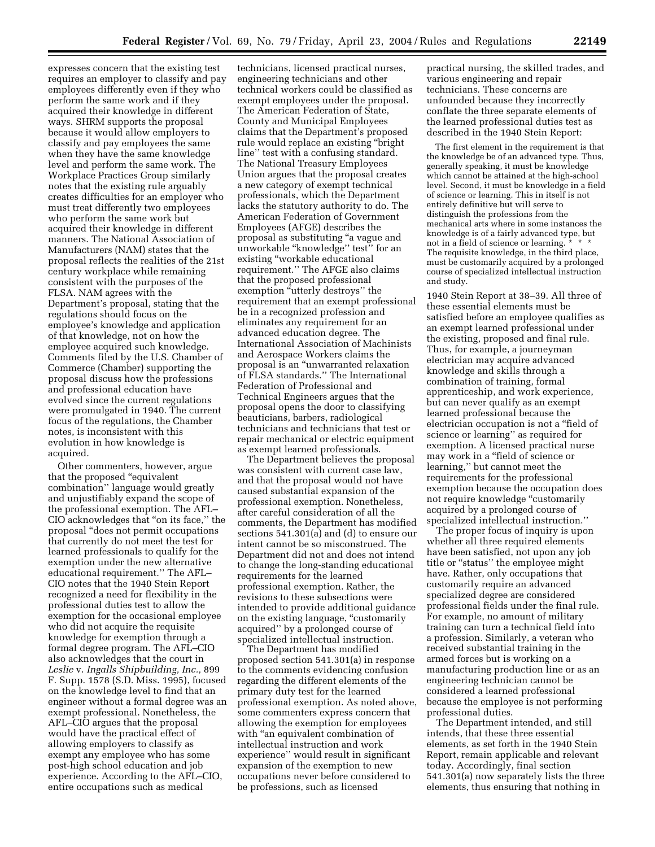expresses concern that the existing test requires an employer to classify and pay employees differently even if they who perform the same work and if they acquired their knowledge in different ways. SHRM supports the proposal because it would allow employers to classify and pay employees the same when they have the same knowledge level and perform the same work. The Workplace Practices Group similarly notes that the existing rule arguably creates difficulties for an employer who must treat differently two employees who perform the same work but acquired their knowledge in different manners. The National Association of Manufacturers (NAM) states that the proposal reflects the realities of the 21st century workplace while remaining consistent with the purposes of the FLSA. NAM agrees with the Department's proposal, stating that the regulations should focus on the employee's knowledge and application of that knowledge, not on how the employee acquired such knowledge. Comments filed by the U.S. Chamber of Commerce (Chamber) supporting the proposal discuss how the professions and professional education have evolved since the current regulations were promulgated in 1940. The current focus of the regulations, the Chamber notes, is inconsistent with this evolution in how knowledge is acquired.

Other commenters, however, argue that the proposed ''equivalent combination'' language would greatly and unjustifiably expand the scope of the professional exemption. The AFL– CIO acknowledges that ''on its face,'' the proposal ''does not permit occupations that currently do not meet the test for learned professionals to qualify for the exemption under the new alternative educational requirement.'' The AFL– CIO notes that the 1940 Stein Report recognized a need for flexibility in the professional duties test to allow the exemption for the occasional employee who did not acquire the requisite knowledge for exemption through a formal degree program. The AFL–CIO also acknowledges that the court in *Leslie* v. *Ingalls Shipbuilding, Inc.,* 899 F. Supp. 1578 (S.D. Miss. 1995), focused on the knowledge level to find that an engineer without a formal degree was an exempt professional. Nonetheless, the AFL–CIO argues that the proposal would have the practical effect of allowing employers to classify as exempt any employee who has some post-high school education and job experience. According to the AFL–CIO, entire occupations such as medical

technicians, licensed practical nurses, engineering technicians and other technical workers could be classified as exempt employees under the proposal. The American Federation of State, County and Municipal Employees claims that the Department's proposed rule would replace an existing ''bright line'' test with a confusing standard. The National Treasury Employees Union argues that the proposal creates a new category of exempt technical professionals, which the Department lacks the statutory authority to do. The American Federation of Government Employees (AFGE) describes the proposal as substituting ''a vague and unworkable "knowledge" test" for an existing ''workable educational requirement.'' The AFGE also claims that the proposed professional exemption ''utterly destroys'' the requirement that an exempt professional be in a recognized profession and eliminates any requirement for an advanced education degree. The International Association of Machinists and Aerospace Workers claims the proposal is an ''unwarranted relaxation of FLSA standards.'' The International Federation of Professional and Technical Engineers argues that the proposal opens the door to classifying beauticians, barbers, radiological technicians and technicians that test or repair mechanical or electric equipment as exempt learned professionals.

The Department believes the proposal was consistent with current case law, and that the proposal would not have caused substantial expansion of the professional exemption. Nonetheless, after careful consideration of all the comments, the Department has modified sections 541.301(a) and (d) to ensure our intent cannot be so misconstrued. The Department did not and does not intend to change the long-standing educational requirements for the learned professional exemption. Rather, the revisions to these subsections were intended to provide additional guidance on the existing language, "customarily acquired'' by a prolonged course of specialized intellectual instruction.

The Department has modified proposed section 541.301(a) in response to the comments evidencing confusion regarding the different elements of the primary duty test for the learned professional exemption. As noted above, some commenters express concern that allowing the exemption for employees with "an equivalent combination of intellectual instruction and work experience'' would result in significant expansion of the exemption to new occupations never before considered to be professions, such as licensed

practical nursing, the skilled trades, and various engineering and repair technicians. These concerns are unfounded because they incorrectly conflate the three separate elements of the learned professional duties test as described in the 1940 Stein Report:

The first element in the requirement is that the knowledge be of an advanced type. Thus, generally speaking, it must be knowledge which cannot be attained at the high-school level. Second, it must be knowledge in a field of science or learning. This in itself is not entirely definitive but will serve to distinguish the professions from the mechanical arts where in some instances the knowledge is of a fairly advanced type, but not in a field of science or learning. The requisite knowledge, in the third place, must be customarily acquired by a prolonged course of specialized intellectual instruction and study.

1940 Stein Report at 38–39. All three of these essential elements must be satisfied before an employee qualifies as an exempt learned professional under the existing, proposed and final rule. Thus, for example, a journeyman electrician may acquire advanced knowledge and skills through a combination of training, formal apprenticeship, and work experience, but can never qualify as an exempt learned professional because the electrician occupation is not a ''field of science or learning'' as required for exemption. A licensed practical nurse may work in a ''field of science or learning,'' but cannot meet the requirements for the professional exemption because the occupation does not require knowledge "customarily acquired by a prolonged course of specialized intellectual instruction.''

The proper focus of inquiry is upon whether all three required elements have been satisfied, not upon any job title or "status" the employee might have. Rather, only occupations that customarily require an advanced specialized degree are considered professional fields under the final rule. For example, no amount of military training can turn a technical field into a profession. Similarly, a veteran who received substantial training in the armed forces but is working on a manufacturing production line or as an engineering technician cannot be considered a learned professional because the employee is not performing professional duties.

The Department intended, and still intends, that these three essential elements, as set forth in the 1940 Stein Report, remain applicable and relevant today. Accordingly, final section 541.301(a) now separately lists the three elements, thus ensuring that nothing in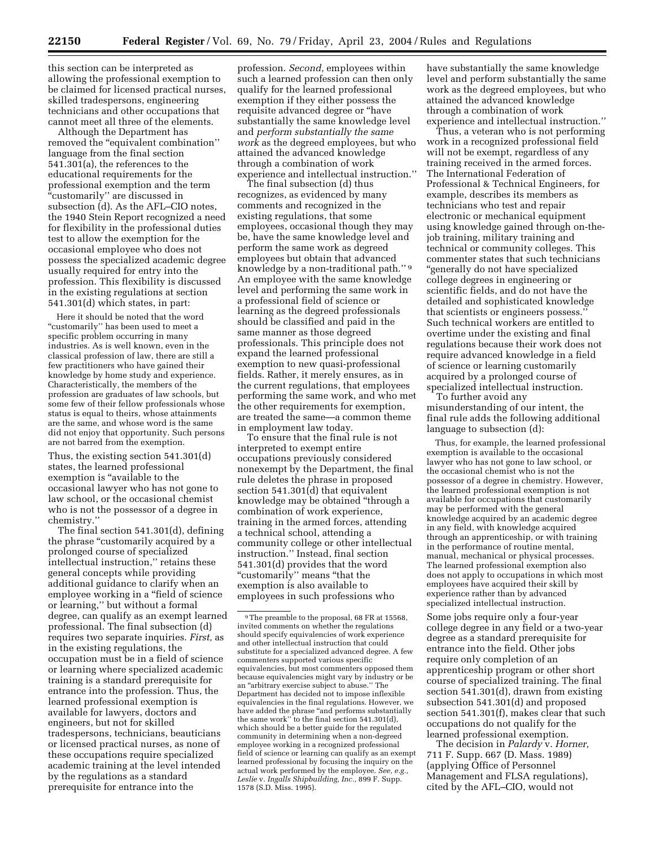this section can be interpreted as allowing the professional exemption to be claimed for licensed practical nurses, skilled tradespersons, engineering technicians and other occupations that cannot meet all three of the elements.

Although the Department has removed the ''equivalent combination'' language from the final section 541.301(a), the references to the educational requirements for the professional exemption and the term ''customarily'' are discussed in subsection (d). As the AFL–CIO notes, the 1940 Stein Report recognized a need for flexibility in the professional duties test to allow the exemption for the occasional employee who does not possess the specialized academic degree usually required for entry into the profession. This flexibility is discussed in the existing regulations at section 541.301(d) which states, in part:

Here it should be noted that the word "customarily" has been used to meet a specific problem occurring in many industries. As is well known, even in the classical profession of law, there are still a few practitioners who have gained their knowledge by home study and experience. Characteristically, the members of the profession are graduates of law schools, but some few of their fellow professionals whose status is equal to theirs, whose attainments are the same, and whose word is the same did not enjoy that opportunity. Such persons are not barred from the exemption.

Thus, the existing section 541.301(d) states, the learned professional exemption is "available to the occasional lawyer who has not gone to law school, or the occasional chemist who is not the possessor of a degree in chemistry.''

The final section 541.301(d), defining the phrase "customarily acquired by a prolonged course of specialized intellectual instruction,'' retains these general concepts while providing additional guidance to clarify when an employee working in a ''field of science or learning,'' but without a formal degree, can qualify as an exempt learned professional. The final subsection (d) requires two separate inquiries. *First,* as in the existing regulations, the occupation must be in a field of science or learning where specialized academic training is a standard prerequisite for entrance into the profession. Thus, the learned professional exemption is available for lawyers, doctors and engineers, but not for skilled tradespersons, technicians, beauticians or licensed practical nurses, as none of these occupations require specialized academic training at the level intended by the regulations as a standard prerequisite for entrance into the

profession. *Second,* employees within such a learned profession can then only qualify for the learned professional exemption if they either possess the requisite advanced degree or ''have substantially the same knowledge level and *perform substantially the same work* as the degreed employees, but who attained the advanced knowledge through a combination of work experience and intellectual instruction.''

The final subsection (d) thus recognizes, as evidenced by many comments and recognized in the existing regulations, that some employees, occasional though they may be, have the same knowledge level and perform the same work as degreed employees but obtain that advanced knowledge by a non-traditional path.'' 9 An employee with the same knowledge level and performing the same work in a professional field of science or learning as the degreed professionals should be classified and paid in the same manner as those degreed professionals. This principle does not expand the learned professional exemption to new quasi-professional fields. Rather, it merely ensures, as in the current regulations, that employees performing the same work, and who met the other requirements for exemption, are treated the same—a common theme in employment law today.

To ensure that the final rule is not interpreted to exempt entire occupations previously considered nonexempt by the Department, the final rule deletes the phrase in proposed section 541.301(d) that equivalent knowledge may be obtained ''through a combination of work experience, training in the armed forces, attending a technical school, attending a community college or other intellectual instruction.'' Instead, final section 541.301(d) provides that the word "customarily" means "that the exemption is also available to employees in such professions who

have substantially the same knowledge level and perform substantially the same work as the degreed employees, but who attained the advanced knowledge through a combination of work experience and intellectual instruction.''

Thus, a veteran who is not performing work in a recognized professional field will not be exempt, regardless of any training received in the armed forces. The International Federation of Professional & Technical Engineers, for example, describes its members as technicians who test and repair electronic or mechanical equipment using knowledge gained through on-thejob training, military training and technical or community colleges. This commenter states that such technicians ''generally do not have specialized college degrees in engineering or scientific fields, and do not have the detailed and sophisticated knowledge that scientists or engineers possess.'' Such technical workers are entitled to overtime under the existing and final regulations because their work does not require advanced knowledge in a field of science or learning customarily acquired by a prolonged course of specialized intellectual instruction.

To further avoid any misunderstanding of our intent, the final rule adds the following additional language to subsection (d):

Thus, for example, the learned professional exemption is available to the occasional lawyer who has not gone to law school, or the occasional chemist who is not the possessor of a degree in chemistry. However, the learned professional exemption is not available for occupations that customarily may be performed with the general knowledge acquired by an academic degree in any field, with knowledge acquired through an apprenticeship, or with training in the performance of routine mental, manual, mechanical or physical processes. The learned professional exemption also does not apply to occupations in which most employees have acquired their skill by experience rather than by advanced specialized intellectual instruction.

Some jobs require only a four-year college degree in any field or a two-year degree as a standard prerequisite for entrance into the field. Other jobs require only completion of an apprenticeship program or other short course of specialized training. The final section 541.301(d), drawn from existing subsection 541.301(d) and proposed section 541.301(f), makes clear that such occupations do not qualify for the learned professional exemption.

The decision in *Palardy* v. *Horner,*  711 F. Supp. 667 (D. Mass. 1989) (applying Office of Personnel Management and FLSA regulations), cited by the AFL–CIO, would not

<sup>9</sup> The preamble to the proposal, 68 FR at 15568, invited comments on whether the regulations should specify equivalencies of work experience and other intellectual instruction that could substitute for a specialized advanced degree. A few commenters supported various specific equivalencies, but most commenters opposed them because equivalencies might vary by industry or be an ''arbitrary exercise subject to abuse.'' The Department has decided not to impose inflexible equivalencies in the final regulations. However, we have added the phrase "and performs substantially the same work'' to the final section 541.301(d), which should be a better guide for the regulated community in determining when a non-degreed employee working in a recognized professional field of science or learning can qualify as an exempt learned professional by focusing the inquiry on the actual work performed by the employee. *See, e.g., Leslie* v. *Ingalls Shipbuilding, Inc.,* 899 F. Supp. 1578 (S.D. Miss. 1995).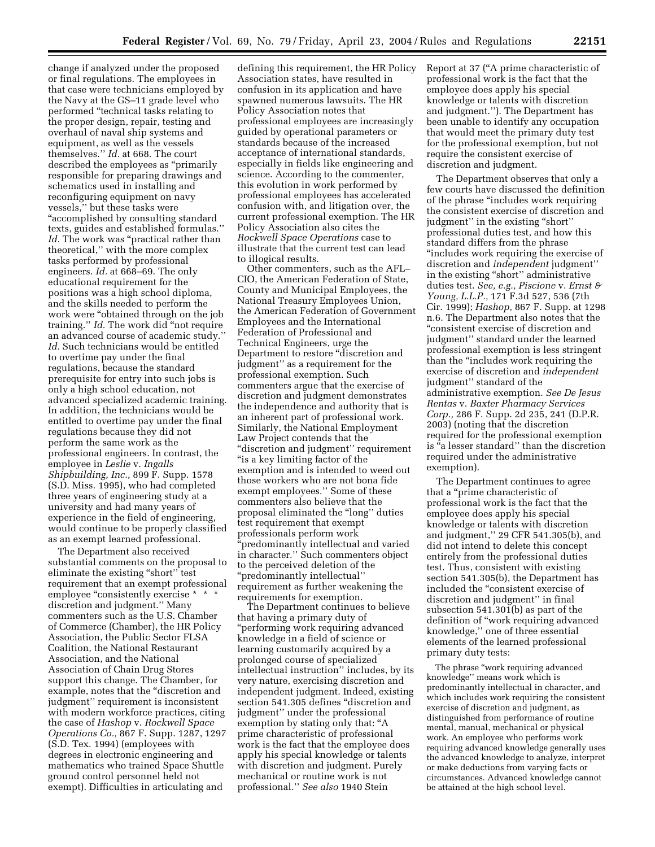change if analyzed under the proposed or final regulations. The employees in that case were technicians employed by the Navy at the GS–11 grade level who performed ''technical tasks relating to the proper design, repair, testing and overhaul of naval ship systems and equipment, as well as the vessels themselves.'' *Id.* at 668. The court described the employees as ''primarily responsible for preparing drawings and schematics used in installing and reconfiguring equipment on navy vessels,'' but these tasks were ''accomplished by consulting standard texts, guides and established formulas.'' Id. The work was "practical rather than theoretical,'' with the more complex tasks performed by professional engineers. *Id.* at 668–69. The only educational requirement for the positions was a high school diploma, and the skills needed to perform the work were ''obtained through on the job training.'' *Id.* The work did ''not require an advanced course of academic study.'' *Id.* Such technicians would be entitled to overtime pay under the final regulations, because the standard prerequisite for entry into such jobs is only a high school education, not advanced specialized academic training. In addition, the technicians would be entitled to overtime pay under the final regulations because they did not perform the same work as the professional engineers. In contrast, the employee in *Leslie* v. *Ingalls Shipbuilding, Inc.,* 899 F. Supp. 1578 (S.D. Miss. 1995), who had completed three years of engineering study at a university and had many years of experience in the field of engineering, would continue to be properly classified as an exempt learned professional.

The Department also received substantial comments on the proposal to eliminate the existing "short" test requirement that an exempt professional employee "consistently exercise \* \* \* discretion and judgment.'' Many commenters such as the U.S. Chamber of Commerce (Chamber), the HR Policy Association, the Public Sector FLSA Coalition, the National Restaurant Association, and the National Association of Chain Drug Stores support this change. The Chamber, for example, notes that the "discretion and judgment'' requirement is inconsistent with modern workforce practices, citing the case of *Hashop* v. *Rockwell Space Operations Co.,* 867 F. Supp. 1287, 1297 (S.D. Tex. 1994) (employees with degrees in electronic engineering and mathematics who trained Space Shuttle ground control personnel held not exempt). Difficulties in articulating and

defining this requirement, the HR Policy Association states, have resulted in confusion in its application and have spawned numerous lawsuits. The HR Policy Association notes that professional employees are increasingly guided by operational parameters or standards because of the increased acceptance of international standards, especially in fields like engineering and science. According to the commenter, this evolution in work performed by professional employees has accelerated confusion with, and litigation over, the current professional exemption. The HR Policy Association also cites the *Rockwell Space Operations* case to illustrate that the current test can lead to illogical results.

Other commenters, such as the AFL– CIO, the American Federation of State, County and Municipal Employees, the National Treasury Employees Union, the American Federation of Government Employees and the International Federation of Professional and Technical Engineers, urge the Department to restore "discretion and judgment'' as a requirement for the professional exemption. Such commenters argue that the exercise of discretion and judgment demonstrates the independence and authority that is an inherent part of professional work. Similarly, the National Employment Law Project contends that the ''discretion and judgment'' requirement ''is a key limiting factor of the exemption and is intended to weed out those workers who are not bona fide exempt employees.'' Some of these commenters also believe that the proposal eliminated the ''long'' duties test requirement that exempt professionals perform work ''predominantly intellectual and varied in character.'' Such commenters object to the perceived deletion of the ''predominantly intellectual'' requirement as further weakening the requirements for exemption.

The Department continues to believe that having a primary duty of ''performing work requiring advanced knowledge in a field of science or learning customarily acquired by a prolonged course of specialized intellectual instruction'' includes, by its very nature, exercising discretion and independent judgment. Indeed, existing section 541.305 defines "discretion and judgment'' under the professional exemption by stating only that: ''A prime characteristic of professional work is the fact that the employee does apply his special knowledge or talents with discretion and judgment. Purely mechanical or routine work is not professional.'' *See also* 1940 Stein

Report at 37 (''A prime characteristic of professional work is the fact that the employee does apply his special knowledge or talents with discretion and judgment.''). The Department has been unable to identify any occupation that would meet the primary duty test for the professional exemption, but not require the consistent exercise of discretion and judgment.

The Department observes that only a few courts have discussed the definition of the phrase ''includes work requiring the consistent exercise of discretion and judgment" in the existing "short" professional duties test, and how this standard differs from the phrase ''includes work requiring the exercise of discretion and *independent* judgment'' in the existing "short" administrative duties test. *See, e.g., Piscione* v. *Ernst & Young, L.L.P.,* 171 F.3d 527, 536 (7th Cir. 1999); *Hashop,* 867 F. Supp. at 1298 n.6. The Department also notes that the ''consistent exercise of discretion and judgment'' standard under the learned professional exemption is less stringent than the ''includes work requiring the exercise of discretion and *independent*  judgment'' standard of the administrative exemption. *See De Jesus Rentas* v. *Baxter Pharmacy Services Corp.,* 286 F. Supp. 2d 235, 241 (D.P.R. 2003) (noting that the discretion required for the professional exemption is "a lesser standard" than the discretion required under the administrative exemption).

The Department continues to agree that a ''prime characteristic of professional work is the fact that the employee does apply his special knowledge or talents with discretion and judgment,'' 29 CFR 541.305(b), and did not intend to delete this concept entirely from the professional duties test. Thus, consistent with existing section 541.305(b), the Department has included the ''consistent exercise of discretion and judgment'' in final subsection 541.301(b) as part of the definition of ''work requiring advanced knowledge,'' one of three essential elements of the learned professional primary duty tests:

The phrase "work requiring advanced knowledge'' means work which is predominantly intellectual in character, and which includes work requiring the consistent exercise of discretion and judgment, as distinguished from performance of routine mental, manual, mechanical or physical work. An employee who performs work requiring advanced knowledge generally uses the advanced knowledge to analyze, interpret or make deductions from varying facts or circumstances. Advanced knowledge cannot be attained at the high school level.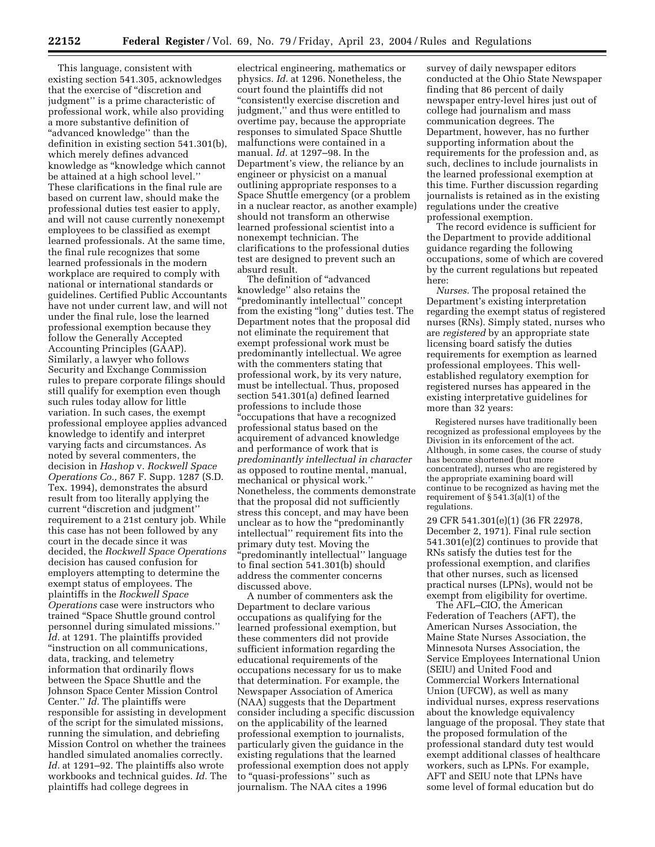This language, consistent with existing section 541.305, acknowledges that the exercise of ''discretion and judgment'' is a prime characteristic of professional work, while also providing a more substantive definition of "advanced knowledge" than the definition in existing section 541.301(b), which merely defines advanced knowledge as ''knowledge which cannot be attained at a high school level.'' These clarifications in the final rule are based on current law, should make the professional duties test easier to apply, and will not cause currently nonexempt employees to be classified as exempt learned professionals. At the same time, the final rule recognizes that some learned professionals in the modern workplace are required to comply with national or international standards or guidelines. Certified Public Accountants have not under current law, and will not under the final rule, lose the learned professional exemption because they follow the Generally Accepted Accounting Principles (GAAP). Similarly, a lawyer who follows Security and Exchange Commission rules to prepare corporate filings should still qualify for exemption even though such rules today allow for little variation. In such cases, the exempt professional employee applies advanced knowledge to identify and interpret varying facts and circumstances. As noted by several commenters, the decision in *Hashop* v. *Rockwell Space Operations Co.,* 867 F. Supp. 1287 (S.D. Tex. 1994), demonstrates the absurd result from too literally applying the current ''discretion and judgment'' requirement to a 21st century job. While this case has not been followed by any court in the decade since it was decided, the *Rockwell Space Operations*  decision has caused confusion for employers attempting to determine the exempt status of employees. The plaintiffs in the *Rockwell Space Operations* case were instructors who trained ''Space Shuttle ground control personnel during simulated missions.'' *Id.* at 1291. The plaintiffs provided ''instruction on all communications, data, tracking, and telemetry information that ordinarily flows between the Space Shuttle and the Johnson Space Center Mission Control Center.'' *Id.* The plaintiffs were responsible for assisting in development of the script for the simulated missions, running the simulation, and debriefing Mission Control on whether the trainees handled simulated anomalies correctly. *Id.* at 1291–92. The plaintiffs also wrote workbooks and technical guides. *Id.* The plaintiffs had college degrees in

electrical engineering, mathematics or physics. *Id.* at 1296. Nonetheless, the court found the plaintiffs did not ''consistently exercise discretion and judgment,'' and thus were entitled to overtime pay, because the appropriate responses to simulated Space Shuttle malfunctions were contained in a manual. *Id.* at 1297–98. In the Department's view, the reliance by an engineer or physicist on a manual outlining appropriate responses to a Space Shuttle emergency (or a problem in a nuclear reactor, as another example) should not transform an otherwise learned professional scientist into a nonexempt technician. The clarifications to the professional duties test are designed to prevent such an absurd result.

The definition of ''advanced knowledge'' also retains the ''predominantly intellectual'' concept from the existing "long" duties test. The Department notes that the proposal did not eliminate the requirement that exempt professional work must be predominantly intellectual. We agree with the commenters stating that professional work, by its very nature, must be intellectual. Thus, proposed section 541.301(a) defined learned professions to include those ''occupations that have a recognized professional status based on the acquirement of advanced knowledge and performance of work that is *predominantly intellectual in character*  as opposed to routine mental, manual, mechanical or physical work.'' Nonetheless, the comments demonstrate that the proposal did not sufficiently stress this concept, and may have been unclear as to how the ''predominantly intellectual'' requirement fits into the primary duty test. Moving the ''predominantly intellectual'' language to final section 541.301(b) should address the commenter concerns discussed above.

A number of commenters ask the Department to declare various occupations as qualifying for the learned professional exemption, but these commenters did not provide sufficient information regarding the educational requirements of the occupations necessary for us to make that determination. For example, the Newspaper Association of America (NAA) suggests that the Department consider including a specific discussion on the applicability of the learned professional exemption to journalists, particularly given the guidance in the existing regulations that the learned professional exemption does not apply to "quasi-professions" such as journalism. The NAA cites a 1996

survey of daily newspaper editors conducted at the Ohio State Newspaper finding that 86 percent of daily newspaper entry-level hires just out of college had journalism and mass communication degrees. The Department, however, has no further supporting information about the requirements for the profession and, as such, declines to include journalists in the learned professional exemption at this time. Further discussion regarding journalists is retained as in the existing regulations under the creative professional exemption.

The record evidence is sufficient for the Department to provide additional guidance regarding the following occupations, some of which are covered by the current regulations but repeated here:

*Nurses.* The proposal retained the Department's existing interpretation regarding the exempt status of registered nurses (RNs). Simply stated, nurses who are *registered* by an appropriate state licensing board satisfy the duties requirements for exemption as learned professional employees. This wellestablished regulatory exemption for registered nurses has appeared in the existing interpretative guidelines for more than 32 years:

Registered nurses have traditionally been recognized as professional employees by the Division in its enforcement of the act. Although, in some cases, the course of study has become shortened (but more concentrated), nurses who are registered by the appropriate examining board will continue to be recognized as having met the requirement of § 541.3(a)(1) of the regulations.

29 CFR 541.301(e)(1) (36 FR 22978, December 2, 1971). Final rule section 541.301(e)(2) continues to provide that RNs satisfy the duties test for the professional exemption, and clarifies that other nurses, such as licensed practical nurses (LPNs), would not be exempt from eligibility for overtime.

The AFL–CIO, the American Federation of Teachers (AFT), the American Nurses Association, the Maine State Nurses Association, the Minnesota Nurses Association, the Service Employees International Union (SEIU) and United Food and Commercial Workers International Union (UFCW), as well as many individual nurses, express reservations about the knowledge equivalency language of the proposal. They state that the proposed formulation of the professional standard duty test would exempt additional classes of healthcare workers, such as LPNs. For example, AFT and SEIU note that LPNs have some level of formal education but do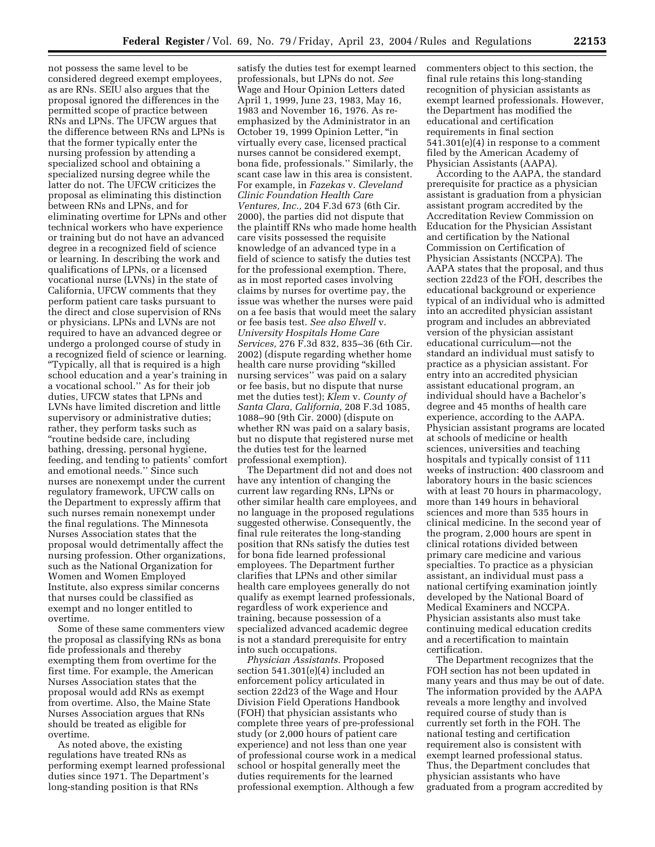not possess the same level to be considered degreed exempt employees, as are RNs. SEIU also argues that the proposal ignored the differences in the permitted scope of practice between RNs and LPNs. The UFCW argues that the difference between RNs and LPNs is that the former typically enter the nursing profession by attending a specialized school and obtaining a specialized nursing degree while the latter do not. The UFCW criticizes the proposal as eliminating this distinction between RNs and LPNs, and for eliminating overtime for LPNs and other technical workers who have experience or training but do not have an advanced degree in a recognized field of science or learning. In describing the work and qualifications of LPNs, or a licensed vocational nurse (LVNs) in the state of California, UFCW comments that they perform patient care tasks pursuant to the direct and close supervision of RNs or physicians. LPNs and LVNs are not required to have an advanced degree or undergo a prolonged course of study in a recognized field of science or learning. ''Typically, all that is required is a high school education and a year's training in a vocational school.'' As for their job duties, UFCW states that LPNs and LVNs have limited discretion and little supervisory or administrative duties; rather, they perform tasks such as ''routine bedside care, including bathing, dressing, personal hygiene, feeding, and tending to patients' comfort and emotional needs.'' Since such nurses are nonexempt under the current regulatory framework, UFCW calls on the Department to expressly affirm that such nurses remain nonexempt under the final regulations. The Minnesota Nurses Association states that the proposal would detrimentally affect the nursing profession. Other organizations, such as the National Organization for Women and Women Employed Institute, also express similar concerns that nurses could be classified as exempt and no longer entitled to overtime.

Some of these same commenters view the proposal as classifying RNs as bona fide professionals and thereby exempting them from overtime for the first time. For example, the American Nurses Association states that the proposal would add RNs as exempt from overtime. Also, the Maine State Nurses Association argues that RNs should be treated as eligible for overtime.

As noted above, the existing regulations have treated RNs as performing exempt learned professional duties since 1971. The Department's long-standing position is that RNs

satisfy the duties test for exempt learned professionals, but LPNs do not. *See*  Wage and Hour Opinion Letters dated April 1, 1999, June 23, 1983, May 16, 1983 and November 16, 1976. As reemphasized by the Administrator in an October 19, 1999 Opinion Letter, ''in virtually every case, licensed practical nurses cannot be considered exempt, bona fide, professionals.'' Similarly, the scant case law in this area is consistent. For example, in *Fazekas* v. *Cleveland Clinic Foundation Health Care Ventures, Inc.,* 204 F.3d 673 (6th Cir. 2000), the parties did not dispute that the plaintiff RNs who made home health care visits possessed the requisite knowledge of an advanced type in a field of science to satisfy the duties test for the professional exemption. There, as in most reported cases involving claims by nurses for overtime pay, the issue was whether the nurses were paid on a fee basis that would meet the salary or fee basis test. *See also Elwell* v. *University Hospitals Home Care Services,* 276 F.3d 832, 835–36 (6th Cir. 2002) (dispute regarding whether home health care nurse providing ''skilled nursing services'' was paid on a salary or fee basis, but no dispute that nurse met the duties test); *Klem* v. *County of Santa Clara, California,* 208 F.3d 1085, 1088–90 (9th Cir. 2000) (dispute on whether RN was paid on a salary basis, but no dispute that registered nurse met the duties test for the learned professional exemption).

The Department did not and does not have any intention of changing the current law regarding RNs, LPNs or other similar health care employees, and no language in the proposed regulations suggested otherwise. Consequently, the final rule reiterates the long-standing position that RNs satisfy the duties test for bona fide learned professional employees. The Department further clarifies that LPNs and other similar health care employees generally do not qualify as exempt learned professionals, regardless of work experience and training, because possession of a specialized advanced academic degree is not a standard prerequisite for entry into such occupations.

*Physician Assistants.* Proposed section 541.301(e)(4) included an enforcement policy articulated in section 22d23 of the Wage and Hour Division Field Operations Handbook (FOH) that physician assistants who complete three years of pre-professional study (or 2,000 hours of patient care experience) and not less than one year of professional course work in a medical school or hospital generally meet the duties requirements for the learned professional exemption. Although a few

commenters object to this section, the final rule retains this long-standing recognition of physician assistants as exempt learned professionals. However, the Department has modified the educational and certification requirements in final section 541.301(e)(4) in response to a comment filed by the American Academy of Physician Assistants (AAPA).

According to the AAPA, the standard prerequisite for practice as a physician assistant is graduation from a physician assistant program accredited by the Accreditation Review Commission on Education for the Physician Assistant and certification by the National Commission on Certification of Physician Assistants (NCCPA). The AAPA states that the proposal, and thus section 22d23 of the FOH, describes the educational background or experience typical of an individual who is admitted into an accredited physician assistant program and includes an abbreviated version of the physician assistant educational curriculum—not the standard an individual must satisfy to practice as a physician assistant. For entry into an accredited physician assistant educational program, an individual should have a Bachelor's degree and 45 months of health care experience, according to the AAPA. Physician assistant programs are located at schools of medicine or health sciences, universities and teaching hospitals and typically consist of 111 weeks of instruction: 400 classroom and laboratory hours in the basic sciences with at least 70 hours in pharmacology, more than 149 hours in behavioral sciences and more than 535 hours in clinical medicine. In the second year of the program, 2,000 hours are spent in clinical rotations divided between primary care medicine and various specialties. To practice as a physician assistant, an individual must pass a national certifying examination jointly developed by the National Board of Medical Examiners and NCCPA. Physician assistants also must take continuing medical education credits and a recertification to maintain certification.

The Department recognizes that the FOH section has not been updated in many years and thus may be out of date. The information provided by the AAPA reveals a more lengthy and involved required course of study than is currently set forth in the FOH. The national testing and certification requirement also is consistent with exempt learned professional status. Thus, the Department concludes that physician assistants who have graduated from a program accredited by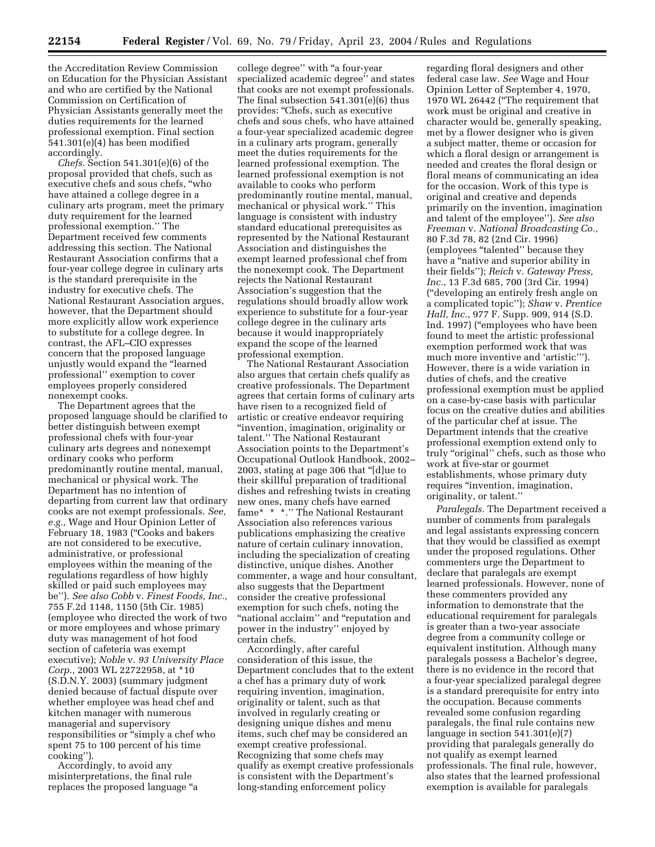the Accreditation Review Commission on Education for the Physician Assistant and who are certified by the National Commission on Certification of Physician Assistants generally meet the duties requirements for the learned professional exemption. Final section 541.301(e)(4) has been modified accordingly.

*Chefs.* Section 541.301(e)(6) of the proposal provided that chefs, such as executive chefs and sous chefs, ''who have attained a college degree in a culinary arts program, meet the primary duty requirement for the learned professional exemption.'' The Department received few comments addressing this section. The National Restaurant Association confirms that a four-year college degree in culinary arts is the standard prerequisite in the industry for executive chefs. The National Restaurant Association argues, however, that the Department should more explicitly allow work experience to substitute for a college degree. In contrast, the AFL–CIO expresses concern that the proposed language unjustly would expand the ''learned professional'' exemption to cover employees properly considered nonexempt cooks.

The Department agrees that the proposed language should be clarified to better distinguish between exempt professional chefs with four-year culinary arts degrees and nonexempt ordinary cooks who perform predominantly routine mental, manual, mechanical or physical work. The Department has no intention of departing from current law that ordinary cooks are not exempt professionals. *See, e.g.,* Wage and Hour Opinion Letter of February 18, 1983 (''Cooks and bakers are not considered to be executive, administrative, or professional employees within the meaning of the regulations regardless of how highly skilled or paid such employees may be''). *See also Cobb* v. *Finest Foods, Inc.,*  755 F.2d 1148, 1150 (5th Cir. 1985) (employee who directed the work of two or more employees and whose primary duty was management of hot food section of cafeteria was exempt executive); *Noble* v. *93 University Place Corp.,* 2003 WL 22722958, at \*10 (S.D.N.Y. 2003) (summary judgment denied because of factual dispute over whether employee was head chef and kitchen manager with numerous managerial and supervisory responsibilities or ''simply a chef who spent 75 to 100 percent of his time cooking'').

Accordingly, to avoid any misinterpretations, the final rule replaces the proposed language ''a

college degree'' with ''a four-year specialized academic degree'' and states that cooks are not exempt professionals. The final subsection 541.301(e)(6) thus provides: ''Chefs, such as executive chefs and sous chefs, who have attained a four-year specialized academic degree in a culinary arts program, generally meet the duties requirements for the learned professional exemption. The learned professional exemption is not available to cooks who perform predominantly routine mental, manual, mechanical or physical work.'' This language is consistent with industry standard educational prerequisites as represented by the National Restaurant Association and distinguishes the exempt learned professional chef from the nonexempt cook. The Department rejects the National Restaurant Association's suggestion that the regulations should broadly allow work experience to substitute for a four-year college degree in the culinary arts because it would inappropriately expand the scope of the learned professional exemption.

The National Restaurant Association also argues that certain chefs qualify as creative professionals. The Department agrees that certain forms of culinary arts have risen to a recognized field of artistic or creative endeavor requiring ''invention, imagination, originality or talent.'' The National Restaurant Association points to the Department's Occupational Outlook Handbook, 2002– 2003, stating at page 306 that ''[d]ue to their skillful preparation of traditional dishes and refreshing twists in creating new ones, many chefs have earned fame\* \* \*.'' The National Restaurant Association also references various publications emphasizing the creative nature of certain culinary innovation, including the specialization of creating distinctive, unique dishes. Another commenter, a wage and hour consultant, also suggests that the Department consider the creative professional exemption for such chefs, noting the "national acclaim" and "reputation and power in the industry'' enjoyed by certain chefs.

Accordingly, after careful consideration of this issue, the Department concludes that to the extent a chef has a primary duty of work requiring invention, imagination, originality or talent, such as that involved in regularly creating or designing unique dishes and menu items, such chef may be considered an exempt creative professional. Recognizing that some chefs may qualify as exempt creative professionals is consistent with the Department's long-standing enforcement policy

regarding floral designers and other federal case law. *See* Wage and Hour Opinion Letter of September 4, 1970, 1970 WL 26442 (''The requirement that work must be original and creative in character would be, generally speaking, met by a flower designer who is given a subject matter, theme or occasion for which a floral design or arrangement is needed and creates the floral design or floral means of communicating an idea for the occasion. Work of this type is original and creative and depends primarily on the invention, imagination and talent of the employee''). *See also Freeman* v. *National Broadcasting Co.*, 80 F.3d 78, 82 (2nd Cir. 1996) (employees ''talented'' because they have a "native and superior ability in their fields''); *Reich* v. *Gateway Press, Inc.*, 13 F.3d 685, 700 (3rd Cir. 1994) (''developing an entirely fresh angle on a complicated topic''); *Shaw* v. *Prentice Hall, Inc.*, 977 F. Supp. 909, 914 (S.D. Ind. 1997) (''employees who have been found to meet the artistic professional exemption performed work that was much more inventive and 'artistic'''). However, there is a wide variation in duties of chefs, and the creative professional exemption must be applied on a case-by-case basis with particular focus on the creative duties and abilities of the particular chef at issue. The Department intends that the creative professional exemption extend only to truly "original" chefs, such as those who work at five-star or gourmet establishments, whose primary duty requires ''invention, imagination, originality, or talent.''

*Paralegals.* The Department received a number of comments from paralegals and legal assistants expressing concern that they would be classified as exempt under the proposed regulations. Other commenters urge the Department to declare that paralegals are exempt learned professionals. However, none of these commenters provided any information to demonstrate that the educational requirement for paralegals is greater than a two-year associate degree from a community college or equivalent institution. Although many paralegals possess a Bachelor's degree, there is no evidence in the record that a four-year specialized paralegal degree is a standard prerequisite for entry into the occupation. Because comments revealed some confusion regarding paralegals, the final rule contains new language in section 541.301(e)(7) providing that paralegals generally do not qualify as exempt learned professionals. The final rule, however, also states that the learned professional exemption is available for paralegals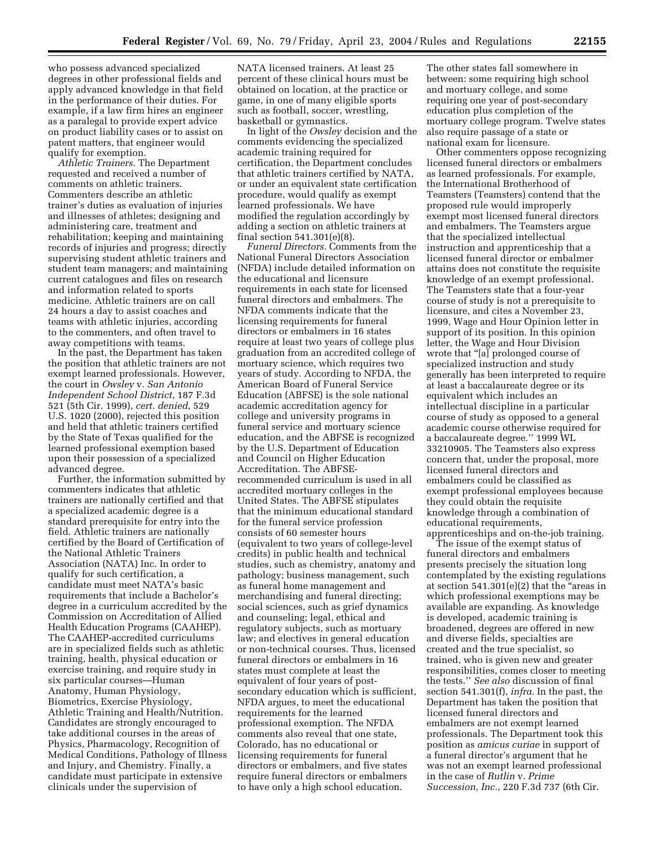who possess advanced specialized degrees in other professional fields and apply advanced knowledge in that field in the performance of their duties. For example, if a law firm hires an engineer as a paralegal to provide expert advice on product liability cases or to assist on patent matters, that engineer would qualify for exemption.

*Athletic Trainers.* The Department requested and received a number of comments on athletic trainers. Commenters describe an athletic trainer's duties as evaluation of injuries and illnesses of athletes; designing and administering care, treatment and rehabilitation; keeping and maintaining records of injuries and progress; directly supervising student athletic trainers and student team managers; and maintaining current catalogues and files on research and information related to sports medicine. Athletic trainers are on call 24 hours a day to assist coaches and teams with athletic injuries, according to the commenters, and often travel to away competitions with teams.

In the past, the Department has taken the position that athletic trainers are not exempt learned professionals. However, the court in *Owsley* v. *San Antonio Independent School District*, 187 F.3d 521 (5th Cir. 1999), *cert. denied*, 529 U.S. 1020 (2000), rejected this position and held that athletic trainers certified by the State of Texas qualified for the learned professional exemption based upon their possession of a specialized advanced degree.

Further, the information submitted by commenters indicates that athletic trainers are nationally certified and that a specialized academic degree is a standard prerequisite for entry into the field. Athletic trainers are nationally certified by the Board of Certification of the National Athletic Trainers Association (NATA) Inc. In order to qualify for such certification, a candidate must meet NATA's basic requirements that include a Bachelor's degree in a curriculum accredited by the Commission on Accreditation of Allied Health Education Programs (CAAHEP). The CAAHEP-accredited curriculums are in specialized fields such as athletic training, health, physical education or exercise training, and require study in six particular courses—Human Anatomy, Human Physiology, Biometrics, Exercise Physiology, Athletic Training and Health/Nutrition. Candidates are strongly encouraged to take additional courses in the areas of Physics, Pharmacology, Recognition of Medical Conditions, Pathology of Illness and Injury, and Chemistry. Finally, a candidate must participate in extensive clinicals under the supervision of

NATA licensed trainers. At least 25 percent of these clinical hours must be obtained on location, at the practice or game, in one of many eligible sports such as football, soccer, wrestling, basketball or gymnastics.

In light of the *Owsley* decision and the comments evidencing the specialized academic training required for certification, the Department concludes that athletic trainers certified by NATA, or under an equivalent state certification procedure, would qualify as exempt learned professionals. We have modified the regulation accordingly by adding a section on athletic trainers at final section 541.301(e)(8).

*Funeral Directors.* Comments from the National Funeral Directors Association (NFDA) include detailed information on the educational and licensure requirements in each state for licensed funeral directors and embalmers. The NFDA comments indicate that the licensing requirements for funeral directors or embalmers in 16 states require at least two years of college plus graduation from an accredited college of mortuary science, which requires two years of study. According to NFDA, the American Board of Funeral Service Education (ABFSE) is the sole national academic accreditation agency for college and university programs in funeral service and mortuary science education, and the ABFSE is recognized by the U.S. Department of Education and Council on Higher Education Accreditation. The ABFSErecommended curriculum is used in all accredited mortuary colleges in the United States. The ABFSE stipulates that the minimum educational standard for the funeral service profession consists of 60 semester hours (equivalent to two years of college-level credits) in public health and technical studies, such as chemistry, anatomy and pathology; business management, such as funeral home management and merchandising and funeral directing; social sciences, such as grief dynamics and counseling; legal, ethical and regulatory subjects, such as mortuary law; and electives in general education or non-technical courses. Thus, licensed funeral directors or embalmers in 16 states must complete at least the equivalent of four years of postsecondary education which is sufficient, NFDA argues, to meet the educational requirements for the learned professional exemption. The NFDA comments also reveal that one state, Colorado, has no educational or licensing requirements for funeral directors or embalmers, and five states require funeral directors or embalmers to have only a high school education.

The other states fall somewhere in between: some requiring high school and mortuary college, and some requiring one year of post-secondary education plus completion of the mortuary college program. Twelve states also require passage of a state or national exam for licensure.

Other commenters oppose recognizing licensed funeral directors or embalmers as learned professionals. For example, the International Brotherhood of Teamsters (Teamsters) contend that the proposed rule would improperly exempt most licensed funeral directors and embalmers. The Teamsters argue that the specialized intellectual instruction and apprenticeship that a licensed funeral director or embalmer attains does not constitute the requisite knowledge of an exempt professional. The Teamsters state that a four-year course of study is not a prerequisite to licensure, and cites a November 23, 1999, Wage and Hour Opinion letter in support of its position. In this opinion letter, the Wage and Hour Division wrote that ''[a] prolonged course of specialized instruction and study generally has been interpreted to require at least a baccalaureate degree or its equivalent which includes an intellectual discipline in a particular course of study as opposed to a general academic course otherwise required for a baccalaureate degree.'' 1999 WL 33210905. The Teamsters also express concern that, under the proposal, more licensed funeral directors and embalmers could be classified as exempt professional employees because they could obtain the requisite knowledge through a combination of educational requirements, apprenticeships and on-the-job training.

The issue of the exempt status of funeral directors and embalmers presents precisely the situation long contemplated by the existing regulations at section  $541.301(e)(2)$  that the "areas in which professional exemptions may be available are expanding. As knowledge is developed, academic training is broadened, degrees are offered in new and diverse fields, specialties are created and the true specialist, so trained, who is given new and greater responsibilities, comes closer to meeting the tests.'' *See also* discussion of final section 541.301(f), *infra.* In the past, the Department has taken the position that licensed funeral directors and embalmers are not exempt learned professionals. The Department took this position as *amicus curiae* in support of a funeral director's argument that he was not an exempt learned professional in the case of *Rutlin* v. *Prime Succession, Inc.*, 220 F.3d 737 (6th Cir.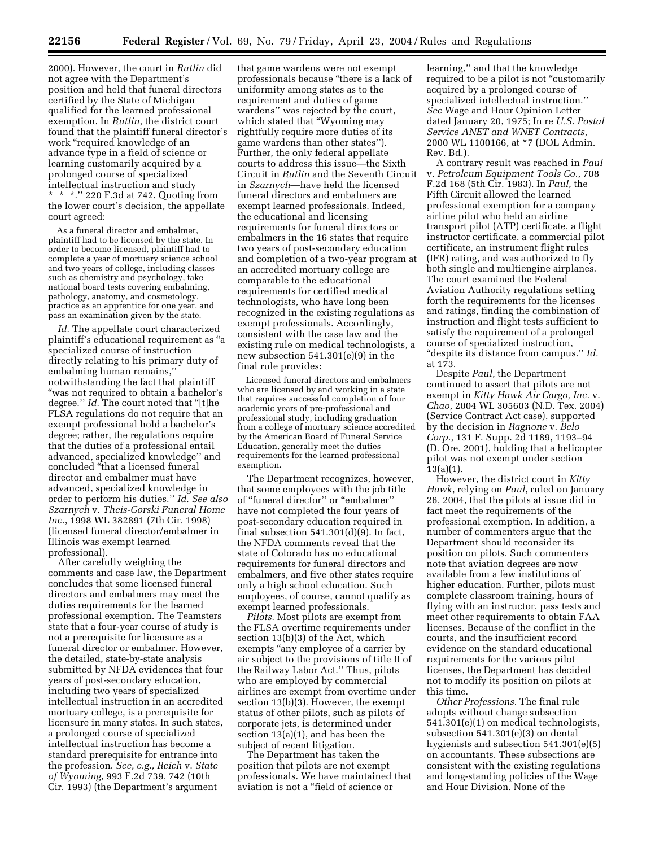2000). However, the court in *Rutlin* did not agree with the Department's position and held that funeral directors certified by the State of Michigan qualified for the learned professional exemption. In *Rutlin*, the district court found that the plaintiff funeral director's work ''required knowledge of an advance type in a field of science or learning customarily acquired by a prolonged course of specialized intellectual instruction and study \* \* \*.'' 220 F.3d at 742. Quoting from the lower court's decision, the appellate court agreed:

As a funeral director and embalmer, plaintiff had to be licensed by the state. In order to become licensed, plaintiff had to complete a year of mortuary science school and two years of college, including classes such as chemistry and psychology, take national board tests covering embalming, pathology, anatomy, and cosmetology, practice as an apprentice for one year, and pass an examination given by the state.

*Id.* The appellate court characterized plaintiff's educational requirement as ''a specialized course of instruction directly relating to his primary duty of embalming human remains,'' notwithstanding the fact that plaintiff "was not required to obtain a bachelor's degree." *Id.* The court noted that "[t]he FLSA regulations do not require that an exempt professional hold a bachelor's degree; rather, the regulations require that the duties of a professional entail advanced, specialized knowledge'' and concluded ''that a licensed funeral director and embalmer must have advanced, specialized knowledge in order to perform his duties.'' *Id. See also Szarnych* v. *Theis-Gorski Funeral Home Inc.*, 1998 WL 382891 (7th Cir. 1998) (licensed funeral director/embalmer in Illinois was exempt learned professional).

After carefully weighing the comments and case law, the Department concludes that some licensed funeral directors and embalmers may meet the duties requirements for the learned professional exemption. The Teamsters state that a four-year course of study is not a prerequisite for licensure as a funeral director or embalmer. However, the detailed, state-by-state analysis submitted by NFDA evidences that four years of post-secondary education, including two years of specialized intellectual instruction in an accredited mortuary college, is a prerequisite for licensure in many states. In such states, a prolonged course of specialized intellectual instruction has become a standard prerequisite for entrance into the profession. *See, e.g., Reich* v. *State of Wyoming*, 993 F.2d 739, 742 (10th Cir. 1993) (the Department's argument

that game wardens were not exempt professionals because ''there is a lack of uniformity among states as to the requirement and duties of game wardens'' was rejected by the court, which stated that ''Wyoming may rightfully require more duties of its game wardens than other states''). Further, the only federal appellate courts to address this issue—the Sixth Circuit in *Rutlin* and the Seventh Circuit in *Szarnych*—have held the licensed funeral directors and embalmers are exempt learned professionals. Indeed, the educational and licensing requirements for funeral directors or embalmers in the 16 states that require two years of post-secondary education and completion of a two-year program at an accredited mortuary college are comparable to the educational requirements for certified medical technologists, who have long been recognized in the existing regulations as exempt professionals. Accordingly, consistent with the case law and the existing rule on medical technologists, a new subsection 541.301(e)(9) in the final rule provides:

Licensed funeral directors and embalmers who are licensed by and working in a state that requires successful completion of four academic years of pre-professional and professional study, including graduation from a college of mortuary science accredited by the American Board of Funeral Service Education, generally meet the duties requirements for the learned professional exemption.

The Department recognizes, however, that some employees with the job title of "funeral director" or "embalmer" have not completed the four years of post-secondary education required in final subsection 541.301(d)(9). In fact, the NFDA comments reveal that the state of Colorado has no educational requirements for funeral directors and embalmers, and five other states require only a high school education. Such employees, of course, cannot qualify as exempt learned professionals.

*Pilots.* Most pilots are exempt from the FLSA overtime requirements under section 13(b)(3) of the Act, which exempts "any employee of a carrier by air subject to the provisions of title II of the Railway Labor Act.'' Thus, pilots who are employed by commercial airlines are exempt from overtime under section 13(b)(3). However, the exempt status of other pilots, such as pilots of corporate jets, is determined under section 13(a)(1), and has been the subject of recent litigation.

The Department has taken the position that pilots are not exempt professionals. We have maintained that aviation is not a ''field of science or

learning,'' and that the knowledge required to be a pilot is not "customarily" acquired by a prolonged course of specialized intellectual instruction.'' *See* Wage and Hour Opinion Letter dated January 20, 1975; In re *U.S. Postal Service ANET and WNET Contracts*, 2000 WL 1100166, at \*7 (DOL Admin. Rev. Bd.).

A contrary result was reached in *Paul*  v. *Petroleum Equipment Tools Co.*, 708 F.2d 168 (5th Cir. 1983). In *Paul*, the Fifth Circuit allowed the learned professional exemption for a company airline pilot who held an airline transport pilot (ATP) certificate, a flight instructor certificate, a commercial pilot certificate, an instrument flight rules (IFR) rating, and was authorized to fly both single and multiengine airplanes. The court examined the Federal Aviation Authority regulations setting forth the requirements for the licenses and ratings, finding the combination of instruction and flight tests sufficient to satisfy the requirement of a prolonged course of specialized instruction, ''despite its distance from campus.'' *Id.*  at 173.

Despite *Paul*, the Department continued to assert that pilots are not exempt in *Kitty Hawk Air Cargo, Inc.* v. *Chao*, 2004 WL 305603 (N.D. Tex. 2004) (Service Contract Act case), supported by the decision in *Ragnone* v. *Belo Corp.*, 131 F. Supp. 2d 1189, 1193–94 (D. Ore. 2001), holding that a helicopter pilot was not exempt under section 13(a)(1).

However, the district court in *Kitty Hawk*, relying on *Paul*, ruled on January 26, 2004, that the pilots at issue did in fact meet the requirements of the professional exemption. In addition, a number of commenters argue that the Department should reconsider its position on pilots. Such commenters note that aviation degrees are now available from a few institutions of higher education. Further, pilots must complete classroom training, hours of flying with an instructor, pass tests and meet other requirements to obtain FAA licenses. Because of the conflict in the courts, and the insufficient record evidence on the standard educational requirements for the various pilot licenses, the Department has decided not to modify its position on pilots at this time.

*Other Professions.* The final rule adopts without change subsection 541.301(e)(1) on medical technologists, subsection 541.301(e)(3) on dental hygienists and subsection 541.301(e)(5) on accountants. These subsections are consistent with the existing regulations and long-standing policies of the Wage and Hour Division. None of the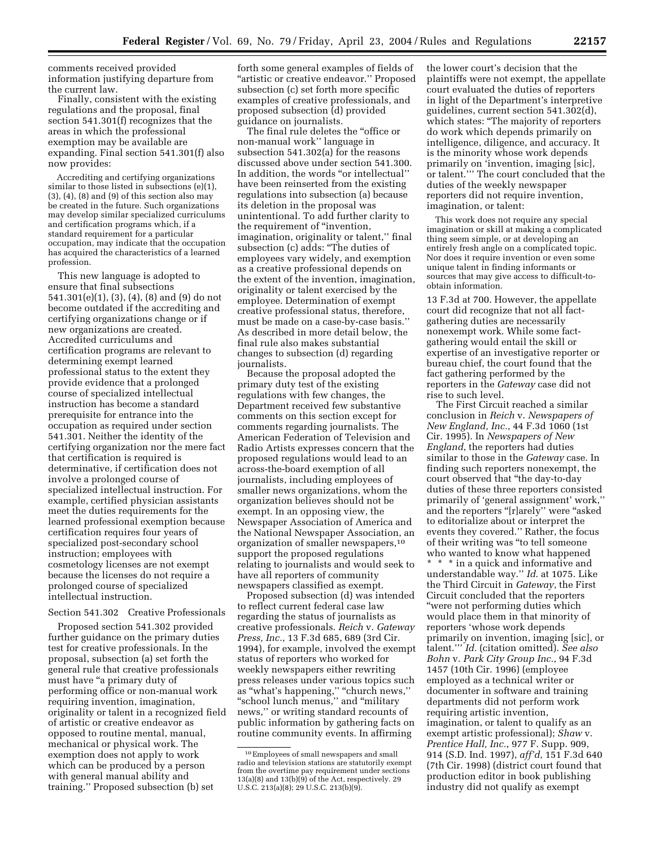comments received provided information justifying departure from the current law.

Finally, consistent with the existing regulations and the proposal, final section 541.301(f) recognizes that the areas in which the professional exemption may be available are expanding. Final section 541.301(f) also now provides:

Accrediting and certifying organizations similar to those listed in subsections (e)(1), (3), (4), (8) and (9) of this section also may be created in the future. Such organizations may develop similar specialized curriculums and certification programs which, if a standard requirement for a particular occupation, may indicate that the occupation has acquired the characteristics of a learned profession.

This new language is adopted to ensure that final subsections 541.301(e)(1), (3), (4), (8) and (9) do not become outdated if the accrediting and certifying organizations change or if new organizations are created. Accredited curriculums and certification programs are relevant to determining exempt learned professional status to the extent they provide evidence that a prolonged course of specialized intellectual instruction has become a standard prerequisite for entrance into the occupation as required under section 541.301. Neither the identity of the certifying organization nor the mere fact that certification is required is determinative, if certification does not involve a prolonged course of specialized intellectual instruction. For example, certified physician assistants meet the duties requirements for the learned professional exemption because certification requires four years of specialized post-secondary school instruction; employees with cosmetology licenses are not exempt because the licenses do not require a prolonged course of specialized intellectual instruction.

#### Section 541.302 Creative Professionals

Proposed section 541.302 provided further guidance on the primary duties test for creative professionals. In the proposal, subsection (a) set forth the general rule that creative professionals must have "a primary duty of performing office or non-manual work requiring invention, imagination, originality or talent in a recognized field of artistic or creative endeavor as opposed to routine mental, manual, mechanical or physical work. The exemption does not apply to work which can be produced by a person with general manual ability and training.'' Proposed subsection (b) set

forth some general examples of fields of "artistic or creative endeavor." Proposed subsection (c) set forth more specific examples of creative professionals, and proposed subsection (d) provided guidance on journalists.

The final rule deletes the ''office or non-manual work'' language in subsection 541.302(a) for the reasons discussed above under section 541.300. In addition, the words "or intellectual" have been reinserted from the existing regulations into subsection (a) because its deletion in the proposal was unintentional. To add further clarity to the requirement of ''invention, imagination, originality or talent,'' final subsection (c) adds: ''The duties of employees vary widely, and exemption as a creative professional depends on the extent of the invention, imagination, originality or talent exercised by the employee. Determination of exempt creative professional status, therefore, must be made on a case-by-case basis.'' As described in more detail below, the final rule also makes substantial changes to subsection (d) regarding journalists.

Because the proposal adopted the primary duty test of the existing regulations with few changes, the Department received few substantive comments on this section except for comments regarding journalists. The American Federation of Television and Radio Artists expresses concern that the proposed regulations would lead to an across-the-board exemption of all journalists, including employees of smaller news organizations, whom the organization believes should not be exempt. In an opposing view, the Newspaper Association of America and the National Newspaper Association, an organization of smaller newspapers,10 support the proposed regulations relating to journalists and would seek to have all reporters of community newspapers classified as exempt.

Proposed subsection (d) was intended to reflect current federal case law regarding the status of journalists as creative professionals. *Reich* v. *Gateway Press, Inc.*, 13 F.3d 685, 689 (3rd Cir. 1994), for example, involved the exempt status of reporters who worked for weekly newspapers either rewriting press releases under various topics such as ''what's happening,'' ''church news,'' ''school lunch menus,'' and ''military news,'' or writing standard recounts of public information by gathering facts on routine community events. In affirming

the lower court's decision that the plaintiffs were not exempt, the appellate court evaluated the duties of reporters in light of the Department's interpretive guidelines, current section 541.302(d), which states: "The majority of reporters do work which depends primarily on intelligence, diligence, and accuracy. It is the minority whose work depends primarily on 'invention, imaging [sic], or talent.''' The court concluded that the duties of the weekly newspaper reporters did not require invention, imagination, or talent:

This work does not require any special imagination or skill at making a complicated thing seem simple, or at developing an entirely fresh angle on a complicated topic. Nor does it require invention or even some unique talent in finding informants or sources that may give access to difficult-toobtain information.

13 F.3d at 700. However, the appellate court did recognize that not all factgathering duties are necessarily nonexempt work. While some factgathering would entail the skill or expertise of an investigative reporter or bureau chief, the court found that the fact gathering performed by the reporters in the *Gateway* case did not rise to such level.

The First Circuit reached a similar conclusion in *Reich* v. *Newspapers of New England, Inc.*, 44 F.3d 1060 (1st Cir. 1995). In *Newspapers of New England*, the reporters had duties similar to those in the *Gateway* case. In finding such reporters nonexempt, the court observed that ''the day-to-day duties of these three reporters consisted primarily of 'general assignment' work,'' and the reporters "[r]arely" were "asked to editorialize about or interpret the events they covered.'' Rather, the focus of their writing was ''to tell someone who wanted to know what happened

\* \* \* in a quick and informative and understandable way.'' *Id*. at 1075. Like the Third Circuit in *Gateway*, the First Circuit concluded that the reporters ''were not performing duties which would place them in that minority of reporters 'whose work depends primarily on invention, imaging [sic], or talent.''' *Id.* (citation omitted). *See also Bohn* v. *Park City Group Inc.*, 94 F.3d 1457 (10th Cir. 1996) (employee employed as a technical writer or documenter in software and training departments did not perform work requiring artistic invention, imagination, or talent to qualify as an exempt artistic professional); *Shaw* v. *Prentice Hall, Inc.*, 977 F. Supp. 909, 914 (S.D. Ind. 1997), *aff'd*, 151 F.3d 640 (7th Cir. 1998) (district court found that production editor in book publishing industry did not qualify as exempt

<sup>10</sup> Employees of small newspapers and small radio and television stations are statutorily exempt from the overtime pay requirement under sections  $13(a)(8)$  and  $13(b)(9)$  of the Act, respectively. 29 U.S.C. 213(a)(8); 29 U.S.C. 213(b)(9).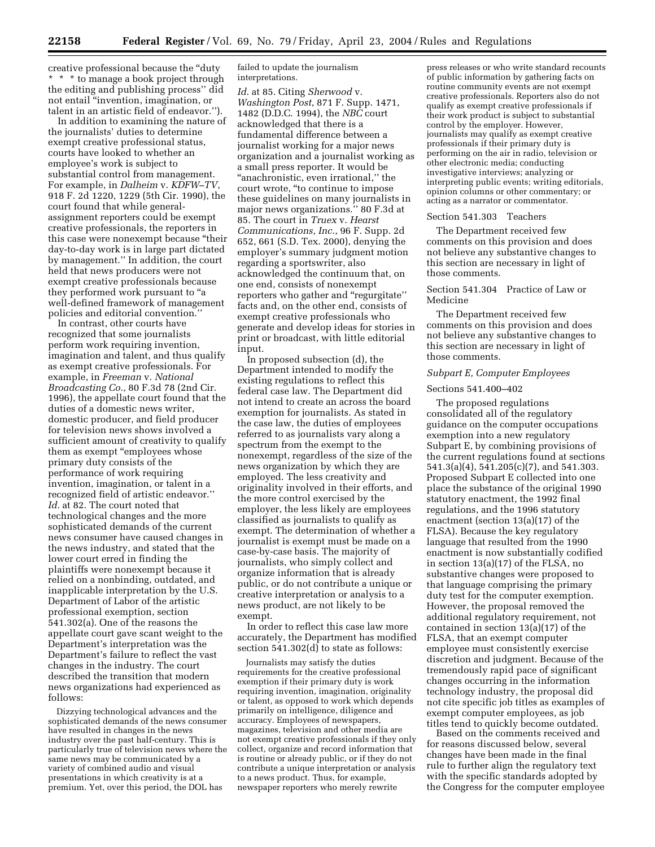creative professional because the ''duty \* \* \* to manage a book project through the editing and publishing process'' did not entail ''invention, imagination, or talent in an artistic field of endeavor.'').

In addition to examining the nature of the journalists' duties to determine exempt creative professional status, courts have looked to whether an employee's work is subject to substantial control from management. For example, in *Dalheim* v. *KDFW–TV*, 918 F. 2d 1220, 1229 (5th Cir. 1990), the court found that while generalassignment reporters could be exempt creative professionals, the reporters in this case were nonexempt because ''their day-to-day work is in large part dictated by management.'' In addition, the court held that news producers were not exempt creative professionals because they performed work pursuant to ''a well-defined framework of management policies and editorial convention.''

In contrast, other courts have recognized that some journalists perform work requiring invention, imagination and talent, and thus qualify as exempt creative professionals. For example, in *Freeman* v. *National Broadcasting Co.*, 80 F.3d 78 (2nd Cir. 1996), the appellate court found that the duties of a domestic news writer, domestic producer, and field producer for television news shows involved a sufficient amount of creativity to qualify them as exempt "employees whose primary duty consists of the performance of work requiring invention, imagination, or talent in a recognized field of artistic endeavor.'' *Id.* at 82. The court noted that technological changes and the more sophisticated demands of the current news consumer have caused changes in the news industry, and stated that the lower court erred in finding the plaintiffs were nonexempt because it relied on a nonbinding, outdated, and inapplicable interpretation by the U.S. Department of Labor of the artistic professional exemption, section 541.302(a). One of the reasons the appellate court gave scant weight to the Department's interpretation was the Department's failure to reflect the vast changes in the industry. The court described the transition that modern news organizations had experienced as follows:

Dizzying technological advances and the sophisticated demands of the news consumer have resulted in changes in the news industry over the past half-century. This is particularly true of television news where the same news may be communicated by a variety of combined audio and visual presentations in which creativity is at a premium. Yet, over this period, the DOL has

failed to update the journalism interpretations.

*Id*. at 85. Citing *Sherwood* v. *Washington Post*, 871 F. Supp. 1471, 1482 (D.D.C. 1994), the *NBC* court acknowledged that there is a fundamental difference between a journalist working for a major news organization and a journalist working as a small press reporter. It would be "anachronistic, even irrational," the court wrote, ''to continue to impose these guidelines on many journalists in major news organizations.'' 80 F.3d at 85. The court in *Truex* v. *Hearst Communications, Inc.*, 96 F. Supp. 2d 652, 661 (S.D. Tex. 2000), denying the employer's summary judgment motion regarding a sportswriter, also acknowledged the continuum that, on one end, consists of nonexempt reporters who gather and ''regurgitate'' facts and, on the other end, consists of exempt creative professionals who generate and develop ideas for stories in print or broadcast, with little editorial input.

In proposed subsection (d), the Department intended to modify the existing regulations to reflect this federal case law. The Department did not intend to create an across the board exemption for journalists. As stated in the case law, the duties of employees referred to as journalists vary along a spectrum from the exempt to the nonexempt, regardless of the size of the news organization by which they are employed. The less creativity and originality involved in their efforts, and the more control exercised by the employer, the less likely are employees classified as journalists to qualify as exempt. The determination of whether a journalist is exempt must be made on a case-by-case basis. The majority of journalists, who simply collect and organize information that is already public, or do not contribute a unique or creative interpretation or analysis to a news product, are not likely to be exempt.

In order to reflect this case law more accurately, the Department has modified section 541.302(d) to state as follows:

Journalists may satisfy the duties requirements for the creative professional exemption if their primary duty is work requiring invention, imagination, originality or talent, as opposed to work which depends primarily on intelligence, diligence and accuracy. Employees of newspapers, magazines, television and other media are not exempt creative professionals if they only collect, organize and record information that is routine or already public, or if they do not contribute a unique interpretation or analysis to a news product. Thus, for example, newspaper reporters who merely rewrite

press releases or who write standard recounts of public information by gathering facts on routine community events are not exempt creative professionals. Reporters also do not qualify as exempt creative professionals if their work product is subject to substantial control by the employer. However, journalists may qualify as exempt creative professionals if their primary duty is performing on the air in radio, television or other electronic media; conducting investigative interviews; analyzing or interpreting public events; writing editorials, opinion columns or other commentary; or acting as a narrator or commentator.

#### Section 541.303 Teachers

The Department received few comments on this provision and does not believe any substantive changes to this section are necessary in light of those comments.

#### Section 541.304 Practice of Law or Medicine

The Department received few comments on this provision and does not believe any substantive changes to this section are necessary in light of those comments.

#### *Subpart E, Computer Employees*

#### Sections 541.400–402

The proposed regulations consolidated all of the regulatory guidance on the computer occupations exemption into a new regulatory Subpart E, by combining provisions of the current regulations found at sections 541.3(a)(4), 541.205(c)(7), and 541.303. Proposed Subpart E collected into one place the substance of the original 1990 statutory enactment, the 1992 final regulations, and the 1996 statutory enactment (section 13(a)(17) of the FLSA). Because the key regulatory language that resulted from the 1990 enactment is now substantially codified in section 13(a)(17) of the FLSA, no substantive changes were proposed to that language comprising the primary duty test for the computer exemption. However, the proposal removed the additional regulatory requirement, not contained in section 13(a)(17) of the FLSA, that an exempt computer employee must consistently exercise discretion and judgment. Because of the tremendously rapid pace of significant changes occurring in the information technology industry, the proposal did not cite specific job titles as examples of exempt computer employees, as job titles tend to quickly become outdated.

Based on the comments received and for reasons discussed below, several changes have been made in the final rule to further align the regulatory text with the specific standards adopted by the Congress for the computer employee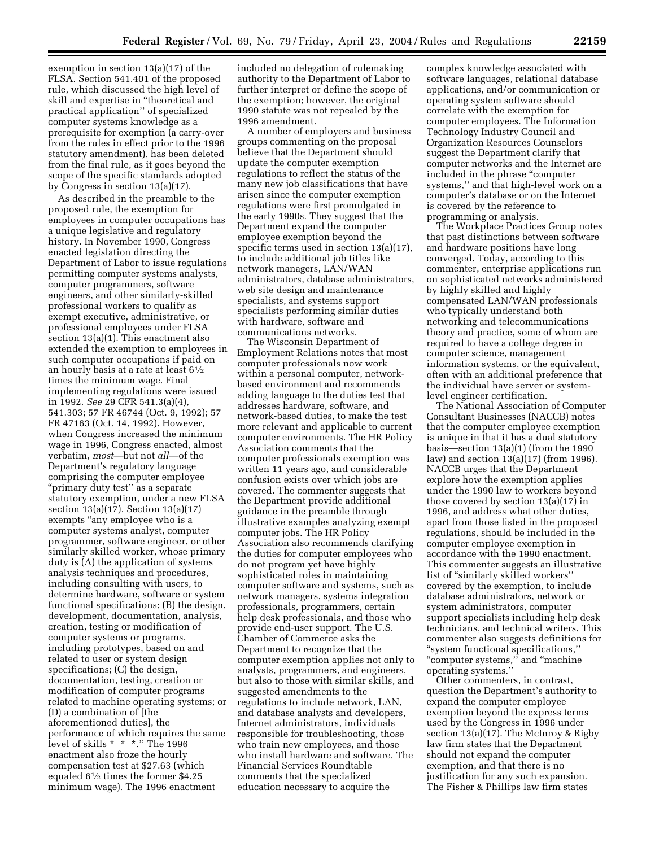exemption in section 13(a)(17) of the FLSA. Section 541.401 of the proposed rule, which discussed the high level of skill and expertise in ''theoretical and practical application'' of specialized computer systems knowledge as a prerequisite for exemption (a carry-over from the rules in effect prior to the 1996 statutory amendment), has been deleted from the final rule, as it goes beyond the scope of the specific standards adopted by Congress in section 13(a)(17).

As described in the preamble to the proposed rule, the exemption for employees in computer occupations has a unique legislative and regulatory history. In November 1990, Congress enacted legislation directing the Department of Labor to issue regulations permitting computer systems analysts, computer programmers, software engineers, and other similarly-skilled professional workers to qualify as exempt executive, administrative, or professional employees under FLSA section 13(a)(1). This enactment also extended the exemption to employees in such computer occupations if paid on an hourly basis at a rate at least 61⁄2 times the minimum wage. Final implementing regulations were issued in 1992. *See* 29 CFR 541.3(a)(4), 541.303; 57 FR 46744 (Oct. 9, 1992); 57 FR 47163 (Oct. 14, 1992). However, when Congress increased the minimum wage in 1996, Congress enacted, almost verbatim, *most*—but not *all*—of the Department's regulatory language comprising the computer employee "primary duty test" as a separate statutory exemption, under a new FLSA section 13(a)(17). Section 13(a)(17) exempts "any employee who is a computer systems analyst, computer programmer, software engineer, or other similarly skilled worker, whose primary duty is (A) the application of systems analysis techniques and procedures, including consulting with users, to determine hardware, software or system functional specifications; (B) the design, development, documentation, analysis, creation, testing or modification of computer systems or programs, including prototypes, based on and related to user or system design specifications; (C) the design, documentation, testing, creation or modification of computer programs related to machine operating systems; or (D) a combination of [the aforementioned duties], the performance of which requires the same level of skills \* \* \*.'' The 1996 enactment also froze the hourly compensation test at \$27.63 (which equaled 61⁄2 times the former \$4.25 minimum wage). The 1996 enactment

included no delegation of rulemaking authority to the Department of Labor to further interpret or define the scope of the exemption; however, the original 1990 statute was not repealed by the 1996 amendment.

A number of employers and business groups commenting on the proposal believe that the Department should update the computer exemption regulations to reflect the status of the many new job classifications that have arisen since the computer exemption regulations were first promulgated in the early 1990s. They suggest that the Department expand the computer employee exemption beyond the specific terms used in section 13(a)(17), to include additional job titles like network managers, LAN/WAN administrators, database administrators, web site design and maintenance specialists, and systems support specialists performing similar duties with hardware, software and communications networks.

The Wisconsin Department of Employment Relations notes that most computer professionals now work within a personal computer, networkbased environment and recommends adding language to the duties test that addresses hardware, software, and network-based duties, to make the test more relevant and applicable to current computer environments. The HR Policy Association comments that the computer professionals exemption was written 11 years ago, and considerable confusion exists over which jobs are covered. The commenter suggests that the Department provide additional guidance in the preamble through illustrative examples analyzing exempt computer jobs. The HR Policy Association also recommends clarifying the duties for computer employees who do not program yet have highly sophisticated roles in maintaining computer software and systems, such as network managers, systems integration professionals, programmers, certain help desk professionals, and those who provide end-user support. The U.S. Chamber of Commerce asks the Department to recognize that the computer exemption applies not only to analysts, programmers, and engineers, but also to those with similar skills, and suggested amendments to the regulations to include network, LAN, and database analysts and developers, Internet administrators, individuals responsible for troubleshooting, those who train new employees, and those who install hardware and software. The Financial Services Roundtable comments that the specialized education necessary to acquire the

complex knowledge associated with software languages, relational database applications, and/or communication or operating system software should correlate with the exemption for computer employees. The Information Technology Industry Council and Organization Resources Counselors suggest the Department clarify that computer networks and the Internet are included in the phrase "computer systems,'' and that high-level work on a computer's database or on the Internet is covered by the reference to programming or analysis.

The Workplace Practices Group notes that past distinctions between software and hardware positions have long converged. Today, according to this commenter, enterprise applications run on sophisticated networks administered by highly skilled and highly compensated LAN/WAN professionals who typically understand both networking and telecommunications theory and practice, some of whom are required to have a college degree in computer science, management information systems, or the equivalent, often with an additional preference that the individual have server or systemlevel engineer certification.

The National Association of Computer Consultant Businesses (NACCB) notes that the computer employee exemption is unique in that it has a dual statutory basis—section 13(a)(1) (from the 1990 law) and section 13(a)(17) (from 1996). NACCB urges that the Department explore how the exemption applies under the 1990 law to workers beyond those covered by section 13(a)(17) in 1996, and address what other duties, apart from those listed in the proposed regulations, should be included in the computer employee exemption in accordance with the 1990 enactment. This commenter suggests an illustrative list of "similarly skilled workers" covered by the exemption, to include database administrators, network or system administrators, computer support specialists including help desk technicians, and technical writers. This commenter also suggests definitions for ''system functional specifications,'' ''computer systems,'' and ''machine operating systems.''

Other commenters, in contrast, question the Department's authority to expand the computer employee exemption beyond the express terms used by the Congress in 1996 under section 13(a)(17). The McInroy & Rigby law firm states that the Department should not expand the computer exemption, and that there is no justification for any such expansion. The Fisher & Phillips law firm states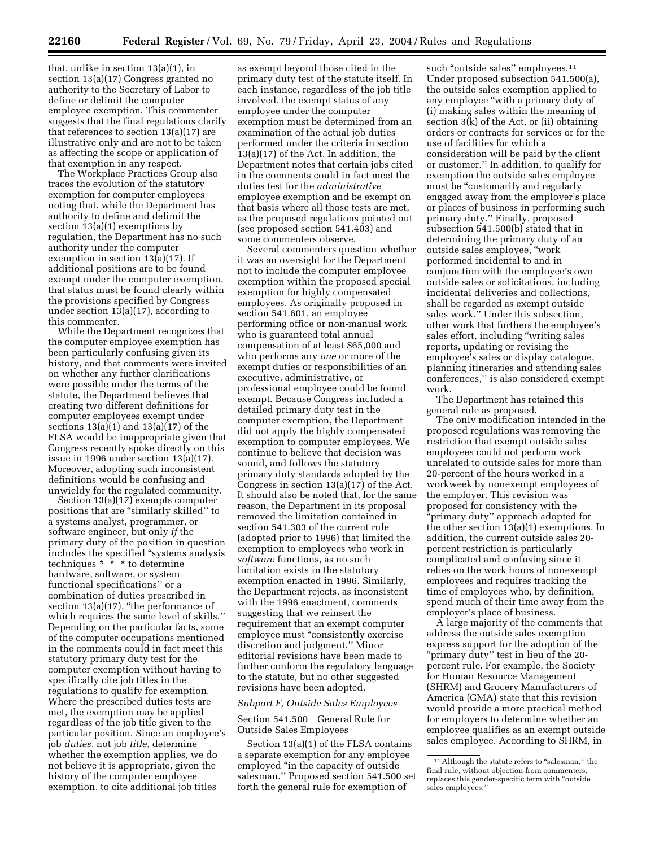that, unlike in section 13(a)(1), in section 13(a)(17) Congress granted no authority to the Secretary of Labor to define or delimit the computer employee exemption. This commenter suggests that the final regulations clarify that references to section 13(a)(17) are illustrative only and are not to be taken as affecting the scope or application of that exemption in any respect.

The Workplace Practices Group also traces the evolution of the statutory exemption for computer employees noting that, while the Department has authority to define and delimit the section 13(a)(1) exemptions by regulation, the Department has no such authority under the computer exemption in section 13(a)(17). If additional positions are to be found exempt under the computer exemption, that status must be found clearly within the provisions specified by Congress under section 13(a)(17), according to this commenter.

While the Department recognizes that the computer employee exemption has been particularly confusing given its history, and that comments were invited on whether any further clarifications were possible under the terms of the statute, the Department believes that creating two different definitions for computer employees exempt under sections  $13(a)(1)$  and  $13(a)(17)$  of the FLSA would be inappropriate given that Congress recently spoke directly on this issue in 1996 under section 13(a)(17). Moreover, adopting such inconsistent definitions would be confusing and unwieldy for the regulated community.

Section 13(a)(17) exempts computer positions that are "similarly skilled" to a systems analyst, programmer, or software engineer, but only *if* the primary duty of the position in question includes the specified ''systems analysis techniques \* \* \* to determine hardware, software, or system functional specifications'' or a combination of duties prescribed in section 13(a)(17), "the performance of which requires the same level of skills.'' Depending on the particular facts, some of the computer occupations mentioned in the comments could in fact meet this statutory primary duty test for the computer exemption without having to specifically cite job titles in the regulations to qualify for exemption. Where the prescribed duties tests are met, the exemption may be applied regardless of the job title given to the particular position. Since an employee's job *duties*, not job *title*, determine whether the exemption applies, we do not believe it is appropriate, given the history of the computer employee exemption, to cite additional job titles

as exempt beyond those cited in the primary duty test of the statute itself. In each instance, regardless of the job title involved, the exempt status of any employee under the computer exemption must be determined from an examination of the actual job duties performed under the criteria in section 13(a)(17) of the Act. In addition, the Department notes that certain jobs cited in the comments could in fact meet the duties test for the *administrative*  employee exemption and be exempt on that basis where all those tests are met, as the proposed regulations pointed out (see proposed section 541.403) and some commenters observe.

Several commenters question whether it was an oversight for the Department not to include the computer employee exemption within the proposed special exemption for highly compensated employees. As originally proposed in section 541.601, an employee performing office or non-manual work who is guaranteed total annual compensation of at least \$65,000 and who performs any *one* or more of the exempt duties or responsibilities of an executive, administrative, or professional employee could be found exempt. Because Congress included a detailed primary duty test in the computer exemption, the Department did not apply the highly compensated exemption to computer employees. We continue to believe that decision was sound, and follows the statutory primary duty standards adopted by the Congress in section 13(a)(17) of the Act. It should also be noted that, for the same reason, the Department in its proposal removed the limitation contained in section 541.303 of the current rule (adopted prior to 1996) that limited the exemption to employees who work in *software* functions, as no such limitation exists in the statutory exemption enacted in 1996. Similarly, the Department rejects, as inconsistent with the 1996 enactment, comments suggesting that we reinsert the requirement that an exempt computer employee must ''consistently exercise discretion and judgment.'' Minor editorial revisions have been made to further conform the regulatory language to the statute, but no other suggested revisions have been adopted.

#### *Subpart F, Outside Sales Employees*

Section 541.500 General Rule for Outside Sales Employees

Section 13(a)(1) of the FLSA contains a separate exemption for any employee employed ''in the capacity of outside salesman.'' Proposed section 541.500 set forth the general rule for exemption of

such "outside sales" employees.<sup>11</sup> Under proposed subsection 541.500(a), the outside sales exemption applied to any employee ''with a primary duty of (i) making sales within the meaning of section  $3(k)$  of the Act, or (ii) obtaining orders or contracts for services or for the use of facilities for which a consideration will be paid by the client or customer.'' In addition, to qualify for exemption the outside sales employee must be "customarily and regularly engaged away from the employer's place or places of business in performing such primary duty.'' Finally, proposed subsection 541.500(b) stated that in determining the primary duty of an outside sales employee, ''work performed incidental to and in conjunction with the employee's own outside sales or solicitations, including incidental deliveries and collections, shall be regarded as exempt outside sales work.'' Under this subsection, other work that furthers the employee's sales effort, including "writing sales reports, updating or revising the employee's sales or display catalogue, planning itineraries and attending sales conferences,'' is also considered exempt work.

The Department has retained this general rule as proposed.

The only modification intended in the proposed regulations was removing the restriction that exempt outside sales employees could not perform work unrelated to outside sales for more than 20-percent of the hours worked in a workweek by nonexempt employees of the employer. This revision was proposed for consistency with the "primary duty" approach adopted for the other section 13(a)(1) exemptions. In addition, the current outside sales 20 percent restriction is particularly complicated and confusing since it relies on the work hours of nonexempt employees and requires tracking the time of employees who, by definition, spend much of their time away from the employer's place of business.

A large majority of the comments that address the outside sales exemption express support for the adoption of the "primary duty" test in lieu of the 20percent rule. For example, the Society for Human Resource Management (SHRM) and Grocery Manufacturers of America (GMA) state that this revision would provide a more practical method for employers to determine whether an employee qualifies as an exempt outside sales employee. According to SHRM, in

<sup>11</sup> Although the statute refers to "salesman," the final rule, without objection from commenters, replaces this gender-specific term with ''outside sales employees.''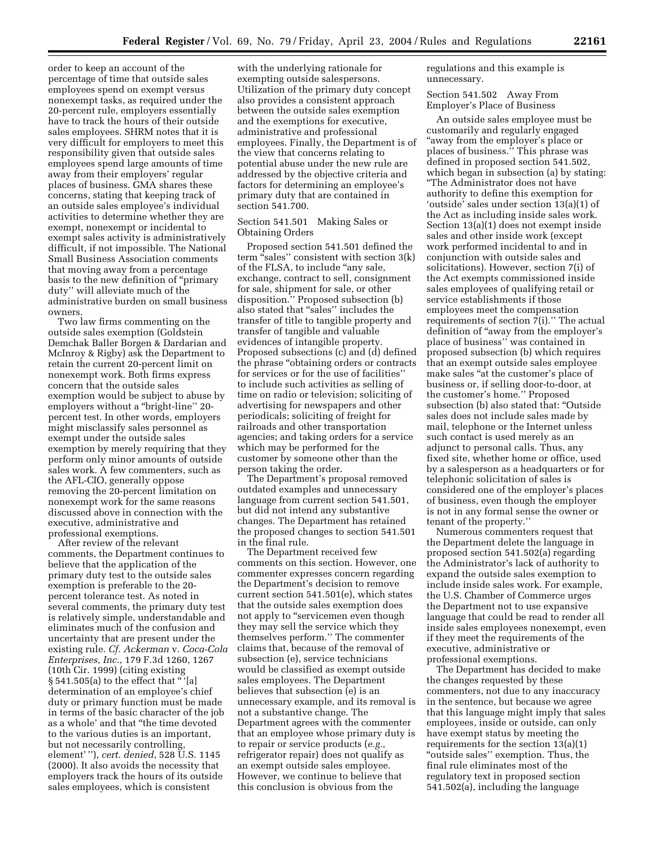order to keep an account of the percentage of time that outside sales employees spend on exempt versus nonexempt tasks, as required under the 20-percent rule, employers essentially have to track the hours of their outside sales employees. SHRM notes that it is very difficult for employers to meet this responsibility given that outside sales employees spend large amounts of time away from their employers' regular places of business. GMA shares these concerns, stating that keeping track of an outside sales employee's individual activities to determine whether they are exempt, nonexempt or incidental to exempt sales activity is administratively difficult, if not impossible. The National Small Business Association comments that moving away from a percentage basis to the new definition of ''primary duty'' will alleviate much of the administrative burden on small business owners.

Two law firms commenting on the outside sales exemption (Goldstein Demchak Baller Borgen & Dardarian and McInroy & Rigby) ask the Department to retain the current 20-percent limit on nonexempt work. Both firms express concern that the outside sales exemption would be subject to abuse by employers without a "bright-line" 20percent test. In other words, employers might misclassify sales personnel as exempt under the outside sales exemption by merely requiring that they perform only minor amounts of outside sales work. A few commenters, such as the AFL-CIO, generally oppose removing the 20-percent limitation on nonexempt work for the same reasons discussed above in connection with the executive, administrative and professional exemptions.

After review of the relevant comments, the Department continues to believe that the application of the primary duty test to the outside sales exemption is preferable to the 20 percent tolerance test. As noted in several comments, the primary duty test is relatively simple, understandable and eliminates much of the confusion and uncertainty that are present under the existing rule. *Cf. Ackerman* v. *Coca-Cola Enterprises, Inc.*, 179 F.3d 1260, 1267 (10th Cir. 1999) (citing existing § 541.505(a) to the effect that "'[a] determination of an employee's chief duty or primary function must be made in terms of the basic character of the job as a whole' and that ''the time devoted to the various duties is an important, but not necessarily controlling, element' ''), *cert. denied*, 528 U.S. 1145 (2000). It also avoids the necessity that employers track the hours of its outside sales employees, which is consistent

with the underlying rationale for exempting outside salespersons. Utilization of the primary duty concept also provides a consistent approach between the outside sales exemption and the exemptions for executive, administrative and professional employees. Finally, the Department is of the view that concerns relating to potential abuse under the new rule are addressed by the objective criteria and factors for determining an employee's primary duty that are contained in section 541.700.

Section 541.501 Making Sales or Obtaining Orders

Proposed section 541.501 defined the term "sales" consistent with section 3(k) of the FLSA, to include ''any sale, exchange, contract to sell, consignment for sale, shipment for sale, or other disposition.'' Proposed subsection (b) also stated that ''sales'' includes the transfer of title to tangible property and transfer of tangible and valuable evidences of intangible property. Proposed subsections (c) and (d) defined the phrase ''obtaining orders or contracts for services or for the use of facilities'' to include such activities as selling of time on radio or television; soliciting of advertising for newspapers and other periodicals; soliciting of freight for railroads and other transportation agencies; and taking orders for a service which may be performed for the customer by someone other than the person taking the order.

The Department's proposal removed outdated examples and unnecessary language from current section 541.501, but did not intend any substantive changes. The Department has retained the proposed changes to section 541.501 in the final rule.

The Department received few comments on this section. However, one commenter expresses concern regarding the Department's decision to remove current section 541.501(e), which states that the outside sales exemption does not apply to "servicemen even though they may sell the service which they themselves perform.'' The commenter claims that, because of the removal of subsection (e), service technicians would be classified as exempt outside sales employees. The Department believes that subsection (e) is an unnecessary example, and its removal is not a substantive change. The Department agrees with the commenter that an employee whose primary duty is to repair or service products (*e.g.,*  refrigerator repair) does not qualify as an exempt outside sales employee. However, we continue to believe that this conclusion is obvious from the

regulations and this example is unnecessary.

Section 541.502 Away From Employer's Place of Business

An outside sales employee must be customarily and regularly engaged "away from the employer's place or places of business.'' This phrase was defined in proposed section 541.502, which began in subsection (a) by stating: ''The Administrator does not have authority to define this exemption for 'outside' sales under section 13(a)(1) of the Act as including inside sales work. Section 13(a)(1) does not exempt inside sales and other inside work (except work performed incidental to and in conjunction with outside sales and solicitations). However, section 7(i) of the Act exempts commissioned inside sales employees of qualifying retail or service establishments if those employees meet the compensation requirements of section 7(i).'' The actual definition of ''away from the employer's place of business'' was contained in proposed subsection (b) which requires that an exempt outside sales employee make sales "at the customer's place of business or, if selling door-to-door, at the customer's home.'' Proposed subsection (b) also stated that: ''Outside sales does not include sales made by mail, telephone or the Internet unless such contact is used merely as an adjunct to personal calls. Thus, any fixed site, whether home or office, used by a salesperson as a headquarters or for telephonic solicitation of sales is considered one of the employer's places of business, even though the employer is not in any formal sense the owner or tenant of the property.''

Numerous commenters request that the Department delete the language in proposed section 541.502(a) regarding the Administrator's lack of authority to expand the outside sales exemption to include inside sales work. For example, the U.S. Chamber of Commerce urges the Department not to use expansive language that could be read to render all inside sales employees nonexempt, even if they meet the requirements of the executive, administrative or professional exemptions.

The Department has decided to make the changes requested by these commenters, not due to any inaccuracy in the sentence, but because we agree that this language might imply that sales employees, inside or outside, can only have exempt status by meeting the requirements for the section 13(a)(1) "outside sales" exemption. Thus, the final rule eliminates most of the regulatory text in proposed section 541.502(a), including the language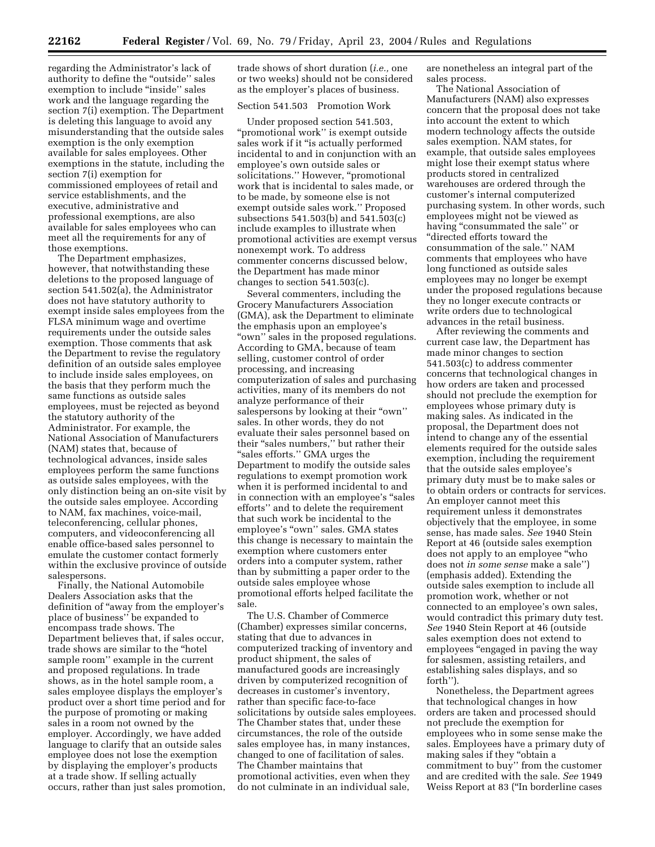regarding the Administrator's lack of authority to define the "outside" sales exemption to include "inside" sales work and the language regarding the section 7(i) exemption. The Department is deleting this language to avoid any misunderstanding that the outside sales exemption is the only exemption available for sales employees. Other exemptions in the statute, including the section 7(i) exemption for commissioned employees of retail and service establishments, and the executive, administrative and professional exemptions, are also available for sales employees who can meet all the requirements for any of those exemptions.

The Department emphasizes, however, that notwithstanding these deletions to the proposed language of section 541.502(a), the Administrator does not have statutory authority to exempt inside sales employees from the FLSA minimum wage and overtime requirements under the outside sales exemption. Those comments that ask the Department to revise the regulatory definition of an outside sales employee to include inside sales employees, on the basis that they perform much the same functions as outside sales employees, must be rejected as beyond the statutory authority of the Administrator. For example, the National Association of Manufacturers (NAM) states that, because of technological advances, inside sales employees perform the same functions as outside sales employees, with the only distinction being an on-site visit by the outside sales employee. According to NAM, fax machines, voice-mail, teleconferencing, cellular phones, computers, and videoconferencing all enable office-based sales personnel to emulate the customer contact formerly within the exclusive province of outside salespersons.

Finally, the National Automobile Dealers Association asks that the definition of ''away from the employer's place of business'' be expanded to encompass trade shows. The Department believes that, if sales occur, trade shows are similar to the ''hotel sample room'' example in the current and proposed regulations. In trade shows, as in the hotel sample room, a sales employee displays the employer's product over a short time period and for the purpose of promoting or making sales in a room not owned by the employer. Accordingly, we have added language to clarify that an outside sales employee does not lose the exemption by displaying the employer's products at a trade show. If selling actually occurs, rather than just sales promotion, trade shows of short duration (*i.e.,* one or two weeks) should not be considered as the employer's places of business.

#### Section 541.503 Promotion Work

Under proposed section 541.503, "promotional work" is exempt outside sales work if it "is actually performed incidental to and in conjunction with an employee's own outside sales or solicitations." However, "promotional work that is incidental to sales made, or to be made, by someone else is not exempt outside sales work.'' Proposed subsections 541.503(b) and 541.503(c) include examples to illustrate when promotional activities are exempt versus nonexempt work. To address commenter concerns discussed below, the Department has made minor changes to section 541.503(c).

Several commenters, including the Grocery Manufacturers Association (GMA), ask the Department to eliminate the emphasis upon an employee's "own" sales in the proposed regulations. According to GMA, because of team selling, customer control of order processing, and increasing computerization of sales and purchasing activities, many of its members do not analyze performance of their salespersons by looking at their "own" sales. In other words, they do not evaluate their sales personnel based on their "sales numbers," but rather their ''sales efforts.'' GMA urges the Department to modify the outside sales regulations to exempt promotion work when it is performed incidental to and in connection with an employee's ''sales efforts'' and to delete the requirement that such work be incidental to the employee's "own" sales. GMA states this change is necessary to maintain the exemption where customers enter orders into a computer system, rather than by submitting a paper order to the outside sales employee whose promotional efforts helped facilitate the sale.

The U.S. Chamber of Commerce (Chamber) expresses similar concerns, stating that due to advances in computerized tracking of inventory and product shipment, the sales of manufactured goods are increasingly driven by computerized recognition of decreases in customer's inventory, rather than specific face-to-face solicitations by outside sales employees. The Chamber states that, under these circumstances, the role of the outside sales employee has, in many instances, changed to one of facilitation of sales. The Chamber maintains that promotional activities, even when they do not culminate in an individual sale,

are nonetheless an integral part of the sales process.

The National Association of Manufacturers (NAM) also expresses concern that the proposal does not take into account the extent to which modern technology affects the outside sales exemption. NAM states, for example, that outside sales employees might lose their exempt status where products stored in centralized warehouses are ordered through the customer's internal computerized purchasing system. In other words, such employees might not be viewed as having "consummated the sale" or ''directed efforts toward the consummation of the sale.'' NAM comments that employees who have long functioned as outside sales employees may no longer be exempt under the proposed regulations because they no longer execute contracts or write orders due to technological advances in the retail business.

After reviewing the comments and current case law, the Department has made minor changes to section 541.503(c) to address commenter concerns that technological changes in how orders are taken and processed should not preclude the exemption for employees whose primary duty is making sales. As indicated in the proposal, the Department does not intend to change any of the essential elements required for the outside sales exemption, including the requirement that the outside sales employee's primary duty must be to make sales or to obtain orders or contracts for services. An employer cannot meet this requirement unless it demonstrates objectively that the employee, in some sense, has made sales. *See* 1940 Stein Report at 46 (outside sales exemption does not apply to an employee ''who does not *in some sense* make a sale'') (emphasis added). Extending the outside sales exemption to include all promotion work, whether or not connected to an employee's own sales, would contradict this primary duty test. *See* 1940 Stein Report at 46 (outside sales exemption does not extend to employees ''engaged in paving the way for salesmen, assisting retailers, and establishing sales displays, and so forth'').

Nonetheless, the Department agrees that technological changes in how orders are taken and processed should not preclude the exemption for employees who in some sense make the sales. Employees have a primary duty of making sales if they "obtain a commitment to buy'' from the customer and are credited with the sale. *See* 1949 Weiss Report at 83 (''In borderline cases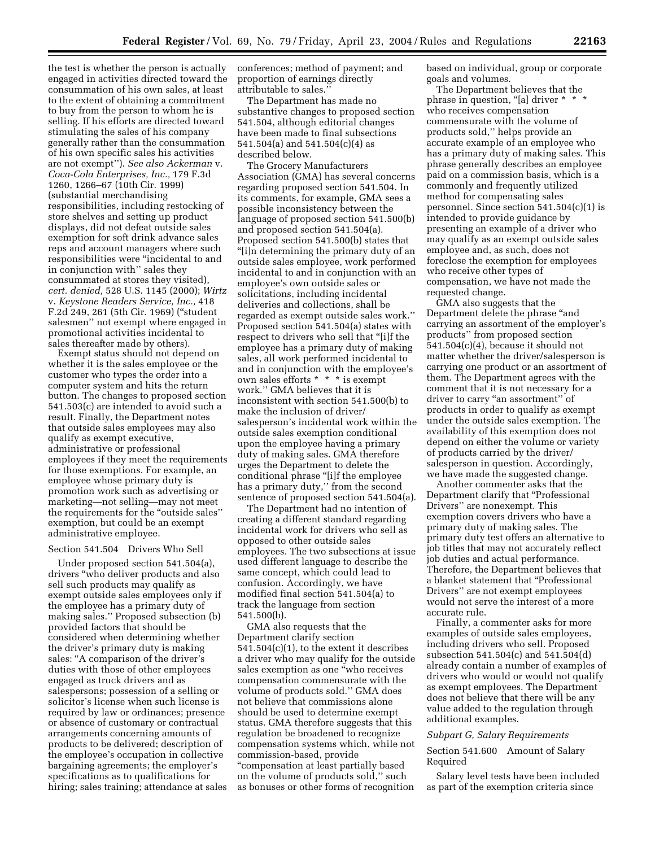the test is whether the person is actually engaged in activities directed toward the consummation of his own sales, at least to the extent of obtaining a commitment to buy from the person to whom he is selling. If his efforts are directed toward stimulating the sales of his company generally rather than the consummation of his own specific sales his activities are not exempt''). *See also Ackerman* v. *Coca-Cola Enterprises, Inc.,* 179 F.3d 1260, 1266–67 (10th Cir. 1999) (substantial merchandising responsibilities, including restocking of store shelves and setting up product displays, did not defeat outside sales exemption for soft drink advance sales reps and account managers where such responsibilities were "incidental to and in conjunction with'' sales they consummated at stores they visited), *cert. denied,* 528 U.S. 1145 (2000); *Wirtz*  v. *Keystone Readers Service, Inc.,* 418 F.2d 249, 261 (5th Cir. 1969) (''student salesmen'' not exempt where engaged in promotional activities incidental to sales thereafter made by others).

Exempt status should not depend on whether it is the sales employee or the customer who types the order into a computer system and hits the return button. The changes to proposed section 541.503(c) are intended to avoid such a result. Finally, the Department notes that outside sales employees may also qualify as exempt executive, administrative or professional employees if they meet the requirements for those exemptions. For example, an employee whose primary duty is promotion work such as advertising or marketing—not selling—may not meet the requirements for the ''outside sales'' exemption, but could be an exempt administrative employee.

#### Section 541.504 Drivers Who Sell

Under proposed section 541.504(a), drivers ''who deliver products and also sell such products may qualify as exempt outside sales employees only if the employee has a primary duty of making sales.'' Proposed subsection (b) provided factors that should be considered when determining whether the driver's primary duty is making sales: ''A comparison of the driver's duties with those of other employees engaged as truck drivers and as salespersons; possession of a selling or solicitor's license when such license is required by law or ordinances; presence or absence of customary or contractual arrangements concerning amounts of products to be delivered; description of the employee's occupation in collective bargaining agreements; the employer's specifications as to qualifications for hiring; sales training; attendance at sales conferences; method of payment; and proportion of earnings directly attributable to sales.

The Department has made no substantive changes to proposed section 541.504, although editorial changes have been made to final subsections 541.504(a) and 541.504(c)(4) as described below.

The Grocery Manufacturers Association (GMA) has several concerns regarding proposed section 541.504. In its comments, for example, GMA sees a possible inconsistency between the language of proposed section 541.500(b) and proposed section 541.504(a). Proposed section 541.500(b) states that ''[i]n determining the primary duty of an outside sales employee, work performed incidental to and in conjunction with an employee's own outside sales or solicitations, including incidental deliveries and collections, shall be regarded as exempt outside sales work.'' Proposed section 541.504(a) states with respect to drivers who sell that ''[i]f the employee has a primary duty of making sales, all work performed incidental to and in conjunction with the employee's own sales efforts \* \* \* is exempt work.'' GMA believes that it is inconsistent with section 541.500(b) to make the inclusion of driver/ salesperson's incidental work within the outside sales exemption conditional upon the employee having a primary duty of making sales. GMA therefore urges the Department to delete the conditional phrase ''[i]f the employee has a primary duty,'' from the second sentence of proposed section 541.504(a).

The Department had no intention of creating a different standard regarding incidental work for drivers who sell as opposed to other outside sales employees. The two subsections at issue used different language to describe the same concept, which could lead to confusion. Accordingly, we have modified final section 541.504(a) to track the language from section 541.500(b).

GMA also requests that the Department clarify section  $541.504(c)(1)$ , to the extent it describes a driver who may qualify for the outside sales exemption as one ''who receives compensation commensurate with the volume of products sold.'' GMA does not believe that commissions alone should be used to determine exempt status. GMA therefore suggests that this regulation be broadened to recognize compensation systems which, while not commission-based, provide ''compensation at least partially based on the volume of products sold,'' such as bonuses or other forms of recognition

based on individual, group or corporate goals and volumes.

The Department believes that the phrase in question, "[a] driver \* \* who receives compensation commensurate with the volume of products sold,'' helps provide an accurate example of an employee who has a primary duty of making sales. This phrase generally describes an employee paid on a commission basis, which is a commonly and frequently utilized method for compensating sales personnel. Since section 541.504(c)(1) is intended to provide guidance by presenting an example of a driver who may qualify as an exempt outside sales employee and, as such, does not foreclose the exemption for employees who receive other types of compensation, we have not made the requested change.

GMA also suggests that the Department delete the phrase "and carrying an assortment of the employer's products'' from proposed section 541.504(c)(4), because it should not matter whether the driver/salesperson is carrying one product or an assortment of them. The Department agrees with the comment that it is not necessary for a driver to carry "an assortment" of products in order to qualify as exempt under the outside sales exemption. The availability of this exemption does not depend on either the volume or variety of products carried by the driver/ salesperson in question. Accordingly, we have made the suggested change.

Another commenter asks that the Department clarify that ''Professional Drivers'' are nonexempt. This exemption covers drivers who have a primary duty of making sales. The primary duty test offers an alternative to job titles that may not accurately reflect job duties and actual performance. Therefore, the Department believes that a blanket statement that ''Professional Drivers'' are not exempt employees would not serve the interest of a more accurate rule.

Finally, a commenter asks for more examples of outside sales employees, including drivers who sell. Proposed subsection 541.504(c) and 541.504(d) already contain a number of examples of drivers who would or would not qualify as exempt employees. The Department does not believe that there will be any value added to the regulation through additional examples.

#### *Subpart G, Salary Requirements*

#### Section 541.600 Amount of Salary Required

Salary level tests have been included as part of the exemption criteria since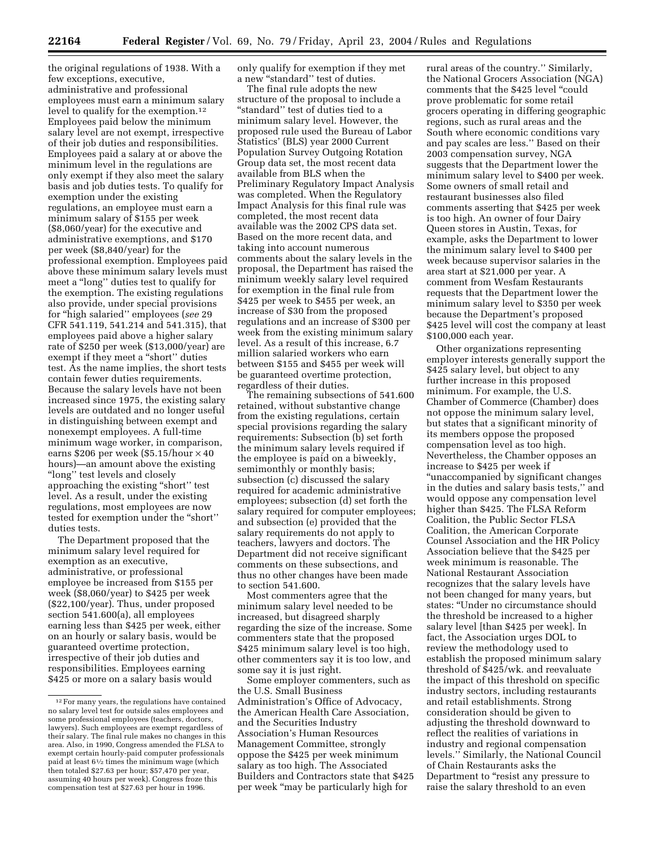the original regulations of 1938. With a few exceptions, executive, administrative and professional employees must earn a minimum salary level to qualify for the exemption.<sup>12</sup> Employees paid below the minimum salary level are not exempt, irrespective of their job duties and responsibilities. Employees paid a salary at or above the minimum level in the regulations are only exempt if they also meet the salary basis and job duties tests. To qualify for exemption under the existing regulations, an employee must earn a minimum salary of \$155 per week (\$8,060/year) for the executive and administrative exemptions, and \$170 per week (\$8,840/year) for the professional exemption. Employees paid above these minimum salary levels must meet a ''long'' duties test to qualify for the exemption. The existing regulations also provide, under special provisions for ''high salaried'' employees (*see* 29 CFR 541.119, 541.214 and 541.315), that employees paid above a higher salary rate of \$250 per week (\$13,000/year) are exempt if they meet a "short" duties test. As the name implies, the short tests contain fewer duties requirements. Because the salary levels have not been increased since 1975, the existing salary levels are outdated and no longer useful in distinguishing between exempt and nonexempt employees. A full-time minimum wage worker, in comparison, earns \$206 per week (\$5.15/hour  $\times$  40 hours)—an amount above the existing "long" test levels and closely approaching the existing ''short'' test level. As a result, under the existing regulations, most employees are now tested for exemption under the ''short'' duties tests.

The Department proposed that the minimum salary level required for exemption as an executive, administrative, or professional employee be increased from \$155 per week (\$8,060/year) to \$425 per week (\$22,100/year). Thus, under proposed section 541.600(a), all employees earning less than \$425 per week, either on an hourly or salary basis, would be guaranteed overtime protection, irrespective of their job duties and responsibilities. Employees earning \$425 or more on a salary basis would

only qualify for exemption if they met a new ''standard'' test of duties.

The final rule adopts the new structure of the proposal to include a "standard" test of duties tied to a minimum salary level. However, the proposed rule used the Bureau of Labor Statistics' (BLS) year 2000 Current Population Survey Outgoing Rotation Group data set, the most recent data available from BLS when the Preliminary Regulatory Impact Analysis was completed. When the Regulatory Impact Analysis for this final rule was completed, the most recent data available was the 2002 CPS data set. Based on the more recent data, and taking into account numerous comments about the salary levels in the proposal, the Department has raised the minimum weekly salary level required for exemption in the final rule from \$425 per week to \$455 per week, an increase of \$30 from the proposed regulations and an increase of \$300 per week from the existing minimum salary level. As a result of this increase, 6.7 million salaried workers who earn between \$155 and \$455 per week will be guaranteed overtime protection, regardless of their duties.

The remaining subsections of 541.600 retained, without substantive change from the existing regulations, certain special provisions regarding the salary requirements: Subsection (b) set forth the minimum salary levels required if the employee is paid on a biweekly, semimonthly or monthly basis; subsection (c) discussed the salary required for academic administrative employees; subsection (d) set forth the salary required for computer employees; and subsection (e) provided that the salary requirements do not apply to teachers, lawyers and doctors. The Department did not receive significant comments on these subsections, and thus no other changes have been made to section 541.600.

Most commenters agree that the minimum salary level needed to be increased, but disagreed sharply regarding the size of the increase. Some commenters state that the proposed \$425 minimum salary level is too high, other commenters say it is too low, and some say it is just right.

Some employer commenters, such as the U.S. Small Business Administration's Office of Advocacy, the American Health Care Association, and the Securities Industry Association's Human Resources Management Committee, strongly oppose the \$425 per week minimum salary as too high. The Associated Builders and Contractors state that \$425 per week ''may be particularly high for

rural areas of the country.'' Similarly, the National Grocers Association (NGA) comments that the \$425 level ''could prove problematic for some retail grocers operating in differing geographic regions, such as rural areas and the South where economic conditions vary and pay scales are less.'' Based on their 2003 compensation survey, NGA suggests that the Department lower the minimum salary level to \$400 per week. Some owners of small retail and restaurant businesses also filed comments asserting that \$425 per week is too high. An owner of four Dairy Queen stores in Austin, Texas, for example, asks the Department to lower the minimum salary level to \$400 per week because supervisor salaries in the area start at \$21,000 per year. A comment from Wesfam Restaurants requests that the Department lower the minimum salary level to \$350 per week because the Department's proposed \$425 level will cost the company at least \$100,000 each year.

Other organizations representing employer interests generally support the \$425 salary level, but object to any further increase in this proposed minimum. For example, the U.S. Chamber of Commerce (Chamber) does not oppose the minimum salary level, but states that a significant minority of its members oppose the proposed compensation level as too high. Nevertheless, the Chamber opposes an increase to \$425 per week if ''unaccompanied by significant changes in the duties and salary basis tests,'' and would oppose any compensation level higher than \$425. The FLSA Reform Coalition, the Public Sector FLSA Coalition, the American Corporate Counsel Association and the HR Policy Association believe that the \$425 per week minimum is reasonable. The National Restaurant Association recognizes that the salary levels have not been changed for many years, but states: ''Under no circumstance should the threshold be increased to a higher salary level [than \$425 per week]. In fact, the Association urges DOL to review the methodology used to establish the proposed minimum salary threshold of \$425/wk. and reevaluate the impact of this threshold on specific industry sectors, including restaurants and retail establishments. Strong consideration should be given to adjusting the threshold downward to reflect the realities of variations in industry and regional compensation levels.'' Similarly, the National Council of Chain Restaurants asks the Department to "resist any pressure to raise the salary threshold to an even

<sup>12</sup> For many years, the regulations have contained no salary level test for outside sales employees and some professional employees (teachers, doctors, lawyers). Such employees are exempt regardless of their salary. The final rule makes no changes in this area. Also, in 1990, Congress amended the FLSA to exempt certain hourly-paid computer professionals paid at least 61⁄2 times the minimum wage (which then totaled \$27.63 per hour; \$57,470 per year, assuming 40 hours per week). Congress froze this compensation test at \$27.63 per hour in 1996.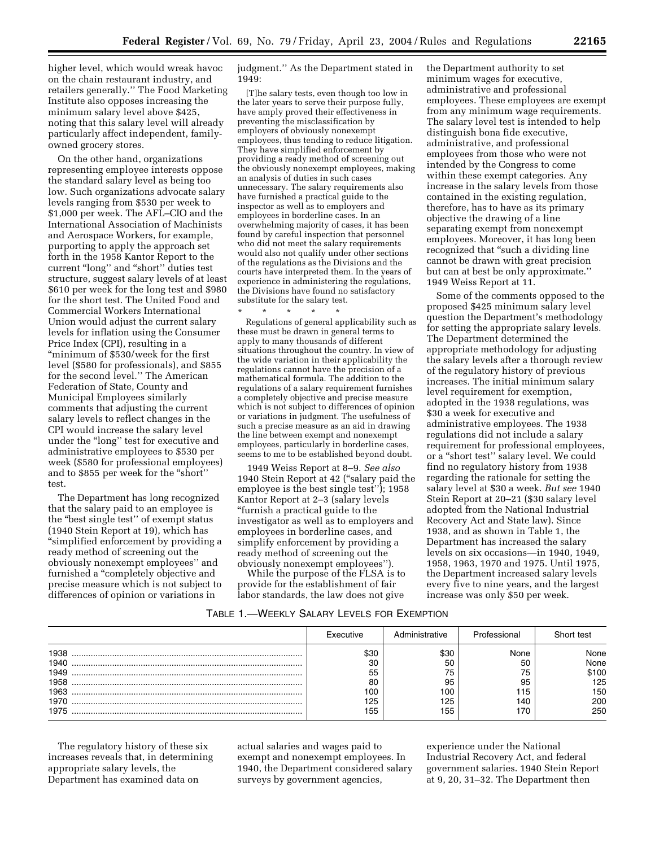higher level, which would wreak havoc on the chain restaurant industry, and retailers generally.'' The Food Marketing Institute also opposes increasing the minimum salary level above \$425, noting that this salary level will already particularly affect independent, familyowned grocery stores.

On the other hand, organizations representing employee interests oppose the standard salary level as being too low. Such organizations advocate salary levels ranging from \$530 per week to \$1,000 per week. The AFL–CIO and the International Association of Machinists and Aerospace Workers, for example, purporting to apply the approach set forth in the 1958 Kantor Report to the current ''long'' and ''short'' duties test structure, suggest salary levels of at least \$610 per week for the long test and \$980 for the short test. The United Food and Commercial Workers International Union would adjust the current salary levels for inflation using the Consumer Price Index (CPI), resulting in a ''minimum of \$530/week for the first level (\$580 for professionals), and \$855 for the second level.'' The American Federation of State, County and Municipal Employees similarly comments that adjusting the current salary levels to reflect changes in the CPI would increase the salary level under the "long" test for executive and administrative employees to \$530 per week (\$580 for professional employees) and to \$855 per week for the ''short'' test.

The Department has long recognized that the salary paid to an employee is the ''best single test'' of exempt status (1940 Stein Report at 19), which has ''simplified enforcement by providing a ready method of screening out the obviously nonexempt employees'' and furnished a ''completely objective and precise measure which is not subject to differences of opinion or variations in

judgment.'' As the Department stated in 1949:

[T]he salary tests, even though too low in the later years to serve their purpose fully, have amply proved their effectiveness in preventing the misclassification by employers of obviously nonexempt employees, thus tending to reduce litigation. They have simplified enforcement by providing a ready method of screening out the obviously nonexempt employees, making an analysis of duties in such cases unnecessary. The salary requirements also have furnished a practical guide to the inspector as well as to employers and employees in borderline cases. In an overwhelming majority of cases, it has been found by careful inspection that personnel who did not meet the salary requirements would also not qualify under other sections of the regulations as the Divisions and the courts have interpreted them. In the years of experience in administering the regulations, the Divisions have found no satisfactory substitute for the salary test.

\* \* \* \* \* Regulations of general applicability such as these must be drawn in general terms to apply to many thousands of different situations throughout the country. In view of the wide variation in their applicability the regulations cannot have the precision of a mathematical formula. The addition to the regulations of a salary requirement furnishes a completely objective and precise measure which is not subject to differences of opinion or variations in judgment. The usefulness of such a precise measure as an aid in drawing the line between exempt and nonexempt employees, particularly in borderline cases, seems to me to be established beyond doubt.

1949 Weiss Report at 8–9. *See also*  1940 Stein Report at 42 (''salary paid the employee is the best single test''); 1958 Kantor Report at 2–3 (salary levels ''furnish a practical guide to the investigator as well as to employers and employees in borderline cases, and simplify enforcement by providing a ready method of screening out the obviously nonexempt employees'').

While the purpose of the FLSA is to provide for the establishment of fair labor standards, the law does not give

the Department authority to set minimum wages for executive, administrative and professional employees. These employees are exempt from any minimum wage requirements. The salary level test is intended to help distinguish bona fide executive, administrative, and professional employees from those who were not intended by the Congress to come within these exempt categories. Any increase in the salary levels from those contained in the existing regulation, therefore, has to have as its primary objective the drawing of a line separating exempt from nonexempt employees. Moreover, it has long been recognized that ''such a dividing line cannot be drawn with great precision but can at best be only approximate.'' 1949 Weiss Report at 11.

Some of the comments opposed to the proposed \$425 minimum salary level question the Department's methodology for setting the appropriate salary levels. The Department determined the appropriate methodology for adjusting the salary levels after a thorough review of the regulatory history of previous increases. The initial minimum salary level requirement for exemption, adopted in the 1938 regulations, was \$30 a week for executive and administrative employees. The 1938 regulations did not include a salary requirement for professional employees, or a ''short test'' salary level. We could find no regulatory history from 1938 regarding the rationale for setting the salary level at \$30 a week. *But see* 1940 Stein Report at 20–21 (\$30 salary level adopted from the National Industrial Recovery Act and State law). Since 1938, and as shown in Table 1, the Department has increased the salary levels on six occasions—in 1940, 1949, 1958, 1963, 1970 and 1975. Until 1975, the Department increased salary levels every five to nine years, and the largest increase was only \$50 per week.

#### TABLE 1.—WEEKLY SALARY LEVELS FOR EXEMPTION

|      | Executive |      | Professional | Short test |
|------|-----------|------|--------------|------------|
| 1938 | \$30      | \$30 | None         | None       |
| 1940 | 30        | 50   | 50           | None       |
| 1949 | 55        | 75   |              | \$100      |
| 1958 | 80        | 95   | 95           | 125        |
| 1963 | 100       | 100  | 15           | 150        |
| 1970 | 125       | 125  | 140          | 200        |
| 1975 | 155       | 55   | 70           | 250        |

The regulatory history of these six actual salaries and wages paid to experience under the National increases reveals that, in determining exempt and nonexempt employees. In Industrial Recovery Act, and fe exempt and nonexempt employees. In Industrial Recovery Act, and federal Department has examined data on surveys by government agencies, at 9, 20, 31–32. The Department then

appropriate salary levels, the 1940, the Department considered salary government salaries. 1940 Stein Report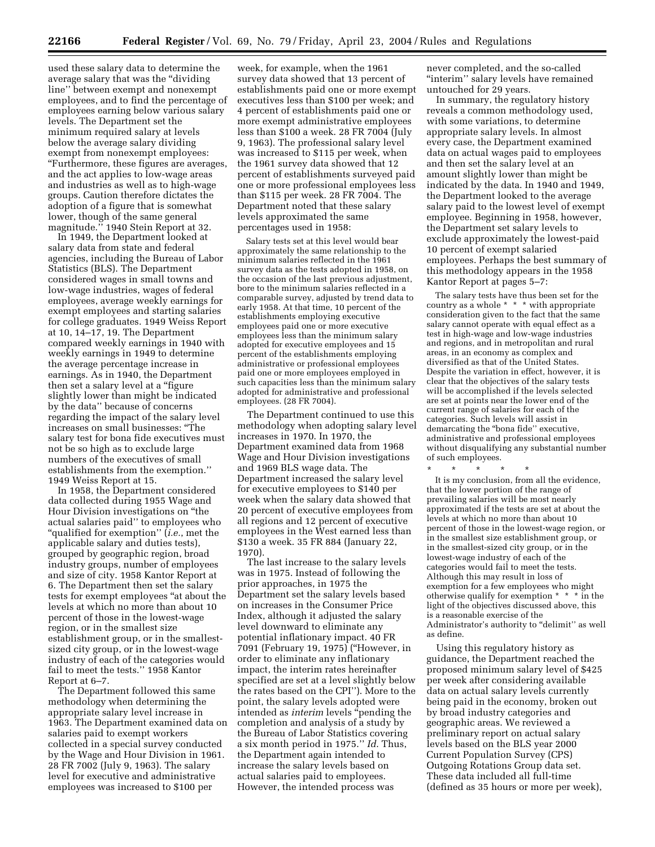used these salary data to determine the average salary that was the ''dividing line'' between exempt and nonexempt employees, and to find the percentage of employees earning below various salary levels. The Department set the minimum required salary at levels below the average salary dividing exempt from nonexempt employees: ''Furthermore, these figures are averages, and the act applies to low-wage areas and industries as well as to high-wage groups. Caution therefore dictates the adoption of a figure that is somewhat lower, though of the same general magnitude.'' 1940 Stein Report at 32.

In 1949, the Department looked at salary data from state and federal agencies, including the Bureau of Labor Statistics (BLS). The Department considered wages in small towns and low-wage industries, wages of federal employees, average weekly earnings for exempt employees and starting salaries for college graduates. 1949 Weiss Report at 10, 14–17, 19. The Department compared weekly earnings in 1940 with weekly earnings in 1949 to determine the average percentage increase in earnings. As in 1940, the Department then set a salary level at a "figure slightly lower than might be indicated by the data'' because of concerns regarding the impact of the salary level increases on small businesses: ''The salary test for bona fide executives must not be so high as to exclude large numbers of the executives of small establishments from the exemption.'' 1949 Weiss Report at 15.

In 1958, the Department considered data collected during 1955 Wage and Hour Division investigations on ''the actual salaries paid'' to employees who "qualified for exemption" (*i.e.*, met the applicable salary and duties tests), grouped by geographic region, broad industry groups, number of employees and size of city. 1958 Kantor Report at 6. The Department then set the salary tests for exempt employees ''at about the levels at which no more than about 10 percent of those in the lowest-wage region, or in the smallest size establishment group, or in the smallestsized city group, or in the lowest-wage industry of each of the categories would fail to meet the tests.'' 1958 Kantor Report at 6–7.

The Department followed this same methodology when determining the appropriate salary level increase in 1963. The Department examined data on salaries paid to exempt workers collected in a special survey conducted by the Wage and Hour Division in 1961. 28 FR 7002 (July 9, 1963). The salary level for executive and administrative employees was increased to \$100 per

week, for example, when the 1961 survey data showed that 13 percent of establishments paid one or more exempt executives less than \$100 per week; and 4 percent of establishments paid one or more exempt administrative employees less than \$100 a week. 28 FR 7004 (July 9, 1963). The professional salary level was increased to \$115 per week, when the 1961 survey data showed that 12 percent of establishments surveyed paid one or more professional employees less than \$115 per week. 28 FR 7004. The Department noted that these salary levels approximated the same percentages used in 1958:

Salary tests set at this level would bear approximately the same relationship to the minimum salaries reflected in the 1961 survey data as the tests adopted in 1958, on the occasion of the last previous adjustment, bore to the minimum salaries reflected in a comparable survey, adjusted by trend data to early 1958. At that time, 10 percent of the establishments employing executive employees paid one or more executive employees less than the minimum salary adopted for executive employees and 15 percent of the establishments employing administrative or professional employees paid one or more employees employed in such capacities less than the minimum salary adopted for administrative and professional employees. (28 FR 7004).

The Department continued to use this methodology when adopting salary level increases in 1970. In 1970, the Department examined data from 1968 Wage and Hour Division investigations and 1969 BLS wage data. The Department increased the salary level for executive employees to \$140 per week when the salary data showed that 20 percent of executive employees from all regions and 12 percent of executive employees in the West earned less than \$130 a week. 35 FR 884 (January 22, 1970).

The last increase to the salary levels was in 1975. Instead of following the prior approaches, in 1975 the Department set the salary levels based on increases in the Consumer Price Index, although it adjusted the salary level downward to eliminate any potential inflationary impact. 40 FR 7091 (February 19, 1975) (''However, in order to eliminate any inflationary impact, the interim rates hereinafter specified are set at a level slightly below the rates based on the CPI''). More to the point, the salary levels adopted were intended as *interim* levels ''pending the completion and analysis of a study by the Bureau of Labor Statistics covering a six month period in 1975.'' *Id*. Thus, the Department again intended to increase the salary levels based on actual salaries paid to employees. However, the intended process was

never completed, and the so-called ''interim'' salary levels have remained untouched for 29 years.

In summary, the regulatory history reveals a common methodology used, with some variations, to determine appropriate salary levels. In almost every case, the Department examined data on actual wages paid to employees and then set the salary level at an amount slightly lower than might be indicated by the data. In 1940 and 1949, the Department looked to the average salary paid to the lowest level of exempt employee. Beginning in 1958, however, the Department set salary levels to exclude approximately the lowest-paid 10 percent of exempt salaried employees. Perhaps the best summary of this methodology appears in the 1958 Kantor Report at pages 5–7:

The salary tests have thus been set for the country as a whole \* \* \* with appropriate consideration given to the fact that the same salary cannot operate with equal effect as a test in high-wage and low-wage industries and regions, and in metropolitan and rural areas, in an economy as complex and diversified as that of the United States. Despite the variation in effect, however, it is clear that the objectives of the salary tests will be accomplished if the levels selected are set at points near the lower end of the current range of salaries for each of the categories. Such levels will assist in demarcating the "bona fide" executive, administrative and professional employees without disqualifying any substantial number of such employees.

\* \* \* \* \* It is my conclusion, from all the evidence, that the lower portion of the range of prevailing salaries will be most nearly approximated if the tests are set at about the levels at which no more than about 10 percent of those in the lowest-wage region, or in the smallest size establishment group, or in the smallest-sized city group, or in the lowest-wage industry of each of the categories would fail to meet the tests. Although this may result in loss of exemption for a few employees who might otherwise qualify for exemption \* \* \* in the light of the objectives discussed above, this is a reasonable exercise of the Administrator's authority to "delimit" as well as define.

Using this regulatory history as guidance, the Department reached the proposed minimum salary level of \$425 per week after considering available data on actual salary levels currently being paid in the economy, broken out by broad industry categories and geographic areas. We reviewed a preliminary report on actual salary levels based on the BLS year 2000 Current Population Survey (CPS) Outgoing Rotations Group data set. These data included all full-time (defined as 35 hours or more per week),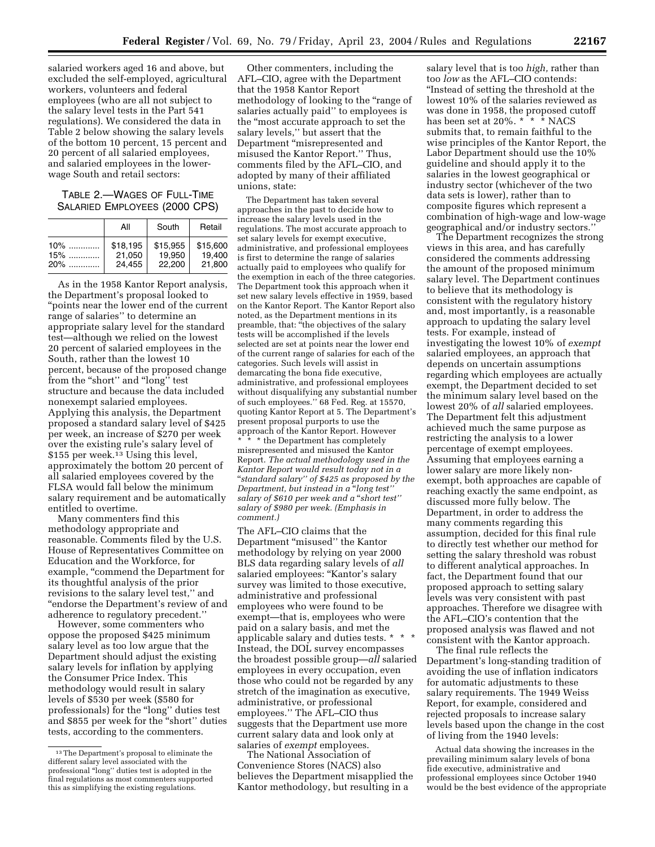salaried workers aged 16 and above, but excluded the self-employed, agricultural workers, volunteers and federal employees (who are all not subject to the salary level tests in the Part 541 regulations). We considered the data in Table 2 below showing the salary levels of the bottom 10 percent, 15 percent and 20 percent of all salaried employees, and salaried employees in the lowerwage South and retail sectors:

#### TABLE 2.—WAGES OF FULL-TIME SALARIED EMPLOYEES (2000 CPS)

|        | All      | South    | Retail   |
|--------|----------|----------|----------|
| $10\%$ | \$18,195 | \$15.955 | \$15,600 |
| $15\%$ | 21,050   | 19.950   | 19.400   |
| $20\%$ | 24,455   | 22,200   | 21,800   |

As in the 1958 Kantor Report analysis, the Department's proposal looked to ''points near the lower end of the current range of salaries'' to determine an appropriate salary level for the standard test—although we relied on the lowest 20 percent of salaried employees in the South, rather than the lowest 10 percent, because of the proposed change from the "short" and "long" test structure and because the data included nonexempt salaried employees. Applying this analysis, the Department proposed a standard salary level of \$425 per week, an increase of \$270 per week over the existing rule's salary level of \$155 per week.<sup>13</sup> Using this level, approximately the bottom 20 percent of all salaried employees covered by the FLSA would fall below the minimum salary requirement and be automatically entitled to overtime.

Many commenters find this methodology appropriate and reasonable. Comments filed by the U.S. House of Representatives Committee on Education and the Workforce, for example, "commend the Department for its thoughtful analysis of the prior revisions to the salary level test,'' and ''endorse the Department's review of and adherence to regulatory precedent.''

However, some commenters who oppose the proposed \$425 minimum salary level as too low argue that the Department should adjust the existing salary levels for inflation by applying the Consumer Price Index. This methodology would result in salary levels of \$530 per week (\$580 for professionals) for the ''long'' duties test and \$855 per week for the "short" duties tests, according to the commenters.

Other commenters, including the AFL–CIO, agree with the Department that the 1958 Kantor Report methodology of looking to the ''range of salaries actually paid" to employees is the ''most accurate approach to set the salary levels,'' but assert that the Department ''misrepresented and misused the Kantor Report.'' Thus, comments filed by the AFL–CIO, and adopted by many of their affiliated unions, state:

The Department has taken several approaches in the past to decide how to increase the salary levels used in the regulations. The most accurate approach to set salary levels for exempt executive, administrative, and professional employees is first to determine the range of salaries actually paid to employees who qualify for the exemption in each of the three categories. The Department took this approach when it set new salary levels effective in 1959, based on the Kantor Report. The Kantor Report also noted, as the Department mentions in its preamble, that: "the objectives of the salary tests will be accomplished if the levels selected are set at points near the lower end of the current range of salaries for each of the categories. Such levels will assist in demarcating the bona fide executive, administrative, and professional employees without disqualifying any substantial number of such employees.'' 68 Fed. Reg. at 15570, quoting Kantor Report at 5. The Department's present proposal purports to use the approach of the Kantor Report. However

\* the Department has completely misrepresented and misused the Kantor Report. *The actual methodology used in the Kantor Report would result today not in a*  ''*standard salary'' of \$425 as proposed by the Department, but instead in a* ''*long test'' salary of \$610 per week and a* ''*short test'' salary of \$980 per week. (Emphasis in comment.)* 

The AFL–CIO claims that the Department ''misused'' the Kantor methodology by relying on year 2000 BLS data regarding salary levels of *all*  salaried employees: "Kantor's salary survey was limited to those executive, administrative and professional employees who were found to be exempt—that is, employees who were paid on a salary basis, and met the applicable salary and duties tests. \* \* \* Instead, the DOL survey encompasses the broadest possible group—*all* salaried employees in every occupation, even those who could not be regarded by any stretch of the imagination as executive, administrative, or professional employees.'' The AFL–CIO thus suggests that the Department use more current salary data and look only at salaries of *exempt* employees.

The National Association of Convenience Stores (NACS) also believes the Department misapplied the Kantor methodology, but resulting in a

salary level that is too *high,* rather than too *low* as the AFL–CIO contends: ''Instead of setting the threshold at the lowest 10% of the salaries reviewed as was done in 1958, the proposed cutoff has been set at 20%. \* \* \* NACS submits that, to remain faithful to the wise principles of the Kantor Report, the Labor Department should use the 10% guideline and should apply it to the salaries in the lowest geographical or industry sector (whichever of the two data sets is lower), rather than to composite figures which represent a combination of high-wage and low-wage geographical and/or industry sectors.''

The Department recognizes the strong views in this area, and has carefully considered the comments addressing the amount of the proposed minimum salary level. The Department continues to believe that its methodology is consistent with the regulatory history and, most importantly, is a reasonable approach to updating the salary level tests. For example, instead of investigating the lowest 10% of *exempt*  salaried employees, an approach that depends on uncertain assumptions regarding which employees are actually exempt, the Department decided to set the minimum salary level based on the lowest 20% of *all* salaried employees. The Department felt this adjustment achieved much the same purpose as restricting the analysis to a lower percentage of exempt employees. Assuming that employees earning a lower salary are more likely nonexempt, both approaches are capable of reaching exactly the same endpoint, as discussed more fully below. The Department, in order to address the many comments regarding this assumption, decided for this final rule to directly test whether our method for setting the salary threshold was robust to different analytical approaches. In fact, the Department found that our proposed approach to setting salary levels was very consistent with past approaches. Therefore we disagree with the AFL–CIO's contention that the proposed analysis was flawed and not consistent with the Kantor approach.

The final rule reflects the Department's long-standing tradition of avoiding the use of inflation indicators for automatic adjustments to these salary requirements. The 1949 Weiss Report, for example, considered and rejected proposals to increase salary levels based upon the change in the cost of living from the 1940 levels:

Actual data showing the increases in the prevailing minimum salary levels of bona fide executive, administrative and professional employees since October 1940 would be the best evidence of the appropriate

<sup>13</sup> The Department's proposal to eliminate the different salary level associated with the professional "long" duties test is adopted in the final regulations as most commenters supported this as simplifying the existing regulations.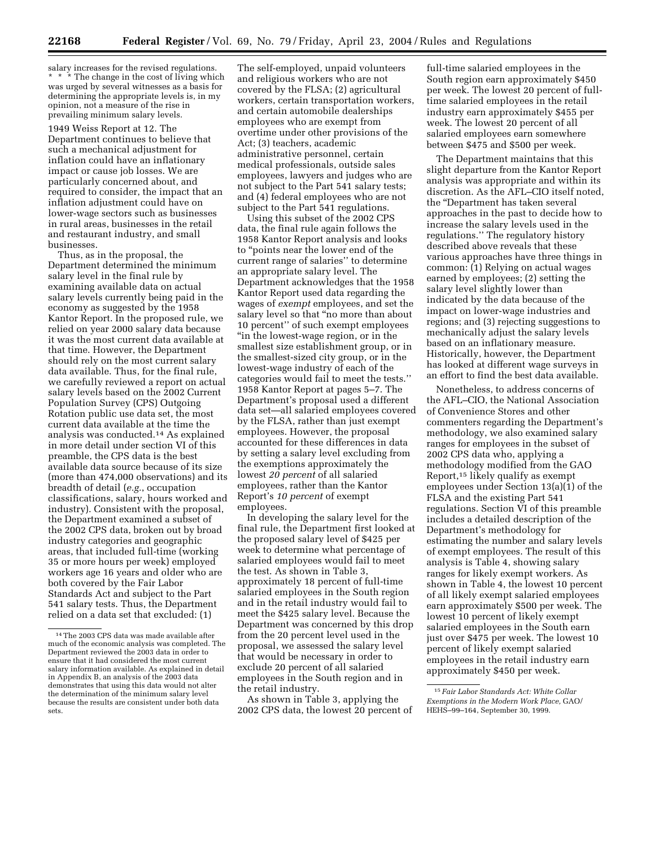salary increases for the revised regulations. \* \* \* The change in the cost of living which was urged by several witnesses as a basis for determining the appropriate levels is, in my opinion, not a measure of the rise in prevailing minimum salary levels.

1949 Weiss Report at 12. The Department continues to believe that such a mechanical adjustment for inflation could have an inflationary impact or cause job losses. We are particularly concerned about, and required to consider, the impact that an inflation adjustment could have on lower-wage sectors such as businesses in rural areas, businesses in the retail and restaurant industry, and small businesses.

Thus, as in the proposal, the Department determined the minimum salary level in the final rule by examining available data on actual salary levels currently being paid in the economy as suggested by the 1958 Kantor Report. In the proposed rule, we relied on year 2000 salary data because it was the most current data available at that time. However, the Department should rely on the most current salary data available. Thus, for the final rule, we carefully reviewed a report on actual salary levels based on the 2002 Current Population Survey (CPS) Outgoing Rotation public use data set, the most current data available at the time the analysis was conducted.14 As explained in more detail under section VI of this preamble, the CPS data is the best available data source because of its size (more than 474,000 observations) and its breadth of detail (*e.g.*, occupation classifications, salary, hours worked and industry). Consistent with the proposal, the Department examined a subset of the 2002 CPS data, broken out by broad industry categories and geographic areas, that included full-time (working 35 or more hours per week) employed workers age 16 years and older who are both covered by the Fair Labor Standards Act and subject to the Part 541 salary tests. Thus, the Department relied on a data set that excluded: (1)

The self-employed, unpaid volunteers and religious workers who are not covered by the FLSA; (2) agricultural workers, certain transportation workers, and certain automobile dealerships employees who are exempt from overtime under other provisions of the Act; (3) teachers, academic administrative personnel, certain medical professionals, outside sales employees, lawyers and judges who are not subject to the Part 541 salary tests; and (4) federal employees who are not subject to the Part 541 regulations.

Using this subset of the 2002 CPS data, the final rule again follows the 1958 Kantor Report analysis and looks to ''points near the lower end of the current range of salaries'' to determine an appropriate salary level. The Department acknowledges that the 1958 Kantor Report used data regarding the wages of *exempt* employees, and set the salary level so that ''no more than about 10 percent'' of such exempt employees ''in the lowest-wage region, or in the smallest size establishment group, or in the smallest-sized city group, or in the lowest-wage industry of each of the categories would fail to meet the tests.'' 1958 Kantor Report at pages 5–7. The Department's proposal used a different data set—all salaried employees covered by the FLSA, rather than just exempt employees. However, the proposal accounted for these differences in data by setting a salary level excluding from the exemptions approximately the lowest *20 percent* of all salaried employees, rather than the Kantor Report's *10 percent* of exempt employees.

In developing the salary level for the final rule, the Department first looked at the proposed salary level of \$425 per week to determine what percentage of salaried employees would fail to meet the test. As shown in Table 3, approximately 18 percent of full-time salaried employees in the South region and in the retail industry would fail to meet the \$425 salary level. Because the Department was concerned by this drop from the 20 percent level used in the proposal, we assessed the salary level that would be necessary in order to exclude 20 percent of all salaried employees in the South region and in the retail industry.

As shown in Table 3, applying the 2002 CPS data, the lowest 20 percent of

full-time salaried employees in the South region earn approximately \$450 per week. The lowest 20 percent of fulltime salaried employees in the retail industry earn approximately \$455 per week. The lowest 20 percent of all salaried employees earn somewhere between \$475 and \$500 per week.

The Department maintains that this slight departure from the Kantor Report analysis was appropriate and within its discretion. As the AFL–CIO itself noted, the ''Department has taken several approaches in the past to decide how to increase the salary levels used in the regulations.'' The regulatory history described above reveals that these various approaches have three things in common: (1) Relying on actual wages earned by employees; (2) setting the salary level slightly lower than indicated by the data because of the impact on lower-wage industries and regions; and (3) rejecting suggestions to mechanically adjust the salary levels based on an inflationary measure. Historically, however, the Department has looked at different wage surveys in an effort to find the best data available.

Nonetheless, to address concerns of the AFL–CIO, the National Association of Convenience Stores and other commenters regarding the Department's methodology, we also examined salary ranges for employees in the subset of 2002 CPS data who, applying a methodology modified from the GAO Report,15 likely qualify as exempt employees under Section 13(a)(1) of the FLSA and the existing Part 541 regulations. Section VI of this preamble includes a detailed description of the Department's methodology for estimating the number and salary levels of exempt employees. The result of this analysis is Table 4, showing salary ranges for likely exempt workers. As shown in Table 4, the lowest 10 percent of all likely exempt salaried employees earn approximately \$500 per week. The lowest 10 percent of likely exempt salaried employees in the South earn just over \$475 per week. The lowest 10 percent of likely exempt salaried employees in the retail industry earn approximately \$450 per week.

<sup>14</sup> The 2003 CPS data was made available after much of the economic analysis was completed. The Department reviewed the 2003 data in order to ensure that it had considered the most current salary information available. As explained in detail in Appendix B, an analysis of the 2003 data demonstrates that using this data would not alter the determination of the minimum salary level because the results are consistent under both data sets.

<sup>15</sup> *Fair Labor Standards Act: White Collar Exemptions in the Modern Work Place,* GAO/ HEHS–99–164, September 30, 1999.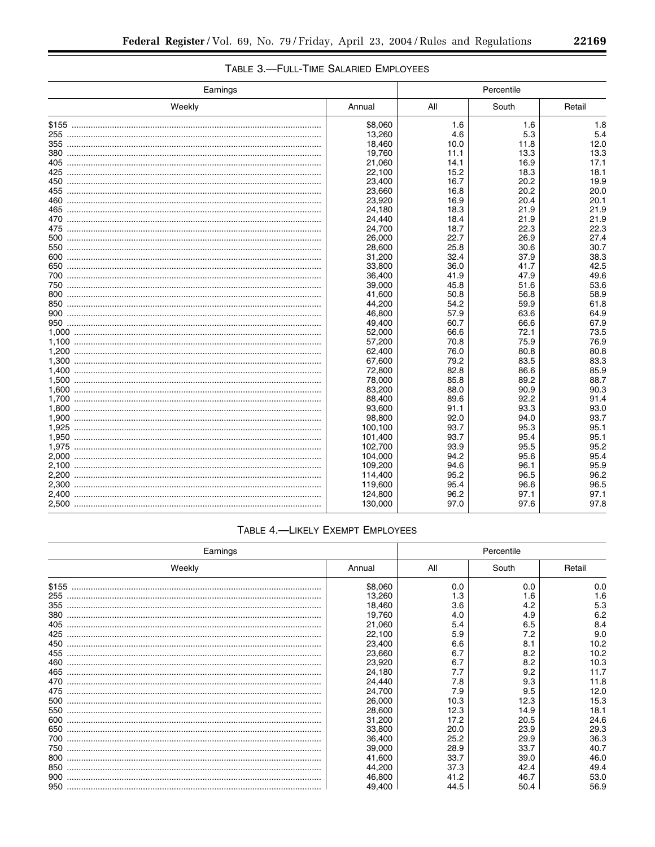۰

| Earnings |         | Percentile |       |        |  |
|----------|---------|------------|-------|--------|--|
| Weekly   | Annual  | All        | South | Retail |  |
|          | \$8,060 | 1.6        | 1.6   | 1.8    |  |
|          | 13.260  | 4.6        | 5.3   | 5.4    |  |
|          | 18,460  | 10.0       | 11.8  | 12.0   |  |
|          | 19,760  | 11.1       | 13.3  | 13.3   |  |
|          | 21,060  | 14.1       | 16.9  | 17.1   |  |
|          | 22,100  | 15.2       | 18.3  | 18.1   |  |
|          | 23,400  | 16.7       | 20.2  | 19.9   |  |
|          | 23,660  | 16.8       | 20.2  | 20.0   |  |
|          | 23,920  | 16.9       | 20.4  | 20.1   |  |
|          | 24.180  | 18.3       | 21.9  | 21.9   |  |
|          | 24,440  | 18.4       | 21.9  | 21.9   |  |
|          | 24.700  | 18.7       | 22.3  | 22.3   |  |
|          | 26,000  | 22.7       | 26.9  | 27.4   |  |
|          | 28,600  | 25.8       | 30.6  | 30.7   |  |
|          | 31,200  | 32.4       | 37.9  | 38.3   |  |
|          | 33,800  | 36.0       | 41.7  | 42.5   |  |
|          | 36,400  | 41.9       | 47.9  | 49.6   |  |
|          | 39,000  | 45.8       | 51.6  | 53.6   |  |
|          | 41.600  | 50.8       | 56.8  | 58.9   |  |
|          | 44.200  | 54.2       | 59.9  | 61.8   |  |
|          | 46.800  | 57.9       | 63.6  | 64.9   |  |
|          | 49.400  | 60.7       | 66.6  | 67.9   |  |
|          | 52,000  | 66.6       | 72.1  | 73.5   |  |
|          | 57,200  | 70.8       | 75.9  | 76.9   |  |
|          | 62,400  | 76.0       | 80.8  | 80.8   |  |
|          | 67,600  | 79.2       | 83.5  | 83.3   |  |
|          | 72,800  |            |       | 85.9   |  |
|          |         | 82.8       | 86.6  |        |  |
|          | 78,000  | 85.8       | 89.2  | 88.7   |  |
|          | 83,200  | 88.0       | 90.9  | 90.3   |  |
|          | 88,400  | 89.6       | 92.2  | 91.4   |  |
|          | 93,600  | 91.1       | 93.3  | 93.0   |  |
|          | 98,800  | 92.0       | 94.0  | 93.7   |  |
|          | 100.100 | 93.7       | 95.3  | 95.1   |  |
|          | 101,400 | 93.7       | 95.4  | 95.1   |  |
|          | 102.700 | 93.9       | 95.5  | 95.2   |  |
|          | 104.000 | 94.2       | 95.6  | 95.4   |  |
|          | 109.200 | 94.6       | 96.1  | 95.9   |  |
|          | 114,400 | 95.2       | 96.5  | 96.2   |  |
|          | 119,600 | 95.4       | 96.6  | 96.5   |  |
|          | 124,800 | 96.2       | 97.1  | 97.1   |  |
|          | 130,000 | 97.0       | 97.6  | 97.8   |  |

## TABLE 3.-FULL-TIME SALARIED EMPLOYEES

## TABLE 4.-LIKELY EXEMPT EMPLOYEES

| Earnings |         | Percentile |       |        |  |
|----------|---------|------------|-------|--------|--|
| Weekly   | Annual  | All        | South | Retail |  |
| \$155    | \$8,060 | 0.0        | 0.0   | 0.0    |  |
| 255      | 13,260  | 1.3        | 1.6   | 1.6    |  |
|          | 18,460  | 3.6        | 4.2   | 5.3    |  |
| 380      | 19,760  | 4.0        | 4.9   | 6.2    |  |
| 405      | 21,060  | 5.4        | 6.5   | 8.4    |  |
| 425      | 22,100  | 5.9        | 7.2   | 9.0    |  |
| 450      | 23,400  | 6.6        | 8.1   | 10.2   |  |
|          | 23,660  | 6.7        | 8.2   | 10.2   |  |
| 460      | 23,920  | 6.7        | 8.2   | 10.3   |  |
| 465      | 24,180  | 7.7        | 9.2   | 11.7   |  |
|          | 24,440  | 7.8        | 9.3   | 11.8   |  |
| 475      | 24,700  | 7.9        | 9.5   | 12.0   |  |
| 500      | 26,000  | 10.3       | 12.3  | 15.3   |  |
| 550      | 28,600  | 12.3       | 14.9  | 18.1   |  |
|          | 31,200  | 17.2       | 20.5  | 24.6   |  |
| 650      | 33,800  | 20.0       | 23.9  | 29.3   |  |
|          | 36,400  | 25.2       | 29.9  | 36.3   |  |
| 750      | 39.000  | 28.9       | 33.7  | 40.7   |  |
| 800      | 41,600  | 33.7       | 39.0  | 46.0   |  |
| 850      | 44,200  | 37.3       | 42.4  | 49.4   |  |
| 900      | 46,800  | 41.2       | 46.7  | 53.0   |  |
|          | 49,400  | 44.5       | 50.4  | 56.9   |  |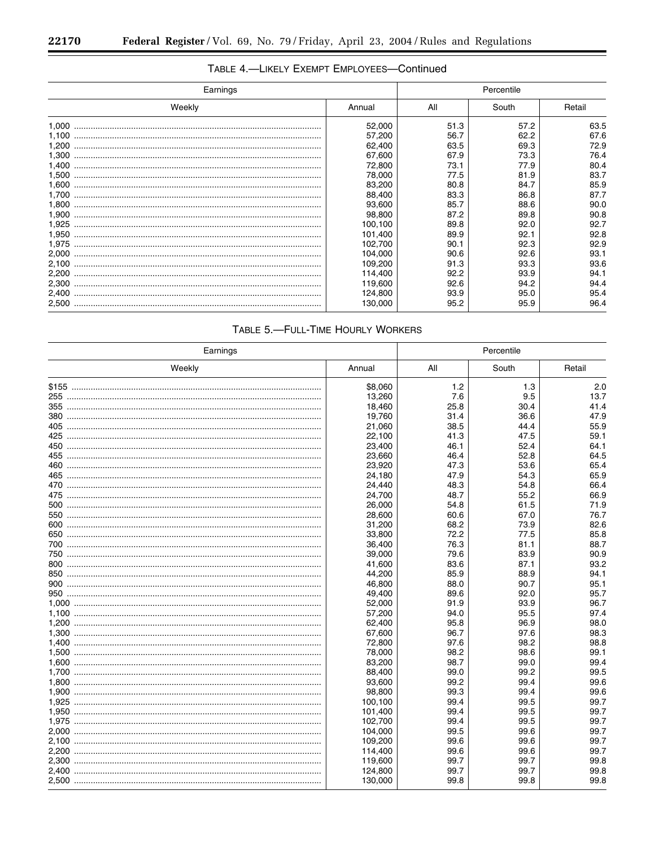| Earnings |         | Percentile |       |        |  |
|----------|---------|------------|-------|--------|--|
| Weekly   | Annual  | All        | South | Retail |  |
|          | 52,000  | 51.3       | 57.2  | 63.5   |  |
|          | 57,200  | 56.7       | 62.2  | 67.6   |  |
|          | 62,400  | 63.5       | 69.3  | 72.9   |  |
|          | 67,600  | 67.9       | 73.3  | 76.4   |  |
|          | 72,800  | 73.1       | 77.9  | 80.4   |  |
|          | 78,000  | 77.5       | 81.9  | 83.7   |  |
|          | 83.200  | 80.8       | 84.7  | 85.9   |  |
|          | 88.400  | 83.3       | 86.8  | 87.7   |  |
|          | 93,600  | 85.7       | 88.6  | 90.0   |  |
|          | 98.800  | 87.2       | 89.8  | 90.8   |  |
|          | 100,100 | 89.8       | 92.0  | 92.7   |  |
|          | 101,400 | 89.9       | 92.1  | 92.8   |  |
|          | 102,700 | 90.1       | 92.3  | 92.9   |  |
|          | 104.000 | 90.6       | 92.6  | 93.1   |  |
|          | 109.200 | 91.3       | 93.3  | 93.6   |  |
|          | 114.400 | 92.2       | 93.9  | 94.1   |  |
|          | 119.600 | 92.6       | 94.2  | 94.4   |  |
|          | 124,800 | 93.9       | 95.0  | 95.4   |  |
|          | 130,000 | 95.2       | 95.9  | 96.4   |  |
|          |         |            |       |        |  |

## TABLE 4.-LIKELY EXEMPT EMPLOYEES-Continued

٠

### TABLE 5.- FULL-TIME HOURLY WORKERS

| Earnings |         | Percentile |       |        |  |
|----------|---------|------------|-------|--------|--|
| Weekly   | Annual  | All        | South | Retail |  |
|          | \$8.060 | 1.2        | 1.3   | 2.0    |  |
|          | 13,260  | 7.6        | 9.5   | 13.7   |  |
|          | 18,460  | 25.8       | 30.4  | 41.4   |  |
|          | 19.760  | 31.4       | 36.6  | 47.9   |  |
|          | 21,060  | 38.5       | 44.4  | 55.9   |  |
|          | 22,100  | 41.3       | 47.5  | 59.1   |  |
|          | 23,400  | 46.1       | 52.4  | 64.1   |  |
|          | 23,660  | 46.4       | 52.8  | 64.5   |  |
|          | 23.920  | 47.3       | 53.6  | 65.4   |  |
|          | 24,180  | 47.9       | 54.3  | 65.9   |  |
|          | 24.440  | 48.3       | 54.8  | 66.4   |  |
|          | 24,700  | 48.7       | 55.2  | 66.9   |  |
|          | 26,000  | 54.8       | 61.5  | 71.9   |  |
|          | 28,600  | 60.6       | 67.0  | 76.7   |  |
|          | 31,200  | 68.2       | 73.9  | 82.6   |  |
|          | 33,800  | 72.2       | 77.5  | 85.8   |  |
|          | 36.400  | 76.3       | 81.1  | 88.7   |  |
|          | 39,000  | 79.6       | 83.9  | 90.9   |  |
|          | 41.600  | 83.6       | 87.1  | 93.2   |  |
|          | 44,200  | 85.9       | 88.9  | 94.1   |  |
|          | 46.800  | 88.0       | 90.7  | 95.1   |  |
|          | 49.400  | 89.6       | 92.0  | 95.7   |  |
|          | 52,000  | 91.9       | 93.9  | 96.7   |  |
|          | 57,200  | 94.0       | 95.5  | 97.4   |  |
|          | 62,400  | 95.8       | 96.9  | 98.0   |  |
| 1.300    | 67,600  | 96.7       | 97.6  | 98.3   |  |
|          | 72,800  | 97.6       | 98.2  | 98.8   |  |
| 1,500    | 78,000  | 98.2       | 98.6  | 99.1   |  |
|          | 83,200  | 98.7       | 99.0  | 99.4   |  |
| 1.700    | 88.400  | 99.0       | 99.2  | 99.5   |  |
| 1.800    | 93,600  | 99.2       | 99.4  | 99.6   |  |
|          | 98,800  | 99.3       | 99.4  | 99.6   |  |
|          | 100,100 | 99.4       | 99.5  | 99.7   |  |
|          | 101.400 | 99.4       | 99.5  | 99.7   |  |
| 1,975    | 102.700 | 99.4       | 99.5  | 99.7   |  |
| 2,000    | 104,000 | 99.5       | 99.6  | 99.7   |  |
| 2.100    | 109.200 | 99.6       | 99.6  | 99.7   |  |
| 2,200    | 114,400 | 99.6       | 99.6  | 99.7   |  |
| 2,300    | 119,600 | 99.7       | 99.7  | 99.8   |  |
| 2,400    | 124,800 | 99.7       | 99.7  | 99.8   |  |
|          | 130,000 | 99.8       | 99.8  | 99.8   |  |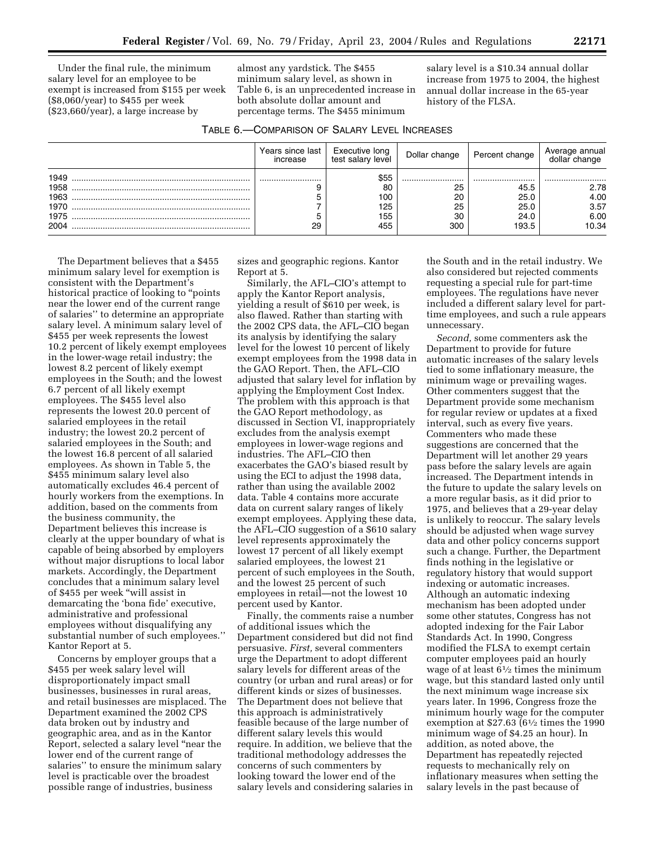(\$8,060/year) to \$455 per week both absolute dollar amount and history of the FLSA. (\$23,660/year), a large increase by percentage terms. The \$455 minimum

Under the final rule, the minimum almost any yardstick. The \$455 salary level is a \$10.34 annual dollar salary level for an employee to be minimum salary level, as shown in increase from 1975 to 2004, the highest<br>exempt is increased from \$155 per week Table 6, is an unprecedented increase in annual dollar increase in the 65exempt is increased from \$155 per week Table 6, is an unprecedented increase in annual dollar increase in the 65-year<br>(\$8,060/year) to \$455 per week both absolute dollar amount and history of the FLSA.

| Table 6.—Comparison of Salary Level Increases |
|-----------------------------------------------|
|-----------------------------------------------|

|                                              | Years since last<br>increase | Executive long<br>test salary level    | Dollar change                   | Percent change                            | Average annual<br>dollar change           |
|----------------------------------------------|------------------------------|----------------------------------------|---------------------------------|-------------------------------------------|-------------------------------------------|
| 1949<br>1958<br>1963<br>1970<br>1975<br>2004 | <br>5<br>29                  | \$55<br>80<br>100<br>125<br>155<br>455 | <br>25<br>20<br>25<br>30<br>300 | <br>45.5<br>25.0<br>25.0<br>24.0<br>193.5 | <br>2.78<br>4.00<br>3.57<br>6.00<br>10.34 |

The Department believes that a \$455 minimum salary level for exemption is consistent with the Department's historical practice of looking to ''points near the lower end of the current range of salaries'' to determine an appropriate salary level. A minimum salary level of \$455 per week represents the lowest 10.2 percent of likely exempt employees in the lower-wage retail industry; the lowest 8.2 percent of likely exempt employees in the South; and the lowest 6.7 percent of all likely exempt employees. The \$455 level also represents the lowest 20.0 percent of salaried employees in the retail industry; the lowest 20.2 percent of salaried employees in the South; and the lowest 16.8 percent of all salaried employees. As shown in Table 5, the \$455 minimum salary level also automatically excludes 46.4 percent of hourly workers from the exemptions. In addition, based on the comments from the business community, the Department believes this increase is clearly at the upper boundary of what is capable of being absorbed by employers without major disruptions to local labor markets. Accordingly, the Department concludes that a minimum salary level of \$455 per week ''will assist in demarcating the 'bona fide' executive, administrative and professional employees without disqualifying any substantial number of such employees.'' Kantor Report at 5.

Concerns by employer groups that a \$455 per week salary level will disproportionately impact small businesses, businesses in rural areas, and retail businesses are misplaced. The Department examined the 2002 CPS data broken out by industry and geographic area, and as in the Kantor Report, selected a salary level ''near the lower end of the current range of salaries'' to ensure the minimum salary level is practicable over the broadest possible range of industries, business

sizes and geographic regions. Kantor Report at 5.

Similarly, the AFL–CIO's attempt to apply the Kantor Report analysis, yielding a result of \$610 per week, is also flawed. Rather than starting with the 2002 CPS data, the AFL–CIO began its analysis by identifying the salary level for the lowest 10 percent of likely exempt employees from the 1998 data in the GAO Report. Then, the AFL–CIO adjusted that salary level for inflation by applying the Employment Cost Index. The problem with this approach is that the GAO Report methodology, as discussed in Section VI, inappropriately excludes from the analysis exempt employees in lower-wage regions and industries. The AFL–CIO then exacerbates the GAO's biased result by using the ECI to adjust the 1998 data, rather than using the available 2002 data. Table 4 contains more accurate data on current salary ranges of likely exempt employees. Applying these data, the AFL–CIO suggestion of a \$610 salary level represents approximately the lowest 17 percent of all likely exempt salaried employees, the lowest 21 percent of such employees in the South, and the lowest 25 percent of such employees in retail—not the lowest 10 percent used by Kantor.

Finally, the comments raise a number of additional issues which the Department considered but did not find persuasive. *First,* several commenters urge the Department to adopt different salary levels for different areas of the country (or urban and rural areas) or for different kinds or sizes of businesses. The Department does not believe that this approach is administratively feasible because of the large number of different salary levels this would require. In addition, we believe that the traditional methodology addresses the concerns of such commenters by looking toward the lower end of the salary levels and considering salaries in

the South and in the retail industry. We also considered but rejected comments requesting a special rule for part-time employees. The regulations have never included a different salary level for parttime employees, and such a rule appears unnecessary.

*Second,* some commenters ask the Department to provide for future automatic increases of the salary levels tied to some inflationary measure, the minimum wage or prevailing wages. Other commenters suggest that the Department provide some mechanism for regular review or updates at a fixed interval, such as every five years. Commenters who made these suggestions are concerned that the Department will let another 29 years pass before the salary levels are again increased. The Department intends in the future to update the salary levels on a more regular basis, as it did prior to 1975, and believes that a 29-year delay is unlikely to reoccur. The salary levels should be adjusted when wage survey data and other policy concerns support such a change. Further, the Department finds nothing in the legislative or regulatory history that would support indexing or automatic increases. Although an automatic indexing mechanism has been adopted under some other statutes, Congress has not adopted indexing for the Fair Labor Standards Act. In 1990, Congress modified the FLSA to exempt certain computer employees paid an hourly wage of at least 61⁄2 times the minimum wage, but this standard lasted only until the next minimum wage increase six years later. In 1996, Congress froze the minimum hourly wage for the computer exemption at \$27.63 (61⁄2 times the 1990 minimum wage of \$4.25 an hour). In addition, as noted above, the Department has repeatedly rejected requests to mechanically rely on inflationary measures when setting the salary levels in the past because of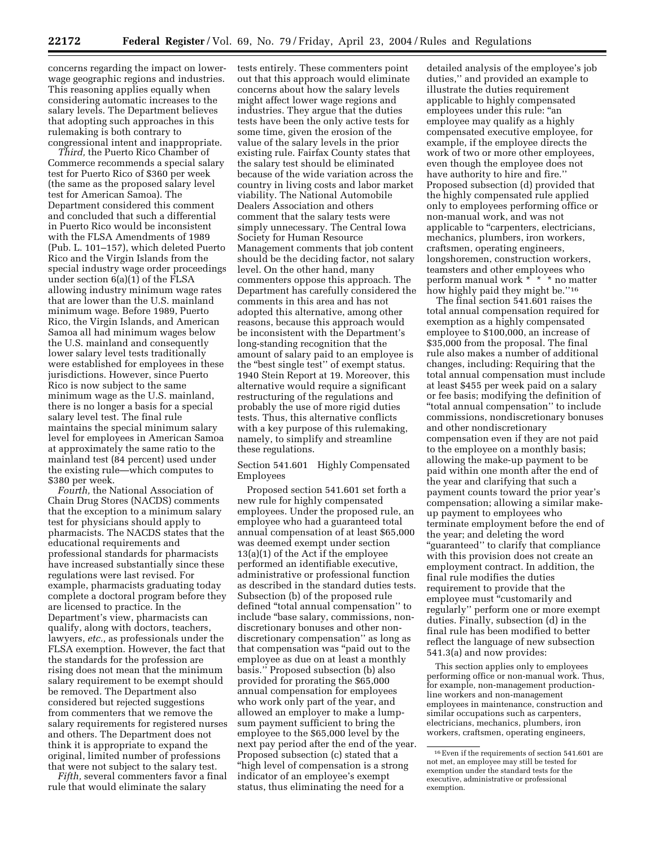concerns regarding the impact on lowerwage geographic regions and industries. This reasoning applies equally when considering automatic increases to the salary levels. The Department believes that adopting such approaches in this rulemaking is both contrary to congressional intent and inappropriate.

*Third,* the Puerto Rico Chamber of Commerce recommends a special salary test for Puerto Rico of \$360 per week (the same as the proposed salary level test for American Samoa). The Department considered this comment and concluded that such a differential in Puerto Rico would be inconsistent with the FLSA Amendments of 1989 (Pub. L. 101–157), which deleted Puerto Rico and the Virgin Islands from the special industry wage order proceedings under section 6(a)(1) of the FLSA allowing industry minimum wage rates that are lower than the U.S. mainland minimum wage. Before 1989, Puerto Rico, the Virgin Islands, and American Samoa all had minimum wages below the U.S. mainland and consequently lower salary level tests traditionally were established for employees in these jurisdictions. However, since Puerto Rico is now subject to the same minimum wage as the U.S. mainland, there is no longer a basis for a special salary level test. The final rule maintains the special minimum salary level for employees in American Samoa at approximately the same ratio to the mainland test (84 percent) used under the existing rule—which computes to \$380 per week.

*Fourth,* the National Association of Chain Drug Stores (NACDS) comments that the exception to a minimum salary test for physicians should apply to pharmacists. The NACDS states that the educational requirements and professional standards for pharmacists have increased substantially since these regulations were last revised. For example, pharmacists graduating today complete a doctoral program before they are licensed to practice. In the Department's view, pharmacists can qualify, along with doctors, teachers, lawyers, *etc.,* as professionals under the FLSA exemption. However, the fact that the standards for the profession are rising does not mean that the minimum salary requirement to be exempt should be removed. The Department also considered but rejected suggestions from commenters that we remove the salary requirements for registered nurses and others. The Department does not think it is appropriate to expand the original, limited number of professions that were not subject to the salary test.

*Fifth,* several commenters favor a final rule that would eliminate the salary

tests entirely. These commenters point out that this approach would eliminate concerns about how the salary levels might affect lower wage regions and industries. They argue that the duties tests have been the only active tests for some time, given the erosion of the value of the salary levels in the prior existing rule. Fairfax County states that the salary test should be eliminated because of the wide variation across the country in living costs and labor market viability. The National Automobile Dealers Association and others comment that the salary tests were simply unnecessary. The Central Iowa Society for Human Resource Management comments that job content should be the deciding factor, not salary level. On the other hand, many commenters oppose this approach. The Department has carefully considered the comments in this area and has not adopted this alternative, among other reasons, because this approach would be inconsistent with the Department's long-standing recognition that the amount of salary paid to an employee is the "best single test" of exempt status. 1940 Stein Report at 19. Moreover, this alternative would require a significant restructuring of the regulations and probably the use of more rigid duties tests. Thus, this alternative conflicts with a key purpose of this rulemaking, namely, to simplify and streamline these regulations.

Section 541.601 Highly Compensated Employees

Proposed section 541.601 set forth a new rule for highly compensated employees. Under the proposed rule, an employee who had a guaranteed total annual compensation of at least \$65,000 was deemed exempt under section 13(a)(1) of the Act if the employee performed an identifiable executive, administrative or professional function as described in the standard duties tests. Subsection (b) of the proposed rule defined ''total annual compensation'' to include ''base salary, commissions, nondiscretionary bonuses and other nondiscretionary compensation'' as long as that compensation was ''paid out to the employee as due on at least a monthly basis.'' Proposed subsection (b) also provided for prorating the \$65,000 annual compensation for employees who work only part of the year, and allowed an employer to make a lumpsum payment sufficient to bring the employee to the \$65,000 level by the next pay period after the end of the year. Proposed subsection (c) stated that a ''high level of compensation is a strong indicator of an employee's exempt status, thus eliminating the need for a

detailed analysis of the employee's job duties,'' and provided an example to illustrate the duties requirement applicable to highly compensated employees under this rule: ''an employee may qualify as a highly compensated executive employee, for example, if the employee directs the work of two or more other employees, even though the employee does not have authority to hire and fire.'' Proposed subsection (d) provided that the highly compensated rule applied only to employees performing office or non-manual work, and was not applicable to "carpenters, electricians, mechanics, plumbers, iron workers, craftsmen, operating engineers, longshoremen, construction workers, teamsters and other employees who perform manual work \* \* \* \* no matter how highly paid they might be."<sup>16</sup>

The final section 541.601 raises the total annual compensation required for exemption as a highly compensated employee to \$100,000, an increase of \$35,000 from the proposal. The final rule also makes a number of additional changes, including: Requiring that the total annual compensation must include at least \$455 per week paid on a salary or fee basis; modifying the definition of ''total annual compensation'' to include commissions, nondiscretionary bonuses and other nondiscretionary compensation even if they are not paid to the employee on a monthly basis; allowing the make-up payment to be paid within one month after the end of the year and clarifying that such a payment counts toward the prior year's compensation; allowing a similar makeup payment to employees who terminate employment before the end of the year; and deleting the word "guaranteed" to clarify that compliance with this provision does not create an employment contract. In addition, the final rule modifies the duties requirement to provide that the employee must ''customarily and regularly'' perform one or more exempt duties. Finally, subsection (d) in the final rule has been modified to better reflect the language of new subsection 541.3(a) and now provides:

This section applies only to employees performing office or non-manual work. Thus, for example, non-management productionline workers and non-management employees in maintenance, construction and similar occupations such as carpenters, electricians, mechanics, plumbers, iron workers, craftsmen, operating engineers,

<sup>16</sup> Even if the requirements of section 541.601 are not met, an employee may still be tested for exemption under the standard tests for the executive, administrative or professional exemption.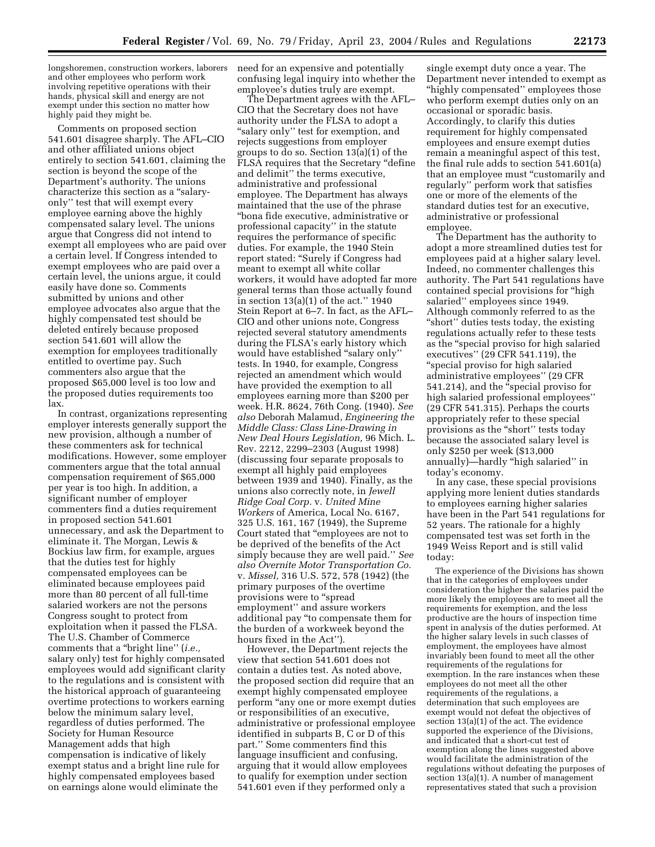longshoremen, construction workers, laborers and other employees who perform work involving repetitive operations with their hands, physical skill and energy are not exempt under this section no matter how highly paid they might be.

Comments on proposed section 541.601 disagree sharply. The AFL–CIO and other affiliated unions object entirely to section 541.601, claiming the section is beyond the scope of the Department's authority. The unions characterize this section as a ''salaryonly'' test that will exempt every employee earning above the highly compensated salary level. The unions argue that Congress did not intend to exempt all employees who are paid over a certain level. If Congress intended to exempt employees who are paid over a certain level, the unions argue, it could easily have done so. Comments submitted by unions and other employee advocates also argue that the highly compensated test should be deleted entirely because proposed section 541.601 will allow the exemption for employees traditionally entitled to overtime pay. Such commenters also argue that the proposed \$65,000 level is too low and the proposed duties requirements too lax.

In contrast, organizations representing employer interests generally support the new provision, although a number of these commenters ask for technical modifications. However, some employer commenters argue that the total annual compensation requirement of \$65,000 per year is too high. In addition, a significant number of employer commenters find a duties requirement in proposed section 541.601 unnecessary, and ask the Department to eliminate it. The Morgan, Lewis & Bockius law firm, for example, argues that the duties test for highly compensated employees can be eliminated because employees paid more than 80 percent of all full-time salaried workers are not the persons Congress sought to protect from exploitation when it passed the FLSA. The U.S. Chamber of Commerce comments that a "bright line" (*i.e.*, salary only) test for highly compensated employees would add significant clarity to the regulations and is consistent with the historical approach of guaranteeing overtime protections to workers earning below the minimum salary level, regardless of duties performed. The Society for Human Resource Management adds that high compensation is indicative of likely exempt status and a bright line rule for highly compensated employees based on earnings alone would eliminate the

need for an expensive and potentially confusing legal inquiry into whether the employee's duties truly are exempt.

The Department agrees with the AFL– CIO that the Secretary does not have authority under the FLSA to adopt a ''salary only'' test for exemption, and rejects suggestions from employer groups to do so. Section 13(a)(1) of the FLSA requires that the Secretary "define and delimit'' the terms executive, administrative and professional employee. The Department has always maintained that the use of the phrase ''bona fide executive, administrative or professional capacity'' in the statute requires the performance of specific duties. For example, the 1940 Stein report stated: ''Surely if Congress had meant to exempt all white collar workers, it would have adopted far more general terms than those actually found in section 13(a)(1) of the act.'' 1940 Stein Report at 6–7. In fact, as the AFL– CIO and other unions note, Congress rejected several statutory amendments during the FLSA's early history which would have established ''salary only'' tests. In 1940, for example, Congress rejected an amendment which would have provided the exemption to all employees earning more than \$200 per week. H.R. 8624, 76th Cong. (1940). *See also* Deborah Malamud, *Engineering the Middle Class: Class Line-Drawing in New Deal Hours Legislation,* 96 Mich. L. Rev. 2212, 2299–2303 (August 1998) (discussing four separate proposals to exempt all highly paid employees between 1939 and 1940). Finally, as the unions also correctly note, in *Jewell Ridge Coal Corp.* v. *United Mine Workers* of America, Local No. 6167, 325 U.S. 161, 167 (1949), the Supreme Court stated that ''employees are not to be deprived of the benefits of the Act simply because they are well paid.'' *See also Overnite Motor Transportation Co.*  v. *Missel,* 316 U.S. 572, 578 (1942) (the primary purposes of the overtime provisions were to ''spread employment'' and assure workers additional pay ''to compensate them for the burden of a workweek beyond the hours fixed in the Act'').

However, the Department rejects the view that section 541.601 does not contain a duties test. As noted above, the proposed section did require that an exempt highly compensated employee perform ''any one or more exempt duties or responsibilities of an executive, administrative or professional employee identified in subparts B, C or D of this part.'' Some commenters find this language insufficient and confusing, arguing that it would allow employees to qualify for exemption under section 541.601 even if they performed only a

single exempt duty once a year. The Department never intended to exempt as ''highly compensated'' employees those who perform exempt duties only on an occasional or sporadic basis. Accordingly, to clarify this duties requirement for highly compensated employees and ensure exempt duties remain a meaningful aspect of this test, the final rule adds to section 541.601(a) that an employee must ''customarily and regularly'' perform work that satisfies one or more of the elements of the standard duties test for an executive, administrative or professional employee.

The Department has the authority to adopt a more streamlined duties test for employees paid at a higher salary level. Indeed, no commenter challenges this authority. The Part 541 regulations have contained special provisions for ''high salaried'' employees since 1949. Although commonly referred to as the "short" duties tests today, the existing regulations actually refer to these tests as the ''special proviso for high salaried executives'' (29 CFR 541.119), the ''special proviso for high salaried administrative employees'' (29 CFR 541.214), and the "special proviso for high salaried professional employees'' (29 CFR 541.315). Perhaps the courts appropriately refer to these special provisions as the "short" tests today because the associated salary level is only \$250 per week (\$13,000 annually)—hardly ''high salaried'' in today's economy.

In any case, these special provisions applying more lenient duties standards to employees earning higher salaries have been in the Part 541 regulations for 52 years. The rationale for a highly compensated test was set forth in the 1949 Weiss Report and is still valid today:

The experience of the Divisions has shown that in the categories of employees under consideration the higher the salaries paid the more likely the employees are to meet all the requirements for exemption, and the less productive are the hours of inspection time spent in analysis of the duties performed. At the higher salary levels in such classes of employment, the employees have almost invariably been found to meet all the other requirements of the regulations for exemption. In the rare instances when these employees do not meet all the other requirements of the regulations, a determination that such employees are exempt would not defeat the objectives of section 13(a)(1) of the act. The evidence supported the experience of the Divisions, and indicated that a short-cut test of exemption along the lines suggested above would facilitate the administration of the regulations without defeating the purposes of section 13(a)(1). A number of management representatives stated that such a provision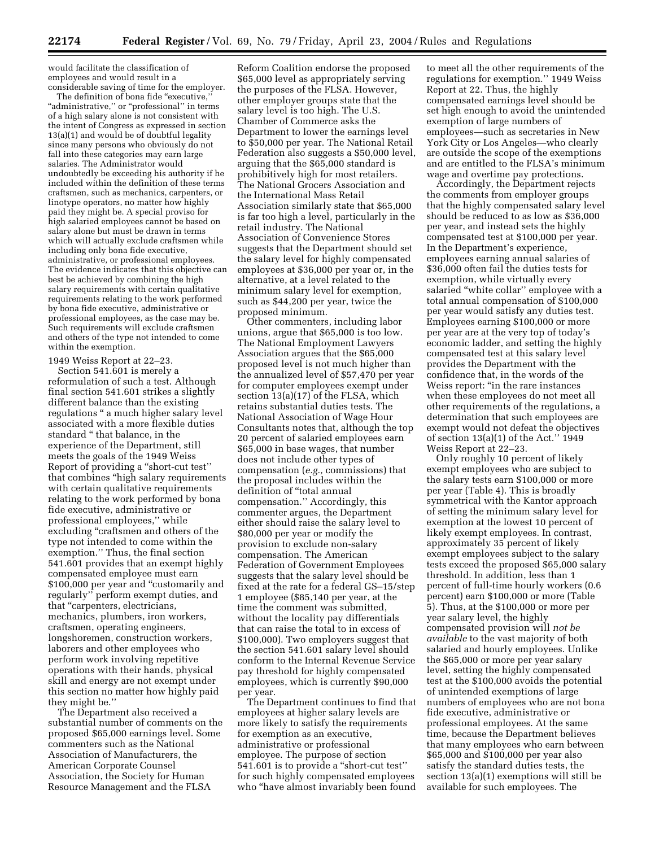would facilitate the classification of employees and would result in a considerable saving of time for the employer.

The definition of bona fide "executive," "administrative," or "professional" in terms of a high salary alone is not consistent with the intent of Congress as expressed in section 13(a)(1) and would be of doubtful legality since many persons who obviously do not fall into these categories may earn large salaries. The Administrator would undoubtedly be exceeding his authority if he included within the definition of these terms craftsmen, such as mechanics, carpenters, or linotype operators, no matter how highly paid they might be. A special proviso for high salaried employees cannot be based on salary alone but must be drawn in terms which will actually exclude craftsmen while including only bona fide executive, administrative, or professional employees. The evidence indicates that this objective can best be achieved by combining the high salary requirements with certain qualitative requirements relating to the work performed by bona fide executive, administrative or professional employees, as the case may be. Such requirements will exclude craftsmen and others of the type not intended to come within the exemption.

#### 1949 Weiss Report at 22–23.

Section 541.601 is merely a reformulation of such a test. Although final section 541.601 strikes a slightly different balance than the existing regulations '' a much higher salary level associated with a more flexible duties standard '' that balance, in the experience of the Department, still meets the goals of the 1949 Weiss Report of providing a ''short-cut test'' that combines ''high salary requirements with certain qualitative requirements relating to the work performed by bona fide executive, administrative or professional employees,'' while excluding "craftsmen and others of the type not intended to come within the exemption.'' Thus, the final section 541.601 provides that an exempt highly compensated employee must earn \$100,000 per year and "customarily and regularly'' perform exempt duties, and that ''carpenters, electricians, mechanics, plumbers, iron workers, craftsmen, operating engineers, longshoremen, construction workers, laborers and other employees who perform work involving repetitive operations with their hands, physical skill and energy are not exempt under this section no matter how highly paid they might be.''

The Department also received a substantial number of comments on the proposed \$65,000 earnings level. Some commenters such as the National Association of Manufacturers, the American Corporate Counsel Association, the Society for Human Resource Management and the FLSA

Reform Coalition endorse the proposed \$65,000 level as appropriately serving the purposes of the FLSA. However, other employer groups state that the salary level is too high. The U.S. Chamber of Commerce asks the Department to lower the earnings level to \$50,000 per year. The National Retail Federation also suggests a \$50,000 level, arguing that the \$65,000 standard is prohibitively high for most retailers. The National Grocers Association and the International Mass Retail Association similarly state that \$65,000 is far too high a level, particularly in the retail industry. The National Association of Convenience Stores suggests that the Department should set the salary level for highly compensated employees at \$36,000 per year or, in the alternative, at a level related to the minimum salary level for exemption, such as \$44,200 per year, twice the proposed minimum.

Other commenters, including labor unions, argue that \$65,000 is too low. The National Employment Lawyers Association argues that the \$65,000 proposed level is not much higher than the annualized level of \$57,470 per year for computer employees exempt under section 13(a)(17) of the FLSA, which retains substantial duties tests. The National Association of Wage Hour Consultants notes that, although the top 20 percent of salaried employees earn \$65,000 in base wages, that number does not include other types of compensation (*e.g.,* commissions) that the proposal includes within the definition of ''total annual compensation.'' Accordingly, this commenter argues, the Department either should raise the salary level to \$80,000 per year or modify the provision to exclude non-salary compensation. The American Federation of Government Employees suggests that the salary level should be fixed at the rate for a federal GS–15/step 1 employee (\$85,140 per year, at the time the comment was submitted, without the locality pay differentials that can raise the total to in excess of \$100,000). Two employers suggest that the section 541.601 salary level should conform to the Internal Revenue Service pay threshold for highly compensated employees, which is currently \$90,000 per year.

The Department continues to find that employees at higher salary levels are more likely to satisfy the requirements for exemption as an executive, administrative or professional employee. The purpose of section 541.601 is to provide a ''short-cut test'' for such highly compensated employees who ''have almost invariably been found

to meet all the other requirements of the regulations for exemption.'' 1949 Weiss Report at 22. Thus, the highly compensated earnings level should be set high enough to avoid the unintended exemption of large numbers of employees—such as secretaries in New York City or Los Angeles—who clearly are outside the scope of the exemptions and are entitled to the FLSA's minimum wage and overtime pay protections.

Accordingly, the Department rejects the comments from employer groups that the highly compensated salary level should be reduced to as low as \$36,000 per year, and instead sets the highly compensated test at \$100,000 per year. In the Department's experience, employees earning annual salaries of \$36,000 often fail the duties tests for exemption, while virtually every salaried "white collar" employee with a total annual compensation of \$100,000 per year would satisfy any duties test. Employees earning \$100,000 or more per year are at the very top of today's economic ladder, and setting the highly compensated test at this salary level provides the Department with the confidence that, in the words of the Weiss report: ''in the rare instances when these employees do not meet all other requirements of the regulations, a determination that such employees are exempt would not defeat the objectives of section 13(a)(1) of the Act.'' 1949 Weiss Report at 22–23.

Only roughly 10 percent of likely exempt employees who are subject to the salary tests earn \$100,000 or more per year (Table 4). This is broadly symmetrical with the Kantor approach of setting the minimum salary level for exemption at the lowest 10 percent of likely exempt employees. In contrast, approximately 35 percent of likely exempt employees subject to the salary tests exceed the proposed \$65,000 salary threshold. In addition, less than 1 percent of full-time hourly workers (0.6 percent) earn \$100,000 or more (Table 5). Thus, at the \$100,000 or more per year salary level, the highly compensated provision will *not be available* to the vast majority of both salaried and hourly employees. Unlike the \$65,000 or more per year salary level, setting the highly compensated test at the \$100,000 avoids the potential of unintended exemptions of large numbers of employees who are not bona fide executive, administrative or professional employees. At the same time, because the Department believes that many employees who earn between \$65,000 and \$100,000 per year also satisfy the standard duties tests, the section 13(a)(1) exemptions will still be available for such employees. The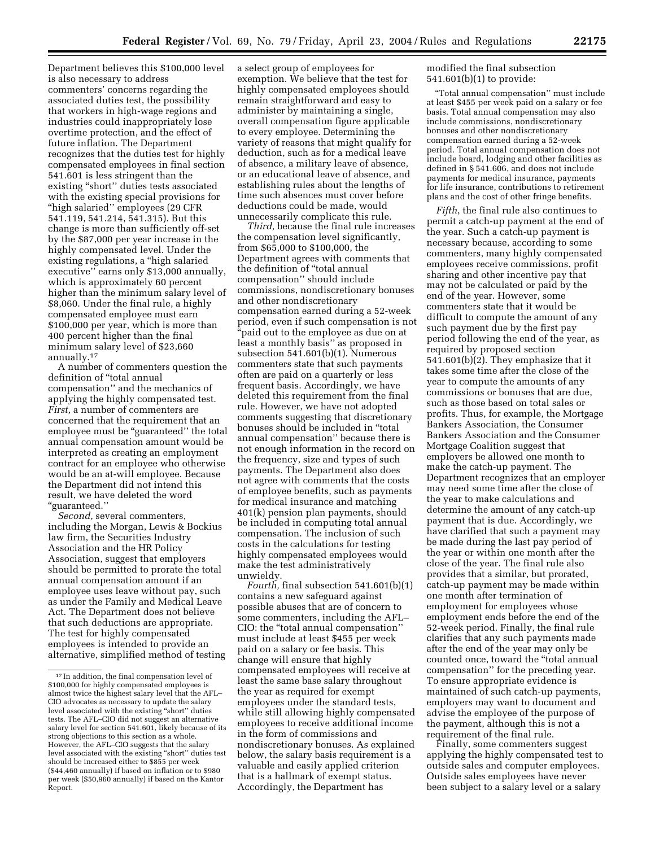Department believes this \$100,000 level is also necessary to address commenters' concerns regarding the associated duties test, the possibility that workers in high-wage regions and industries could inappropriately lose overtime protection, and the effect of future inflation. The Department recognizes that the duties test for highly compensated employees in final section 541.601 is less stringent than the existing "short" duties tests associated with the existing special provisions for ''high salaried'' employees (29 CFR 541.119, 541.214, 541.315). But this change is more than sufficiently off-set by the \$87,000 per year increase in the highly compensated level. Under the existing regulations, a ''high salaried executive'' earns only \$13,000 annually, which is approximately 60 percent higher than the minimum salary level of \$8,060. Under the final rule, a highly compensated employee must earn \$100,000 per year, which is more than 400 percent higher than the final minimum salary level of \$23,660 annually.17

A number of commenters question the definition of ''total annual compensation'' and the mechanics of applying the highly compensated test. *First,* a number of commenters are concerned that the requirement that an employee must be "guaranteed" the total annual compensation amount would be interpreted as creating an employment contract for an employee who otherwise would be an at-will employee. Because the Department did not intend this result, we have deleted the word ''guaranteed.''

*Second,* several commenters, including the Morgan, Lewis & Bockius law firm, the Securities Industry Association and the HR Policy Association, suggest that employers should be permitted to prorate the total annual compensation amount if an employee uses leave without pay, such as under the Family and Medical Leave Act. The Department does not believe that such deductions are appropriate. The test for highly compensated employees is intended to provide an alternative, simplified method of testing a select group of employees for exemption. We believe that the test for highly compensated employees should remain straightforward and easy to administer by maintaining a single, overall compensation figure applicable to every employee. Determining the variety of reasons that might qualify for deduction, such as for a medical leave of absence, a military leave of absence, or an educational leave of absence, and establishing rules about the lengths of time such absences must cover before deductions could be made, would unnecessarily complicate this rule.

*Third,* because the final rule increases the compensation level significantly, from \$65,000 to \$100,000, the Department agrees with comments that the definition of ''total annual compensation'' should include commissions, nondiscretionary bonuses and other nondiscretionary compensation earned during a 52-week period, even if such compensation is not 'paid out to the employee as due on at least a monthly basis'' as proposed in subsection 541.601(b)(1). Numerous commenters state that such payments often are paid on a quarterly or less frequent basis. Accordingly, we have deleted this requirement from the final rule. However, we have not adopted comments suggesting that discretionary bonuses should be included in ''total annual compensation'' because there is not enough information in the record on the frequency, size and types of such payments. The Department also does not agree with comments that the costs of employee benefits, such as payments for medical insurance and matching 401(k) pension plan payments, should be included in computing total annual compensation. The inclusion of such costs in the calculations for testing highly compensated employees would make the test administratively unwieldy.

*Fourth,* final subsection 541.601(b)(1) contains a new safeguard against possible abuses that are of concern to some commenters, including the AFL– CIO: the ''total annual compensation'' must include at least \$455 per week paid on a salary or fee basis. This change will ensure that highly compensated employees will receive at least the same base salary throughout the year as required for exempt employees under the standard tests, while still allowing highly compensated employees to receive additional income in the form of commissions and nondiscretionary bonuses. As explained below, the salary basis requirement is a valuable and easily applied criterion that is a hallmark of exempt status. Accordingly, the Department has

modified the final subsection 541.601(b)(1) to provide:

''Total annual compensation'' must include at least \$455 per week paid on a salary or fee basis. Total annual compensation may also include commissions, nondiscretionary bonuses and other nondiscretionary compensation earned during a 52-week period. Total annual compensation does not include board, lodging and other facilities as defined in § 541.606, and does not include payments for medical insurance, payments for life insurance, contributions to retirement plans and the cost of other fringe benefits.

*Fifth*, the final rule also continues to permit a catch-up payment at the end of the year. Such a catch-up payment is necessary because, according to some commenters, many highly compensated employees receive commissions, profit sharing and other incentive pay that may not be calculated or paid by the end of the year. However, some commenters state that it would be difficult to compute the amount of any such payment due by the first pay period following the end of the year, as required by proposed section 541.601(b)(2). They emphasize that it takes some time after the close of the year to compute the amounts of any commissions or bonuses that are due, such as those based on total sales or profits. Thus, for example, the Mortgage Bankers Association, the Consumer Bankers Association and the Consumer Mortgage Coalition suggest that employers be allowed one month to make the catch-up payment. The Department recognizes that an employer may need some time after the close of the year to make calculations and determine the amount of any catch-up payment that is due. Accordingly, we have clarified that such a payment may be made during the last pay period of the year or within one month after the close of the year. The final rule also provides that a similar, but prorated, catch-up payment may be made within one month after termination of employment for employees whose employment ends before the end of the 52-week period. Finally, the final rule clarifies that any such payments made after the end of the year may only be counted once, toward the ''total annual compensation'' for the preceding year. To ensure appropriate evidence is maintained of such catch-up payments, employers may want to document and advise the employee of the purpose of the payment, although this is not a requirement of the final rule.

Finally, some commenters suggest applying the highly compensated test to outside sales and computer employees. Outside sales employees have never been subject to a salary level or a salary

<sup>17</sup> In addition, the final compensation level of \$100,000 for highly compensated employees is almost twice the highest salary level that the AFL– CIO advocates as necessary to update the salary level associated with the existing ''short'' duties tests. The AFL–CIO did not suggest an alternative salary level for section 541.601, likely because of its strong objections to this section as a whole. However, the AFL–CIO suggests that the salary level associated with the existing "short" duties test should be increased either to \$855 per week (\$44,460 annually) if based on inflation or to \$980 per week (\$50,960 annually) if based on the Kantor Report.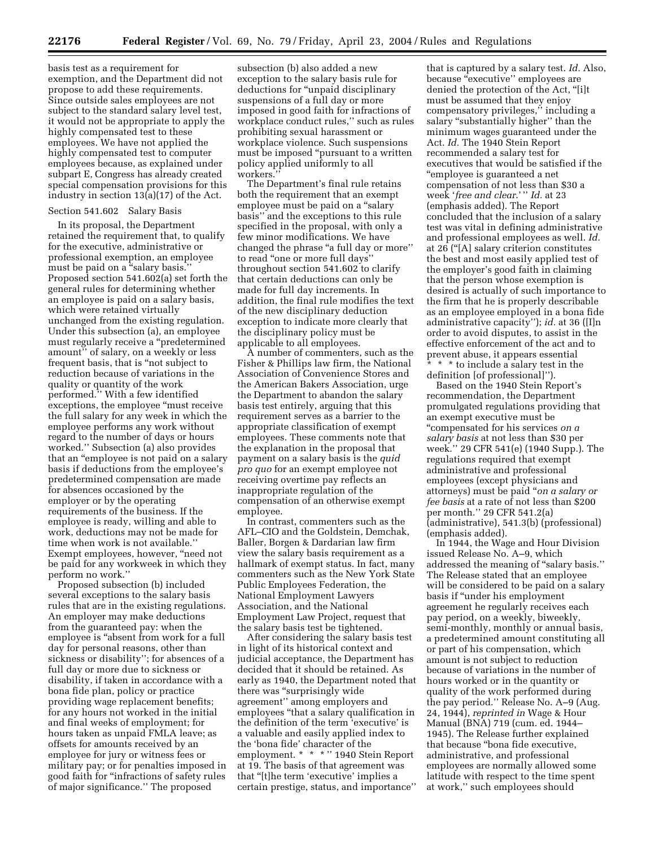basis test as a requirement for exemption, and the Department did not propose to add these requirements. Since outside sales employees are not subject to the standard salary level test, it would not be appropriate to apply the highly compensated test to these employees. We have not applied the highly compensated test to computer employees because, as explained under subpart E, Congress has already created special compensation provisions for this industry in section 13(a)(17) of the Act.

#### Section 541.602 Salary Basis

In its proposal, the Department retained the requirement that, to qualify for the executive, administrative or professional exemption, an employee must be paid on a "salary basis." Proposed section 541.602(a) set forth the general rules for determining whether an employee is paid on a salary basis, which were retained virtually unchanged from the existing regulation. Under this subsection (a), an employee must regularly receive a ''predetermined amount'' of salary, on a weekly or less frequent basis, that is ''not subject to reduction because of variations in the quality or quantity of the work performed.'' With a few identified exceptions, the employee "must receive the full salary for any week in which the employee performs any work without regard to the number of days or hours worked.'' Subsection (a) also provides that an ''employee is not paid on a salary basis if deductions from the employee's predetermined compensation are made for absences occasioned by the employer or by the operating requirements of the business. If the employee is ready, willing and able to work, deductions may not be made for time when work is not available.'' Exempt employees, however, "need not be paid for any workweek in which they perform no work.''

Proposed subsection (b) included several exceptions to the salary basis rules that are in the existing regulations. An employer may make deductions from the guaranteed pay: when the employee is ''absent from work for a full day for personal reasons, other than sickness or disability''; for absences of a full day or more due to sickness or disability, if taken in accordance with a bona fide plan, policy or practice providing wage replacement benefits; for any hours not worked in the initial and final weeks of employment; for hours taken as unpaid FMLA leave; as offsets for amounts received by an employee for jury or witness fees or military pay; or for penalties imposed in good faith for ''infractions of safety rules of major significance.'' The proposed

subsection (b) also added a new exception to the salary basis rule for deductions for ''unpaid disciplinary suspensions of a full day or more imposed in good faith for infractions of workplace conduct rules,'' such as rules prohibiting sexual harassment or workplace violence. Such suspensions must be imposed ''pursuant to a written policy applied uniformly to all workers.

The Department's final rule retains both the requirement that an exempt employee must be paid on a "salary basis'' and the exceptions to this rule specified in the proposal, with only a few minor modifications. We have changed the phrase "a full day or more" to read ''one or more full days'' throughout section 541.602 to clarify that certain deductions can only be made for full day increments. In addition, the final rule modifies the text of the new disciplinary deduction exception to indicate more clearly that the disciplinary policy must be applicable to all employees.

A number of commenters, such as the Fisher & Phillips law firm, the National Association of Convenience Stores and the American Bakers Association, urge the Department to abandon the salary basis test entirely, arguing that this requirement serves as a barrier to the appropriate classification of exempt employees. These comments note that the explanation in the proposal that payment on a salary basis is the *quid pro quo* for an exempt employee not receiving overtime pay reflects an inappropriate regulation of the compensation of an otherwise exempt employee.

In contrast, commenters such as the AFL–CIO and the Goldstein, Demchak, Baller, Borgen & Dardarian law firm view the salary basis requirement as a hallmark of exempt status. In fact, many commenters such as the New York State Public Employees Federation, the National Employment Lawyers Association, and the National Employment Law Project, request that the salary basis test be tightened.

After considering the salary basis test in light of its historical context and judicial acceptance, the Department has decided that it should be retained. As early as 1940, the Department noted that there was ''surprisingly wide agreement'' among employers and employees ''that a salary qualification in the definition of the term 'executive' is a valuable and easily applied index to the 'bona fide' character of the employment. \* \* \* '' 1940 Stein Report at 19. The basis of that agreement was that ''[t]he term 'executive' implies a certain prestige, status, and importance''

that is captured by a salary test. *Id.* Also, because "executive" employees are denied the protection of the Act, "[i]t must be assumed that they enjoy compensatory privileges," including a salary "substantially higher" than the minimum wages guaranteed under the Act. *Id.* The 1940 Stein Report recommended a salary test for executives that would be satisfied if the ''employee is guaranteed a net compensation of not less than \$30 a week '*free and clear*.' '' *Id.* at 23 (emphasis added). The Report concluded that the inclusion of a salary test was vital in defining administrative and professional employees as well. *Id.*  at 26 (''[A] salary criterion constitutes the best and most easily applied test of the employer's good faith in claiming that the person whose exemption is desired is actually of such importance to the firm that he is properly describable as an employee employed in a bona fide administrative capacity''); *id.* at 36 ([I]n order to avoid disputes, to assist in the effective enforcement of the act and to prevent abuse, it appears essential \* \* \* to include a salary test in the definition [of professional]'').

Based on the 1940 Stein Report's recommendation, the Department promulgated regulations providing that an exempt executive must be ''compensated for his services *on a salary basis* at not less than \$30 per week.'' 29 CFR 541(e) (1940 Supp.). The regulations required that exempt administrative and professional employees (except physicians and attorneys) must be paid ''*on a salary or fee basis* at a rate of not less than \$200 per month.'' 29 CFR 541.2(a) (administrative), 541.3(b) (professional) (emphasis added).

In 1944, the Wage and Hour Division issued Release No. A–9, which addressed the meaning of "salary basis." The Release stated that an employee will be considered to be paid on a salary basis if ''under his employment agreement he regularly receives each pay period, on a weekly, biweekly, semi-monthly, monthly or annual basis, a predetermined amount constituting all or part of his compensation, which amount is not subject to reduction because of variations in the number of hours worked or in the quantity or quality of the work performed during the pay period.'' Release No. A–9 (Aug. 24, 1944), *reprinted in* Wage & Hour Manual (BNA) 719 (cum. ed. 1944– 1945). The Release further explained that because ''bona fide executive, administrative, and professional employees are normally allowed some latitude with respect to the time spent at work,'' such employees should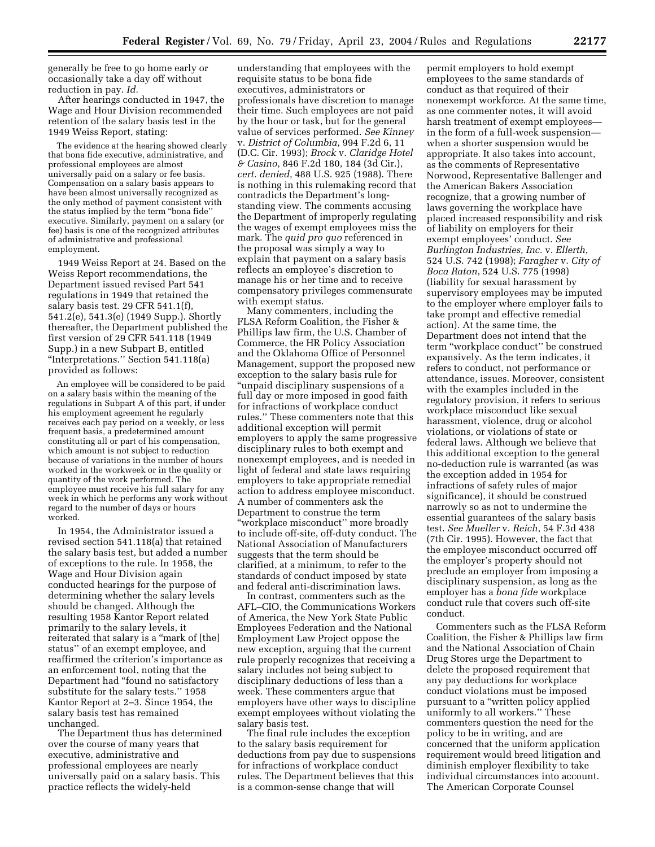generally be free to go home early or occasionally take a day off without reduction in pay. *Id.* 

After hearings conducted in 1947, the Wage and Hour Division recommended retention of the salary basis test in the 1949 Weiss Report, stating:

The evidence at the hearing showed clearly that bona fide executive, administrative, and professional employees are almost universally paid on a salary or fee basis. Compensation on a salary basis appears to have been almost universally recognized as the only method of payment consistent with the status implied by the term ''bona fide'' executive. Similarly, payment on a salary (or fee) basis is one of the recognized attributes of administrative and professional employment.

1949 Weiss Report at 24. Based on the Weiss Report recommendations, the Department issued revised Part 541 regulations in 1949 that retained the salary basis test. 29 CFR 541.1(f), 541.2(e), 541.3(e) (1949 Supp.). Shortly thereafter, the Department published the first version of 29 CFR 541.118 (1949 Supp.) in a new Subpart B, entitled ''Interpretations.'' Section 541.118(a) provided as follows:

An employee will be considered to be paid on a salary basis within the meaning of the regulations in Subpart A of this part, if under his employment agreement he regularly receives each pay period on a weekly, or less frequent basis, a predetermined amount constituting all or part of his compensation, which amount is not subject to reduction because of variations in the number of hours worked in the workweek or in the quality or quantity of the work performed. The employee must receive his full salary for any week in which he performs any work without regard to the number of days or hours worked.

In 1954, the Administrator issued a revised section 541.118(a) that retained the salary basis test, but added a number of exceptions to the rule. In 1958, the Wage and Hour Division again conducted hearings for the purpose of determining whether the salary levels should be changed. Although the resulting 1958 Kantor Report related primarily to the salary levels, it reiterated that salary is a "mark of [the] status'' of an exempt employee, and reaffirmed the criterion's importance as an enforcement tool, noting that the Department had ''found no satisfactory substitute for the salary tests.'' 1958 Kantor Report at 2–3. Since 1954, the salary basis test has remained unchanged.

The Department thus has determined over the course of many years that executive, administrative and professional employees are nearly universally paid on a salary basis. This practice reflects the widely-held

understanding that employees with the requisite status to be bona fide executives, administrators or professionals have discretion to manage their time. Such employees are not paid by the hour or task, but for the general value of services performed. *See Kinney*  v. *District of Columbia*, 994 F.2d 6, 11 (D.C. Cir. 1993); *Brock* v. *Claridge Hotel & Casino*, 846 F.2d 180, 184 (3d Cir.), *cert. denied*, 488 U.S. 925 (1988). There is nothing in this rulemaking record that contradicts the Department's longstanding view. The comments accusing the Department of improperly regulating the wages of exempt employees miss the mark. The *quid pro quo* referenced in the proposal was simply a way to explain that payment on a salary basis reflects an employee's discretion to manage his or her time and to receive compensatory privileges commensurate with exempt status.

Many commenters, including the FLSA Reform Coalition, the Fisher & Phillips law firm, the U.S. Chamber of Commerce, the HR Policy Association and the Oklahoma Office of Personnel Management, support the proposed new exception to the salary basis rule for ''unpaid disciplinary suspensions of a full day or more imposed in good faith for infractions of workplace conduct rules.'' These commenters note that this additional exception will permit employers to apply the same progressive disciplinary rules to both exempt and nonexempt employees, and is needed in light of federal and state laws requiring employers to take appropriate remedial action to address employee misconduct. A number of commenters ask the Department to construe the term ''workplace misconduct'' more broadly to include off-site, off-duty conduct. The National Association of Manufacturers suggests that the term should be clarified, at a minimum, to refer to the standards of conduct imposed by state and federal anti-discrimination laws.

In contrast, commenters such as the AFL–CIO, the Communications Workers of America, the New York State Public Employees Federation and the National Employment Law Project oppose the new exception, arguing that the current rule properly recognizes that receiving a salary includes not being subject to disciplinary deductions of less than a week. These commenters argue that employers have other ways to discipline exempt employees without violating the salary basis test.

The final rule includes the exception to the salary basis requirement for deductions from pay due to suspensions for infractions of workplace conduct rules. The Department believes that this is a common-sense change that will

permit employers to hold exempt employees to the same standards of conduct as that required of their nonexempt workforce. At the same time, as one commenter notes, it will avoid harsh treatment of exempt employees in the form of a full-week suspension when a shorter suspension would be appropriate. It also takes into account, as the comments of Representative Norwood, Representative Ballenger and the American Bakers Association recognize, that a growing number of laws governing the workplace have placed increased responsibility and risk of liability on employers for their exempt employees' conduct. *See Burlington Industries, Inc.* v. *Ellerth*, 524 U.S. 742 (1998); *Faragher* v. *City of Boca Raton*, 524 U.S. 775 (1998) (liability for sexual harassment by supervisory employees may be imputed to the employer where employer fails to take prompt and effective remedial action). At the same time, the Department does not intend that the term ''workplace conduct'' be construed expansively. As the term indicates, it refers to conduct, not performance or attendance, issues. Moreover, consistent with the examples included in the regulatory provision, it refers to serious workplace misconduct like sexual harassment, violence, drug or alcohol violations, or violations of state or federal laws. Although we believe that this additional exception to the general no-deduction rule is warranted (as was the exception added in 1954 for infractions of safety rules of major significance), it should be construed narrowly so as not to undermine the essential guarantees of the salary basis test. *See Mueller* v. *Reich*, 54 F.3d 438 (7th Cir. 1995). However, the fact that the employee misconduct occurred off the employer's property should not preclude an employer from imposing a disciplinary suspension, as long as the employer has a *bona fide* workplace conduct rule that covers such off-site conduct.

Commenters such as the FLSA Reform Coalition, the Fisher & Phillips law firm and the National Association of Chain Drug Stores urge the Department to delete the proposed requirement that any pay deductions for workplace conduct violations must be imposed pursuant to a ''written policy applied uniformly to all workers.'' These commenters question the need for the policy to be in writing, and are concerned that the uniform application requirement would breed litigation and diminish employer flexibility to take individual circumstances into account. The American Corporate Counsel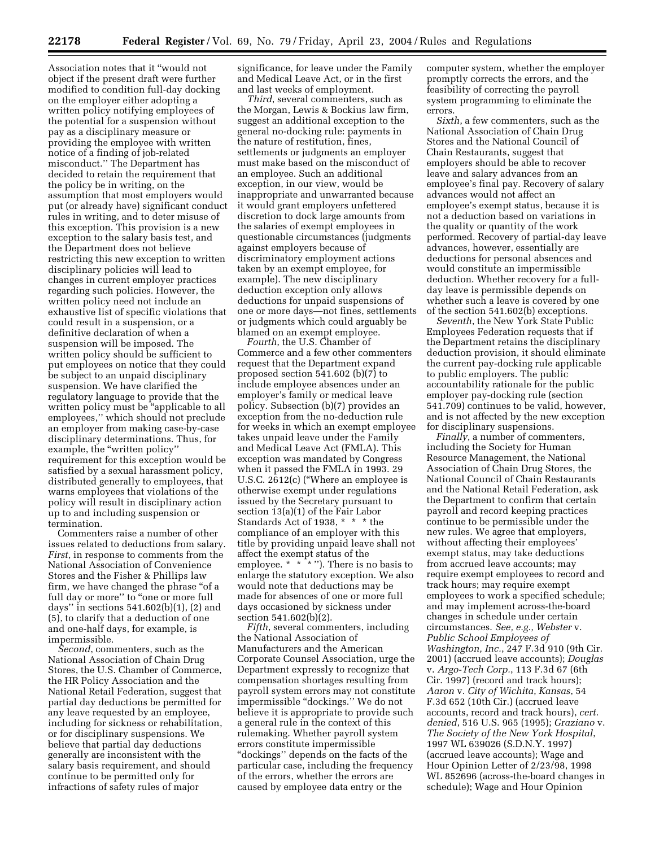Association notes that it ''would not object if the present draft were further modified to condition full-day docking on the employer either adopting a written policy notifying employees of the potential for a suspension without pay as a disciplinary measure or providing the employee with written notice of a finding of job-related misconduct.'' The Department has decided to retain the requirement that the policy be in writing, on the assumption that most employers would put (or already have) significant conduct rules in writing, and to deter misuse of this exception. This provision is a new exception to the salary basis test, and the Department does not believe restricting this new exception to written disciplinary policies will lead to changes in current employer practices regarding such policies. However, the written policy need not include an exhaustive list of specific violations that could result in a suspension, or a definitive declaration of when a suspension will be imposed. The written policy should be sufficient to put employees on notice that they could be subject to an unpaid disciplinary suspension. We have clarified the regulatory language to provide that the written policy must be "applicable to all employees,'' which should not preclude an employer from making case-by-case disciplinary determinations. Thus, for example, the "written policy" requirement for this exception would be satisfied by a sexual harassment policy, distributed generally to employees, that warns employees that violations of the policy will result in disciplinary action up to and including suspension or termination.

Commenters raise a number of other issues related to deductions from salary. *First*, in response to comments from the National Association of Convenience Stores and the Fisher & Phillips law firm, we have changed the phrase "of a full day or more" to "one or more full days'' in sections 541.602(b)(1), (2) and (5), to clarify that a deduction of one and one-half days, for example, is impermissible.

*Second*, commenters, such as the National Association of Chain Drug Stores, the U.S. Chamber of Commerce, the HR Policy Association and the National Retail Federation, suggest that partial day deductions be permitted for any leave requested by an employee, including for sickness or rehabilitation, or for disciplinary suspensions. We believe that partial day deductions generally are inconsistent with the salary basis requirement, and should continue to be permitted only for infractions of safety rules of major

significance, for leave under the Family and Medical Leave Act, or in the first and last weeks of employment.

*Third*, several commenters, such as the Morgan, Lewis & Bockius law firm, suggest an additional exception to the general no-docking rule: payments in the nature of restitution, fines, settlements or judgments an employer must make based on the misconduct of an employee. Such an additional exception, in our view, would be inappropriate and unwarranted because it would grant employers unfettered discretion to dock large amounts from the salaries of exempt employees in questionable circumstances (judgments against employers because of discriminatory employment actions taken by an exempt employee, for example). The new disciplinary deduction exception only allows deductions for unpaid suspensions of one or more days—not fines, settlements or judgments which could arguably be blamed on an exempt employee.

*Fourth*, the U.S. Chamber of Commerce and a few other commenters request that the Department expand proposed section 541.602 (b)(7) to include employee absences under an employer's family or medical leave policy. Subsection (b)(7) provides an exception from the no-deduction rule for weeks in which an exempt employee takes unpaid leave under the Family and Medical Leave Act (FMLA). This exception was mandated by Congress when it passed the FMLA in 1993. 29 U.S.C. 2612(c) (''Where an employee is otherwise exempt under regulations issued by the Secretary pursuant to section 13(a)(1) of the Fair Labor Standards Act of 1938, \* \* \* the compliance of an employer with this title by providing unpaid leave shall not affect the exempt status of the employee.  $* * *$ "). There is no basis to enlarge the statutory exception. We also would note that deductions may be made for absences of one or more full days occasioned by sickness under section 541.602(b)(2).

*Fifth*, several commenters, including the National Association of Manufacturers and the American Corporate Counsel Association, urge the Department expressly to recognize that compensation shortages resulting from payroll system errors may not constitute impermissible ''dockings.'' We do not believe it is appropriate to provide such a general rule in the context of this rulemaking. Whether payroll system errors constitute impermissible ''dockings'' depends on the facts of the particular case, including the frequency of the errors, whether the errors are caused by employee data entry or the

computer system, whether the employer promptly corrects the errors, and the feasibility of correcting the payroll system programming to eliminate the errors.

*Sixth*, a few commenters, such as the National Association of Chain Drug Stores and the National Council of Chain Restaurants, suggest that employers should be able to recover leave and salary advances from an employee's final pay. Recovery of salary advances would not affect an employee's exempt status, because it is not a deduction based on variations in the quality or quantity of the work performed. Recovery of partial-day leave advances, however, essentially are deductions for personal absences and would constitute an impermissible deduction. Whether recovery for a fullday leave is permissible depends on whether such a leave is covered by one of the section 541.602(b) exceptions.

*Seventh*, the New York State Public Employees Federation requests that if the Department retains the disciplinary deduction provision, it should eliminate the current pay-docking rule applicable to public employers. The public accountability rationale for the public employer pay-docking rule (section 541.709) continues to be valid, however, and is not affected by the new exception for disciplinary suspensions.

*Finally*, a number of commenters, including the Society for Human Resource Management, the National Association of Chain Drug Stores, the National Council of Chain Restaurants and the National Retail Federation, ask the Department to confirm that certain payroll and record keeping practices continue to be permissible under the new rules. We agree that employers, without affecting their employees' exempt status, may take deductions from accrued leave accounts; may require exempt employees to record and track hours; may require exempt employees to work a specified schedule; and may implement across-the-board changes in schedule under certain circumstances. *See, e.g., Webster* v. *Public School Employees of Washington, Inc.*, 247 F.3d 910 (9th Cir. 2001) (accrued leave accounts); *Douglas*  v. *Argo-Tech Corp.*, 113 F.3d 67 (6th Cir. 1997) (record and track hours); *Aaron* v. *City of Wichita*, *Kansas*, 54 F.3d 652 (10th Cir.) (accrued leave accounts, record and track hours), *cert. denied*, 516 U.S. 965 (1995); *Graziano* v. *The Society of the New York Hospital*, 1997 WL 639026 (S.D.N.Y. 1997) (accrued leave accounts); Wage and Hour Opinion Letter of 2/23/98, 1998 WL 852696 (across-the-board changes in schedule); Wage and Hour Opinion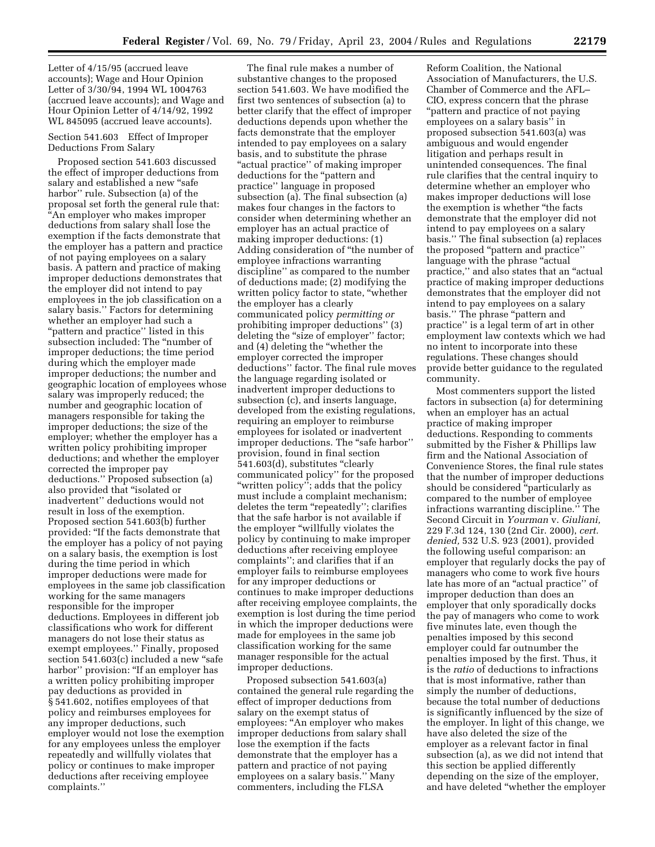Letter of 4/15/95 (accrued leave accounts); Wage and Hour Opinion Letter of 3/30/94, 1994 WL 1004763 (accrued leave accounts); and Wage and Hour Opinion Letter of 4/14/92, 1992 WL 845095 (accrued leave accounts).

#### Section 541.603 Effect of Improper Deductions From Salary

Proposed section 541.603 discussed the effect of improper deductions from salary and established a new "safe harbor'' rule. Subsection (a) of the proposal set forth the general rule that: ''An employer who makes improper deductions from salary shall lose the exemption if the facts demonstrate that the employer has a pattern and practice of not paying employees on a salary basis. A pattern and practice of making improper deductions demonstrates that the employer did not intend to pay employees in the job classification on a salary basis.'' Factors for determining whether an employer had such a "pattern and practice" listed in this subsection included: The "number of improper deductions; the time period during which the employer made improper deductions; the number and geographic location of employees whose salary was improperly reduced; the number and geographic location of managers responsible for taking the improper deductions; the size of the employer; whether the employer has a written policy prohibiting improper deductions; and whether the employer corrected the improper pay deductions.'' Proposed subsection (a) also provided that ''isolated or inadvertent'' deductions would not result in loss of the exemption. Proposed section 541.603(b) further provided: ''If the facts demonstrate that the employer has a policy of not paying on a salary basis, the exemption is lost during the time period in which improper deductions were made for employees in the same job classification working for the same managers responsible for the improper deductions. Employees in different job classifications who work for different managers do not lose their status as exempt employees.'' Finally, proposed section 541.603(c) included a new "safe harbor'' provision: ''If an employer has a written policy prohibiting improper pay deductions as provided in § 541.602, notifies employees of that policy and reimburses employees for any improper deductions, such employer would not lose the exemption for any employees unless the employer repeatedly and willfully violates that policy or continues to make improper deductions after receiving employee complaints.''

The final rule makes a number of substantive changes to the proposed section 541.603. We have modified the first two sentences of subsection (a) to better clarify that the effect of improper deductions depends upon whether the facts demonstrate that the employer intended to pay employees on a salary basis, and to substitute the phrase "actual practice" of making improper deductions for the ''pattern and practice'' language in proposed subsection (a). The final subsection (a) makes four changes in the factors to consider when determining whether an employer has an actual practice of making improper deductions: (1) Adding consideration of ''the number of employee infractions warranting discipline'' as compared to the number of deductions made; (2) modifying the written policy factor to state, ''whether the employer has a clearly communicated policy *permitting or*  prohibiting improper deductions'' (3) deleting the "size of employer" factor; and (4) deleting the ''whether the employer corrected the improper deductions'' factor. The final rule moves the language regarding isolated or inadvertent improper deductions to subsection (c), and inserts language, developed from the existing regulations, requiring an employer to reimburse employees for isolated or inadvertent improper deductions. The "safe harbor" provision, found in final section 541.603(d), substitutes "clearly communicated policy'' for the proposed "written policy"; adds that the policy must include a complaint mechanism; deletes the term "repeatedly"; clarifies that the safe harbor is not available if the employer ''willfully violates the policy by continuing to make improper deductions after receiving employee complaints''; and clarifies that if an employer fails to reimburse employees for any improper deductions or continues to make improper deductions after receiving employee complaints, the exemption is lost during the time period in which the improper deductions were made for employees in the same job classification working for the same manager responsible for the actual improper deductions.

Proposed subsection 541.603(a) contained the general rule regarding the effect of improper deductions from salary on the exempt status of employees: ''An employer who makes improper deductions from salary shall lose the exemption if the facts demonstrate that the employer has a pattern and practice of not paying employees on a salary basis.'' Many commenters, including the FLSA

Reform Coalition, the National Association of Manufacturers, the U.S. Chamber of Commerce and the AFL– CIO, express concern that the phrase ''pattern and practice of not paying employees on a salary basis'' in proposed subsection 541.603(a) was ambiguous and would engender litigation and perhaps result in unintended consequences. The final rule clarifies that the central inquiry to determine whether an employer who makes improper deductions will lose the exemption is whether ''the facts demonstrate that the employer did not intend to pay employees on a salary basis.'' The final subsection (a) replaces the proposed ''pattern and practice'' language with the phrase "actual" practice,'' and also states that an ''actual practice of making improper deductions demonstrates that the employer did not intend to pay employees on a salary basis." The phrase "pattern and practice'' is a legal term of art in other employment law contexts which we had no intent to incorporate into these regulations. These changes should provide better guidance to the regulated community.

Most commenters support the listed factors in subsection (a) for determining when an employer has an actual practice of making improper deductions. Responding to comments submitted by the Fisher & Phillips law firm and the National Association of Convenience Stores, the final rule states that the number of improper deductions should be considered ''particularly as compared to the number of employee infractions warranting discipline.'' The Second Circuit in *Yourman* v. *Giuliani,*  229 F.3d 124, 130 (2nd Cir. 2000), *cert. denied,* 532 U.S. 923 (2001), provided the following useful comparison: an employer that regularly docks the pay of managers who come to work five hours late has more of an ''actual practice'' of improper deduction than does an employer that only sporadically docks the pay of managers who come to work five minutes late, even though the penalties imposed by this second employer could far outnumber the penalties imposed by the first. Thus, it is the *ratio* of deductions to infractions that is most informative, rather than simply the number of deductions, because the total number of deductions is significantly influenced by the size of the employer. In light of this change, we have also deleted the size of the employer as a relevant factor in final subsection (a), as we did not intend that this section be applied differently depending on the size of the employer, and have deleted ''whether the employer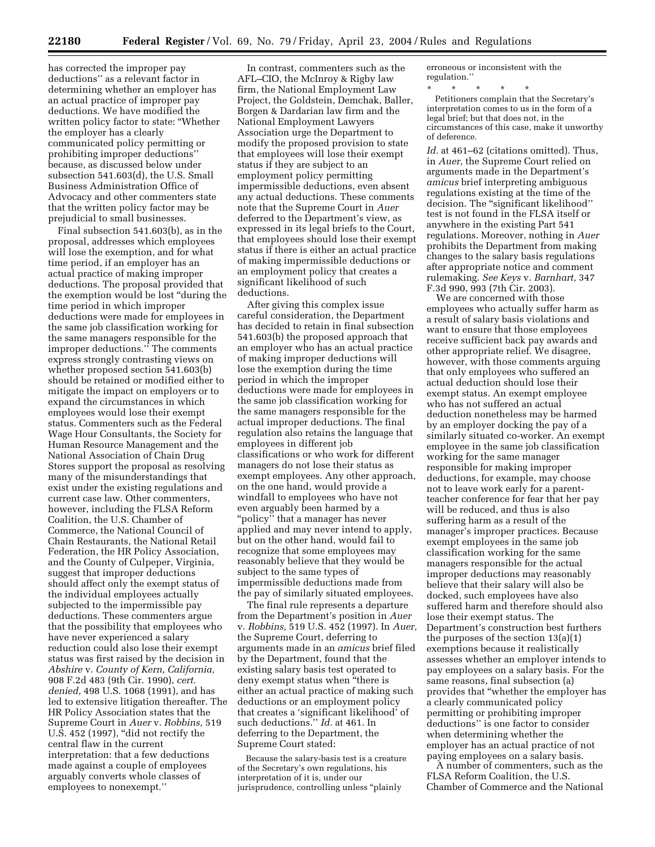has corrected the improper pay deductions'' as a relevant factor in determining whether an employer has an actual practice of improper pay deductions. We have modified the written policy factor to state: ''Whether the employer has a clearly communicated policy permitting or prohibiting improper deductions'' because, as discussed below under subsection 541.603(d), the U.S. Small Business Administration Office of Advocacy and other commenters state that the written policy factor may be prejudicial to small businesses.

Final subsection 541.603(b), as in the proposal, addresses which employees will lose the exemption, and for what time period, if an employer has an actual practice of making improper deductions. The proposal provided that the exemption would be lost ''during the time period in which improper deductions were made for employees in the same job classification working for the same managers responsible for the improper deductions.'' The comments express strongly contrasting views on whether proposed section 541.603(b) should be retained or modified either to mitigate the impact on employers or to expand the circumstances in which employees would lose their exempt status. Commenters such as the Federal Wage Hour Consultants, the Society for Human Resource Management and the National Association of Chain Drug Stores support the proposal as resolving many of the misunderstandings that exist under the existing regulations and current case law. Other commenters, however, including the FLSA Reform Coalition, the U.S. Chamber of Commerce, the National Council of Chain Restaurants, the National Retail Federation, the HR Policy Association, and the County of Culpeper, Virginia, suggest that improper deductions should affect only the exempt status of the individual employees actually subjected to the impermissible pay deductions. These commenters argue that the possibility that employees who have never experienced a salary reduction could also lose their exempt status was first raised by the decision in *Abshire* v. *County of Kern, California,*  908 F.2d 483 (9th Cir. 1990), *cert. denied,* 498 U.S. 1068 (1991), and has led to extensive litigation thereafter. The HR Policy Association states that the Supreme Court in *Auer* v. *Robbins,* 519 U.S. 452 (1997), ''did not rectify the central flaw in the current interpretation: that a few deductions made against a couple of employees arguably converts whole classes of employees to nonexempt.''

In contrast, commenters such as the AFL–CIO, the McInroy & Rigby law firm, the National Employment Law Project, the Goldstein, Demchak, Baller, Borgen & Dardarian law firm and the National Employment Lawyers Association urge the Department to modify the proposed provision to state that employees will lose their exempt status if they are subject to an employment policy permitting impermissible deductions, even absent any actual deductions. These comments note that the Supreme Court in *Auer*  deferred to the Department's view, as expressed in its legal briefs to the Court, that employees should lose their exempt status if there is either an actual practice of making impermissible deductions or an employment policy that creates a significant likelihood of such deductions.

After giving this complex issue careful consideration, the Department has decided to retain in final subsection 541.603(b) the proposed approach that an employer who has an actual practice of making improper deductions will lose the exemption during the time period in which the improper deductions were made for employees in the same job classification working for the same managers responsible for the actual improper deductions. The final regulation also retains the language that employees in different job classifications or who work for different managers do not lose their status as exempt employees. Any other approach, on the one hand, would provide a windfall to employees who have not even arguably been harmed by a ''policy'' that a manager has never applied and may never intend to apply, but on the other hand, would fail to recognize that some employees may reasonably believe that they would be subject to the same types of impermissible deductions made from the pay of similarly situated employees.

The final rule represents a departure from the Department's position in *Auer*  v. *Robbins,* 519 U.S. 452 (1997). In *Auer,*  the Supreme Court, deferring to arguments made in an *amicus* brief filed by the Department, found that the existing salary basis test operated to deny exempt status when ''there is either an actual practice of making such deductions or an employment policy that creates a 'significant likelihood' of such deductions.'' *Id.* at 461. In deferring to the Department, the Supreme Court stated:

Because the salary-basis test is a creature of the Secretary's own regulations, his interpretation of it is, under our jurisprudence, controlling unless "plainly

erroneous or inconsistent with the regulation.''

\* \* \* \* \*

Petitioners complain that the Secretary's interpretation comes to us in the form of a legal brief; but that does not, in the circumstances of this case, make it unworthy of deference.

*Id.* at 461–62 (citations omitted). Thus, in *Auer,* the Supreme Court relied on arguments made in the Department's *amicus* brief interpreting ambiguous regulations existing at the time of the decision. The ''significant likelihood'' test is not found in the FLSA itself or anywhere in the existing Part 541 regulations. Moreover, nothing in *Auer*  prohibits the Department from making changes to the salary basis regulations after appropriate notice and comment rulemaking. *See Keys* v. *Barnhart,* 347 F.3d 990, 993 (7th Cir. 2003).

We are concerned with those employees who actually suffer harm as a result of salary basis violations and want to ensure that those employees receive sufficient back pay awards and other appropriate relief. We disagree, however, with those comments arguing that only employees who suffered an actual deduction should lose their exempt status. An exempt employee who has not suffered an actual deduction nonetheless may be harmed by an employer docking the pay of a similarly situated co-worker. An exempt employee in the same job classification working for the same manager responsible for making improper deductions, for example, may choose not to leave work early for a parentteacher conference for fear that her pay will be reduced, and thus is also suffering harm as a result of the manager's improper practices. Because exempt employees in the same job classification working for the same managers responsible for the actual improper deductions may reasonably believe that their salary will also be docked, such employees have also suffered harm and therefore should also lose their exempt status. The Department's construction best furthers the purposes of the section 13(a)(1) exemptions because it realistically assesses whether an employer intends to pay employees on a salary basis. For the same reasons, final subsection (a) provides that ''whether the employer has a clearly communicated policy permitting or prohibiting improper deductions'' is one factor to consider when determining whether the employer has an actual practice of not paying employees on a salary basis.

A number of commenters, such as the FLSA Reform Coalition, the U.S. Chamber of Commerce and the National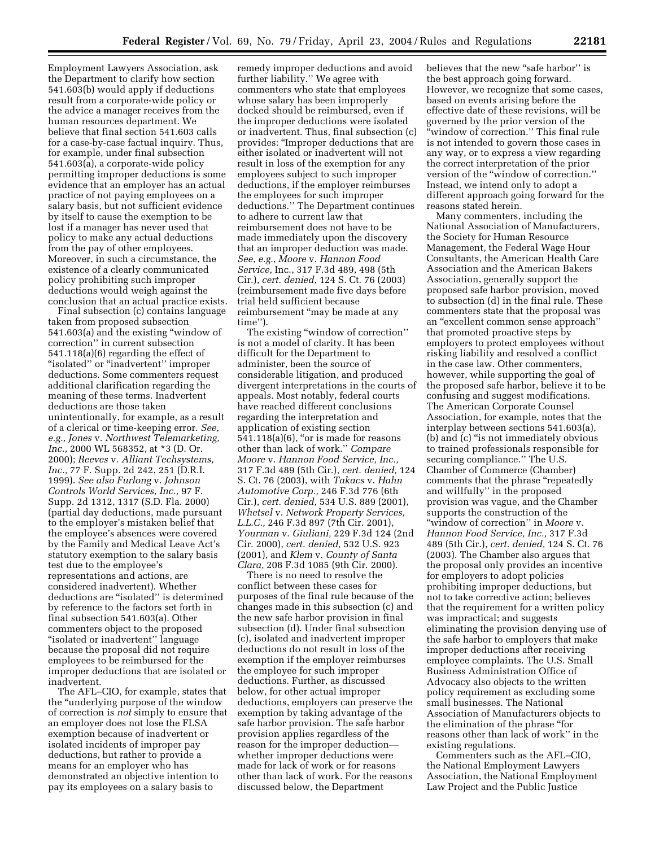Employment Lawyers Association, ask the Department to clarify how section 541.603(b) would apply if deductions result from a corporate-wide policy or the advice a manager receives from the human resources department. We believe that final section 541.603 calls for a case-by-case factual inquiry. Thus, for example, under final subsection 541.603(a), a corporate-wide policy permitting improper deductions is some evidence that an employer has an actual practice of not paying employees on a salary basis, but not sufficient evidence by itself to cause the exemption to be lost if a manager has never used that policy to make any actual deductions from the pay of other employees. Moreover, in such a circumstance, the existence of a clearly communicated policy prohibiting such improper deductions would weigh against the conclusion that an actual practice exists.

Final subsection (c) contains language taken from proposed subsection 541.603(a) and the existing ''window of correction'' in current subsection 541.118(a)(6) regarding the effect of "isolated" or "inadvertent" improper deductions. Some commenters request additional clarification regarding the meaning of these terms. Inadvertent deductions are those taken unintentionally, for example, as a result of a clerical or time-keeping error. *See, e.g., Jones* v. *Northwest Telemarketing, Inc.,* 2000 WL 568352, at \*3 (D. Or. 2000); *Reeves* v. *Alliant Techsystems, Inc.,* 77 F. Supp. 2d 242, 251 (D.R.I. 1999). *See also Furlong* v. *Johnson Controls World Services, Inc.,* 97 F. Supp. 2d 1312, 1317 (S.D. Fla. 2000) (partial day deductions, made pursuant to the employer's mistaken belief that the employee's absences were covered by the Family and Medical Leave Act's statutory exemption to the salary basis test due to the employee's representations and actions, are considered inadvertent). Whether deductions are ''isolated'' is determined by reference to the factors set forth in final subsection 541.603(a). Other commenters object to the proposed "isolated or inadvertent" language because the proposal did not require employees to be reimbursed for the improper deductions that are isolated or inadvertent.

The AFL–CIO, for example, states that the ''underlying purpose of the window of correction is *not* simply to ensure that an employer does not lose the FLSA exemption because of inadvertent or isolated incidents of improper pay deductions, but rather to provide a means for an employer who has demonstrated an objective intention to pay its employees on a salary basis to

remedy improper deductions and avoid further liability.'' We agree with commenters who state that employees whose salary has been improperly docked should be reimbursed, even if the improper deductions were isolated or inadvertent. Thus, final subsection (c) provides: ''Improper deductions that are either isolated or inadvertent will not result in loss of the exemption for any employees subject to such improper deductions, if the employer reimburses the employees for such improper deductions.'' The Department continues to adhere to current law that reimbursement does not have to be made immediately upon the discovery that an improper deduction was made. *See*, *e.g.*, *Moore* v. *Hannon Food Service,* Inc., 317 F.3d 489, 498 (5th Cir.), *cert. denied,* 124 S. Ct. 76 (2003) (reimbursement made five days before trial held sufficient because reimbursement ''may be made at any time'').

The existing "window of correction" is not a model of clarity. It has been difficult for the Department to administer, been the source of considerable litigation, and produced divergent interpretations in the courts of appeals. Most notably, federal courts have reached different conclusions regarding the interpretation and application of existing section  $541.118(a)(6)$ , "or is made for reasons other than lack of work.'' *Compare Moore* v. *Hannon Food Service, Inc.,*  317 F.3d 489 (5th Cir.), *cert. denied,* 124 S. Ct. 76 (2003), with *Takacs* v. *Hahn Automotive Corp.,* 246 F.3d 776 (6th Cir.), *cert. denied,* 534 U.S. 889 (2001), *Whetsel* v. *Network Property Services, L.L.C.,* 246 F.3d 897 (7th Cir. 2001), *Yourman* v. *Giuliani,* 229 F.3d 124 (2nd Cir. 2000), *cert. denied,* 532 U.S. 923 (2001), and *Klem* v. *County of Santa Clara,* 208 F.3d 1085 (9th Cir. 2000).

There is no need to resolve the conflict between these cases for purposes of the final rule because of the changes made in this subsection (c) and the new safe harbor provision in final subsection (d). Under final subsection (c), isolated and inadvertent improper deductions do not result in loss of the exemption if the employer reimburses the employee for such improper deductions. Further, as discussed below, for other actual improper deductions, employers can preserve the exemption by taking advantage of the safe harbor provision. The safe harbor provision applies regardless of the reason for the improper deduction whether improper deductions were made for lack of work or for reasons other than lack of work. For the reasons discussed below, the Department

believes that the new "safe harbor" is the best approach going forward. However, we recognize that some cases, based on events arising before the effective date of these revisions, will be governed by the prior version of the ''window of correction.'' This final rule is not intended to govern those cases in any way, or to express a view regarding the correct interpretation of the prior version of the ''window of correction.'' Instead, we intend only to adopt a different approach going forward for the reasons stated herein.

Many commenters, including the National Association of Manufacturers, the Society for Human Resource Management, the Federal Wage Hour Consultants, the American Health Care Association and the American Bakers Association, generally support the proposed safe harbor provision, moved to subsection (d) in the final rule. These commenters state that the proposal was an ''excellent common sense approach'' that promoted proactive steps by employers to protect employees without risking liability and resolved a conflict in the case law. Other commenters, however, while supporting the goal of the proposed safe harbor, believe it to be confusing and suggest modifications. The American Corporate Counsel Association, for example, notes that the interplay between sections 541.603(a), (b) and (c) ''is not immediately obvious to trained professionals responsible for securing compliance.'' The U.S. Chamber of Commerce (Chamber) comments that the phrase "repeatedly and willfully'' in the proposed provision was vague, and the Chamber supports the construction of the ''window of correction'' in *Moore* v. *Hannon Food Service, Inc.,* 317 F.3d 489 (5th Cir.), *cert. denied,* 124 S. Ct. 76 (2003). The Chamber also argues that the proposal only provides an incentive for employers to adopt policies prohibiting improper deductions, but not to take corrective action; believes that the requirement for a written policy was impractical; and suggests eliminating the provision denying use of the safe harbor to employers that make improper deductions after receiving employee complaints. The U.S. Small Business Administration Office of Advocacy also objects to the written policy requirement as excluding some small businesses. The National Association of Manufacturers objects to the elimination of the phrase ''for reasons other than lack of work'' in the existing regulations.

Commenters such as the AFL–CIO, the National Employment Lawyers Association, the National Employment Law Project and the Public Justice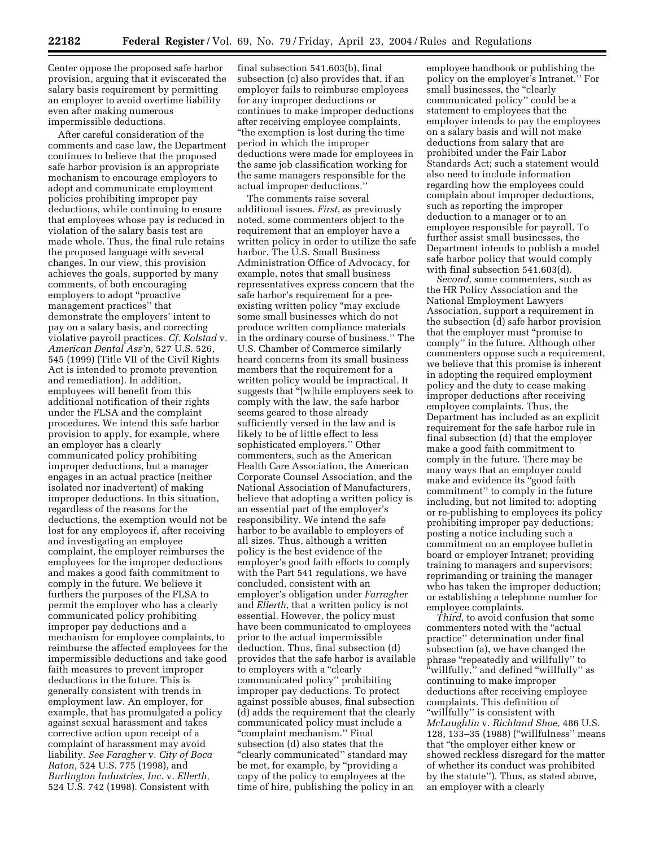Center oppose the proposed safe harbor provision, arguing that it eviscerated the salary basis requirement by permitting an employer to avoid overtime liability even after making numerous impermissible deductions.

After careful consideration of the comments and case law, the Department continues to believe that the proposed safe harbor provision is an appropriate mechanism to encourage employers to adopt and communicate employment policies prohibiting improper pay deductions, while continuing to ensure that employees whose pay is reduced in violation of the salary basis test are made whole. Thus, the final rule retains the proposed language with several changes. In our view, this provision achieves the goals, supported by many comments, of both encouraging employers to adopt ''proactive management practices'' that demonstrate the employers' intent to pay on a salary basis, and correcting violative payroll practices. *Cf. Kolstad* v. *American Dental Ass'n,* 527 U.S. 526, 545 (1999) (Title VII of the Civil Rights Act is intended to promote prevention and remediation). In addition, employees will benefit from this additional notification of their rights under the FLSA and the complaint procedures. We intend this safe harbor provision to apply, for example, where an employer has a clearly communicated policy prohibiting improper deductions, but a manager engages in an actual practice (neither isolated nor inadvertent) of making improper deductions. In this situation, regardless of the reasons for the deductions, the exemption would not be lost for any employees if, after receiving and investigating an employee complaint, the employer reimburses the employees for the improper deductions and makes a good faith commitment to comply in the future. We believe it furthers the purposes of the FLSA to permit the employer who has a clearly communicated policy prohibiting improper pay deductions and a mechanism for employee complaints, to reimburse the affected employees for the impermissible deductions and take good faith measures to prevent improper deductions in the future. This is generally consistent with trends in employment law. An employer, for example, that has promulgated a policy against sexual harassment and takes corrective action upon receipt of a complaint of harassment may avoid liability. *See Faragher* v. *City of Boca Raton,* 524 U.S. 775 (1998), and *Burlington Industries, Inc.* v. *Ellerth,*  524 U.S. 742 (1998). Consistent with

final subsection 541.603(b), final subsection (c) also provides that, if an employer fails to reimburse employees for any improper deductions or continues to make improper deductions after receiving employee complaints, ''the exemption is lost during the time period in which the improper deductions were made for employees in the same job classification working for the same managers responsible for the actual improper deductions.''

The comments raise several additional issues. *First*, as previously noted, some commenters object to the requirement that an employer have a written policy in order to utilize the safe harbor. The U.S. Small Business Administration Office of Advocacy, for example, notes that small business representatives express concern that the safe harbor's requirement for a preexisting written policy "may exclude some small businesses which do not produce written compliance materials in the ordinary course of business.'' The U.S. Chamber of Commerce similarly heard concerns from its small business members that the requirement for a written policy would be impractical. It suggests that "[w]hile employers seek to comply with the law, the safe harbor seems geared to those already sufficiently versed in the law and is likely to be of little effect to less sophisticated employers.'' Other commenters, such as the American Health Care Association, the American Corporate Counsel Association, and the National Association of Manufacturers, believe that adopting a written policy is an essential part of the employer's responsibility. We intend the safe harbor to be available to employers of all sizes. Thus, although a written policy is the best evidence of the employer's good faith efforts to comply with the Part 541 regulations, we have concluded, consistent with an employer's obligation under *Farragher*  and *Ellerth*, that a written policy is not essential. However, the policy must have been communicated to employees prior to the actual impermissible deduction. Thus, final subsection (d) provides that the safe harbor is available to employers with a "clearly communicated policy'' prohibiting improper pay deductions. To protect against possible abuses, final subsection (d) adds the requirement that the clearly communicated policy must include a ''complaint mechanism.'' Final subsection (d) also states that the "clearly communicated" standard may be met, for example, by "providing a copy of the policy to employees at the time of hire, publishing the policy in an

employee handbook or publishing the policy on the employer's Intranet.'' For small businesses, the "clearly" communicated policy'' could be a statement to employees that the employer intends to pay the employees on a salary basis and will not make deductions from salary that are prohibited under the Fair Labor Standards Act; such a statement would also need to include information regarding how the employees could complain about improper deductions, such as reporting the improper deduction to a manager or to an employee responsible for payroll. To further assist small businesses, the Department intends to publish a model safe harbor policy that would comply with final subsection 541.603(d).

*Second,* some commenters, such as the HR Policy Association and the National Employment Lawyers Association, support a requirement in the subsection (d) safe harbor provision that the employer must ''promise to comply'' in the future. Although other commenters oppose such a requirement, we believe that this promise is inherent in adopting the required employment policy and the duty to cease making improper deductions after receiving employee complaints. Thus, the Department has included as an explicit requirement for the safe harbor rule in final subsection (d) that the employer make a good faith commitment to comply in the future. There may be many ways that an employer could make and evidence its ''good faith commitment'' to comply in the future including, but not limited to: adopting or re-publishing to employees its policy prohibiting improper pay deductions; posting a notice including such a commitment on an employee bulletin board or employer Intranet; providing training to managers and supervisors; reprimanding or training the manager who has taken the improper deduction; or establishing a telephone number for employee complaints.

*Third,* to avoid confusion that some commenters noted with the ''actual practice'' determination under final subsection (a), we have changed the phrase ''repeatedly and willfully'' to "willfully," and defined "willfully" as continuing to make improper deductions after receiving employee complaints. This definition of ''willfully'' is consistent with *McLaughlin* v. *Richland Shoe,* 486 U.S. 128, 133–35 (1988) (''willfulness'' means that ''the employer either knew or showed reckless disregard for the matter of whether its conduct was prohibited by the statute''). Thus, as stated above, an employer with a clearly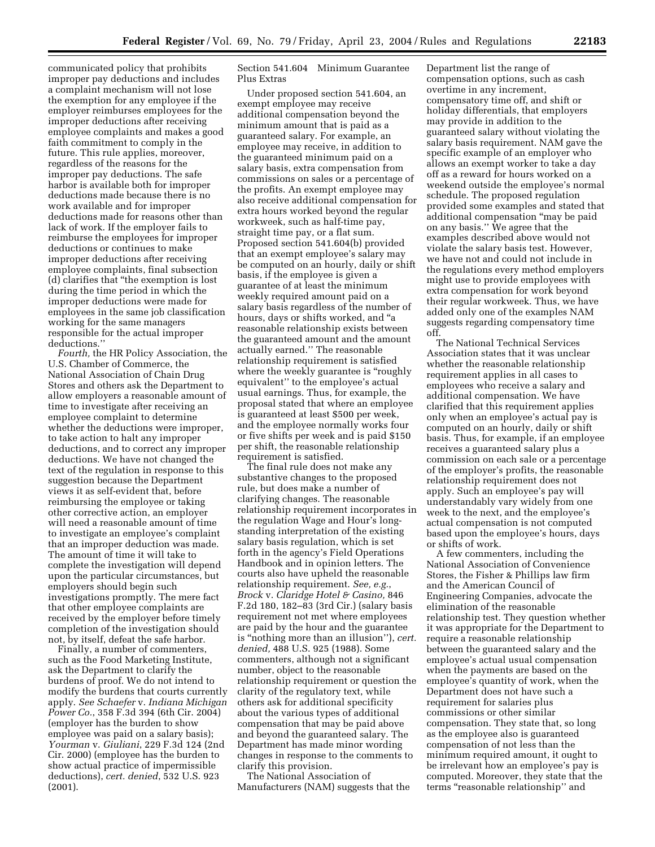communicated policy that prohibits improper pay deductions and includes a complaint mechanism will not lose the exemption for any employee if the employer reimburses employees for the improper deductions after receiving employee complaints and makes a good faith commitment to comply in the future. This rule applies, moreover, regardless of the reasons for the improper pay deductions. The safe harbor is available both for improper deductions made because there is no work available and for improper deductions made for reasons other than lack of work. If the employer fails to reimburse the employees for improper deductions or continues to make improper deductions after receiving employee complaints, final subsection (d) clarifies that ''the exemption is lost during the time period in which the improper deductions were made for employees in the same job classification working for the same managers responsible for the actual improper deductions.''

*Fourth,* the HR Policy Association, the U.S. Chamber of Commerce, the National Association of Chain Drug Stores and others ask the Department to allow employers a reasonable amount of time to investigate after receiving an employee complaint to determine whether the deductions were improper, to take action to halt any improper deductions, and to correct any improper deductions. We have not changed the text of the regulation in response to this suggestion because the Department views it as self-evident that, before reimbursing the employee or taking other corrective action, an employer will need a reasonable amount of time to investigate an employee's complaint that an improper deduction was made. The amount of time it will take to complete the investigation will depend upon the particular circumstances, but employers should begin such investigations promptly. The mere fact that other employee complaints are received by the employer before timely completion of the investigation should not, by itself, defeat the safe harbor.

Finally, a number of commenters, such as the Food Marketing Institute, ask the Department to clarify the burdens of proof. We do not intend to modify the burdens that courts currently apply. *See Schaefer* v. *Indiana Michigan Power Co.*, 358 F.3d 394 (6th Cir. 2004) (employer has the burden to show employee was paid on a salary basis); *Yourman* v. *Giuliani*, 229 F.3d 124 (2nd Cir. 2000) (employee has the burden to show actual practice of impermissible deductions), *cert. denied*, 532 U.S. 923 (2001).

Section 541.604 Minimum Guarantee Plus Extras

Under proposed section 541.604, an exempt employee may receive additional compensation beyond the minimum amount that is paid as a guaranteed salary. For example, an employee may receive, in addition to the guaranteed minimum paid on a salary basis, extra compensation from commissions on sales or a percentage of the profits. An exempt employee may also receive additional compensation for extra hours worked beyond the regular workweek, such as half-time pay, straight time pay, or a flat sum. Proposed section 541.604(b) provided that an exempt employee's salary may be computed on an hourly, daily or shift basis, if the employee is given a guarantee of at least the minimum weekly required amount paid on a salary basis regardless of the number of hours, days or shifts worked, and ''a reasonable relationship exists between the guaranteed amount and the amount actually earned.'' The reasonable relationship requirement is satisfied where the weekly guarantee is "roughly equivalent'' to the employee's actual usual earnings. Thus, for example, the proposal stated that where an employee is guaranteed at least \$500 per week, and the employee normally works four or five shifts per week and is paid \$150 per shift, the reasonable relationship requirement is satisfied.

The final rule does not make any substantive changes to the proposed rule, but does make a number of clarifying changes. The reasonable relationship requirement incorporates in the regulation Wage and Hour's longstanding interpretation of the existing salary basis regulation, which is set forth in the agency's Field Operations Handbook and in opinion letters. The courts also have upheld the reasonable relationship requirement. *See, e.g.*, *Brock* v. *Claridge Hotel & Casino,* 846 F.2d 180, 182–83 (3rd Cir.) (salary basis requirement not met where employees are paid by the hour and the guarantee is ''nothing more than an illusion''), *cert. denied,* 488 U.S. 925 (1988). Some commenters, although not a significant number, object to the reasonable relationship requirement or question the clarity of the regulatory text, while others ask for additional specificity about the various types of additional compensation that may be paid above and beyond the guaranteed salary. The Department has made minor wording changes in response to the comments to clarify this provision.

The National Association of Manufacturers (NAM) suggests that the Department list the range of compensation options, such as cash overtime in any increment, compensatory time off, and shift or holiday differentials, that employers may provide in addition to the guaranteed salary without violating the salary basis requirement. NAM gave the specific example of an employer who allows an exempt worker to take a day off as a reward for hours worked on a weekend outside the employee's normal schedule. The proposed regulation provided some examples and stated that additional compensation ''may be paid on any basis.'' We agree that the examples described above would not violate the salary basis test. However, we have not and could not include in the regulations every method employers might use to provide employees with extra compensation for work beyond their regular workweek. Thus, we have added only one of the examples NAM suggests regarding compensatory time off.

The National Technical Services Association states that it was unclear whether the reasonable relationship requirement applies in all cases to employees who receive a salary and additional compensation. We have clarified that this requirement applies only when an employee's actual pay is computed on an hourly, daily or shift basis. Thus, for example, if an employee receives a guaranteed salary plus a commission on each sale or a percentage of the employer's profits, the reasonable relationship requirement does not apply. Such an employee's pay will understandably vary widely from one week to the next, and the employee's actual compensation is not computed based upon the employee's hours, days or shifts of work.

A few commenters, including the National Association of Convenience Stores, the Fisher & Phillips law firm and the American Council of Engineering Companies, advocate the elimination of the reasonable relationship test. They question whether it was appropriate for the Department to require a reasonable relationship between the guaranteed salary and the employee's actual usual compensation when the payments are based on the employee's quantity of work, when the Department does not have such a requirement for salaries plus commissions or other similar compensation. They state that, so long as the employee also is guaranteed compensation of not less than the minimum required amount, it ought to be irrelevant how an employee's pay is computed. Moreover, they state that the terms "reasonable relationship" and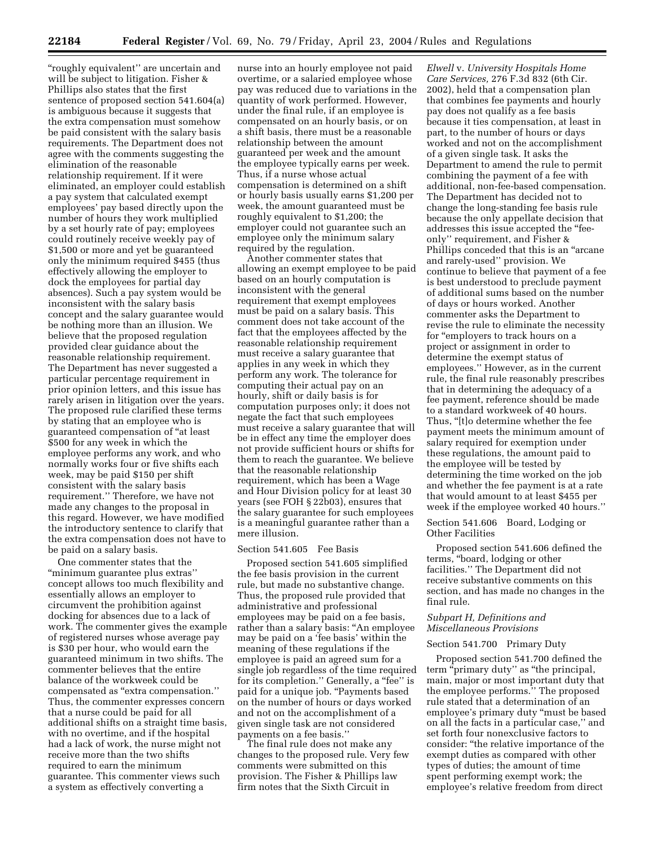''roughly equivalent'' are uncertain and will be subject to litigation. Fisher & Phillips also states that the first sentence of proposed section 541.604(a) is ambiguous because it suggests that the extra compensation must somehow be paid consistent with the salary basis requirements. The Department does not agree with the comments suggesting the elimination of the reasonable relationship requirement. If it were eliminated, an employer could establish a pay system that calculated exempt employees' pay based directly upon the number of hours they work multiplied by a set hourly rate of pay; employees could routinely receive weekly pay of \$1,500 or more and yet be guaranteed only the minimum required \$455 (thus effectively allowing the employer to dock the employees for partial day absences). Such a pay system would be inconsistent with the salary basis concept and the salary guarantee would be nothing more than an illusion. We believe that the proposed regulation provided clear guidance about the reasonable relationship requirement. The Department has never suggested a particular percentage requirement in prior opinion letters, and this issue has rarely arisen in litigation over the years. The proposed rule clarified these terms by stating that an employee who is guaranteed compensation of ''at least \$500 for any week in which the employee performs any work, and who normally works four or five shifts each week, may be paid \$150 per shift consistent with the salary basis requirement.'' Therefore, we have not made any changes to the proposal in this regard. However, we have modified the introductory sentence to clarify that the extra compensation does not have to be paid on a salary basis.

One commenter states that the ''minimum guarantee plus extras'' concept allows too much flexibility and essentially allows an employer to circumvent the prohibition against docking for absences due to a lack of work. The commenter gives the example of registered nurses whose average pay is \$30 per hour, who would earn the guaranteed minimum in two shifts. The commenter believes that the entire balance of the workweek could be compensated as ''extra compensation.'' Thus, the commenter expresses concern that a nurse could be paid for all additional shifts on a straight time basis, with no overtime, and if the hospital had a lack of work, the nurse might not receive more than the two shifts required to earn the minimum guarantee. This commenter views such a system as effectively converting a

nurse into an hourly employee not paid overtime, or a salaried employee whose pay was reduced due to variations in the quantity of work performed. However, under the final rule, if an employee is compensated on an hourly basis, or on a shift basis, there must be a reasonable relationship between the amount guaranteed per week and the amount the employee typically earns per week. Thus, if a nurse whose actual compensation is determined on a shift or hourly basis usually earns \$1,200 per week, the amount guaranteed must be roughly equivalent to \$1,200; the employer could not guarantee such an employee only the minimum salary required by the regulation.

Another commenter states that allowing an exempt employee to be paid based on an hourly computation is inconsistent with the general requirement that exempt employees must be paid on a salary basis. This comment does not take account of the fact that the employees affected by the reasonable relationship requirement must receive a salary guarantee that applies in any week in which they perform any work. The tolerance for computing their actual pay on an hourly, shift or daily basis is for computation purposes only; it does not negate the fact that such employees must receive a salary guarantee that will be in effect any time the employer does not provide sufficient hours or shifts for them to reach the guarantee. We believe that the reasonable relationship requirement, which has been a Wage and Hour Division policy for at least 30 years (see FOH § 22b03), ensures that the salary guarantee for such employees is a meaningful guarantee rather than a mere illusion.

#### Section 541.605 Fee Basis

Proposed section 541.605 simplified the fee basis provision in the current rule, but made no substantive change. Thus, the proposed rule provided that administrative and professional employees may be paid on a fee basis, rather than a salary basis: "An employee may be paid on a 'fee basis' within the meaning of these regulations if the employee is paid an agreed sum for a single job regardless of the time required for its completion.'' Generally, a ''fee'' is paid for a unique job. ''Payments based on the number of hours or days worked and not on the accomplishment of a given single task are not considered payments on a fee basis.''

The final rule does not make any changes to the proposed rule. Very few comments were submitted on this provision. The Fisher & Phillips law firm notes that the Sixth Circuit in

*Elwell* v. *University Hospitals Home Care Services,* 276 F.3d 832 (6th Cir. 2002), held that a compensation plan that combines fee payments and hourly pay does not qualify as a fee basis because it ties compensation, at least in part, to the number of hours or days worked and not on the accomplishment of a given single task. It asks the Department to amend the rule to permit combining the payment of a fee with additional, non-fee-based compensation. The Department has decided not to change the long-standing fee basis rule because the only appellate decision that addresses this issue accepted the "feeonly'' requirement, and Fisher & Phillips conceded that this is an ''arcane and rarely-used'' provision. We continue to believe that payment of a fee is best understood to preclude payment of additional sums based on the number of days or hours worked. Another commenter asks the Department to revise the rule to eliminate the necessity for ''employers to track hours on a project or assignment in order to determine the exempt status of employees.'' However, as in the current rule, the final rule reasonably prescribes that in determining the adequacy of a fee payment, reference should be made to a standard workweek of 40 hours. Thus, "[t]o determine whether the fee payment meets the minimum amount of salary required for exemption under these regulations, the amount paid to the employee will be tested by determining the time worked on the job and whether the fee payment is at a rate that would amount to at least \$455 per week if the employee worked 40 hours.''

Section 541.606 Board, Lodging or Other Facilities

Proposed section 541.606 defined the terms, ''board, lodging or other facilities.'' The Department did not receive substantive comments on this section, and has made no changes in the final rule.

#### *Subpart H, Definitions and Miscellaneous Provisions*

#### Section 541.700 Primary Duty

Proposed section 541.700 defined the term "primary duty" as "the principal, main, major or most important duty that the employee performs.'' The proposed rule stated that a determination of an employee's primary duty ''must be based on all the facts in a particular case,'' and set forth four nonexclusive factors to consider: ''the relative importance of the exempt duties as compared with other types of duties; the amount of time spent performing exempt work; the employee's relative freedom from direct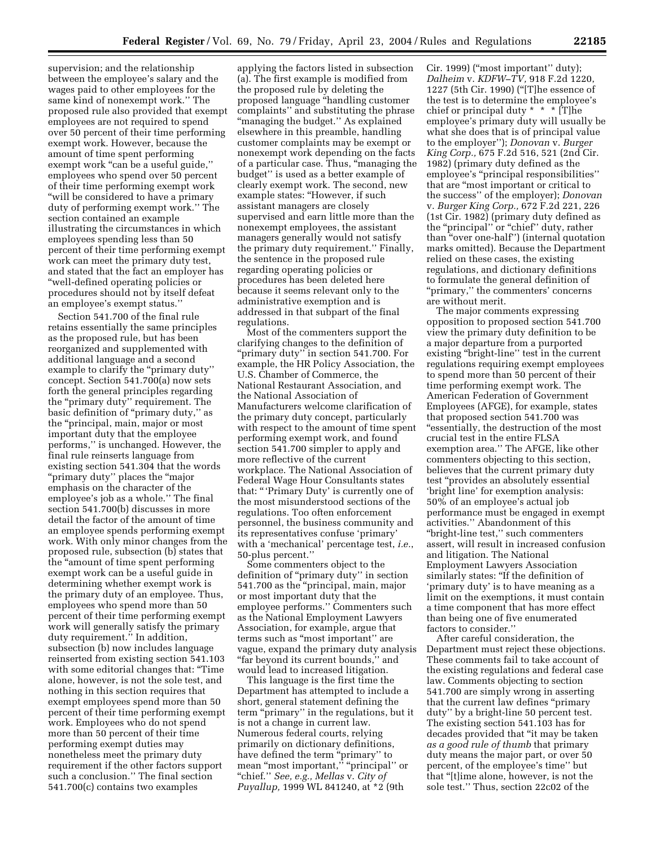supervision; and the relationship between the employee's salary and the wages paid to other employees for the same kind of nonexempt work.'' The proposed rule also provided that exempt employees are not required to spend over 50 percent of their time performing exempt work. However, because the amount of time spent performing exempt work "can be a useful guide," employees who spend over 50 percent of their time performing exempt work ''will be considered to have a primary duty of performing exempt work.'' The section contained an example illustrating the circumstances in which employees spending less than 50 percent of their time performing exempt work can meet the primary duty test, and stated that the fact an employer has ''well-defined operating policies or procedures should not by itself defeat an employee's exempt status.''

Section 541.700 of the final rule retains essentially the same principles as the proposed rule, but has been reorganized and supplemented with additional language and a second example to clarify the "primary duty" concept. Section 541.700(a) now sets forth the general principles regarding the "primary duty" requirement. The basic definition of ''primary duty,'' as the ''principal, main, major or most important duty that the employee performs,'' is unchanged. However, the final rule reinserts language from existing section 541.304 that the words ''primary duty'' places the ''major emphasis on the character of the employee's job as a whole.'' The final section 541.700(b) discusses in more detail the factor of the amount of time an employee spends performing exempt work. With only minor changes from the proposed rule, subsection (b) states that the ''amount of time spent performing exempt work can be a useful guide in determining whether exempt work is the primary duty of an employee. Thus, employees who spend more than 50 percent of their time performing exempt work will generally satisfy the primary duty requirement.'' In addition, subsection (b) now includes language reinserted from existing section 541.103 with some editorial changes that: "Time alone, however, is not the sole test, and nothing in this section requires that exempt employees spend more than 50 percent of their time performing exempt work. Employees who do not spend more than 50 percent of their time performing exempt duties may nonetheless meet the primary duty requirement if the other factors support such a conclusion.'' The final section 541.700(c) contains two examples

applying the factors listed in subsection (a). The first example is modified from the proposed rule by deleting the proposed language ''handling customer complaints'' and substituting the phrase "managing the budget." As explained elsewhere in this preamble, handling customer complaints may be exempt or nonexempt work depending on the facts of a particular case. Thus, ''managing the budget'' is used as a better example of clearly exempt work. The second, new example states: "However, if such assistant managers are closely supervised and earn little more than the nonexempt employees, the assistant managers generally would not satisfy the primary duty requirement.'' Finally, the sentence in the proposed rule regarding operating policies or procedures has been deleted here because it seems relevant only to the administrative exemption and is addressed in that subpart of the final regulations.

Most of the commenters support the clarifying changes to the definition of "primary duty" in section 541.700. For example, the HR Policy Association, the U.S. Chamber of Commerce, the National Restaurant Association, and the National Association of Manufacturers welcome clarification of the primary duty concept, particularly with respect to the amount of time spent performing exempt work, and found section 541.700 simpler to apply and more reflective of the current workplace. The National Association of Federal Wage Hour Consultants states that: '' 'Primary Duty' is currently one of the most misunderstood sections of the regulations. Too often enforcement personnel, the business community and its representatives confuse 'primary' with a 'mechanical' percentage test, *i.e.*, 50-plus percent.''

Some commenters object to the definition of ''primary duty'' in section 541.700 as the ''principal, main, major or most important duty that the employee performs.'' Commenters such as the National Employment Lawyers Association, for example, argue that terms such as ''most important'' are vague, expand the primary duty analysis "far beyond its current bounds," and would lead to increased litigation.

This language is the first time the Department has attempted to include a short, general statement defining the term "primary" in the regulations, but it is not a change in current law. Numerous federal courts, relying primarily on dictionary definitions, have defined the term "primary" to mean "most important," "principal" or ''chief.'' *See, e.g., Mellas* v. *City of Puyallup,* 1999 WL 841240, at \*2 (9th

Cir. 1999) (''most important'' duty); *Dalheim* v. *KDFW–TV,* 918 F.2d 1220, 1227 (5th Cir. 1990) (''[T]he essence of the test is to determine the employee's chief or principal duty \* \* \* [T]he employee's primary duty will usually be what she does that is of principal value to the employer''); *Donovan* v. *Burger King Corp.,* 675 F.2d 516, 521 (2nd Cir. 1982) (primary duty defined as the employee's ''principal responsibilities'' that are ''most important or critical to the success'' of the employer); *Donovan*  v. *Burger King Corp.,* 672 F.2d 221, 226 (1st Cir. 1982) (primary duty defined as the "principal" or "chief" duty, rather than ''over one-half'') (internal quotation marks omitted). Because the Department relied on these cases, the existing regulations, and dictionary definitions to formulate the general definition of ''primary,'' the commenters' concerns are without merit.

The major comments expressing opposition to proposed section 541.700 view the primary duty definition to be a major departure from a purported existing "bright-line" test in the current regulations requiring exempt employees to spend more than 50 percent of their time performing exempt work. The American Federation of Government Employees (AFGE), for example, states that proposed section 541.700 was ''essentially, the destruction of the most crucial test in the entire FLSA exemption area.'' The AFGE, like other commenters objecting to this section, believes that the current primary duty test ''provides an absolutely essential 'bright line' for exemption analysis: 50% of an employee's actual job performance must be engaged in exempt activities.'' Abandonment of this ''bright-line test,'' such commenters assert, will result in increased confusion and litigation. The National Employment Lawyers Association similarly states: "If the definition of 'primary duty' is to have meaning as a limit on the exemptions, it must contain a time component that has more effect than being one of five enumerated factors to consider.''

After careful consideration, the Department must reject these objections. These comments fail to take account of the existing regulations and federal case law. Comments objecting to section 541.700 are simply wrong in asserting that the current law defines ''primary duty'' by a bright-line 50 percent test. The existing section 541.103 has for decades provided that ''it may be taken *as a good rule of thumb* that primary duty means the major part, or over 50 percent, of the employee's time'' but that ''[t]ime alone, however, is not the sole test.'' Thus, section 22c02 of the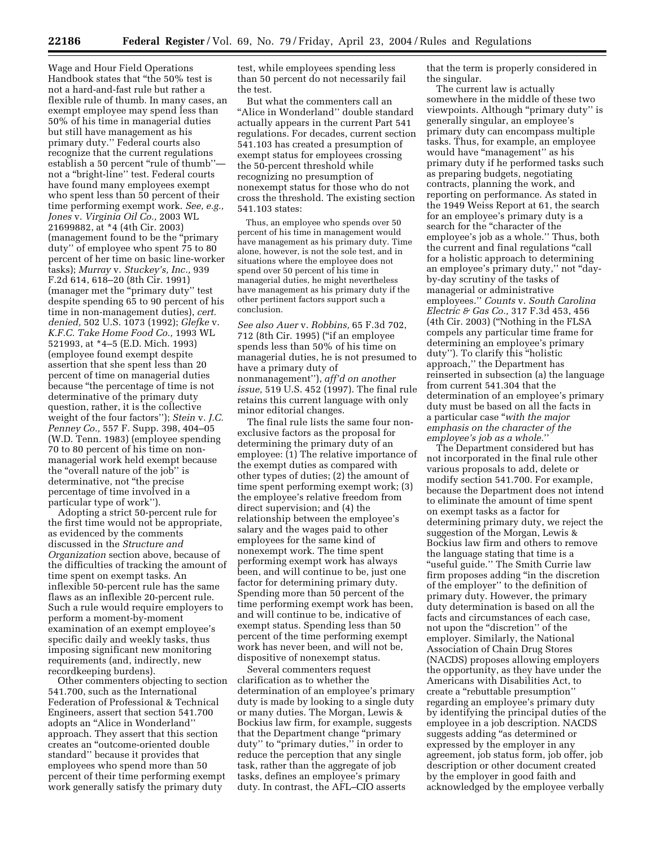Wage and Hour Field Operations Handbook states that ''the 50% test is not a hard-and-fast rule but rather a flexible rule of thumb. In many cases, an exempt employee may spend less than 50% of his time in managerial duties but still have management as his primary duty.'' Federal courts also recognize that the current regulations establish a 50 percent "rule of thumb"not a "bright-line" test. Federal courts have found many employees exempt who spent less than 50 percent of their time performing exempt work. *See, e.g., Jones* v. *Virginia Oil Co.,* 2003 WL 21699882, at \*4 (4th Cir. 2003) (management found to be the ''primary duty'' of employee who spent 75 to 80 percent of her time on basic line-worker tasks); *Murray* v. *Stuckey's, Inc.,* 939 F.2d 614, 618–20 (8th Cir. 1991) (manager met the "primary duty" test despite spending 65 to 90 percent of his time in non-management duties), *cert. denied,* 502 U.S. 1073 (1992); *Glefke* v. *K.F.C. Take Home Food Co.,* 1993 WL 521993, at \*4–5 (E.D. Mich. 1993) (employee found exempt despite assertion that she spent less than 20 percent of time on managerial duties because ''the percentage of time is not determinative of the primary duty question, rather, it is the collective weight of the four factors''); *Stein* v. *J.C. Penney Co.,* 557 F. Supp. 398, 404–05 (W.D. Tenn. 1983) (employee spending 70 to 80 percent of his time on nonmanagerial work held exempt because the "overall nature of the job" is determinative, not "the precise percentage of time involved in a particular type of work'').

Adopting a strict 50-percent rule for the first time would not be appropriate, as evidenced by the comments discussed in the *Structure and Organization* section above, because of the difficulties of tracking the amount of time spent on exempt tasks. An inflexible 50-percent rule has the same flaws as an inflexible 20-percent rule. Such a rule would require employers to perform a moment-by-moment examination of an exempt employee's specific daily and weekly tasks, thus imposing significant new monitoring requirements (and, indirectly, new recordkeeping burdens).

Other commenters objecting to section 541.700, such as the International Federation of Professional & Technical Engineers, assert that section 541.700 adopts an ''Alice in Wonderland'' approach. They assert that this section creates an ''outcome-oriented double standard'' because it provides that employees who spend more than 50 percent of their time performing exempt work generally satisfy the primary duty

test, while employees spending less than 50 percent do not necessarily fail the test.

But what the commenters call an "Alice in Wonderland" double standard actually appears in the current Part 541 regulations. For decades, current section 541.103 has created a presumption of exempt status for employees crossing the 50-percent threshold while recognizing no presumption of nonexempt status for those who do not cross the threshold. The existing section 541.103 states:

Thus, an employee who spends over 50 percent of his time in management would have management as his primary duty. Time alone, however, is not the sole test, and in situations where the employee does not spend over 50 percent of his time in managerial duties, he might nevertheless have management as his primary duty if the other pertinent factors support such a conclusion.

*See also Auer* v. *Robbins,* 65 F.3d 702, 712 (8th Cir. 1995) (''if an employee spends less than 50% of his time on managerial duties, he is not presumed to have a primary duty of nonmanagement''), *aff'd on another issue,* 519 U.S. 452 (1997). The final rule retains this current language with only minor editorial changes.

The final rule lists the same four nonexclusive factors as the proposal for determining the primary duty of an employee: (1) The relative importance of the exempt duties as compared with other types of duties; (2) the amount of time spent performing exempt work; (3) the employee's relative freedom from direct supervision; and (4) the relationship between the employee's salary and the wages paid to other employees for the same kind of nonexempt work. The time spent performing exempt work has always been, and will continue to be, just one factor for determining primary duty. Spending more than 50 percent of the time performing exempt work has been, and will continue to be, indicative of exempt status. Spending less than 50 percent of the time performing exempt work has never been, and will not be, dispositive of nonexempt status.

Several commenters request clarification as to whether the determination of an employee's primary duty is made by looking to a single duty or many duties. The Morgan, Lewis & Bockius law firm, for example, suggests that the Department change ''primary duty" to "primary duties," in order to reduce the perception that any single task, rather than the aggregate of job tasks, defines an employee's primary duty. In contrast, the AFL–CIO asserts

that the term is properly considered in the singular.

The current law is actually somewhere in the middle of these two viewpoints. Although "primary duty" is generally singular, an employee's primary duty can encompass multiple tasks. Thus, for example, an employee would have ''management'' as his primary duty if he performed tasks such as preparing budgets, negotiating contracts, planning the work, and reporting on performance. As stated in the 1949 Weiss Report at 61, the search for an employee's primary duty is a search for the "character of the employee's job as a whole.'' Thus, both the current and final regulations "call for a holistic approach to determining an employee's primary duty," not "dayby-day scrutiny of the tasks of managerial or administrative employees.'' *Counts* v. *South Carolina Electric & Gas Co.,* 317 F.3d 453, 456 (4th Cir. 2003) (''Nothing in the FLSA compels any particular time frame for determining an employee's primary duty''). To clarify this ''holistic approach,'' the Department has reinserted in subsection (a) the language from current 541.304 that the determination of an employee's primary duty must be based on all the facts in a particular case ''*with the major emphasis on the character of the employee's job as a whole.*''

The Department considered but has not incorporated in the final rule other various proposals to add, delete or modify section 541.700. For example, because the Department does not intend to eliminate the amount of time spent on exempt tasks as a factor for determining primary duty, we reject the suggestion of the Morgan, Lewis & Bockius law firm and others to remove the language stating that time is a "useful guide." The Smith Currie law firm proposes adding "in the discretion" of the employer'' to the definition of primary duty. However, the primary duty determination is based on all the facts and circumstances of each case, not upon the "discretion" of the employer. Similarly, the National Association of Chain Drug Stores (NACDS) proposes allowing employers the opportunity, as they have under the Americans with Disabilities Act, to create a ''rebuttable presumption'' regarding an employee's primary duty by identifying the principal duties of the employee in a job description. NACDS suggests adding "as determined or expressed by the employer in any agreement, job status form, job offer, job description or other document created by the employer in good faith and acknowledged by the employee verbally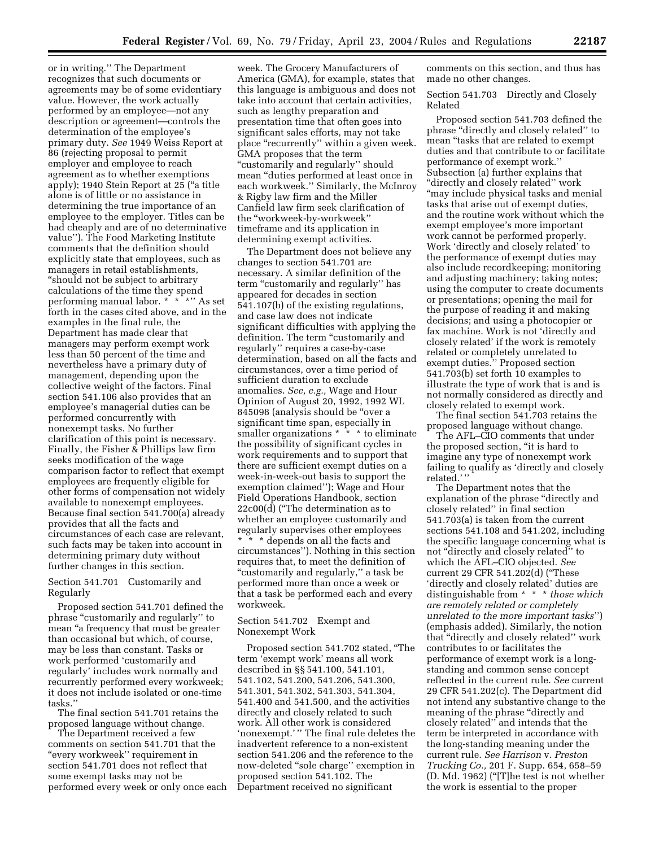or in writing.'' The Department recognizes that such documents or agreements may be of some evidentiary value. However, the work actually performed by an employee—not any description or agreement—controls the determination of the employee's primary duty. *See* 1949 Weiss Report at 86 (rejecting proposal to permit employer and employee to reach agreement as to whether exemptions apply); 1940 Stein Report at 25 (''a title alone is of little or no assistance in determining the true importance of an employee to the employer. Titles can be had cheaply and are of no determinative value''). The Food Marketing Institute comments that the definition should explicitly state that employees, such as managers in retail establishments, ''should not be subject to arbitrary calculations of the time they spend performing manual labor. \* \* \*'' As set forth in the cases cited above, and in the examples in the final rule, the Department has made clear that managers may perform exempt work less than 50 percent of the time and nevertheless have a primary duty of management, depending upon the collective weight of the factors. Final section 541.106 also provides that an employee's managerial duties can be performed concurrently with nonexempt tasks. No further clarification of this point is necessary. Finally, the Fisher & Phillips law firm seeks modification of the wage comparison factor to reflect that exempt employees are frequently eligible for other forms of compensation not widely available to nonexempt employees. Because final section 541.700(a) already provides that all the facts and circumstances of each case are relevant, such facts may be taken into account in determining primary duty without further changes in this section.

#### Section 541.701 Customarily and Regularly

Proposed section 541.701 defined the phrase ''customarily and regularly'' to mean ''a frequency that must be greater than occasional but which, of course, may be less than constant. Tasks or work performed 'customarily and regularly' includes work normally and recurrently performed every workweek; it does not include isolated or one-time tasks.''

The final section 541.701 retains the proposed language without change.

The Department received a few comments on section 541.701 that the ''every workweek'' requirement in section 541.701 does not reflect that some exempt tasks may not be performed every week or only once each

week. The Grocery Manufacturers of America (GMA), for example, states that this language is ambiguous and does not take into account that certain activities, such as lengthy preparation and presentation time that often goes into significant sales efforts, may not take place ''recurrently'' within a given week. GMA proposes that the term "customarily and regularly" should mean ''duties performed at least once in each workweek.'' Similarly, the McInroy & Rigby law firm and the Miller Canfield law firm seek clarification of the ''workweek-by-workweek'' timeframe and its application in determining exempt activities.

The Department does not believe any changes to section 541.701 are necessary. A similar definition of the term ''customarily and regularly'' has appeared for decades in section 541.107(b) of the existing regulations, and case law does not indicate significant difficulties with applying the definition. The term "customarily and regularly'' requires a case-by-case determination, based on all the facts and circumstances, over a time period of sufficient duration to exclude anomalies. *See, e.g.,* Wage and Hour Opinion of August 20, 1992, 1992 WL 845098 (analysis should be ''over a significant time span, especially in smaller organizations \* \* \* to eliminate the possibility of significant cycles in work requirements and to support that there are sufficient exempt duties on a week-in-week-out basis to support the exemption claimed''); Wage and Hour Field Operations Handbook, section 22c00(d) (''The determination as to whether an employee customarily and regularly supervises other employees \* \* \* depends on all the facts and circumstances''). Nothing in this section requires that, to meet the definition of ''customarily and regularly,'' a task be performed more than once a week or that a task be performed each and every workweek.

#### Section 541.702 Exempt and Nonexempt Work

Proposed section 541.702 stated, ''The term 'exempt work' means all work described in §§ 541.100, 541.101, 541.102, 541.200, 541.206, 541.300, 541.301, 541.302, 541.303, 541.304, 541.400 and 541.500, and the activities directly and closely related to such work. All other work is considered 'nonexempt.' '' The final rule deletes the inadvertent reference to a non-existent section 541.206 and the reference to the now-deleted ''sole charge'' exemption in proposed section 541.102. The Department received no significant

comments on this section, and thus has made no other changes.

Section 541.703 Directly and Closely Related

Proposed section 541.703 defined the phrase ''directly and closely related'' to mean ''tasks that are related to exempt duties and that contribute to or facilitate performance of exempt work.'' Subsection (a) further explains that "directly and closely related" work ''may include physical tasks and menial tasks that arise out of exempt duties, and the routine work without which the exempt employee's more important work cannot be performed properly. Work 'directly and closely related' to the performance of exempt duties may also include recordkeeping; monitoring and adjusting machinery; taking notes; using the computer to create documents or presentations; opening the mail for the purpose of reading it and making decisions; and using a photocopier or fax machine. Work is not 'directly and closely related' if the work is remotely related or completely unrelated to exempt duties.'' Proposed section 541.703(b) set forth 10 examples to illustrate the type of work that is and is not normally considered as directly and closely related to exempt work.

The final section 541.703 retains the proposed language without change.

The AFL–CIO comments that under the proposed section, "it is hard to imagine any type of nonexempt work failing to qualify as 'directly and closely related.'"

The Department notes that the explanation of the phrase ''directly and closely related'' in final section 541.703(a) is taken from the current sections 541.108 and 541.202, including the specific language concerning what is not "directly and closely related" to which the AFL–CIO objected. *See*  current 29 CFR 541.202(d) (''These 'directly and closely related' duties are distinguishable from \* \* \* *those which are remotely related or completely unrelated to the more important tasks*'') (emphasis added). Similarly, the notion that ''directly and closely related'' work contributes to or facilitates the performance of exempt work is a longstanding and common sense concept reflected in the current rule. *See* current 29 CFR 541.202(c). The Department did not intend any substantive change to the meaning of the phrase "directly and closely related'' and intends that the term be interpreted in accordance with the long-standing meaning under the current rule. *See Harrison* v. *Preston Trucking Co.,* 201 F. Supp. 654, 658–59  $(D. Md. 1962)$  ("The test is not whether the work is essential to the proper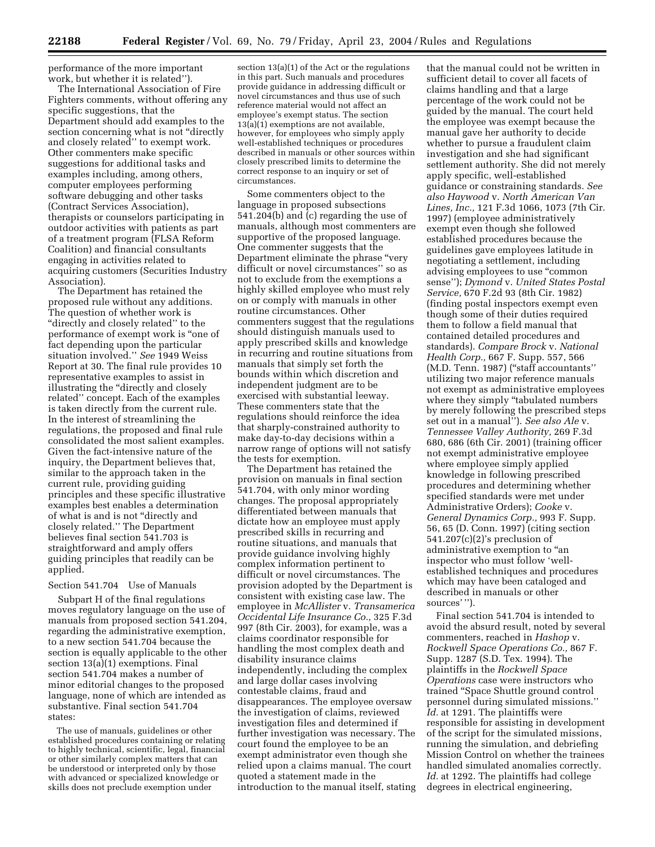performance of the more important work, but whether it is related'').

The International Association of Fire Fighters comments, without offering any specific suggestions, that the Department should add examples to the section concerning what is not "directly" and closely related'' to exempt work. Other commenters make specific suggestions for additional tasks and examples including, among others, computer employees performing software debugging and other tasks (Contract Services Association), therapists or counselors participating in outdoor activities with patients as part of a treatment program (FLSA Reform Coalition) and financial consultants engaging in activities related to acquiring customers (Securities Industry Association).

The Department has retained the proposed rule without any additions. The question of whether work is "directly and closely related" to the performance of exempt work is ''one of fact depending upon the particular situation involved.'' *See* 1949 Weiss Report at 30. The final rule provides 10 representative examples to assist in illustrating the ''directly and closely related'' concept. Each of the examples is taken directly from the current rule. In the interest of streamlining the regulations, the proposed and final rule consolidated the most salient examples. Given the fact-intensive nature of the inquiry, the Department believes that, similar to the approach taken in the current rule, providing guiding principles and these specific illustrative examples best enables a determination of what is and is not ''directly and closely related.'' The Department believes final section 541.703 is straightforward and amply offers guiding principles that readily can be applied.

#### Section 541.704 Use of Manuals

Subpart H of the final regulations moves regulatory language on the use of manuals from proposed section 541.204, regarding the administrative exemption, to a new section 541.704 because the section is equally applicable to the other section 13(a)(1) exemptions. Final section 541.704 makes a number of minor editorial changes to the proposed language, none of which are intended as substantive. Final section 541.704 states:

The use of manuals, guidelines or other established procedures containing or relating to highly technical, scientific, legal, financial or other similarly complex matters that can be understood or interpreted only by those with advanced or specialized knowledge or skills does not preclude exemption under

section 13(a)(1) of the Act or the regulations in this part. Such manuals and procedures provide guidance in addressing difficult or novel circumstances and thus use of such reference material would not affect an employee's exempt status. The section 13(a)(1) exemptions are not available, however, for employees who simply apply well-established techniques or procedures described in manuals or other sources within closely prescribed limits to determine the correct response to an inquiry or set of circumstances.

Some commenters object to the language in proposed subsections 541.204(b) and (c) regarding the use of manuals, although most commenters are supportive of the proposed language. One commenter suggests that the Department eliminate the phrase ''very difficult or novel circumstances'' so as not to exclude from the exemptions a highly skilled employee who must rely on or comply with manuals in other routine circumstances. Other commenters suggest that the regulations should distinguish manuals used to apply prescribed skills and knowledge in recurring and routine situations from manuals that simply set forth the bounds within which discretion and independent judgment are to be exercised with substantial leeway. These commenters state that the regulations should reinforce the idea that sharply-constrained authority to make day-to-day decisions within a narrow range of options will not satisfy the tests for exemption.

The Department has retained the provision on manuals in final section 541.704, with only minor wording changes. The proposal appropriately differentiated between manuals that dictate how an employee must apply prescribed skills in recurring and routine situations, and manuals that provide guidance involving highly complex information pertinent to difficult or novel circumstances. The provision adopted by the Department is consistent with existing case law. The employee in *McAllister* v. *Transamerica Occidental Life Insurance Co.,* 325 F.3d 997 (8th Cir. 2003), for example, was a claims coordinator responsible for handling the most complex death and disability insurance claims independently, including the complex and large dollar cases involving contestable claims, fraud and disappearances. The employee oversaw the investigation of claims, reviewed investigation files and determined if further investigation was necessary. The court found the employee to be an exempt administrator even though she relied upon a claims manual. The court quoted a statement made in the introduction to the manual itself, stating

that the manual could not be written in sufficient detail to cover all facets of claims handling and that a large percentage of the work could not be guided by the manual. The court held the employee was exempt because the manual gave her authority to decide whether to pursue a fraudulent claim investigation and she had significant settlement authority. She did not merely apply specific, well-established guidance or constraining standards. *See also Haywood* v. *North American Van Lines, Inc.,* 121 F.3d 1066, 1073 (7th Cir. 1997) (employee administratively exempt even though she followed established procedures because the guidelines gave employees latitude in negotiating a settlement, including advising employees to use ''common sense''); *Dymond* v. *United States Postal Service,* 670 F.2d 93 (8th Cir. 1982) (finding postal inspectors exempt even though some of their duties required them to follow a field manual that contained detailed procedures and standards). *Compare Brock* v. *National Health Corp.,* 667 F. Supp. 557, 566 (M.D. Tenn. 1987) (''staff accountants'' utilizing two major reference manuals not exempt as administrative employees where they simply "tabulated numbers by merely following the prescribed steps set out in a manual''). *See also Ale* v. *Tennessee Valley Authority,* 269 F.3d 680, 686 (6th Cir. 2001) (training officer not exempt administrative employee where employee simply applied knowledge in following prescribed procedures and determining whether specified standards were met under Administrative Orders); *Cooke* v. *General Dynamics Corp.,* 993 F. Supp. 56, 65 (D. Conn. 1997) (citing section 541.207(c)(2)'s preclusion of administrative exemption to ''an inspector who must follow 'wellestablished techniques and procedures which may have been cataloged and described in manuals or other sources' '').

Final section 541.704 is intended to avoid the absurd result, noted by several commenters, reached in *Hashop* v. *Rockwell Space Operations Co.,* 867 F. Supp. 1287 (S.D. Tex. 1994). The plaintiffs in the *Rockwell Space Operations* case were instructors who trained ''Space Shuttle ground control personnel during simulated missions.'' *Id.* at 1291. The plaintiffs were responsible for assisting in development of the script for the simulated missions, running the simulation, and debriefing Mission Control on whether the trainees handled simulated anomalies correctly. *Id.* at 1292. The plaintiffs had college degrees in electrical engineering,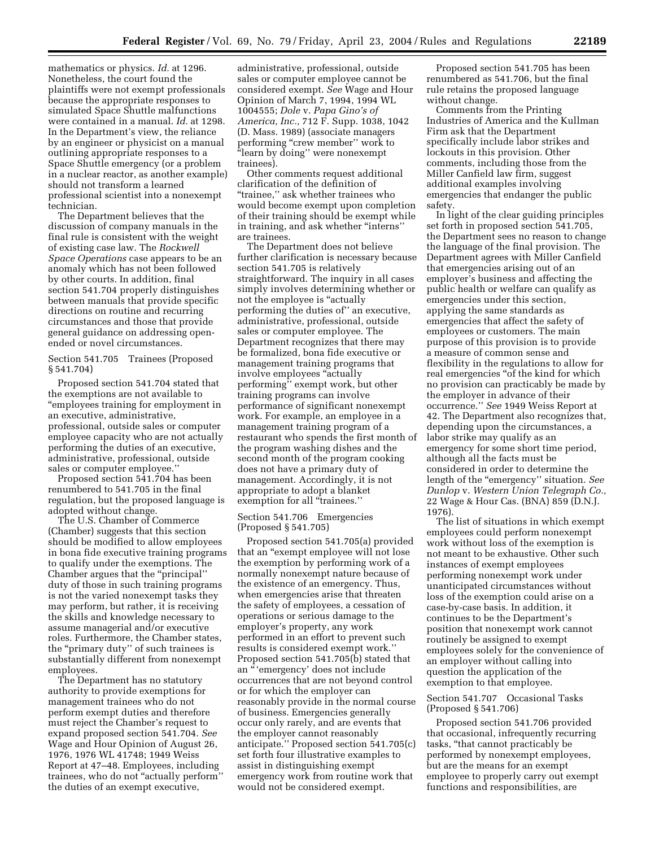mathematics or physics. *Id.* at 1296. Nonetheless, the court found the plaintiffs were not exempt professionals because the appropriate responses to simulated Space Shuttle malfunctions were contained in a manual. *Id.* at 1298. In the Department's view, the reliance by an engineer or physicist on a manual outlining appropriate responses to a Space Shuttle emergency (or a problem in a nuclear reactor, as another example) should not transform a learned professional scientist into a nonexempt technician.

The Department believes that the discussion of company manuals in the final rule is consistent with the weight of existing case law. The *Rockwell Space Operations* case appears to be an anomaly which has not been followed by other courts. In addition, final section 541.704 properly distinguishes between manuals that provide specific directions on routine and recurring circumstances and those that provide general guidance on addressing openended or novel circumstances.

Section 541.705 Trainees (Proposed § 541.704)

Proposed section 541.704 stated that the exemptions are not available to ''employees training for employment in an executive, administrative, professional, outside sales or computer employee capacity who are not actually performing the duties of an executive, administrative, professional, outside sales or computer employee.''

Proposed section 541.704 has been renumbered to 541.705 in the final regulation, but the proposed language is adopted without change.

The U.S. Chamber of Commerce (Chamber) suggests that this section should be modified to allow employees in bona fide executive training programs to qualify under the exemptions. The Chamber argues that the ''principal'' duty of those in such training programs is not the varied nonexempt tasks they may perform, but rather, it is receiving the skills and knowledge necessary to assume managerial and/or executive roles. Furthermore, the Chamber states, the ''primary duty'' of such trainees is substantially different from nonexempt employees.

The Department has no statutory authority to provide exemptions for management trainees who do not perform exempt duties and therefore must reject the Chamber's request to expand proposed section 541.704. *See*  Wage and Hour Opinion of August 26, 1976, 1976 WL 41748; 1949 Weiss Report at 47–48. Employees, including trainees, who do not "actually perform' the duties of an exempt executive,

administrative, professional, outside sales or computer employee cannot be considered exempt. *See* Wage and Hour Opinion of March 7, 1994, 1994 WL 1004555; *Dole* v. *Papa Gino's of America, Inc.,* 712 F. Supp. 1038, 1042 (D. Mass. 1989) (associate managers performing "crew member" work to ''learn by doing'' were nonexempt trainees).

Other comments request additional clarification of the definition of ''trainee,'' ask whether trainees who would become exempt upon completion of their training should be exempt while in training, and ask whether "interns" are trainees.

The Department does not believe further clarification is necessary because section 541.705 is relatively straightforward. The inquiry in all cases simply involves determining whether or not the employee is "actually performing the duties of'' an executive, administrative, professional, outside sales or computer employee. The Department recognizes that there may be formalized, bona fide executive or management training programs that involve employees ''actually performing'' exempt work, but other training programs can involve performance of significant nonexempt work. For example, an employee in a management training program of a restaurant who spends the first month of the program washing dishes and the second month of the program cooking does not have a primary duty of management. Accordingly, it is not appropriate to adopt a blanket exemption for all "trainees."

Section 541.706 Emergencies (Proposed § 541.705)

Proposed section 541.705(a) provided that an "exempt employee will not lose the exemption by performing work of a normally nonexempt nature because of the existence of an emergency. Thus, when emergencies arise that threaten the safety of employees, a cessation of operations or serious damage to the employer's property, any work performed in an effort to prevent such results is considered exempt work.'' Proposed section 541.705(b) stated that an "'emergency' does not include occurrences that are not beyond control or for which the employer can reasonably provide in the normal course of business. Emergencies generally occur only rarely, and are events that the employer cannot reasonably anticipate.'' Proposed section 541.705(c) set forth four illustrative examples to assist in distinguishing exempt emergency work from routine work that would not be considered exempt.

Proposed section 541.705 has been renumbered as 541.706, but the final rule retains the proposed language without change.

Comments from the Printing Industries of America and the Kullman Firm ask that the Department specifically include labor strikes and lockouts in this provision. Other comments, including those from the Miller Canfield law firm, suggest additional examples involving emergencies that endanger the public safety.

In light of the clear guiding principles set forth in proposed section 541.705, the Department sees no reason to change the language of the final provision. The Department agrees with Miller Canfield that emergencies arising out of an employer's business and affecting the public health or welfare can qualify as emergencies under this section, applying the same standards as emergencies that affect the safety of employees or customers. The main purpose of this provision is to provide a measure of common sense and flexibility in the regulations to allow for real emergencies "of the kind for which no provision can practicably be made by the employer in advance of their occurrence.'' *See* 1949 Weiss Report at 42. The Department also recognizes that, depending upon the circumstances, a labor strike may qualify as an emergency for some short time period, although all the facts must be considered in order to determine the length of the ''emergency'' situation. *See Dunlop* v. *Western Union Telegraph Co.,*  22 Wage & Hour Cas. (BNA) 859 (D.N.J. 1976).

The list of situations in which exempt employees could perform nonexempt work without loss of the exemption is not meant to be exhaustive. Other such instances of exempt employees performing nonexempt work under unanticipated circumstances without loss of the exemption could arise on a case-by-case basis. In addition, it continues to be the Department's position that nonexempt work cannot routinely be assigned to exempt employees solely for the convenience of an employer without calling into question the application of the exemption to that employee.

#### Section 541.707 Occasional Tasks (Proposed § 541.706)

Proposed section 541.706 provided that occasional, infrequently recurring tasks, ''that cannot practicably be performed by nonexempt employees, but are the means for an exempt employee to properly carry out exempt functions and responsibilities, are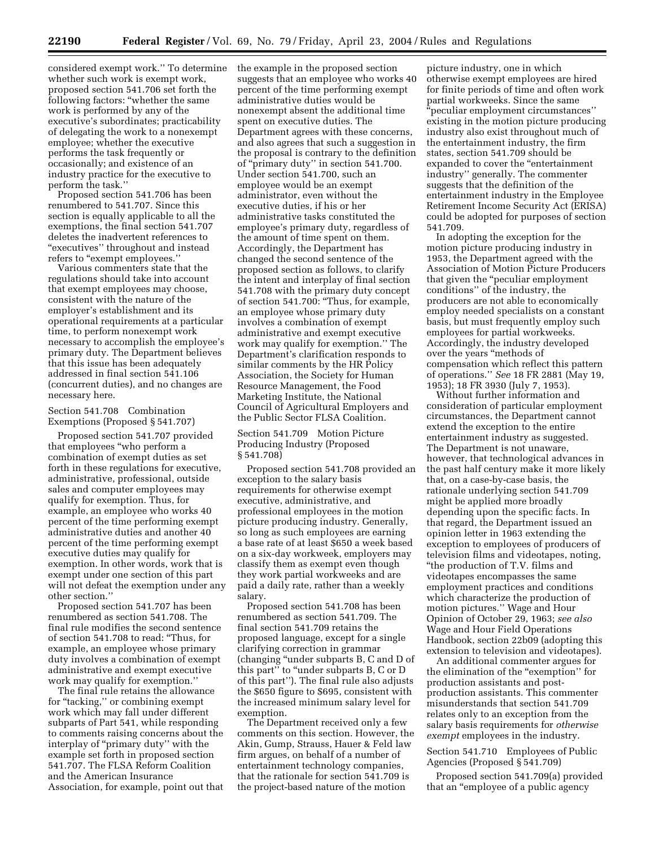considered exempt work.'' To determine whether such work is exempt work, proposed section 541.706 set forth the following factors: "whether the same work is performed by any of the executive's subordinates; practicability of delegating the work to a nonexempt employee; whether the executive performs the task frequently or occasionally; and existence of an industry practice for the executive to perform the task.''

Proposed section 541.706 has been renumbered to 541.707. Since this section is equally applicable to all the exemptions, the final section 541.707 deletes the inadvertent references to "executives" throughout and instead refers to "exempt employees."

Various commenters state that the regulations should take into account that exempt employees may choose, consistent with the nature of the employer's establishment and its operational requirements at a particular time, to perform nonexempt work necessary to accomplish the employee's primary duty. The Department believes that this issue has been adequately addressed in final section 541.106 (concurrent duties), and no changes are necessary here.

Section 541.708 Combination Exemptions (Proposed § 541.707)

Proposed section 541.707 provided that employees ''who perform a combination of exempt duties as set forth in these regulations for executive, administrative, professional, outside sales and computer employees may qualify for exemption. Thus, for example, an employee who works 40 percent of the time performing exempt administrative duties and another 40 percent of the time performing exempt executive duties may qualify for exemption. In other words, work that is exempt under one section of this part will not defeat the exemption under any other section.''

Proposed section 541.707 has been renumbered as section 541.708. The final rule modifies the second sentence of section 541.708 to read: ''Thus, for example, an employee whose primary duty involves a combination of exempt administrative and exempt executive work may qualify for exemption.''

The final rule retains the allowance for "tacking," or combining exempt work which may fall under different subparts of Part 541, while responding to comments raising concerns about the interplay of "primary duty" with the example set forth in proposed section 541.707. The FLSA Reform Coalition and the American Insurance Association, for example, point out that the example in the proposed section suggests that an employee who works 40 percent of the time performing exempt administrative duties would be nonexempt absent the additional time spent on executive duties. The Department agrees with these concerns, and also agrees that such a suggestion in the proposal is contrary to the definition of ''primary duty'' in section 541.700. Under section 541.700, such an employee would be an exempt administrator, even without the executive duties, if his or her administrative tasks constituted the employee's primary duty, regardless of the amount of time spent on them. Accordingly, the Department has changed the second sentence of the proposed section as follows, to clarify the intent and interplay of final section 541.708 with the primary duty concept of section 541.700: ''Thus, for example, an employee whose primary duty involves a combination of exempt administrative and exempt executive work may qualify for exemption.'' The Department's clarification responds to similar comments by the HR Policy Association, the Society for Human Resource Management, the Food Marketing Institute, the National Council of Agricultural Employers and the Public Sector FLSA Coalition.

Section 541.709 Motion Picture Producing Industry (Proposed § 541.708)

Proposed section 541.708 provided an exception to the salary basis requirements for otherwise exempt executive, administrative, and professional employees in the motion picture producing industry. Generally, so long as such employees are earning a base rate of at least \$650 a week based on a six-day workweek, employers may classify them as exempt even though they work partial workweeks and are paid a daily rate, rather than a weekly salary.

Proposed section 541.708 has been renumbered as section 541.709. The final section 541.709 retains the proposed language, except for a single clarifying correction in grammar (changing ''under subparts B, C and D of this part" to "under subparts B, C or D of this part''). The final rule also adjusts the \$650 figure to \$695, consistent with the increased minimum salary level for exemption.

The Department received only a few comments on this section. However, the Akin, Gump, Strauss, Hauer & Feld law firm argues, on behalf of a number of entertainment technology companies, that the rationale for section 541.709 is the project-based nature of the motion

picture industry, one in which otherwise exempt employees are hired for finite periods of time and often work partial workweeks. Since the same ''peculiar employment circumstances'' existing in the motion picture producing industry also exist throughout much of the entertainment industry, the firm states, section 541.709 should be expanded to cover the ''entertainment industry'' generally. The commenter suggests that the definition of the entertainment industry in the Employee Retirement Income Security Act (ERISA) could be adopted for purposes of section 541.709.

In adopting the exception for the motion picture producing industry in 1953, the Department agreed with the Association of Motion Picture Producers that given the ''peculiar employment conditions'' of the industry, the producers are not able to economically employ needed specialists on a constant basis, but must frequently employ such employees for partial workweeks. Accordingly, the industry developed over the years ''methods of compensation which reflect this pattern of operations.'' *See* 18 FR 2881 (May 19, 1953); 18 FR 3930 (July 7, 1953).

Without further information and consideration of particular employment circumstances, the Department cannot extend the exception to the entire entertainment industry as suggested. The Department is not unaware, however, that technological advances in the past half century make it more likely that, on a case-by-case basis, the rationale underlying section 541.709 might be applied more broadly depending upon the specific facts. In that regard, the Department issued an opinion letter in 1963 extending the exception to employees of producers of television films and videotapes, noting, ''the production of T.V. films and videotapes encompasses the same employment practices and conditions which characterize the production of motion pictures.'' Wage and Hour Opinion of October 29, 1963; *see also*  Wage and Hour Field Operations Handbook, section 22b09 (adopting this extension to television and videotapes).

An additional commenter argues for the elimination of the "exemption" for production assistants and postproduction assistants. This commenter misunderstands that section 541.709 relates only to an exception from the salary basis requirements for *otherwise exempt* employees in the industry.

Section 541.710 Employees of Public Agencies (Proposed § 541.709)

Proposed section 541.709(a) provided that an ''employee of a public agency